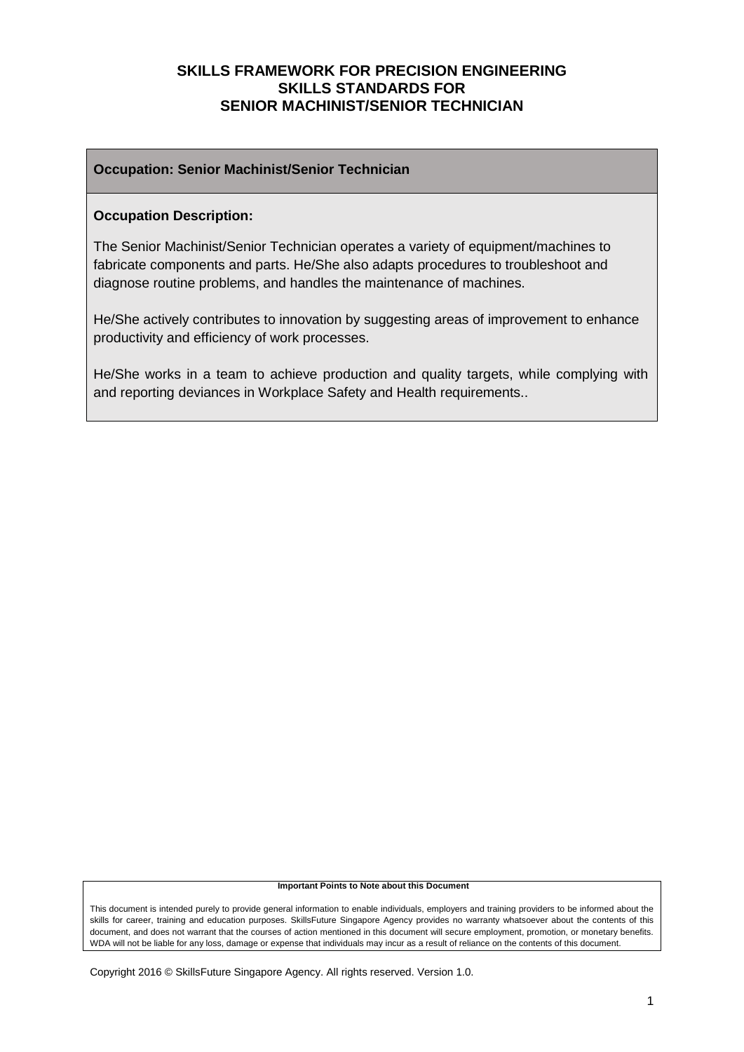#### **Occupation: Senior Machinist/Senior Technician**

#### **Occupation Description:**

The Senior Machinist/Senior Technician operates a variety of equipment/machines to fabricate components and parts. He/She also adapts procedures to troubleshoot and diagnose routine problems, and handles the maintenance of machines.

He/She actively contributes to innovation by suggesting areas of improvement to enhance productivity and efficiency of work processes.

He/She works in a team to achieve production and quality targets, while complying with and reporting deviances in Workplace Safety and Health requirements..

#### **Important Points to Note about this Document**

This document is intended purely to provide general information to enable individuals, employers and training providers to be informed about the skills for career, training and education purposes. SkillsFuture Singapore Agency provides no warranty whatsoever about the contents of this document, and does not warrant that the courses of action mentioned in this document will secure employment, promotion, or monetary benefits. WDA will not be liable for any loss, damage or expense that individuals may incur as a result of reliance on the contents of this document.

Copyright 2016 © SkillsFuture Singapore Agency. All rights reserved. Version 1.0.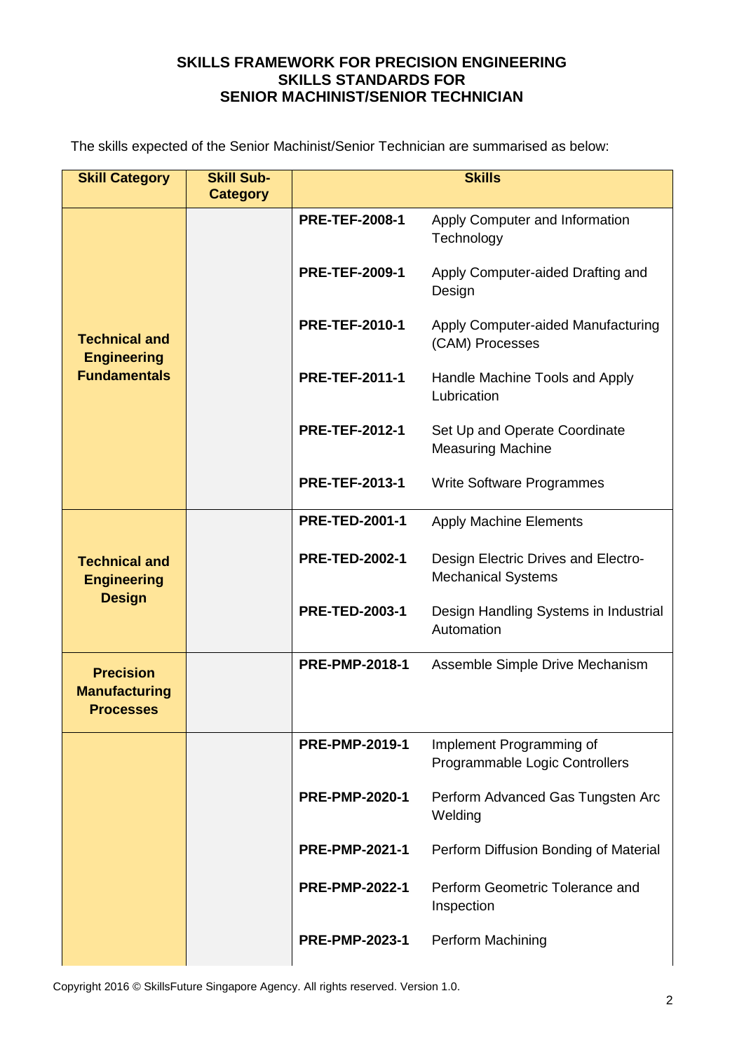The skills expected of the Senior Machinist/Senior Technician are summarised as below:

| <b>Skill Category</b>                                        | <b>Skill Sub-</b><br><b>Category</b> | <b>Skills</b>         |                                                                  |  |
|--------------------------------------------------------------|--------------------------------------|-----------------------|------------------------------------------------------------------|--|
|                                                              |                                      | <b>PRE-TEF-2008-1</b> | Apply Computer and Information<br>Technology                     |  |
|                                                              |                                      | <b>PRE-TEF-2009-1</b> | Apply Computer-aided Drafting and<br>Design                      |  |
| <b>Technical and</b><br><b>Engineering</b>                   |                                      | <b>PRE-TEF-2010-1</b> | Apply Computer-aided Manufacturing<br>(CAM) Processes            |  |
| <b>Fundamentals</b>                                          |                                      | <b>PRE-TEF-2011-1</b> | Handle Machine Tools and Apply<br>Lubrication                    |  |
|                                                              |                                      | <b>PRE-TEF-2012-1</b> | Set Up and Operate Coordinate<br><b>Measuring Machine</b>        |  |
|                                                              |                                      | <b>PRE-TEF-2013-1</b> | <b>Write Software Programmes</b>                                 |  |
|                                                              |                                      | <b>PRE-TED-2001-1</b> | <b>Apply Machine Elements</b>                                    |  |
| <b>Technical and</b><br><b>Engineering</b><br><b>Design</b>  |                                      | <b>PRE-TED-2002-1</b> | Design Electric Drives and Electro-<br><b>Mechanical Systems</b> |  |
|                                                              |                                      | <b>PRE-TED-2003-1</b> | Design Handling Systems in Industrial<br>Automation              |  |
| <b>Precision</b><br><b>Manufacturing</b><br><b>Processes</b> |                                      | <b>PRE-PMP-2018-1</b> | Assemble Simple Drive Mechanism                                  |  |
|                                                              |                                      | <b>PRE-PMP-2019-1</b> | Implement Programming of<br>Programmable Logic Controllers       |  |
|                                                              |                                      | <b>PRE-PMP-2020-1</b> | Perform Advanced Gas Tungsten Arc<br>Welding                     |  |
|                                                              |                                      | <b>PRE-PMP-2021-1</b> | Perform Diffusion Bonding of Material                            |  |
|                                                              |                                      | <b>PRE-PMP-2022-1</b> | Perform Geometric Tolerance and<br>Inspection                    |  |
|                                                              |                                      | <b>PRE-PMP-2023-1</b> | Perform Machining                                                |  |

Copyright 2016 © SkillsFuture Singapore Agency. All rights reserved. Version 1.0.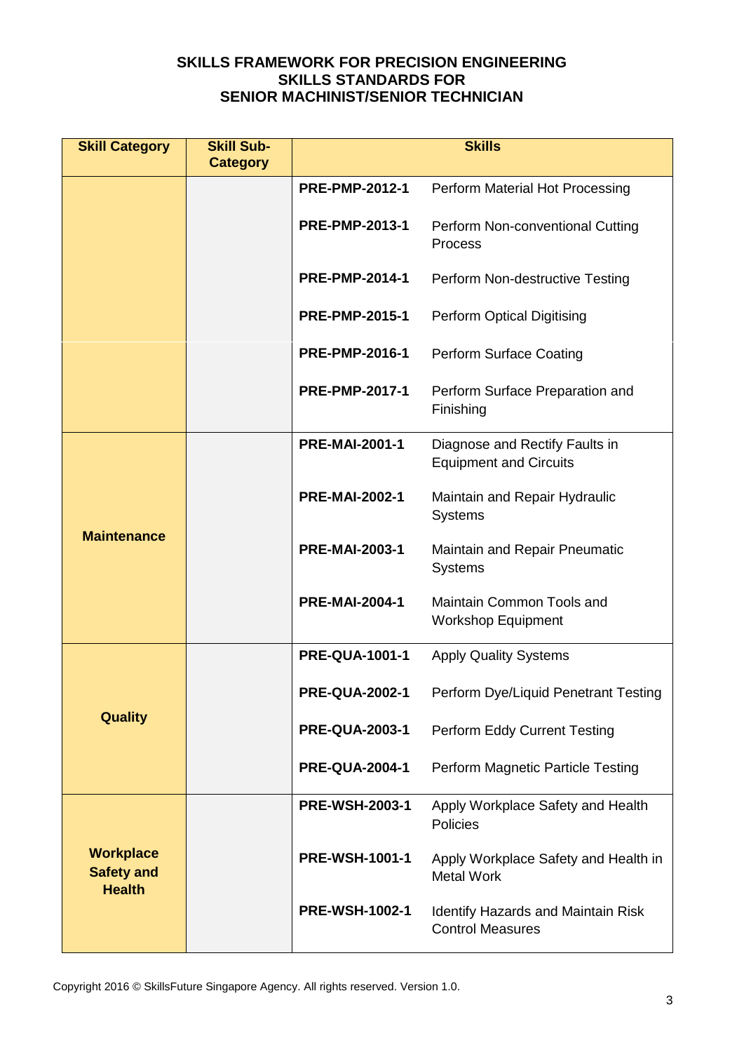| <b>Skill Category</b>                                  | <b>Skill Sub-</b><br><b>Category</b> | <b>Skills</b>         |                                                                      |  |
|--------------------------------------------------------|--------------------------------------|-----------------------|----------------------------------------------------------------------|--|
|                                                        |                                      | <b>PRE-PMP-2012-1</b> | Perform Material Hot Processing                                      |  |
|                                                        |                                      | <b>PRE-PMP-2013-1</b> | Perform Non-conventional Cutting<br>Process                          |  |
|                                                        |                                      | <b>PRE-PMP-2014-1</b> | Perform Non-destructive Testing                                      |  |
|                                                        |                                      | <b>PRE-PMP-2015-1</b> | Perform Optical Digitising                                           |  |
|                                                        |                                      | <b>PRE-PMP-2016-1</b> | <b>Perform Surface Coating</b>                                       |  |
|                                                        |                                      | <b>PRE-PMP-2017-1</b> | Perform Surface Preparation and<br>Finishing                         |  |
|                                                        |                                      | <b>PRE-MAI-2001-1</b> | Diagnose and Rectify Faults in<br><b>Equipment and Circuits</b>      |  |
| <b>Maintenance</b>                                     |                                      | <b>PRE-MAI-2002-1</b> | Maintain and Repair Hydraulic<br><b>Systems</b>                      |  |
|                                                        |                                      | <b>PRE-MAI-2003-1</b> | <b>Maintain and Repair Pneumatic</b><br><b>Systems</b>               |  |
|                                                        |                                      | <b>PRE-MAI-2004-1</b> | Maintain Common Tools and<br><b>Workshop Equipment</b>               |  |
|                                                        |                                      | <b>PRE-QUA-1001-1</b> | <b>Apply Quality Systems</b>                                         |  |
|                                                        |                                      | <b>PRE-QUA-2002-1</b> | Perform Dye/Liquid Penetrant Testing                                 |  |
| <b>Quality</b>                                         |                                      | <b>PRE-QUA-2003-1</b> | Perform Eddy Current Testing                                         |  |
|                                                        |                                      | <b>PRE-QUA-2004-1</b> | Perform Magnetic Particle Testing                                    |  |
|                                                        |                                      | <b>PRE-WSH-2003-1</b> | Apply Workplace Safety and Health<br><b>Policies</b>                 |  |
| <b>Workplace</b><br><b>Safety and</b><br><b>Health</b> |                                      | <b>PRE-WSH-1001-1</b> | Apply Workplace Safety and Health in<br><b>Metal Work</b>            |  |
|                                                        |                                      | <b>PRE-WSH-1002-1</b> | <b>Identify Hazards and Maintain Risk</b><br><b>Control Measures</b> |  |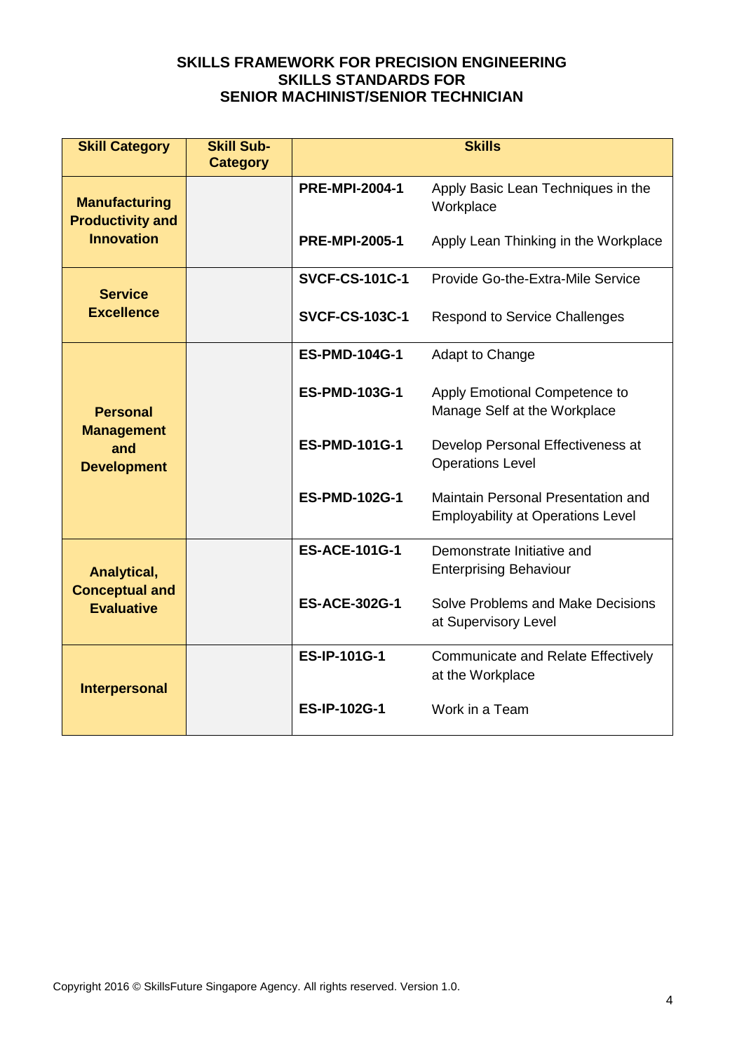| <b>Skill Category</b>                                             | <b>Skill Sub-</b><br><b>Category</b> | <b>Skills</b>         |                                                                                |  |
|-------------------------------------------------------------------|--------------------------------------|-----------------------|--------------------------------------------------------------------------------|--|
| <b>Manufacturing</b><br><b>Productivity and</b>                   |                                      | <b>PRE-MPI-2004-1</b> | Apply Basic Lean Techniques in the<br>Workplace                                |  |
| <b>Innovation</b>                                                 |                                      | <b>PRE-MPI-2005-1</b> | Apply Lean Thinking in the Workplace                                           |  |
| <b>Service</b>                                                    |                                      | <b>SVCF-CS-101C-1</b> | Provide Go-the-Extra-Mile Service                                              |  |
| <b>Excellence</b>                                                 |                                      | <b>SVCF-CS-103C-1</b> | <b>Respond to Service Challenges</b>                                           |  |
|                                                                   |                                      | <b>ES-PMD-104G-1</b>  | Adapt to Change                                                                |  |
| <b>Personal</b><br><b>Management</b><br>and<br><b>Development</b> |                                      | <b>ES-PMD-103G-1</b>  | Apply Emotional Competence to<br>Manage Self at the Workplace                  |  |
|                                                                   |                                      | <b>ES-PMD-101G-1</b>  | Develop Personal Effectiveness at<br><b>Operations Level</b>                   |  |
|                                                                   |                                      | <b>ES-PMD-102G-1</b>  | Maintain Personal Presentation and<br><b>Employability at Operations Level</b> |  |
| Analytical,                                                       |                                      | <b>ES-ACE-101G-1</b>  | Demonstrate Initiative and<br><b>Enterprising Behaviour</b>                    |  |
| <b>Conceptual and</b><br><b>Evaluative</b>                        |                                      | <b>ES-ACE-302G-1</b>  | Solve Problems and Make Decisions<br>at Supervisory Level                      |  |
| <b>Interpersonal</b>                                              |                                      | <b>ES-IP-101G-1</b>   | Communicate and Relate Effectively<br>at the Workplace                         |  |
|                                                                   |                                      | <b>ES-IP-102G-1</b>   | Work in a Team                                                                 |  |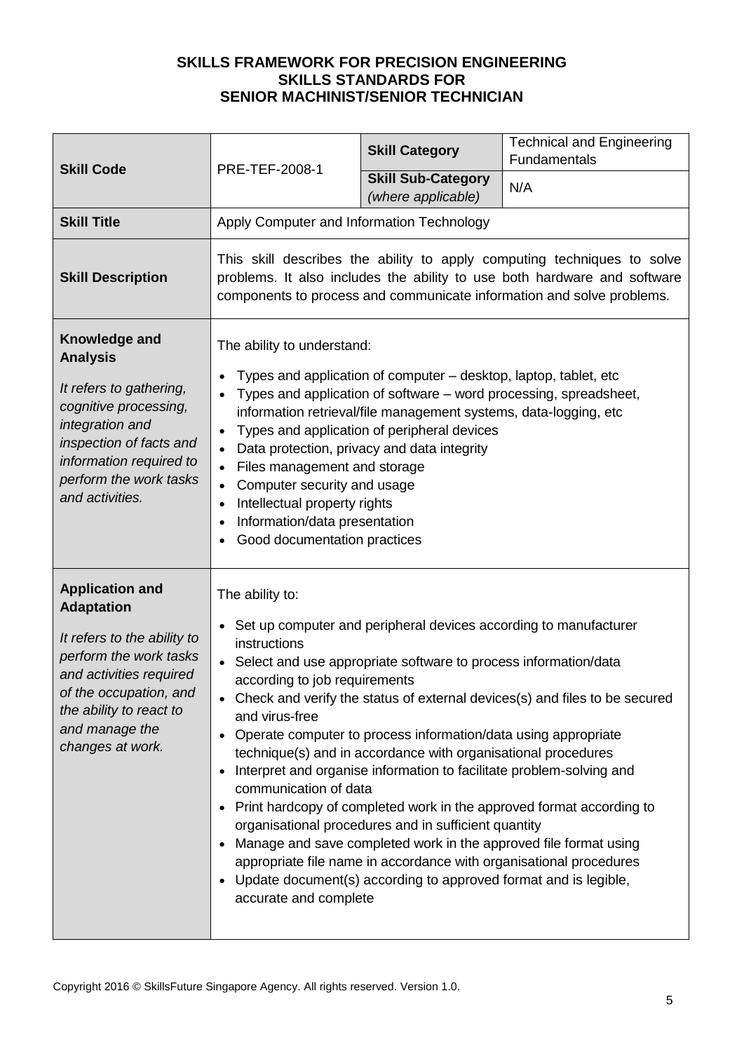|                                                                                                                                                                                                                            | PRE-TEF-2008-1                                                                                                                                                                                                                                                                                                                                                                                                                                                                                                                                                                                                                                                                                                                                                                                                                                                                                                      | <b>Skill Category</b>                           | <b>Technical and Engineering</b><br>Fundamentals |
|----------------------------------------------------------------------------------------------------------------------------------------------------------------------------------------------------------------------------|---------------------------------------------------------------------------------------------------------------------------------------------------------------------------------------------------------------------------------------------------------------------------------------------------------------------------------------------------------------------------------------------------------------------------------------------------------------------------------------------------------------------------------------------------------------------------------------------------------------------------------------------------------------------------------------------------------------------------------------------------------------------------------------------------------------------------------------------------------------------------------------------------------------------|-------------------------------------------------|--------------------------------------------------|
| <b>Skill Code</b>                                                                                                                                                                                                          |                                                                                                                                                                                                                                                                                                                                                                                                                                                                                                                                                                                                                                                                                                                                                                                                                                                                                                                     | <b>Skill Sub-Category</b><br>(where applicable) | N/A                                              |
| <b>Skill Title</b>                                                                                                                                                                                                         | Apply Computer and Information Technology                                                                                                                                                                                                                                                                                                                                                                                                                                                                                                                                                                                                                                                                                                                                                                                                                                                                           |                                                 |                                                  |
| <b>Skill Description</b>                                                                                                                                                                                                   | This skill describes the ability to apply computing techniques to solve<br>problems. It also includes the ability to use both hardware and software<br>components to process and communicate information and solve problems.                                                                                                                                                                                                                                                                                                                                                                                                                                                                                                                                                                                                                                                                                        |                                                 |                                                  |
| Knowledge and<br><b>Analysis</b><br>It refers to gathering,<br>cognitive processing,<br>integration and<br>inspection of facts and<br>information required to<br>perform the work tasks<br>and activities.                 | The ability to understand:<br>Types and application of computer – desktop, laptop, tablet, etc<br>Types and application of software – word processing, spreadsheet,<br>information retrieval/file management systems, data-logging, etc<br>Types and application of peripheral devices<br>Data protection, privacy and data integrity<br>Files management and storage<br>Computer security and usage<br>Intellectual property rights<br>Information/data presentation<br>Good documentation practices                                                                                                                                                                                                                                                                                                                                                                                                               |                                                 |                                                  |
| <b>Application and</b><br><b>Adaptation</b><br>It refers to the ability to<br>perform the work tasks<br>and activities required<br>of the occupation, and<br>the ability to react to<br>and manage the<br>changes at work. | The ability to:<br>Set up computer and peripheral devices according to manufacturer<br>instructions<br>Select and use appropriate software to process information/data<br>according to job requirements<br>• Check and verify the status of external devices(s) and files to be secured<br>and virus-free<br>Operate computer to process information/data using appropriate<br>technique(s) and in accordance with organisational procedures<br>Interpret and organise information to facilitate problem-solving and<br>communication of data<br>Print hardcopy of completed work in the approved format according to<br>organisational procedures and in sufficient quantity<br>Manage and save completed work in the approved file format using<br>appropriate file name in accordance with organisational procedures<br>Update document(s) according to approved format and is legible,<br>accurate and complete |                                                 |                                                  |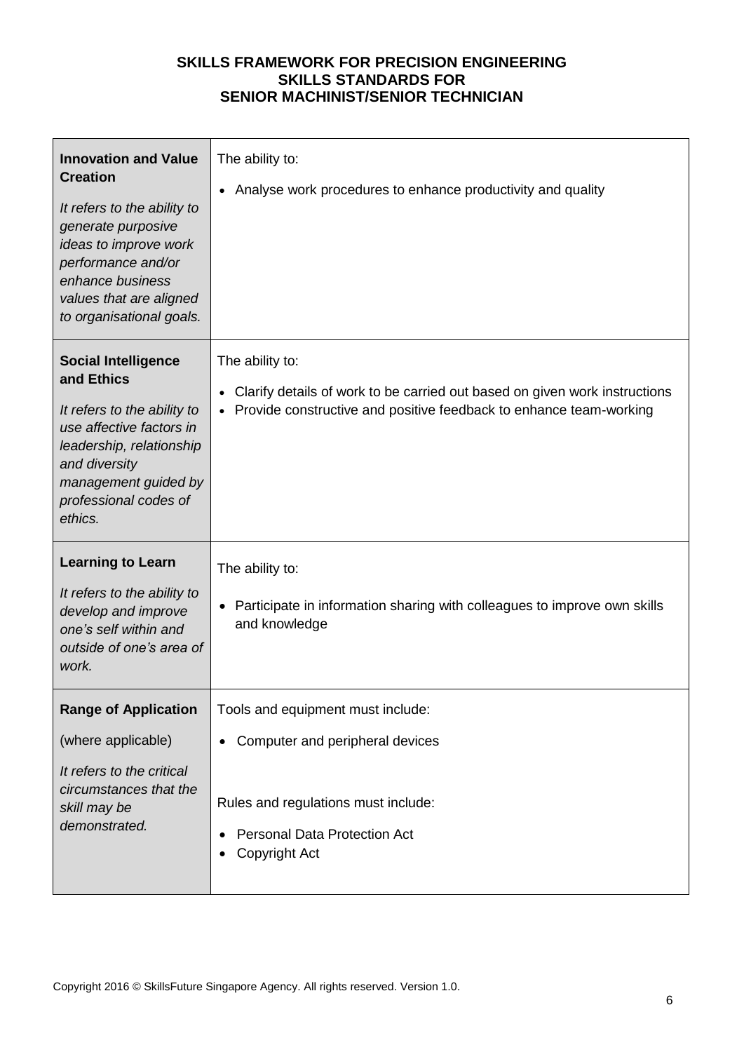| <b>Innovation and Value</b><br><b>Creation</b><br>It refers to the ability to<br>generate purposive<br>ideas to improve work<br>performance and/or<br>enhance business<br>values that are aligned<br>to organisational goals. | The ability to:<br>Analyse work procedures to enhance productivity and quality                                                                                                     |
|-------------------------------------------------------------------------------------------------------------------------------------------------------------------------------------------------------------------------------|------------------------------------------------------------------------------------------------------------------------------------------------------------------------------------|
| <b>Social Intelligence</b><br>and Ethics<br>It refers to the ability to<br>use affective factors in<br>leadership, relationship<br>and diversity<br>management guided by<br>professional codes of<br>ethics.                  | The ability to:<br>Clarify details of work to be carried out based on given work instructions<br>$\bullet$<br>• Provide constructive and positive feedback to enhance team-working |
| <b>Learning to Learn</b><br>It refers to the ability to<br>develop and improve<br>one's self within and<br>outside of one's area of<br>work.                                                                                  | The ability to:<br>Participate in information sharing with colleagues to improve own skills<br>and knowledge                                                                       |
| <b>Range of Application</b><br>(where applicable)<br>It refers to the critical<br>circumstances that the<br>skill may be<br>demonstrated.                                                                                     | Tools and equipment must include:<br>Computer and peripheral devices<br>Rules and regulations must include:<br><b>Personal Data Protection Act</b><br>Copyright Act                |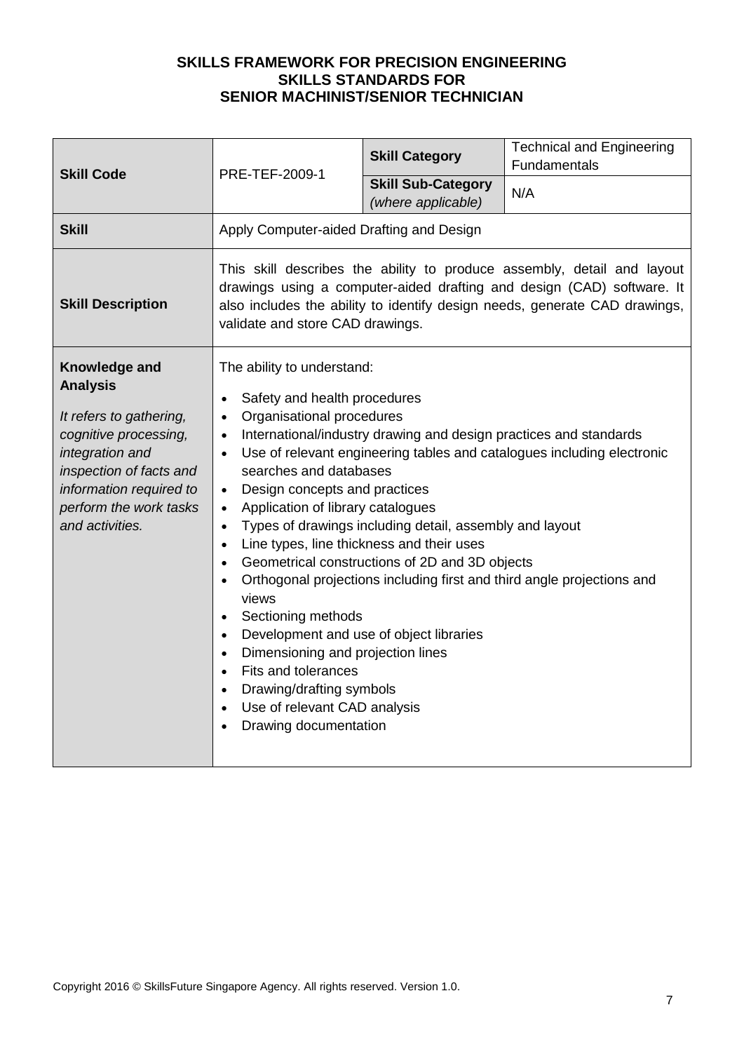| <b>Skill Code</b>                                                                                                                                                                                          | PRE-TEF-2009-1                                                                                                                                                                                                                                                                                                                                                                                                                                                                                                                                                                          | <b>Skill Category</b>                                                                                                                                                                                                                                                  | <b>Technical and Engineering</b><br>Fundamentals                                                                                                 |
|------------------------------------------------------------------------------------------------------------------------------------------------------------------------------------------------------------|-----------------------------------------------------------------------------------------------------------------------------------------------------------------------------------------------------------------------------------------------------------------------------------------------------------------------------------------------------------------------------------------------------------------------------------------------------------------------------------------------------------------------------------------------------------------------------------------|------------------------------------------------------------------------------------------------------------------------------------------------------------------------------------------------------------------------------------------------------------------------|--------------------------------------------------------------------------------------------------------------------------------------------------|
|                                                                                                                                                                                                            |                                                                                                                                                                                                                                                                                                                                                                                                                                                                                                                                                                                         | <b>Skill Sub-Category</b><br>(where applicable)                                                                                                                                                                                                                        | N/A                                                                                                                                              |
| <b>Skill</b>                                                                                                                                                                                               | Apply Computer-aided Drafting and Design                                                                                                                                                                                                                                                                                                                                                                                                                                                                                                                                                |                                                                                                                                                                                                                                                                        |                                                                                                                                                  |
| <b>Skill Description</b>                                                                                                                                                                                   | This skill describes the ability to produce assembly, detail and layout<br>drawings using a computer-aided drafting and design (CAD) software. It<br>also includes the ability to identify design needs, generate CAD drawings,<br>validate and store CAD drawings.                                                                                                                                                                                                                                                                                                                     |                                                                                                                                                                                                                                                                        |                                                                                                                                                  |
| Knowledge and<br><b>Analysis</b><br>It refers to gathering,<br>cognitive processing,<br>integration and<br>inspection of facts and<br>information required to<br>perform the work tasks<br>and activities. | The ability to understand:<br>Safety and health procedures<br>$\bullet$<br>Organisational procedures<br>$\bullet$<br>$\bullet$<br>$\bullet$<br>searches and databases<br>Design concepts and practices<br>$\bullet$<br>Application of library catalogues<br>$\bullet$<br>$\bullet$<br>$\bullet$<br>$\bullet$<br>$\bullet$<br>views<br>Sectioning methods<br>$\bullet$<br>$\bullet$<br>Dimensioning and projection lines<br>$\bullet$<br>Fits and tolerances<br>$\bullet$<br>Drawing/drafting symbols<br>$\bullet$<br>Use of relevant CAD analysis<br>$\bullet$<br>Drawing documentation | International/industry drawing and design practices and standards<br>Types of drawings including detail, assembly and layout<br>Line types, line thickness and their uses<br>Geometrical constructions of 2D and 3D objects<br>Development and use of object libraries | Use of relevant engineering tables and catalogues including electronic<br>Orthogonal projections including first and third angle projections and |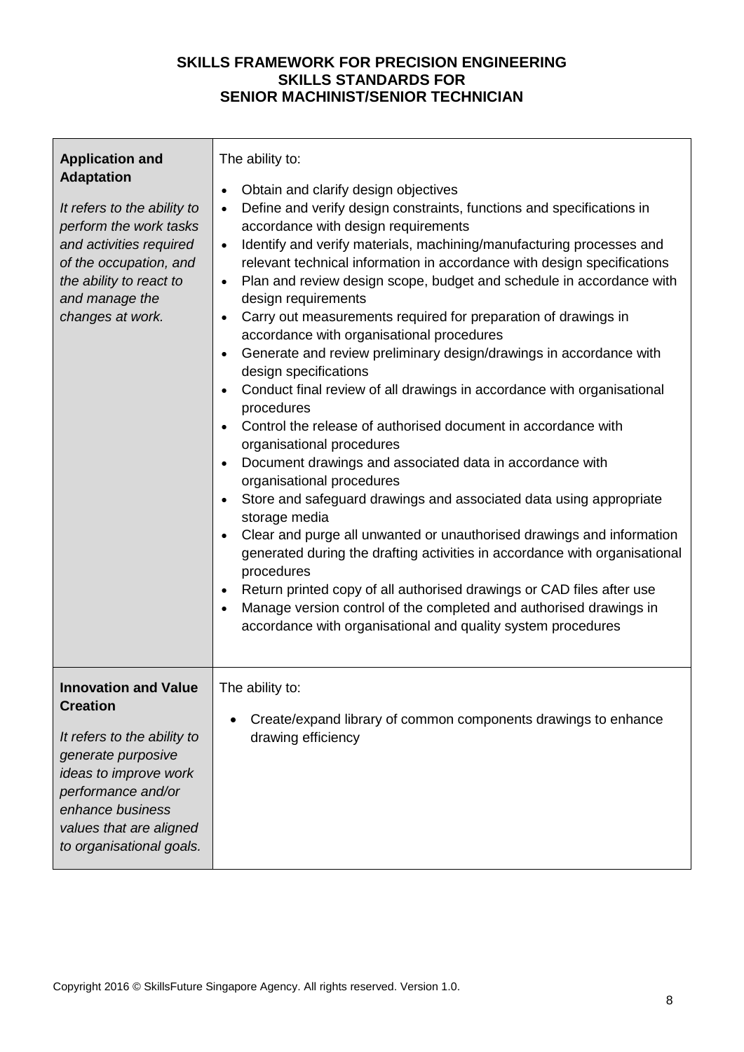| <b>Application and</b><br><b>Adaptation</b><br>It refers to the ability to<br>perform the work tasks<br>and activities required<br>of the occupation, and<br>the ability to react to<br>and manage the<br>changes at work.    | The ability to:<br>Obtain and clarify design objectives<br>$\bullet$<br>Define and verify design constraints, functions and specifications in<br>$\bullet$<br>accordance with design requirements<br>Identify and verify materials, machining/manufacturing processes and<br>$\bullet$<br>relevant technical information in accordance with design specifications<br>Plan and review design scope, budget and schedule in accordance with<br>$\bullet$<br>design requirements<br>Carry out measurements required for preparation of drawings in<br>$\bullet$<br>accordance with organisational procedures<br>Generate and review preliminary design/drawings in accordance with<br>$\bullet$<br>design specifications<br>Conduct final review of all drawings in accordance with organisational<br>$\bullet$<br>procedures<br>Control the release of authorised document in accordance with<br>$\bullet$<br>organisational procedures<br>Document drawings and associated data in accordance with<br>$\bullet$<br>organisational procedures<br>Store and safeguard drawings and associated data using appropriate<br>$\bullet$<br>storage media<br>Clear and purge all unwanted or unauthorised drawings and information<br>generated during the drafting activities in accordance with organisational<br>procedures<br>Return printed copy of all authorised drawings or CAD files after use<br>$\bullet$<br>Manage version control of the completed and authorised drawings in<br>accordance with organisational and quality system procedures |
|-------------------------------------------------------------------------------------------------------------------------------------------------------------------------------------------------------------------------------|--------------------------------------------------------------------------------------------------------------------------------------------------------------------------------------------------------------------------------------------------------------------------------------------------------------------------------------------------------------------------------------------------------------------------------------------------------------------------------------------------------------------------------------------------------------------------------------------------------------------------------------------------------------------------------------------------------------------------------------------------------------------------------------------------------------------------------------------------------------------------------------------------------------------------------------------------------------------------------------------------------------------------------------------------------------------------------------------------------------------------------------------------------------------------------------------------------------------------------------------------------------------------------------------------------------------------------------------------------------------------------------------------------------------------------------------------------------------------------------------------------------------------------------------------|
| <b>Innovation and Value</b><br><b>Creation</b><br>It refers to the ability to<br>generate purposive<br>ideas to improve work<br>performance and/or<br>enhance business<br>values that are aligned<br>to organisational goals. | The ability to:<br>Create/expand library of common components drawings to enhance<br>drawing efficiency                                                                                                                                                                                                                                                                                                                                                                                                                                                                                                                                                                                                                                                                                                                                                                                                                                                                                                                                                                                                                                                                                                                                                                                                                                                                                                                                                                                                                                          |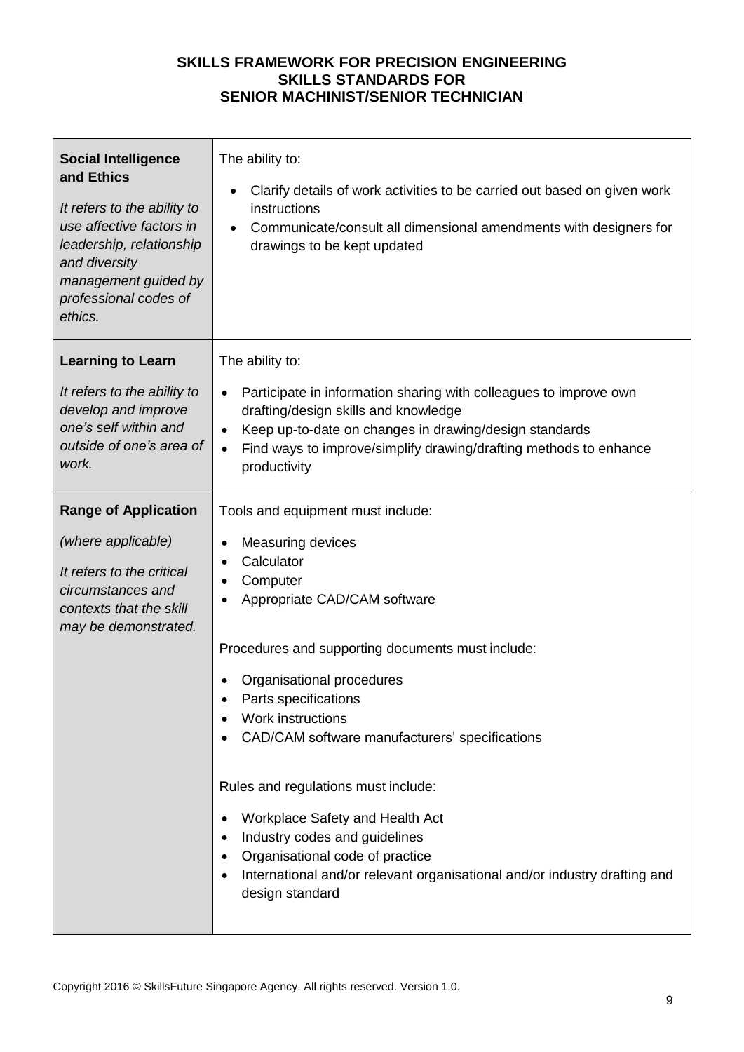| <b>Social Intelligence</b><br>and Ethics<br>It refers to the ability to<br>use affective factors in<br>leadership, relationship<br>and diversity<br>management guided by<br>professional codes of<br>ethics. | The ability to:<br>Clarify details of work activities to be carried out based on given work<br>$\bullet$<br>instructions<br>Communicate/consult all dimensional amendments with designers for<br>drawings to be kept updated                                                                                                                                                                                                                                                                                                                                             |
|--------------------------------------------------------------------------------------------------------------------------------------------------------------------------------------------------------------|--------------------------------------------------------------------------------------------------------------------------------------------------------------------------------------------------------------------------------------------------------------------------------------------------------------------------------------------------------------------------------------------------------------------------------------------------------------------------------------------------------------------------------------------------------------------------|
| <b>Learning to Learn</b><br>It refers to the ability to<br>develop and improve<br>one's self within and<br>outside of one's area of<br>work.                                                                 | The ability to:<br>Participate in information sharing with colleagues to improve own<br>$\bullet$<br>drafting/design skills and knowledge<br>Keep up-to-date on changes in drawing/design standards<br>$\bullet$<br>Find ways to improve/simplify drawing/drafting methods to enhance<br>$\bullet$<br>productivity                                                                                                                                                                                                                                                       |
| <b>Range of Application</b><br>(where applicable)<br>It refers to the critical<br>circumstances and<br>contexts that the skill<br>may be demonstrated.                                                       | Tools and equipment must include:<br>Measuring devices<br>٠<br>Calculator<br>$\bullet$<br>Computer<br>Appropriate CAD/CAM software<br>Procedures and supporting documents must include:<br>Organisational procedures<br>Parts specifications<br><b>Work instructions</b><br>CAD/CAM software manufacturers' specifications<br>Rules and regulations must include:<br>Workplace Safety and Health Act<br>Industry codes and guidelines<br>Organisational code of practice<br>International and/or relevant organisational and/or industry drafting and<br>design standard |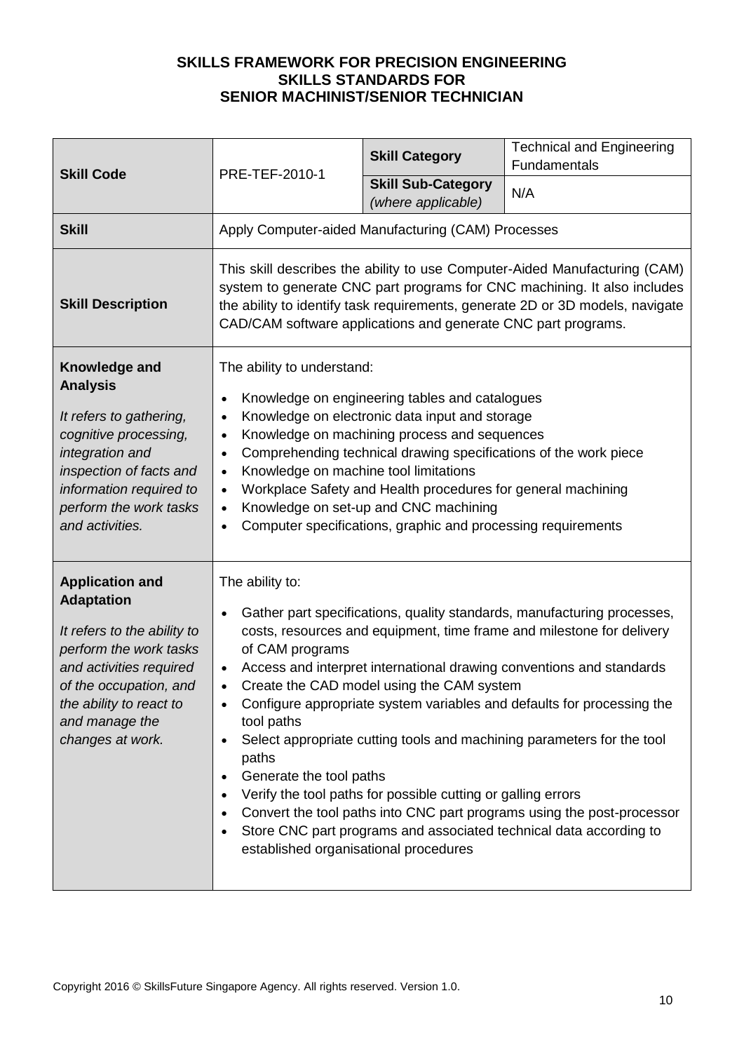|                                                                                                                                                                                                                            | PRE-TEF-2010-1                                                                                                                                                                                                                                                                                                                                                                                                                                                                                                                                                                                                                                                                                                                                                                                       | <b>Skill Category</b>                           | <b>Technical and Engineering</b><br>Fundamentals |
|----------------------------------------------------------------------------------------------------------------------------------------------------------------------------------------------------------------------------|------------------------------------------------------------------------------------------------------------------------------------------------------------------------------------------------------------------------------------------------------------------------------------------------------------------------------------------------------------------------------------------------------------------------------------------------------------------------------------------------------------------------------------------------------------------------------------------------------------------------------------------------------------------------------------------------------------------------------------------------------------------------------------------------------|-------------------------------------------------|--------------------------------------------------|
| <b>Skill Code</b>                                                                                                                                                                                                          |                                                                                                                                                                                                                                                                                                                                                                                                                                                                                                                                                                                                                                                                                                                                                                                                      | <b>Skill Sub-Category</b><br>(where applicable) | N/A                                              |
| <b>Skill</b>                                                                                                                                                                                                               | Apply Computer-aided Manufacturing (CAM) Processes                                                                                                                                                                                                                                                                                                                                                                                                                                                                                                                                                                                                                                                                                                                                                   |                                                 |                                                  |
| <b>Skill Description</b>                                                                                                                                                                                                   | This skill describes the ability to use Computer-Aided Manufacturing (CAM)<br>system to generate CNC part programs for CNC machining. It also includes<br>the ability to identify task requirements, generate 2D or 3D models, navigate<br>CAD/CAM software applications and generate CNC part programs.                                                                                                                                                                                                                                                                                                                                                                                                                                                                                             |                                                 |                                                  |
| Knowledge and<br><b>Analysis</b><br>It refers to gathering,<br>cognitive processing,<br>integration and<br>inspection of facts and<br>information required to<br>perform the work tasks<br>and activities.                 | The ability to understand:<br>Knowledge on engineering tables and catalogues<br>Knowledge on electronic data input and storage<br>$\bullet$<br>Knowledge on machining process and sequences<br>$\bullet$<br>Comprehending technical drawing specifications of the work piece<br>$\bullet$<br>Knowledge on machine tool limitations<br>$\bullet$<br>Workplace Safety and Health procedures for general machining<br>$\bullet$<br>Knowledge on set-up and CNC machining<br>$\bullet$<br>Computer specifications, graphic and processing requirements<br>$\bullet$                                                                                                                                                                                                                                      |                                                 |                                                  |
| <b>Application and</b><br><b>Adaptation</b><br>It refers to the ability to<br>perform the work tasks<br>and activities required<br>of the occupation, and<br>the ability to react to<br>and manage the<br>changes at work. | The ability to:<br>Gather part specifications, quality standards, manufacturing processes,<br>$\bullet$<br>costs, resources and equipment, time frame and milestone for delivery<br>of CAM programs<br>Access and interpret international drawing conventions and standards<br>Create the CAD model using the CAM system<br>$\bullet$<br>Configure appropriate system variables and defaults for processing the<br>tool paths<br>Select appropriate cutting tools and machining parameters for the tool<br>paths<br>Generate the tool paths<br>Verify the tool paths for possible cutting or galling errors<br>Convert the tool paths into CNC part programs using the post-processor<br>Store CNC part programs and associated technical data according to<br>established organisational procedures |                                                 |                                                  |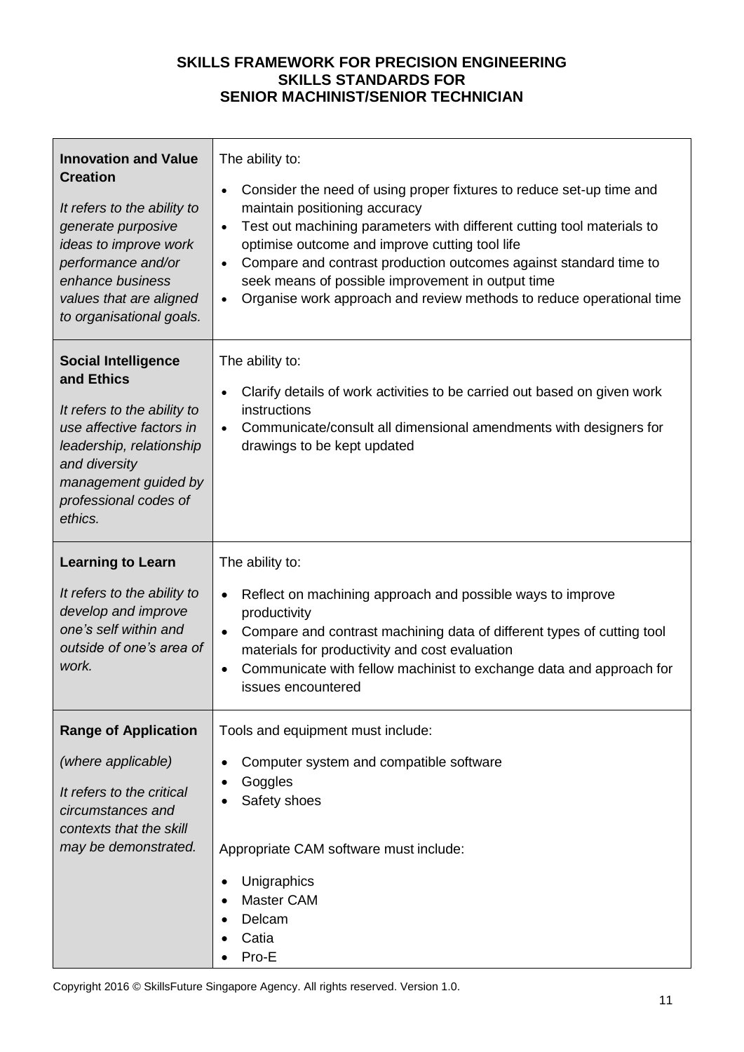| <b>Innovation and Value</b><br><b>Creation</b><br>It refers to the ability to<br>generate purposive<br>ideas to improve work<br>performance and/or<br>enhance business<br>values that are aligned<br>to organisational goals. | The ability to:<br>Consider the need of using proper fixtures to reduce set-up time and<br>$\bullet$<br>maintain positioning accuracy<br>Test out machining parameters with different cutting tool materials to<br>$\bullet$<br>optimise outcome and improve cutting tool life<br>Compare and contrast production outcomes against standard time to<br>$\bullet$<br>seek means of possible improvement in output time<br>Organise work approach and review methods to reduce operational time<br>$\bullet$ |
|-------------------------------------------------------------------------------------------------------------------------------------------------------------------------------------------------------------------------------|------------------------------------------------------------------------------------------------------------------------------------------------------------------------------------------------------------------------------------------------------------------------------------------------------------------------------------------------------------------------------------------------------------------------------------------------------------------------------------------------------------|
| <b>Social Intelligence</b><br>and Ethics<br>It refers to the ability to<br>use affective factors in<br>leadership, relationship<br>and diversity<br>management guided by<br>professional codes of<br>ethics.                  | The ability to:<br>Clarify details of work activities to be carried out based on given work<br>$\bullet$<br>instructions<br>Communicate/consult all dimensional amendments with designers for<br>$\bullet$<br>drawings to be kept updated                                                                                                                                                                                                                                                                  |
| <b>Learning to Learn</b><br>It refers to the ability to<br>develop and improve<br>one's self within and<br>outside of one's area of<br>work.                                                                                  | The ability to:<br>Reflect on machining approach and possible ways to improve<br>$\bullet$<br>productivity<br>Compare and contrast machining data of different types of cutting tool<br>$\bullet$<br>materials for productivity and cost evaluation<br>Communicate with fellow machinist to exchange data and approach for<br>$\bullet$<br>issues encountered                                                                                                                                              |
| <b>Range of Application</b><br>(where applicable)<br>It refers to the critical<br>circumstances and<br>contexts that the skill<br>may be demonstrated.                                                                        | Tools and equipment must include:<br>Computer system and compatible software<br>Goggles<br>Safety shoes<br>Appropriate CAM software must include:<br>Unigraphics<br>٠<br><b>Master CAM</b><br>Delcam<br>Catia<br>Pro-E                                                                                                                                                                                                                                                                                     |

Copyright 2016 © SkillsFuture Singapore Agency. All rights reserved. Version 1.0.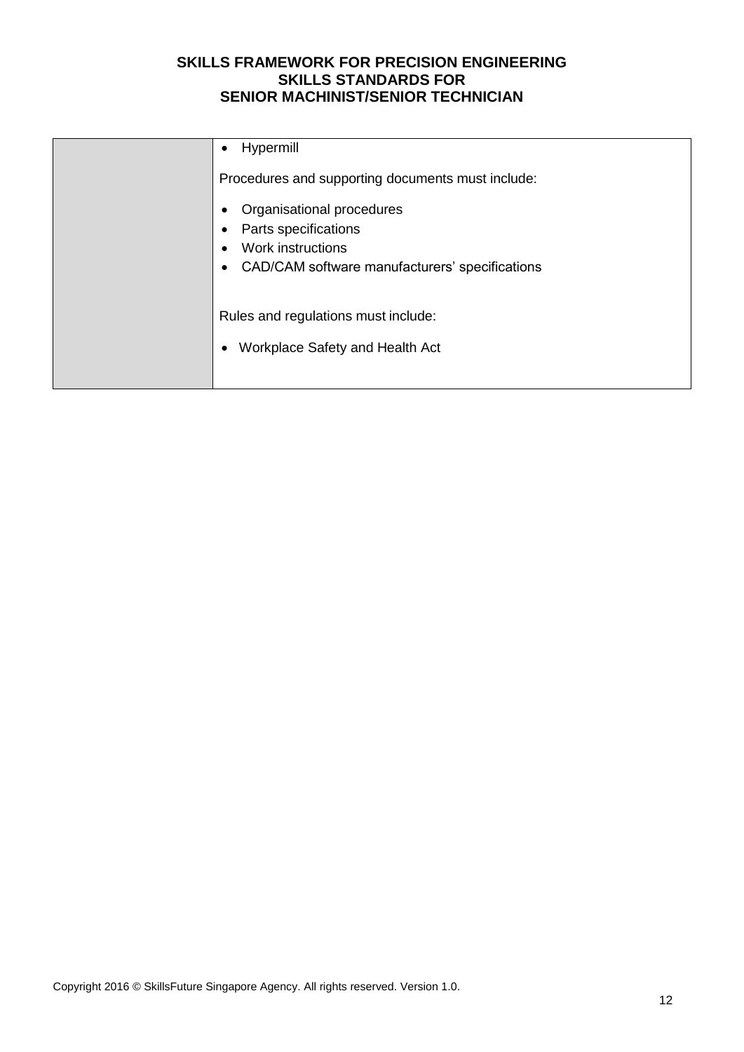| Hypermill                                                                                                                                                                     |
|-------------------------------------------------------------------------------------------------------------------------------------------------------------------------------|
| Procedures and supporting documents must include:<br>Organisational procedures<br>Parts specifications<br>Work instructions<br>CAD/CAM software manufacturers' specifications |
| Rules and regulations must include:<br>Workplace Safety and Health Act                                                                                                        |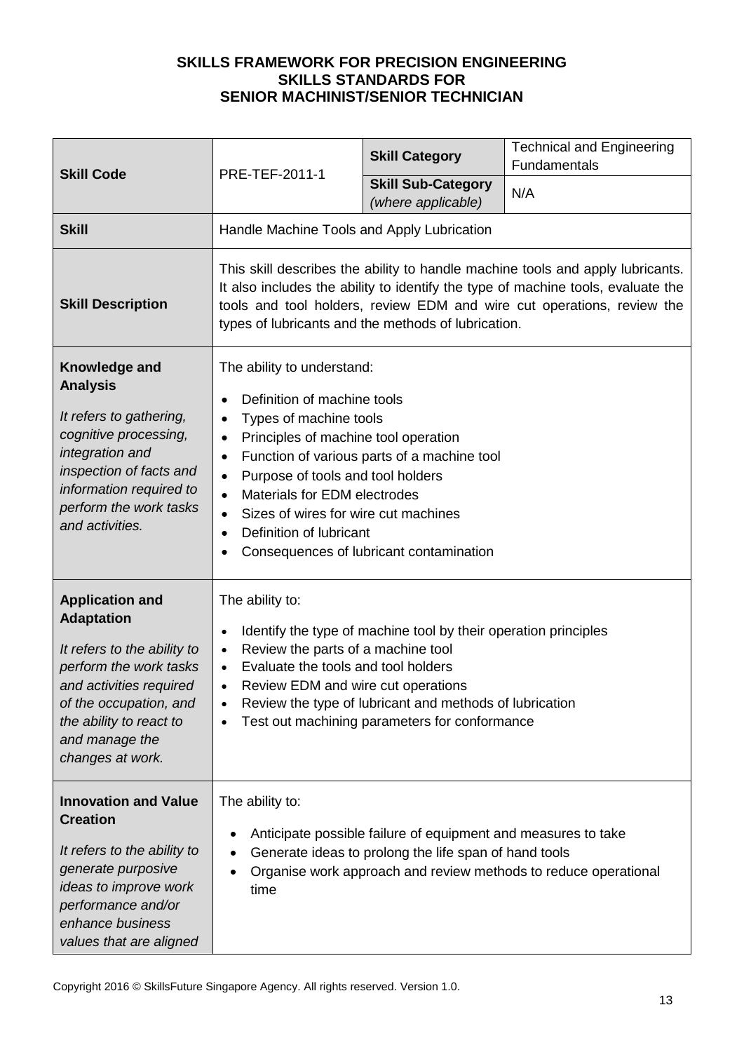| <b>Skill Code</b>                                                                                                                                                                                                          | PRE-TEF-2011-1                                                                                                                                                                                                                                                                                                                                                              | <b>Skill Category</b><br><b>Skill Sub-Category</b><br>(where applicable)                                                                                                    | <b>Technical and Engineering</b><br>Fundamentals<br>N/A         |  |
|----------------------------------------------------------------------------------------------------------------------------------------------------------------------------------------------------------------------------|-----------------------------------------------------------------------------------------------------------------------------------------------------------------------------------------------------------------------------------------------------------------------------------------------------------------------------------------------------------------------------|-----------------------------------------------------------------------------------------------------------------------------------------------------------------------------|-----------------------------------------------------------------|--|
| <b>Skill</b>                                                                                                                                                                                                               | Handle Machine Tools and Apply Lubrication                                                                                                                                                                                                                                                                                                                                  |                                                                                                                                                                             |                                                                 |  |
| <b>Skill Description</b>                                                                                                                                                                                                   | This skill describes the ability to handle machine tools and apply lubricants.<br>It also includes the ability to identify the type of machine tools, evaluate the<br>tools and tool holders, review EDM and wire cut operations, review the<br>types of lubricants and the methods of lubrication.                                                                         |                                                                                                                                                                             |                                                                 |  |
| Knowledge and<br><b>Analysis</b><br>It refers to gathering,<br>cognitive processing,<br>integration and<br>inspection of facts and<br>information required to<br>perform the work tasks<br>and activities.                 | The ability to understand:<br>Definition of machine tools<br>$\bullet$<br>Types of machine tools<br>$\bullet$<br>Principles of machine tool operation<br>$\bullet$<br>$\bullet$<br>Purpose of tools and tool holders<br>$\bullet$<br>Materials for EDM electrodes<br>$\bullet$<br>Sizes of wires for wire cut machines<br>$\bullet$<br>Definition of lubricant<br>$\bullet$ | Function of various parts of a machine tool<br>Consequences of lubricant contamination                                                                                      |                                                                 |  |
| <b>Application and</b><br><b>Adaptation</b><br>It refers to the ability to<br>perform the work tasks<br>and activities required<br>of the occupation, and<br>the ability to react to<br>and manage the<br>changes at work. | The ability to:<br>$\bullet$<br>Review the parts of a machine tool<br>$\bullet$<br>Evaluate the tools and tool holders<br>$\bullet$<br>Review EDM and wire cut operations<br>$\bullet$                                                                                                                                                                                      | Identify the type of machine tool by their operation principles<br>Review the type of lubricant and methods of lubrication<br>Test out machining parameters for conformance |                                                                 |  |
| <b>Innovation and Value</b><br><b>Creation</b><br>It refers to the ability to<br>generate purposive<br>ideas to improve work<br>performance and/or<br>enhance business<br>values that are aligned                          | The ability to:<br>$\bullet$<br>٠<br>time                                                                                                                                                                                                                                                                                                                                   | Anticipate possible failure of equipment and measures to take<br>Generate ideas to prolong the life span of hand tools                                                      | Organise work approach and review methods to reduce operational |  |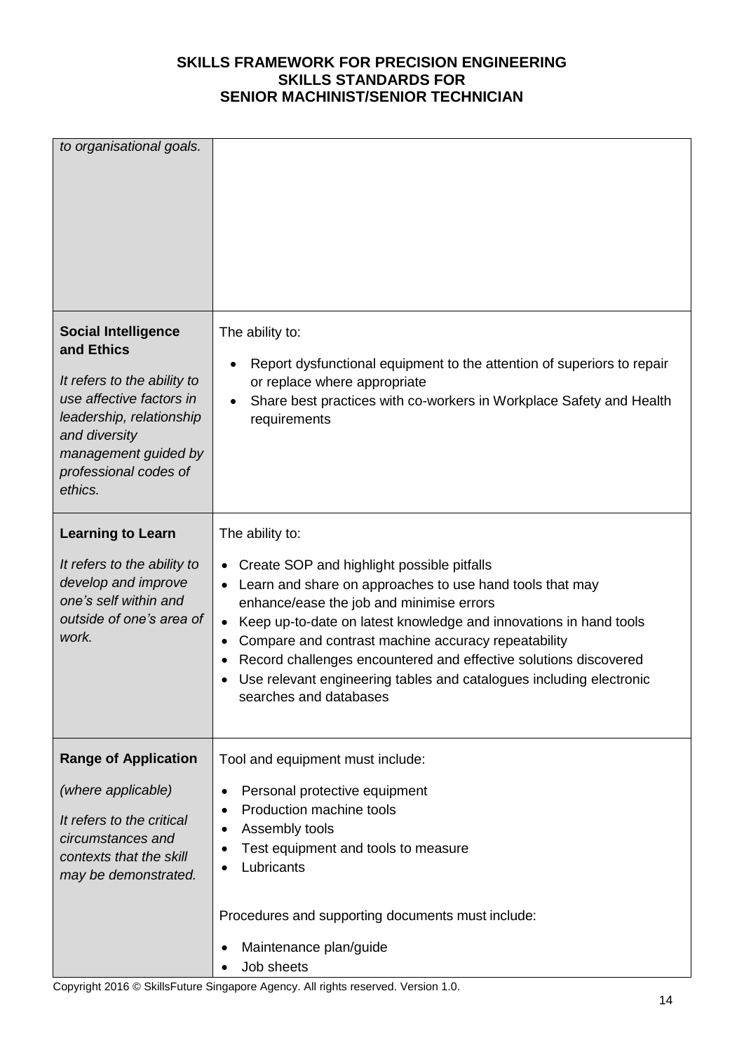| to organisational goals.                                                                                                                                                                                     |                                                                                                                                                                                                                                                                                                                                                                                                                                                                             |
|--------------------------------------------------------------------------------------------------------------------------------------------------------------------------------------------------------------|-----------------------------------------------------------------------------------------------------------------------------------------------------------------------------------------------------------------------------------------------------------------------------------------------------------------------------------------------------------------------------------------------------------------------------------------------------------------------------|
| <b>Social Intelligence</b><br>and Ethics<br>It refers to the ability to<br>use affective factors in<br>leadership, relationship<br>and diversity<br>management guided by<br>professional codes of<br>ethics. | The ability to:<br>Report dysfunctional equipment to the attention of superiors to repair<br>٠<br>or replace where appropriate<br>Share best practices with co-workers in Workplace Safety and Health<br>requirements                                                                                                                                                                                                                                                       |
| <b>Learning to Learn</b><br>It refers to the ability to<br>develop and improve<br>one's self within and<br>outside of one's area of<br>work.                                                                 | The ability to:<br>Create SOP and highlight possible pitfalls<br>Learn and share on approaches to use hand tools that may<br>enhance/ease the job and minimise errors<br>Keep up-to-date on latest knowledge and innovations in hand tools<br>Compare and contrast machine accuracy repeatability<br>٠<br>Record challenges encountered and effective solutions discovered<br>Use relevant engineering tables and catalogues including electronic<br>searches and databases |
| <b>Range of Application</b><br>(where applicable)<br>It refers to the critical<br>circumstances and<br>contexts that the skill<br>may be demonstrated.                                                       | Tool and equipment must include:<br>Personal protective equipment<br>٠<br>Production machine tools<br>Assembly tools<br>Test equipment and tools to measure<br>Lubricants<br>Procedures and supporting documents must include:<br>Maintenance plan/guide<br>Job sheets                                                                                                                                                                                                      |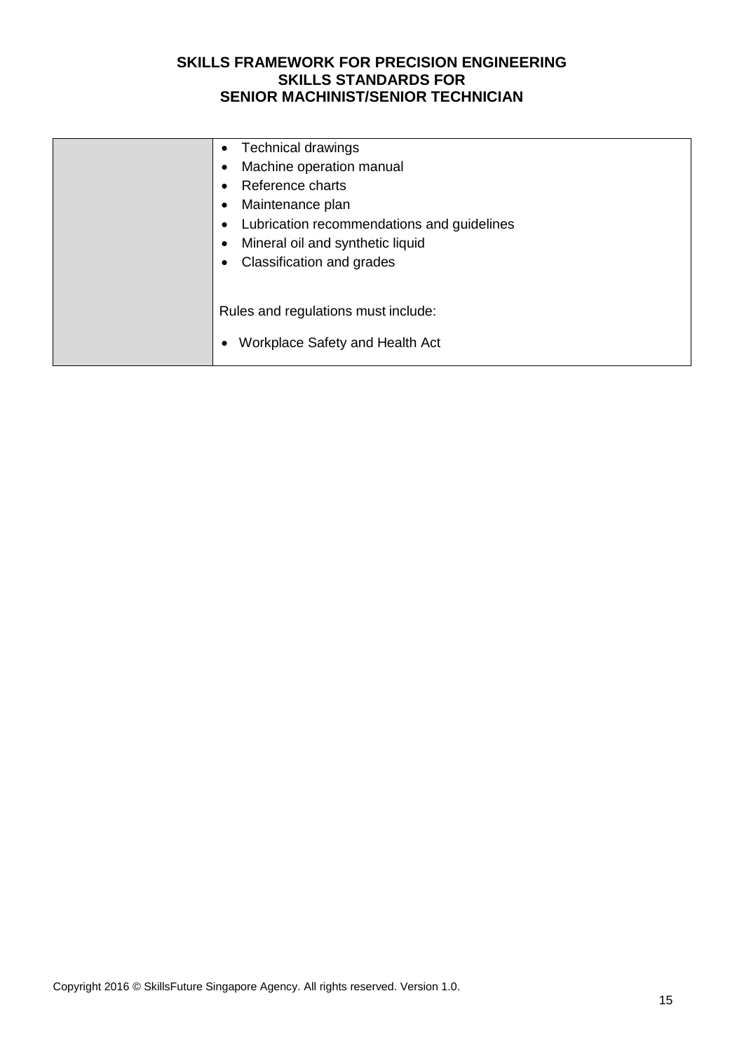| <b>Technical drawings</b><br>Machine operation manual<br>Reference charts<br>Maintenance plan<br>Lubrication recommendations and guidelines<br>Mineral oil and synthetic liquid<br>Classification and grades |
|--------------------------------------------------------------------------------------------------------------------------------------------------------------------------------------------------------------|
| Rules and regulations must include:<br>Workplace Safety and Health Act                                                                                                                                       |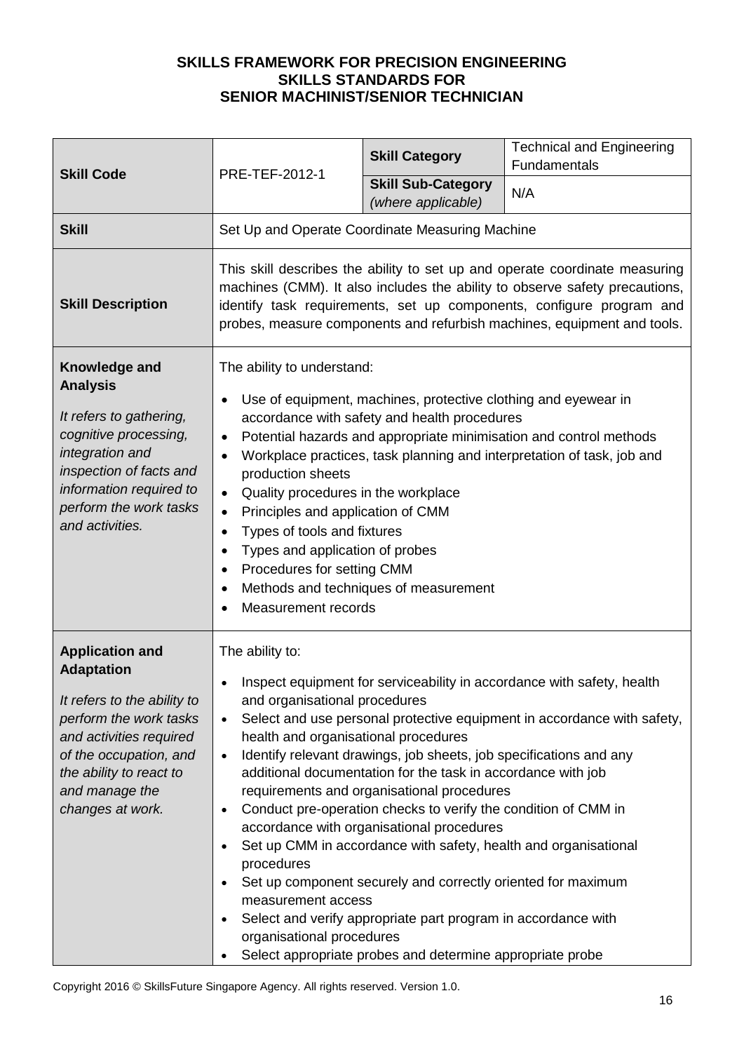|                                                                                                                                                                                                                            | PRE-TEF-2012-1                                                                                                                                                                                                                                                                                                                                                                                                                                                                                                                                                                                                                                                                                                                                                                                                                                                                                                                         | <b>Skill Category</b>                           | <b>Technical and Engineering</b><br>Fundamentals |  |
|----------------------------------------------------------------------------------------------------------------------------------------------------------------------------------------------------------------------------|----------------------------------------------------------------------------------------------------------------------------------------------------------------------------------------------------------------------------------------------------------------------------------------------------------------------------------------------------------------------------------------------------------------------------------------------------------------------------------------------------------------------------------------------------------------------------------------------------------------------------------------------------------------------------------------------------------------------------------------------------------------------------------------------------------------------------------------------------------------------------------------------------------------------------------------|-------------------------------------------------|--------------------------------------------------|--|
| <b>Skill Code</b>                                                                                                                                                                                                          |                                                                                                                                                                                                                                                                                                                                                                                                                                                                                                                                                                                                                                                                                                                                                                                                                                                                                                                                        | <b>Skill Sub-Category</b><br>(where applicable) | N/A                                              |  |
| <b>Skill</b>                                                                                                                                                                                                               | Set Up and Operate Coordinate Measuring Machine                                                                                                                                                                                                                                                                                                                                                                                                                                                                                                                                                                                                                                                                                                                                                                                                                                                                                        |                                                 |                                                  |  |
| <b>Skill Description</b>                                                                                                                                                                                                   | This skill describes the ability to set up and operate coordinate measuring<br>machines (CMM). It also includes the ability to observe safety precautions,<br>identify task requirements, set up components, configure program and<br>probes, measure components and refurbish machines, equipment and tools.                                                                                                                                                                                                                                                                                                                                                                                                                                                                                                                                                                                                                          |                                                 |                                                  |  |
| Knowledge and<br><b>Analysis</b><br>It refers to gathering,<br>cognitive processing,<br>integration and<br>inspection of facts and<br>information required to<br>perform the work tasks<br>and activities.                 | The ability to understand:<br>Use of equipment, machines, protective clothing and eyewear in<br>$\bullet$<br>accordance with safety and health procedures<br>Potential hazards and appropriate minimisation and control methods<br>$\bullet$<br>Workplace practices, task planning and interpretation of task, job and<br>production sheets<br>Quality procedures in the workplace<br>$\bullet$<br>Principles and application of CMM<br>$\bullet$<br>Types of tools and fixtures<br>Types and application of probes<br>$\bullet$<br>Procedures for setting CMM<br>$\bullet$<br>Methods and techniques of measurement<br>$\bullet$<br>Measurement records                                                                                                                                                                                                                                                                               |                                                 |                                                  |  |
| <b>Application and</b><br><b>Adaptation</b><br>It refers to the ability to<br>perform the work tasks<br>and activities required<br>of the occupation, and<br>the ability to react to<br>and manage the<br>changes at work. | The ability to:<br>Inspect equipment for serviceability in accordance with safety, health<br>and organisational procedures<br>Select and use personal protective equipment in accordance with safety,<br>$\bullet$<br>health and organisational procedures<br>Identify relevant drawings, job sheets, job specifications and any<br>$\bullet$<br>additional documentation for the task in accordance with job<br>requirements and organisational procedures<br>Conduct pre-operation checks to verify the condition of CMM in<br>$\bullet$<br>accordance with organisational procedures<br>Set up CMM in accordance with safety, health and organisational<br>$\bullet$<br>procedures<br>Set up component securely and correctly oriented for maximum<br>measurement access<br>Select and verify appropriate part program in accordance with<br>organisational procedures<br>Select appropriate probes and determine appropriate probe |                                                 |                                                  |  |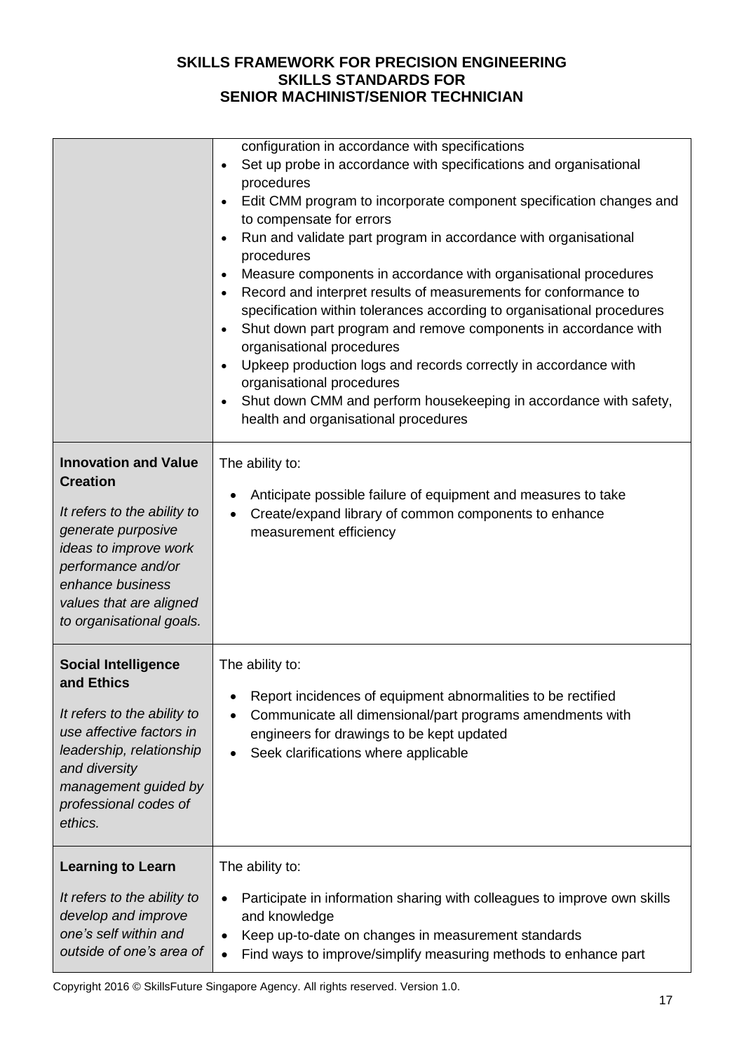|                                                                                                                                                                                                                               | configuration in accordance with specifications<br>Set up probe in accordance with specifications and organisational<br>procedures<br>Edit CMM program to incorporate component specification changes and<br>to compensate for errors<br>Run and validate part program in accordance with organisational<br>procedures<br>Measure components in accordance with organisational procedures<br>Record and interpret results of measurements for conformance to<br>specification within tolerances according to organisational procedures<br>Shut down part program and remove components in accordance with<br>organisational procedures<br>Upkeep production logs and records correctly in accordance with<br>organisational procedures<br>Shut down CMM and perform housekeeping in accordance with safety,<br>health and organisational procedures |
|-------------------------------------------------------------------------------------------------------------------------------------------------------------------------------------------------------------------------------|-----------------------------------------------------------------------------------------------------------------------------------------------------------------------------------------------------------------------------------------------------------------------------------------------------------------------------------------------------------------------------------------------------------------------------------------------------------------------------------------------------------------------------------------------------------------------------------------------------------------------------------------------------------------------------------------------------------------------------------------------------------------------------------------------------------------------------------------------------|
| <b>Innovation and Value</b><br><b>Creation</b><br>It refers to the ability to<br>generate purposive<br>ideas to improve work<br>performance and/or<br>enhance business<br>values that are aligned<br>to organisational goals. | The ability to:<br>Anticipate possible failure of equipment and measures to take<br>Create/expand library of common components to enhance<br>measurement efficiency                                                                                                                                                                                                                                                                                                                                                                                                                                                                                                                                                                                                                                                                                 |
| <b>Social Intelligence</b><br>and Ethics<br>It refers to the ability to<br>use affective factors in<br>leadership, relationship<br>and diversity<br>management guided by<br>professional codes of<br>ethics.                  | The ability to:<br>Report incidences of equipment abnormalities to be rectified<br>Communicate all dimensional/part programs amendments with<br>engineers for drawings to be kept updated<br>Seek clarifications where applicable                                                                                                                                                                                                                                                                                                                                                                                                                                                                                                                                                                                                                   |
| <b>Learning to Learn</b><br>It refers to the ability to<br>develop and improve<br>one's self within and<br>outside of one's area of                                                                                           | The ability to:<br>Participate in information sharing with colleagues to improve own skills<br>$\bullet$<br>and knowledge<br>Keep up-to-date on changes in measurement standards<br>$\bullet$<br>Find ways to improve/simplify measuring methods to enhance part<br>$\bullet$                                                                                                                                                                                                                                                                                                                                                                                                                                                                                                                                                                       |

Copyright 2016 © SkillsFuture Singapore Agency. All rights reserved. Version 1.0.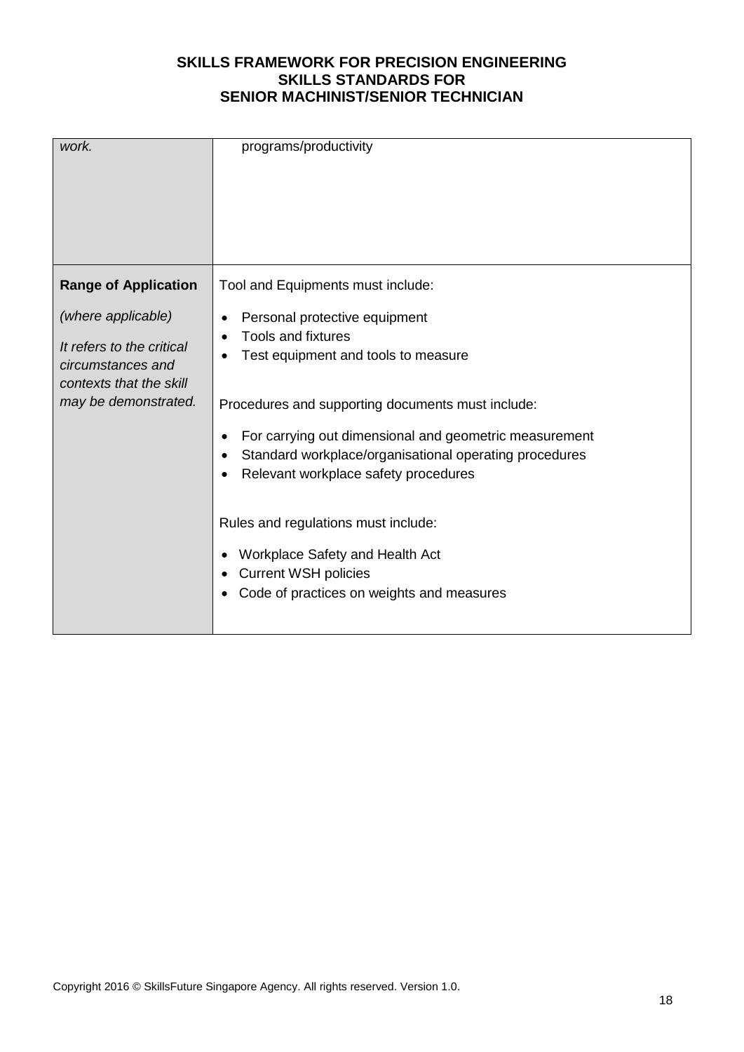| work.                                                                                                                                                  | programs/productivity                                                                                                                                                                                                                                                                                                                                                                                                                                            |
|--------------------------------------------------------------------------------------------------------------------------------------------------------|------------------------------------------------------------------------------------------------------------------------------------------------------------------------------------------------------------------------------------------------------------------------------------------------------------------------------------------------------------------------------------------------------------------------------------------------------------------|
| <b>Range of Application</b><br>(where applicable)<br>It refers to the critical<br>circumstances and<br>contexts that the skill<br>may be demonstrated. | Tool and Equipments must include:<br>Personal protective equipment<br><b>Tools and fixtures</b><br>Test equipment and tools to measure<br>Procedures and supporting documents must include:<br>For carrying out dimensional and geometric measurement<br>Standard workplace/organisational operating procedures<br>Relevant workplace safety procedures<br>Rules and regulations must include:<br>Workplace Safety and Health Act<br><b>Current WSH policies</b> |
|                                                                                                                                                        | Code of practices on weights and measures                                                                                                                                                                                                                                                                                                                                                                                                                        |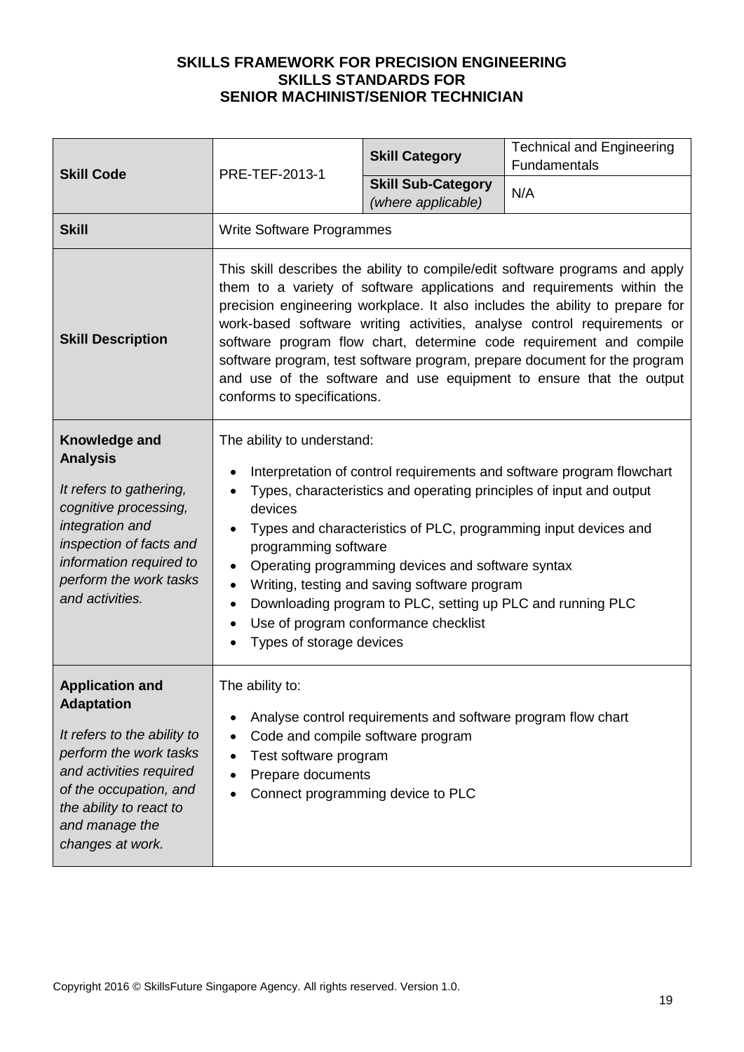| <b>Skill Code</b>                                                                                                                                                                                                          | PRE-TEF-2013-1                                                                                                                                                                                                                                                                                                                                                                                                                                                                                                                                                              | <b>Skill Category</b>                           | <b>Technical and Engineering</b><br>Fundamentals |
|----------------------------------------------------------------------------------------------------------------------------------------------------------------------------------------------------------------------------|-----------------------------------------------------------------------------------------------------------------------------------------------------------------------------------------------------------------------------------------------------------------------------------------------------------------------------------------------------------------------------------------------------------------------------------------------------------------------------------------------------------------------------------------------------------------------------|-------------------------------------------------|--------------------------------------------------|
|                                                                                                                                                                                                                            |                                                                                                                                                                                                                                                                                                                                                                                                                                                                                                                                                                             | <b>Skill Sub-Category</b><br>(where applicable) | N/A                                              |
| <b>Skill</b>                                                                                                                                                                                                               | <b>Write Software Programmes</b>                                                                                                                                                                                                                                                                                                                                                                                                                                                                                                                                            |                                                 |                                                  |
| <b>Skill Description</b>                                                                                                                                                                                                   | This skill describes the ability to compile/edit software programs and apply<br>them to a variety of software applications and requirements within the<br>precision engineering workplace. It also includes the ability to prepare for<br>work-based software writing activities, analyse control requirements or<br>software program flow chart, determine code requirement and compile<br>software program, test software program, prepare document for the program<br>and use of the software and use equipment to ensure that the output<br>conforms to specifications. |                                                 |                                                  |
| Knowledge and<br><b>Analysis</b><br>It refers to gathering,<br>cognitive processing,<br>integration and<br>inspection of facts and<br>information required to<br>perform the work tasks<br>and activities.                 | The ability to understand:<br>Interpretation of control requirements and software program flowchart<br>Types, characteristics and operating principles of input and output<br>devices<br>Types and characteristics of PLC, programming input devices and<br>programming software<br>Operating programming devices and software syntax<br>$\bullet$<br>Writing, testing and saving software program<br>$\bullet$<br>Downloading program to PLC, setting up PLC and running PLC<br>٠<br>Use of program conformance checklist<br>Types of storage devices                      |                                                 |                                                  |
| <b>Application and</b><br><b>Adaptation</b><br>It refers to the ability to<br>perform the work tasks<br>and activities required<br>of the occupation, and<br>the ability to react to<br>and manage the<br>changes at work. | The ability to:<br>Analyse control requirements and software program flow chart<br>Code and compile software program<br>Test software program<br>Prepare documents<br>Connect programming device to PLC                                                                                                                                                                                                                                                                                                                                                                     |                                                 |                                                  |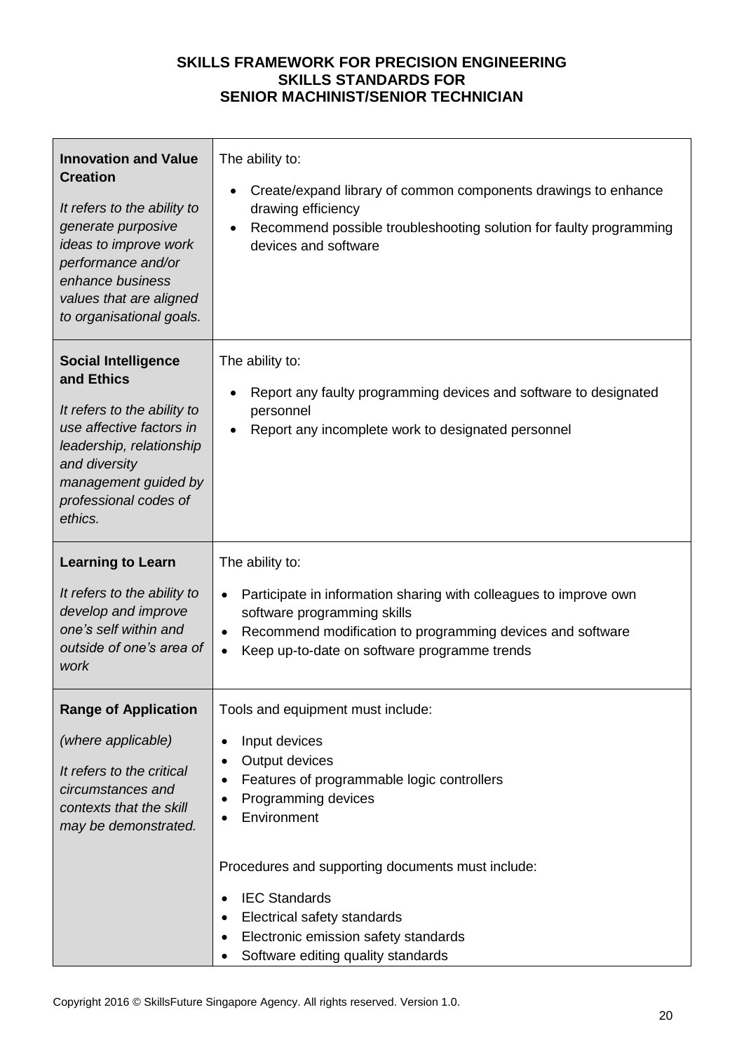| The ability to:<br>Create/expand library of common components drawings to enhance<br>drawing efficiency<br>Recommend possible troubleshooting solution for faulty programming<br>devices and software                                                                                                                                                         |
|---------------------------------------------------------------------------------------------------------------------------------------------------------------------------------------------------------------------------------------------------------------------------------------------------------------------------------------------------------------|
| The ability to:<br>Report any faulty programming devices and software to designated<br>personnel<br>Report any incomplete work to designated personnel                                                                                                                                                                                                        |
| The ability to:<br>Participate in information sharing with colleagues to improve own<br>$\bullet$<br>software programming skills<br>Recommend modification to programming devices and software<br>$\bullet$<br>Keep up-to-date on software programme trends<br>$\bullet$                                                                                      |
| Tools and equipment must include:<br>Input devices<br>$\bullet$<br>Output devices<br>$\bullet$<br>Features of programmable logic controllers<br>٠<br>Programming devices<br>Environment<br>Procedures and supporting documents must include:<br><b>IEC Standards</b><br>$\bullet$<br>Electrical safety standards<br>Electronic emission safety standards<br>٠ |
|                                                                                                                                                                                                                                                                                                                                                               |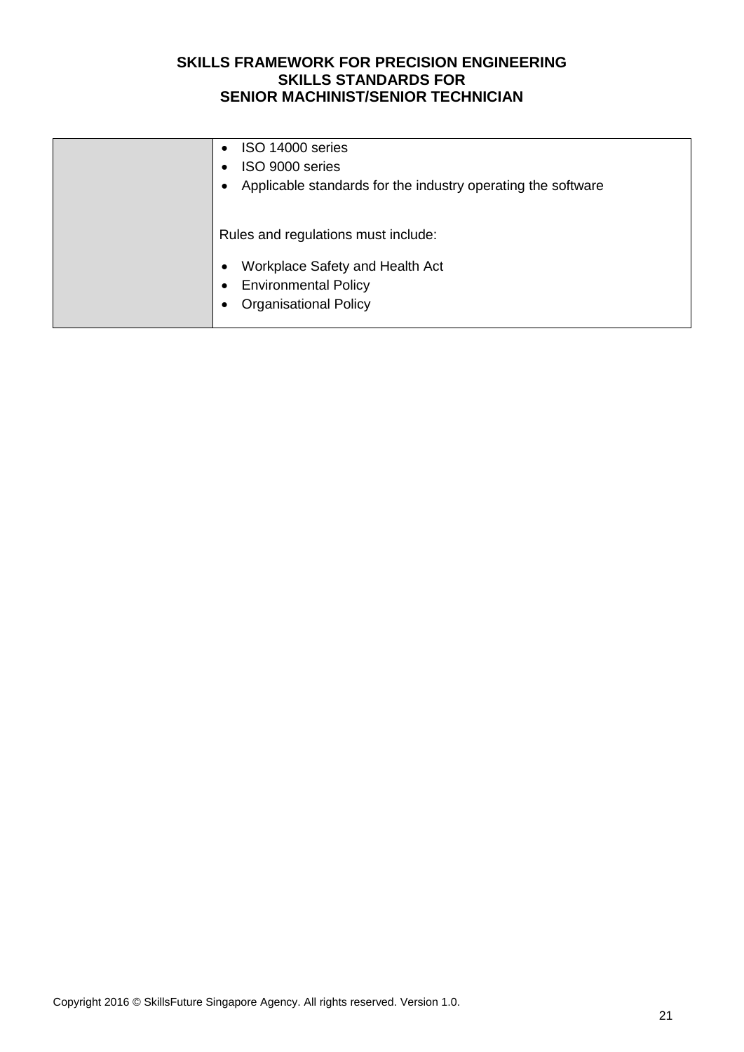| ISO 14000 series<br>$\bullet$                                               |
|-----------------------------------------------------------------------------|
| ISO 9000 series<br>٠                                                        |
| Applicable standards for the industry operating the software<br>٠           |
|                                                                             |
| Rules and regulations must include:<br>Workplace Safety and Health Act<br>٠ |
| <b>Environmental Policy</b><br>٠                                            |
| <b>Organisational Policy</b><br>٠                                           |
|                                                                             |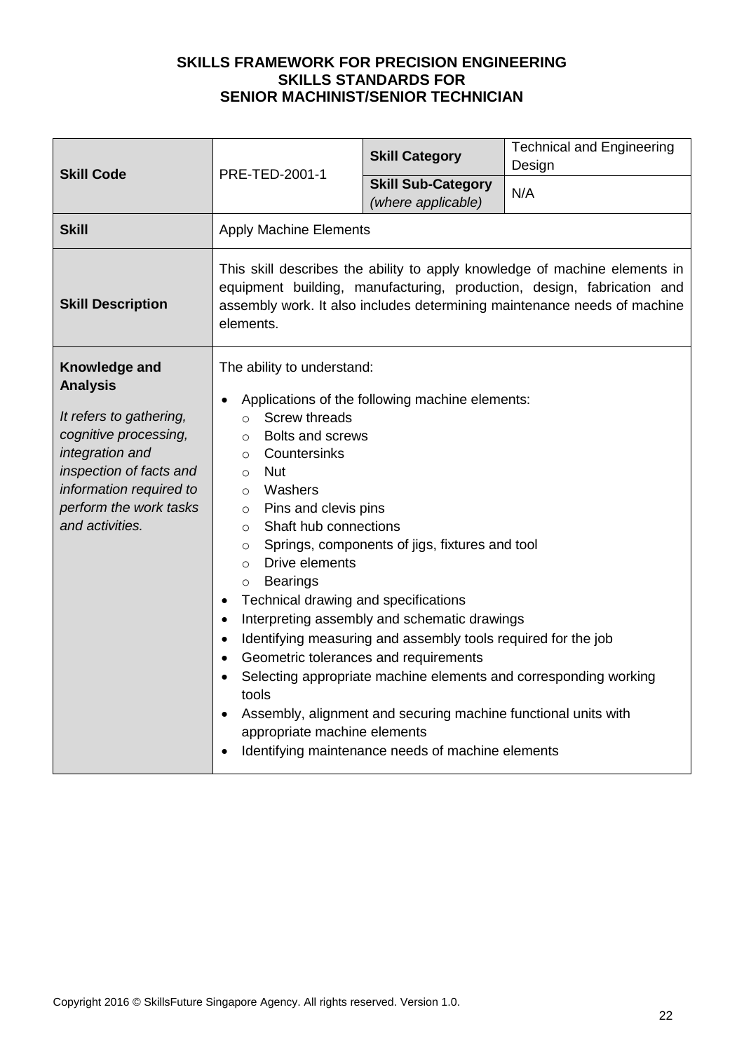| <b>Skill Code</b>                                                                                                                                                                                          | PRE-TED-2001-1                                                                                                                                                                                                                                                                                                                                                                                                                                                                                           | <b>Skill Category</b>                                                                                                                                                                                                                                                                                                                     | <b>Technical and Engineering</b><br>Design                       |
|------------------------------------------------------------------------------------------------------------------------------------------------------------------------------------------------------------|----------------------------------------------------------------------------------------------------------------------------------------------------------------------------------------------------------------------------------------------------------------------------------------------------------------------------------------------------------------------------------------------------------------------------------------------------------------------------------------------------------|-------------------------------------------------------------------------------------------------------------------------------------------------------------------------------------------------------------------------------------------------------------------------------------------------------------------------------------------|------------------------------------------------------------------|
|                                                                                                                                                                                                            |                                                                                                                                                                                                                                                                                                                                                                                                                                                                                                          | <b>Skill Sub-Category</b><br>(where applicable)                                                                                                                                                                                                                                                                                           | N/A                                                              |
| <b>Skill</b>                                                                                                                                                                                               | <b>Apply Machine Elements</b>                                                                                                                                                                                                                                                                                                                                                                                                                                                                            |                                                                                                                                                                                                                                                                                                                                           |                                                                  |
| <b>Skill Description</b>                                                                                                                                                                                   | This skill describes the ability to apply knowledge of machine elements in<br>equipment building, manufacturing, production, design, fabrication and<br>assembly work. It also includes determining maintenance needs of machine<br>elements.                                                                                                                                                                                                                                                            |                                                                                                                                                                                                                                                                                                                                           |                                                                  |
| Knowledge and<br><b>Analysis</b><br>It refers to gathering,<br>cognitive processing,<br>integration and<br>inspection of facts and<br>information required to<br>perform the work tasks<br>and activities. | The ability to understand:<br><b>Screw threads</b><br>$\circ$<br><b>Bolts and screws</b><br>$\circ$<br>Countersinks<br>$\circ$<br><b>Nut</b><br>$\circ$<br>Washers<br>$\circ$<br>Pins and clevis pins<br>$\circ$<br>Shaft hub connections<br>$\circ$<br>$\circ$<br>Drive elements<br>$\circ$<br><b>Bearings</b><br>$\circ$<br>Technical drawing and specifications<br>$\bullet$<br>$\bullet$<br>$\bullet$<br>Geometric tolerances and requirements<br>$\bullet$<br>tools<br>appropriate machine elements | Applications of the following machine elements:<br>Springs, components of jigs, fixtures and tool<br>Interpreting assembly and schematic drawings<br>Identifying measuring and assembly tools required for the job<br>Assembly, alignment and securing machine functional units with<br>Identifying maintenance needs of machine elements | Selecting appropriate machine elements and corresponding working |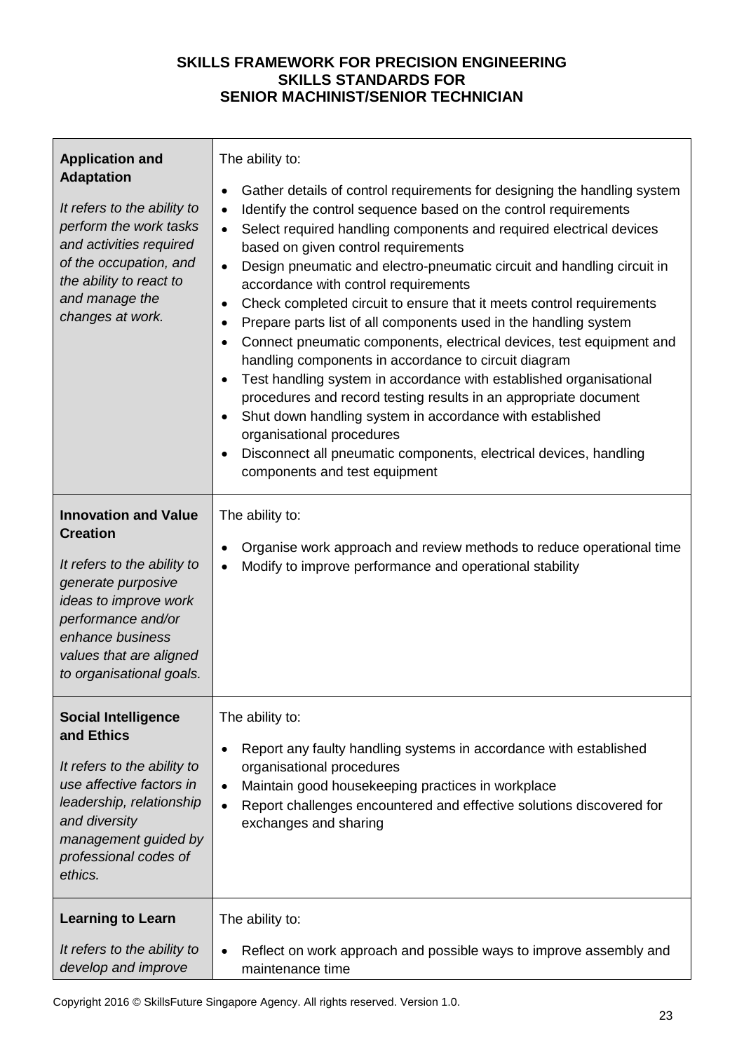| <b>Application and</b><br><b>Adaptation</b><br>It refers to the ability to<br>perform the work tasks<br>and activities required<br>of the occupation, and<br>the ability to react to<br>and manage the<br>changes at work.    | The ability to:<br>Gather details of control requirements for designing the handling system<br>٠<br>Identify the control sequence based on the control requirements<br>$\bullet$<br>Select required handling components and required electrical devices<br>$\bullet$<br>based on given control requirements<br>Design pneumatic and electro-pneumatic circuit and handling circuit in<br>$\bullet$<br>accordance with control requirements<br>Check completed circuit to ensure that it meets control requirements<br>$\bullet$<br>Prepare parts list of all components used in the handling system<br>$\bullet$<br>Connect pneumatic components, electrical devices, test equipment and<br>٠<br>handling components in accordance to circuit diagram<br>Test handling system in accordance with established organisational<br>procedures and record testing results in an appropriate document<br>Shut down handling system in accordance with established<br>organisational procedures<br>Disconnect all pneumatic components, electrical devices, handling<br>components and test equipment |
|-------------------------------------------------------------------------------------------------------------------------------------------------------------------------------------------------------------------------------|------------------------------------------------------------------------------------------------------------------------------------------------------------------------------------------------------------------------------------------------------------------------------------------------------------------------------------------------------------------------------------------------------------------------------------------------------------------------------------------------------------------------------------------------------------------------------------------------------------------------------------------------------------------------------------------------------------------------------------------------------------------------------------------------------------------------------------------------------------------------------------------------------------------------------------------------------------------------------------------------------------------------------------------------------------------------------------------------|
| <b>Innovation and Value</b><br><b>Creation</b><br>It refers to the ability to<br>generate purposive<br>ideas to improve work<br>performance and/or<br>enhance business<br>values that are aligned<br>to organisational goals. | The ability to:<br>Organise work approach and review methods to reduce operational time<br>٠<br>Modify to improve performance and operational stability                                                                                                                                                                                                                                                                                                                                                                                                                                                                                                                                                                                                                                                                                                                                                                                                                                                                                                                                        |
| <b>Social Intelligence</b><br>and Ethics<br>It refers to the ability to<br>use affective factors in<br>leadership, relationship<br>and diversity<br>management guided by<br>professional codes of<br>ethics.                  | The ability to:<br>Report any faulty handling systems in accordance with established<br>$\bullet$<br>organisational procedures<br>Maintain good housekeeping practices in workplace<br>$\bullet$<br>Report challenges encountered and effective solutions discovered for<br>$\bullet$<br>exchanges and sharing                                                                                                                                                                                                                                                                                                                                                                                                                                                                                                                                                                                                                                                                                                                                                                                 |
| <b>Learning to Learn</b><br>It refers to the ability to<br>develop and improve                                                                                                                                                | The ability to:<br>Reflect on work approach and possible ways to improve assembly and<br>$\bullet$<br>maintenance time                                                                                                                                                                                                                                                                                                                                                                                                                                                                                                                                                                                                                                                                                                                                                                                                                                                                                                                                                                         |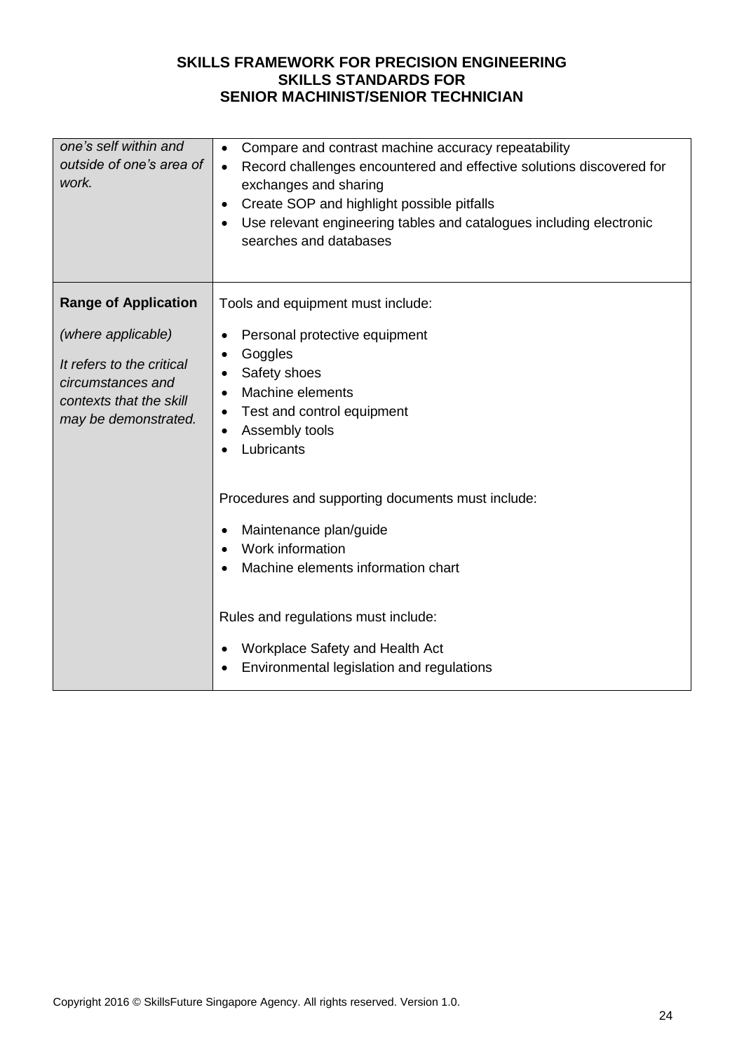| one's self within and<br>outside of one's area of<br>work.                                        | Compare and contrast machine accuracy repeatability<br>$\bullet$<br>Record challenges encountered and effective solutions discovered for<br>$\bullet$<br>exchanges and sharing<br>Create SOP and highlight possible pitfalls<br>$\bullet$<br>Use relevant engineering tables and catalogues including electronic<br>searches and databases |
|---------------------------------------------------------------------------------------------------|--------------------------------------------------------------------------------------------------------------------------------------------------------------------------------------------------------------------------------------------------------------------------------------------------------------------------------------------|
| <b>Range of Application</b>                                                                       | Tools and equipment must include:                                                                                                                                                                                                                                                                                                          |
| (where applicable)                                                                                | Personal protective equipment<br>٠                                                                                                                                                                                                                                                                                                         |
| It refers to the critical<br>circumstances and<br>contexts that the skill<br>may be demonstrated. | Goggles<br>٠<br>Safety shoes<br>Machine elements<br>Test and control equipment<br>Assembly tools<br>Lubricants                                                                                                                                                                                                                             |
|                                                                                                   | Procedures and supporting documents must include:<br>Maintenance plan/guide<br>Work information<br>Machine elements information chart                                                                                                                                                                                                      |
|                                                                                                   | Rules and regulations must include:<br>Workplace Safety and Health Act<br>Environmental legislation and regulations                                                                                                                                                                                                                        |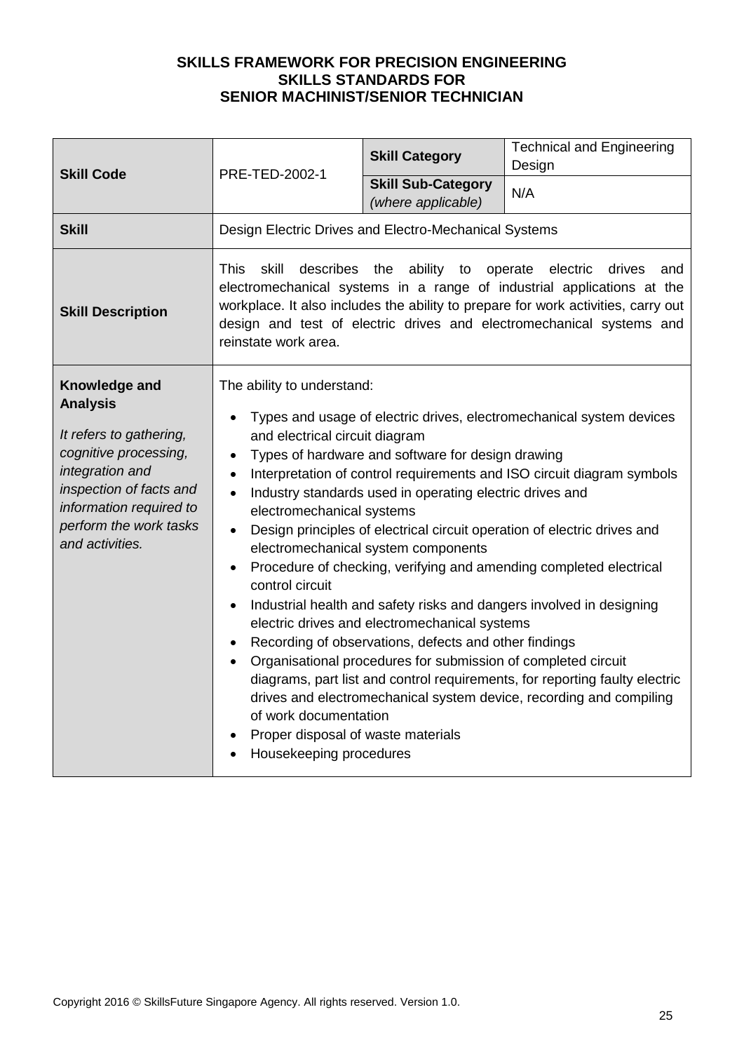| <b>Skill Code</b>                                                                                                                                                                                          | PRE-TED-2002-1                                                                                                                                                                                                                                                                                                                                                                                                                                                                                                                                                                                                                                                                                                                                                                                                                                                                                                                                                                                                                                                                          | <b>Skill Category</b><br><b>Skill Sub-Category</b> | <b>Technical and Engineering</b><br>Design<br>N/A |
|------------------------------------------------------------------------------------------------------------------------------------------------------------------------------------------------------------|-----------------------------------------------------------------------------------------------------------------------------------------------------------------------------------------------------------------------------------------------------------------------------------------------------------------------------------------------------------------------------------------------------------------------------------------------------------------------------------------------------------------------------------------------------------------------------------------------------------------------------------------------------------------------------------------------------------------------------------------------------------------------------------------------------------------------------------------------------------------------------------------------------------------------------------------------------------------------------------------------------------------------------------------------------------------------------------------|----------------------------------------------------|---------------------------------------------------|
|                                                                                                                                                                                                            |                                                                                                                                                                                                                                                                                                                                                                                                                                                                                                                                                                                                                                                                                                                                                                                                                                                                                                                                                                                                                                                                                         | (where applicable)                                 |                                                   |
| <b>Skill</b>                                                                                                                                                                                               | Design Electric Drives and Electro-Mechanical Systems                                                                                                                                                                                                                                                                                                                                                                                                                                                                                                                                                                                                                                                                                                                                                                                                                                                                                                                                                                                                                                   |                                                    |                                                   |
| <b>Skill Description</b>                                                                                                                                                                                   | ability to operate<br><b>This</b><br>skill<br>describes the<br>electric<br>drives<br>and<br>electromechanical systems in a range of industrial applications at the<br>workplace. It also includes the ability to prepare for work activities, carry out<br>design and test of electric drives and electromechanical systems and<br>reinstate work area.                                                                                                                                                                                                                                                                                                                                                                                                                                                                                                                                                                                                                                                                                                                                 |                                                    |                                                   |
| Knowledge and<br><b>Analysis</b><br>It refers to gathering,<br>cognitive processing,<br>integration and<br>inspection of facts and<br>information required to<br>perform the work tasks<br>and activities. | The ability to understand:<br>Types and usage of electric drives, electromechanical system devices<br>and electrical circuit diagram<br>Types of hardware and software for design drawing<br>$\bullet$<br>Interpretation of control requirements and ISO circuit diagram symbols<br>$\bullet$<br>Industry standards used in operating electric drives and<br>$\bullet$<br>electromechanical systems<br>Design principles of electrical circuit operation of electric drives and<br>electromechanical system components<br>Procedure of checking, verifying and amending completed electrical<br>control circuit<br>Industrial health and safety risks and dangers involved in designing<br>electric drives and electromechanical systems<br>Recording of observations, defects and other findings<br>Organisational procedures for submission of completed circuit<br>diagrams, part list and control requirements, for reporting faulty electric<br>drives and electromechanical system device, recording and compiling<br>of work documentation<br>Proper disposal of waste materials |                                                    |                                                   |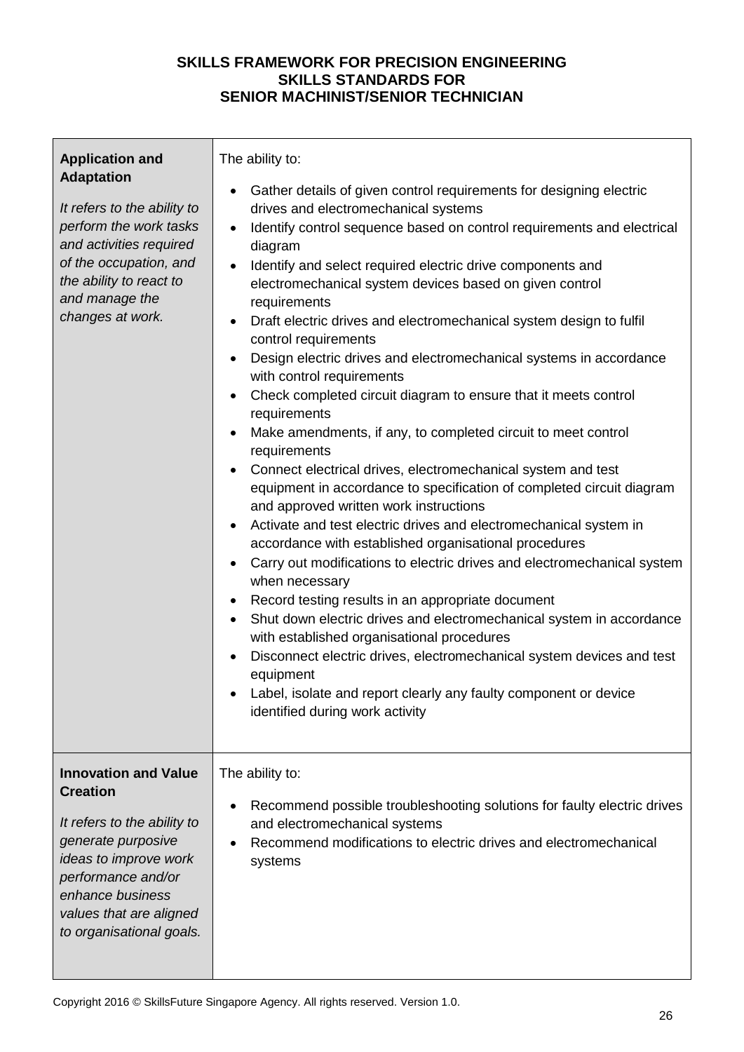| <b>Application and</b><br><b>Adaptation</b><br>It refers to the ability to<br>perform the work tasks<br>and activities required<br>of the occupation, and<br>the ability to react to<br>and manage the<br>changes at work.    | The ability to:<br>Gather details of given control requirements for designing electric<br>drives and electromechanical systems<br>Identify control sequence based on control requirements and electrical<br>diagram<br>Identify and select required electric drive components and<br>electromechanical system devices based on given control<br>requirements<br>Draft electric drives and electromechanical system design to fulfil<br>control requirements<br>Design electric drives and electromechanical systems in accordance<br>with control requirements<br>Check completed circuit diagram to ensure that it meets control<br>requirements<br>Make amendments, if any, to completed circuit to meet control<br>requirements<br>Connect electrical drives, electromechanical system and test<br>equipment in accordance to specification of completed circuit diagram<br>and approved written work instructions<br>Activate and test electric drives and electromechanical system in<br>$\bullet$<br>accordance with established organisational procedures<br>Carry out modifications to electric drives and electromechanical system<br>$\bullet$<br>when necessary<br>Record testing results in an appropriate document<br>$\bullet$<br>Shut down electric drives and electromechanical system in accordance<br>$\bullet$<br>with established organisational procedures<br>Disconnect electric drives, electromechanical system devices and test<br>equipment<br>Label, isolate and report clearly any faulty component or device<br>identified during work activity |
|-------------------------------------------------------------------------------------------------------------------------------------------------------------------------------------------------------------------------------|------------------------------------------------------------------------------------------------------------------------------------------------------------------------------------------------------------------------------------------------------------------------------------------------------------------------------------------------------------------------------------------------------------------------------------------------------------------------------------------------------------------------------------------------------------------------------------------------------------------------------------------------------------------------------------------------------------------------------------------------------------------------------------------------------------------------------------------------------------------------------------------------------------------------------------------------------------------------------------------------------------------------------------------------------------------------------------------------------------------------------------------------------------------------------------------------------------------------------------------------------------------------------------------------------------------------------------------------------------------------------------------------------------------------------------------------------------------------------------------------------------------------------------------------------------------------------|
| <b>Innovation and Value</b><br><b>Creation</b><br>It refers to the ability to<br>generate purposive<br>ideas to improve work<br>performance and/or<br>enhance business<br>values that are aligned<br>to organisational goals. | The ability to:<br>Recommend possible troubleshooting solutions for faulty electric drives<br>and electromechanical systems<br>Recommend modifications to electric drives and electromechanical<br>systems                                                                                                                                                                                                                                                                                                                                                                                                                                                                                                                                                                                                                                                                                                                                                                                                                                                                                                                                                                                                                                                                                                                                                                                                                                                                                                                                                                   |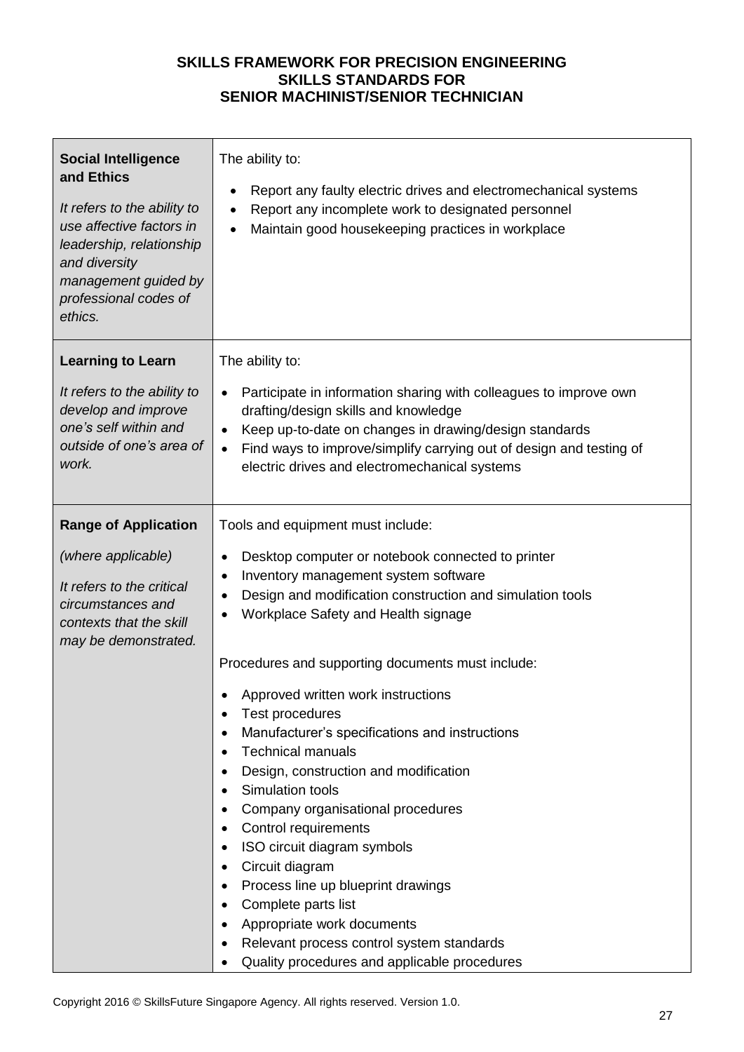| <b>Social Intelligence</b><br>and Ethics<br>It refers to the ability to<br>use affective factors in<br>leadership, relationship<br>and diversity<br>management guided by<br>professional codes of<br>ethics. | The ability to:<br>Report any faulty electric drives and electromechanical systems<br>$\bullet$<br>Report any incomplete work to designated personnel<br>Maintain good housekeeping practices in workplace                                                                                                                                                                                                                                                                                              |
|--------------------------------------------------------------------------------------------------------------------------------------------------------------------------------------------------------------|---------------------------------------------------------------------------------------------------------------------------------------------------------------------------------------------------------------------------------------------------------------------------------------------------------------------------------------------------------------------------------------------------------------------------------------------------------------------------------------------------------|
| <b>Learning to Learn</b><br>It refers to the ability to<br>develop and improve<br>one's self within and<br>outside of one's area of<br>work.                                                                 | The ability to:<br>Participate in information sharing with colleagues to improve own<br>drafting/design skills and knowledge<br>Keep up-to-date on changes in drawing/design standards<br>Find ways to improve/simplify carrying out of design and testing of<br>$\bullet$<br>electric drives and electromechanical systems                                                                                                                                                                             |
| <b>Range of Application</b><br>(where applicable)<br>It refers to the critical<br>circumstances and<br>contexts that the skill<br>may be demonstrated.                                                       | Tools and equipment must include:<br>Desktop computer or notebook connected to printer<br>$\bullet$<br>Inventory management system software<br>$\bullet$<br>Design and modification construction and simulation tools<br>Workplace Safety and Health signage<br>Procedures and supporting documents must include:                                                                                                                                                                                       |
|                                                                                                                                                                                                              | Approved written work instructions<br>Test procedures<br>Manufacturer's specifications and instructions<br><b>Technical manuals</b><br>Design, construction and modification<br>Simulation tools<br>Company organisational procedures<br>Control requirements<br>ISO circuit diagram symbols<br>Circuit diagram<br>Process line up blueprint drawings<br>Complete parts list<br>Appropriate work documents<br>Relevant process control system standards<br>Quality procedures and applicable procedures |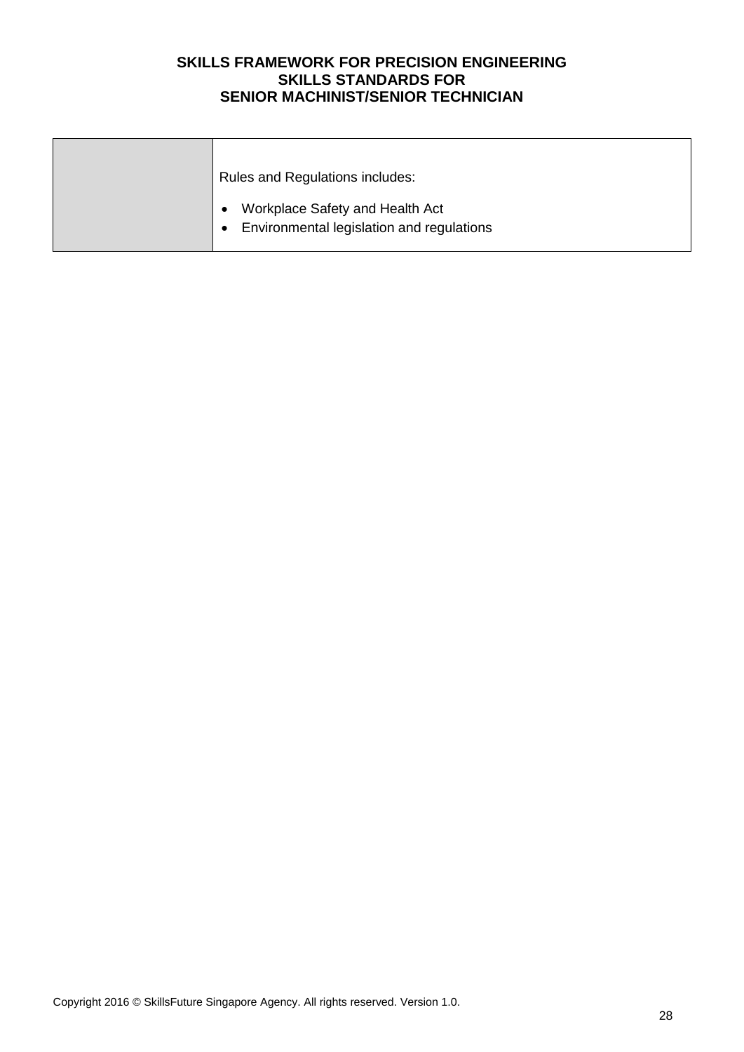| Rules and Regulations includes:                                              |
|------------------------------------------------------------------------------|
| Workplace Safety and Health Act<br>Environmental legislation and regulations |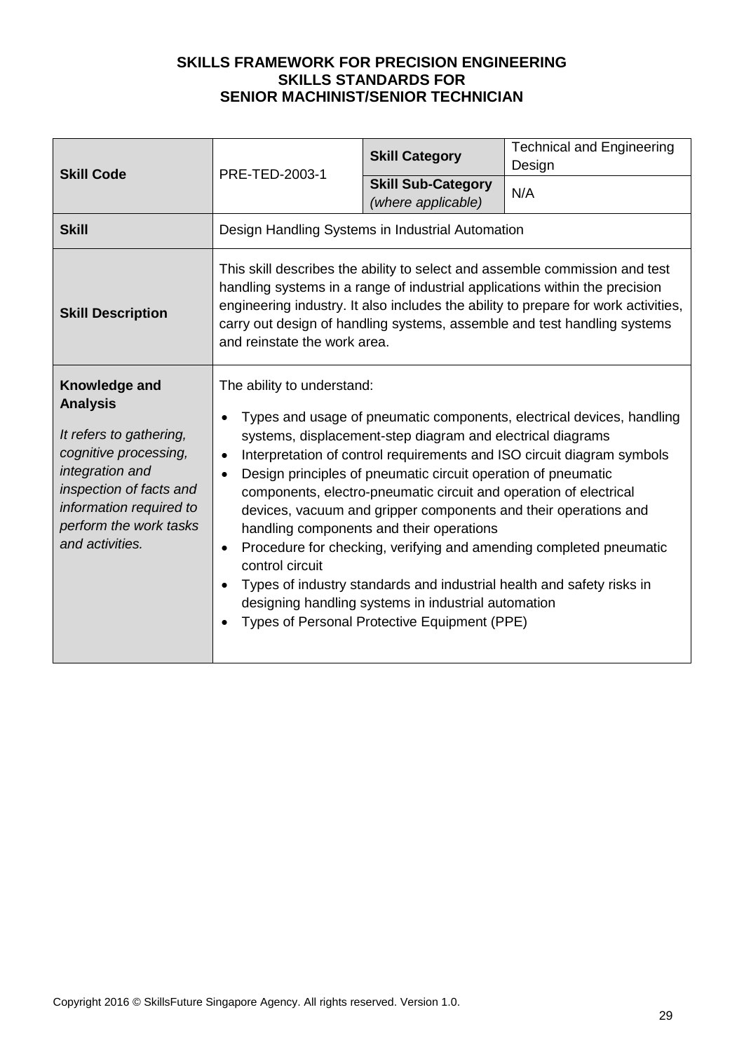| <b>Skill Code</b>                                                                                                                                                                                          | PRE-TED-2003-1                                                                                                                                                                                                                                                                                                                                                                                                                                                                                                                                                                                                                                                                                                                                                                                                                | <b>Skill Category</b>                           | <b>Technical and Engineering</b><br>Design |
|------------------------------------------------------------------------------------------------------------------------------------------------------------------------------------------------------------|-------------------------------------------------------------------------------------------------------------------------------------------------------------------------------------------------------------------------------------------------------------------------------------------------------------------------------------------------------------------------------------------------------------------------------------------------------------------------------------------------------------------------------------------------------------------------------------------------------------------------------------------------------------------------------------------------------------------------------------------------------------------------------------------------------------------------------|-------------------------------------------------|--------------------------------------------|
|                                                                                                                                                                                                            |                                                                                                                                                                                                                                                                                                                                                                                                                                                                                                                                                                                                                                                                                                                                                                                                                               | <b>Skill Sub-Category</b><br>(where applicable) | N/A                                        |
| <b>Skill</b>                                                                                                                                                                                               | Design Handling Systems in Industrial Automation                                                                                                                                                                                                                                                                                                                                                                                                                                                                                                                                                                                                                                                                                                                                                                              |                                                 |                                            |
| <b>Skill Description</b>                                                                                                                                                                                   | This skill describes the ability to select and assemble commission and test<br>handling systems in a range of industrial applications within the precision<br>engineering industry. It also includes the ability to prepare for work activities,<br>carry out design of handling systems, assemble and test handling systems<br>and reinstate the work area.                                                                                                                                                                                                                                                                                                                                                                                                                                                                  |                                                 |                                            |
| Knowledge and<br><b>Analysis</b><br>It refers to gathering,<br>cognitive processing,<br>integration and<br>inspection of facts and<br>information required to<br>perform the work tasks<br>and activities. | The ability to understand:<br>Types and usage of pneumatic components, electrical devices, handling<br>systems, displacement-step diagram and electrical diagrams<br>Interpretation of control requirements and ISO circuit diagram symbols<br>$\bullet$<br>Design principles of pneumatic circuit operation of pneumatic<br>$\bullet$<br>components, electro-pneumatic circuit and operation of electrical<br>devices, vacuum and gripper components and their operations and<br>handling components and their operations<br>Procedure for checking, verifying and amending completed pneumatic<br>$\bullet$<br>control circuit<br>Types of industry standards and industrial health and safety risks in<br>$\bullet$<br>designing handling systems in industrial automation<br>Types of Personal Protective Equipment (PPE) |                                                 |                                            |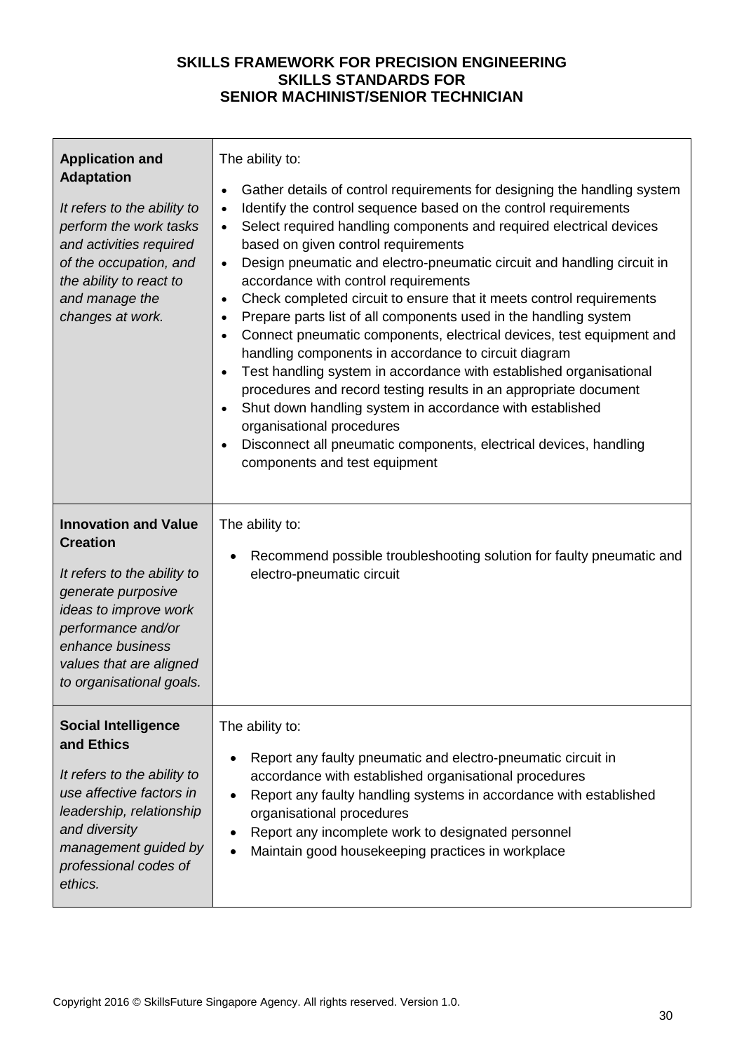| <b>Application and</b><br><b>Adaptation</b><br>It refers to the ability to<br>perform the work tasks<br>and activities required<br>of the occupation, and<br>the ability to react to<br>and manage the<br>changes at work.    | The ability to:<br>Gather details of control requirements for designing the handling system<br>$\bullet$<br>Identify the control sequence based on the control requirements<br>$\bullet$<br>Select required handling components and required electrical devices<br>$\bullet$<br>based on given control requirements<br>Design pneumatic and electro-pneumatic circuit and handling circuit in<br>$\bullet$<br>accordance with control requirements<br>Check completed circuit to ensure that it meets control requirements<br>$\bullet$<br>Prepare parts list of all components used in the handling system<br>$\bullet$<br>Connect pneumatic components, electrical devices, test equipment and<br>$\bullet$<br>handling components in accordance to circuit diagram<br>Test handling system in accordance with established organisational<br>$\bullet$<br>procedures and record testing results in an appropriate document<br>Shut down handling system in accordance with established<br>$\bullet$<br>organisational procedures<br>Disconnect all pneumatic components, electrical devices, handling<br>components and test equipment |
|-------------------------------------------------------------------------------------------------------------------------------------------------------------------------------------------------------------------------------|------------------------------------------------------------------------------------------------------------------------------------------------------------------------------------------------------------------------------------------------------------------------------------------------------------------------------------------------------------------------------------------------------------------------------------------------------------------------------------------------------------------------------------------------------------------------------------------------------------------------------------------------------------------------------------------------------------------------------------------------------------------------------------------------------------------------------------------------------------------------------------------------------------------------------------------------------------------------------------------------------------------------------------------------------------------------------------------------------------------------------------------|
| <b>Innovation and Value</b><br><b>Creation</b><br>It refers to the ability to<br>generate purposive<br>ideas to improve work<br>performance and/or<br>enhance business<br>values that are aligned<br>to organisational goals. | The ability to:<br>Recommend possible troubleshooting solution for faulty pneumatic and<br>electro-pneumatic circuit                                                                                                                                                                                                                                                                                                                                                                                                                                                                                                                                                                                                                                                                                                                                                                                                                                                                                                                                                                                                                     |
| <b>Social Intelligence</b><br>and Ethics<br>It refers to the ability to<br>use affective factors in<br>leadership, relationship<br>and diversity<br>management guided by<br>professional codes of<br>ethics.                  | The ability to:<br>Report any faulty pneumatic and electro-pneumatic circuit in<br>accordance with established organisational procedures<br>Report any faulty handling systems in accordance with established<br>organisational procedures<br>Report any incomplete work to designated personnel<br>Maintain good housekeeping practices in workplace                                                                                                                                                                                                                                                                                                                                                                                                                                                                                                                                                                                                                                                                                                                                                                                    |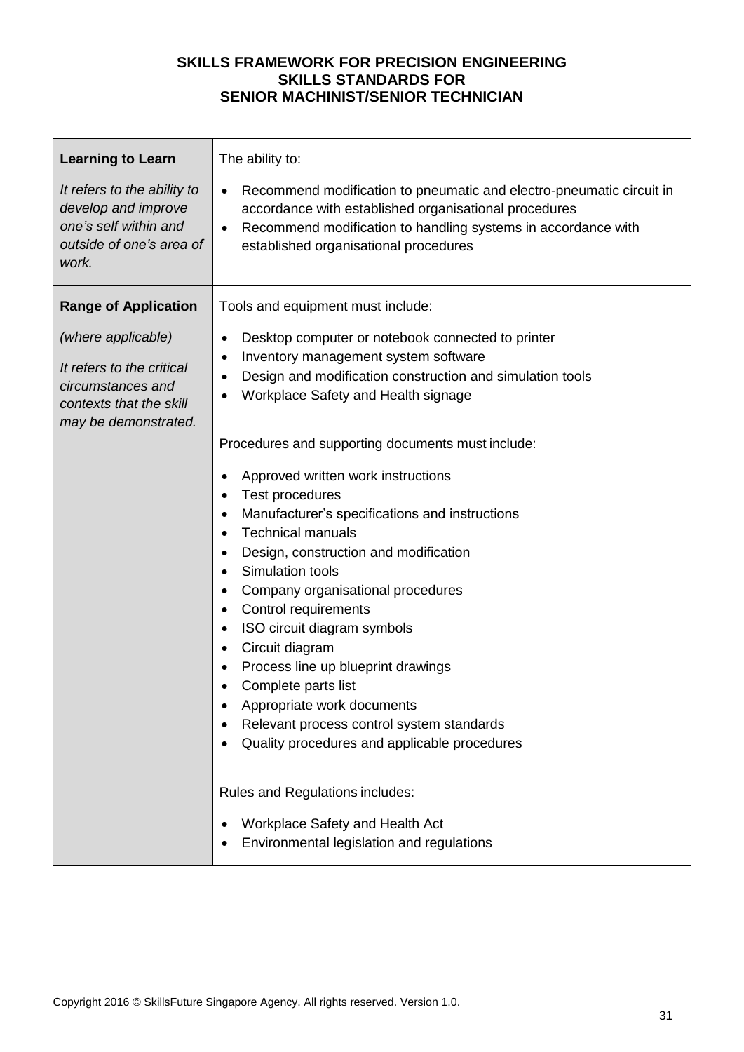| <b>Learning to Learn</b>                                                                                                | The ability to:                                                                                                                                                                                                                                                                                                                                                                                                                                                                                                                                                                                                              |
|-------------------------------------------------------------------------------------------------------------------------|------------------------------------------------------------------------------------------------------------------------------------------------------------------------------------------------------------------------------------------------------------------------------------------------------------------------------------------------------------------------------------------------------------------------------------------------------------------------------------------------------------------------------------------------------------------------------------------------------------------------------|
| It refers to the ability to<br>develop and improve<br>one's self within and<br>outside of one's area of<br>work.        | Recommend modification to pneumatic and electro-pneumatic circuit in<br>$\bullet$<br>accordance with established organisational procedures<br>Recommend modification to handling systems in accordance with<br>established organisational procedures                                                                                                                                                                                                                                                                                                                                                                         |
| <b>Range of Application</b>                                                                                             | Tools and equipment must include:                                                                                                                                                                                                                                                                                                                                                                                                                                                                                                                                                                                            |
| (where applicable)<br>It refers to the critical<br>circumstances and<br>contexts that the skill<br>may be demonstrated. | Desktop computer or notebook connected to printer<br>٠<br>Inventory management system software<br>٠<br>Design and modification construction and simulation tools<br>Workplace Safety and Health signage                                                                                                                                                                                                                                                                                                                                                                                                                      |
|                                                                                                                         | Procedures and supporting documents must include:<br>Approved written work instructions<br>Test procedures<br>Manufacturer's specifications and instructions<br>٠<br><b>Technical manuals</b><br>$\bullet$<br>Design, construction and modification<br>٠<br>Simulation tools<br>$\bullet$<br>Company organisational procedures<br>٠<br>Control requirements<br>٠<br>ISO circuit diagram symbols<br>$\bullet$<br>Circuit diagram<br>٠<br>Process line up blueprint drawings<br>Complete parts list<br>Appropriate work documents<br>Relevant process control system standards<br>Quality procedures and applicable procedures |
|                                                                                                                         | Rules and Regulations includes:<br>Workplace Safety and Health Act<br>Environmental legislation and regulations                                                                                                                                                                                                                                                                                                                                                                                                                                                                                                              |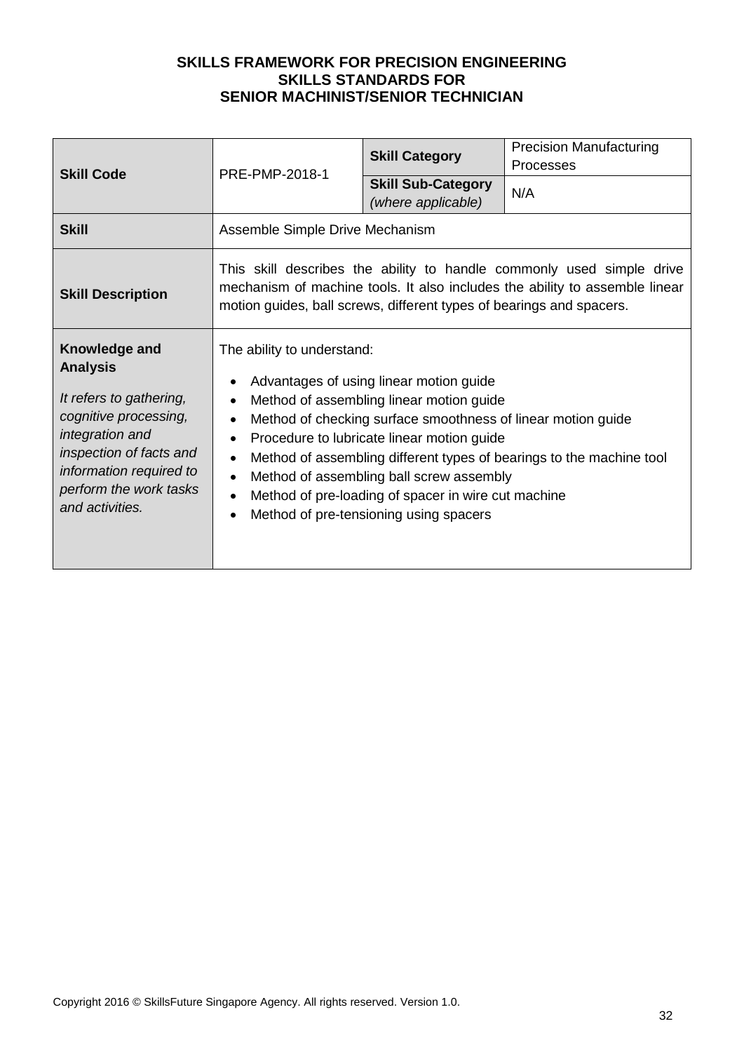| <b>Skill Code</b>                                                                                                                                                                                          | PRE-PMP-2018-1                                                                                                                                                                                                                                                                                                                                                                                                                                                    | <b>Skill Category</b><br><b>Skill Sub-Category</b><br>(where applicable) | <b>Precision Manufacturing</b><br><b>Processes</b><br>N/A |
|------------------------------------------------------------------------------------------------------------------------------------------------------------------------------------------------------------|-------------------------------------------------------------------------------------------------------------------------------------------------------------------------------------------------------------------------------------------------------------------------------------------------------------------------------------------------------------------------------------------------------------------------------------------------------------------|--------------------------------------------------------------------------|-----------------------------------------------------------|
| <b>Skill</b>                                                                                                                                                                                               | Assemble Simple Drive Mechanism                                                                                                                                                                                                                                                                                                                                                                                                                                   |                                                                          |                                                           |
| <b>Skill Description</b>                                                                                                                                                                                   | This skill describes the ability to handle commonly used simple drive<br>mechanism of machine tools. It also includes the ability to assemble linear<br>motion guides, ball screws, different types of bearings and spacers.                                                                                                                                                                                                                                      |                                                                          |                                                           |
| Knowledge and<br><b>Analysis</b><br>It refers to gathering,<br>cognitive processing,<br>integration and<br>inspection of facts and<br>information required to<br>perform the work tasks<br>and activities. | The ability to understand:<br>Advantages of using linear motion guide<br>Method of assembling linear motion guide<br>Method of checking surface smoothness of linear motion guide<br>Procedure to lubricate linear motion guide<br>Method of assembling different types of bearings to the machine tool<br>$\bullet$<br>Method of assembling ball screw assembly<br>Method of pre-loading of spacer in wire cut machine<br>Method of pre-tensioning using spacers |                                                                          |                                                           |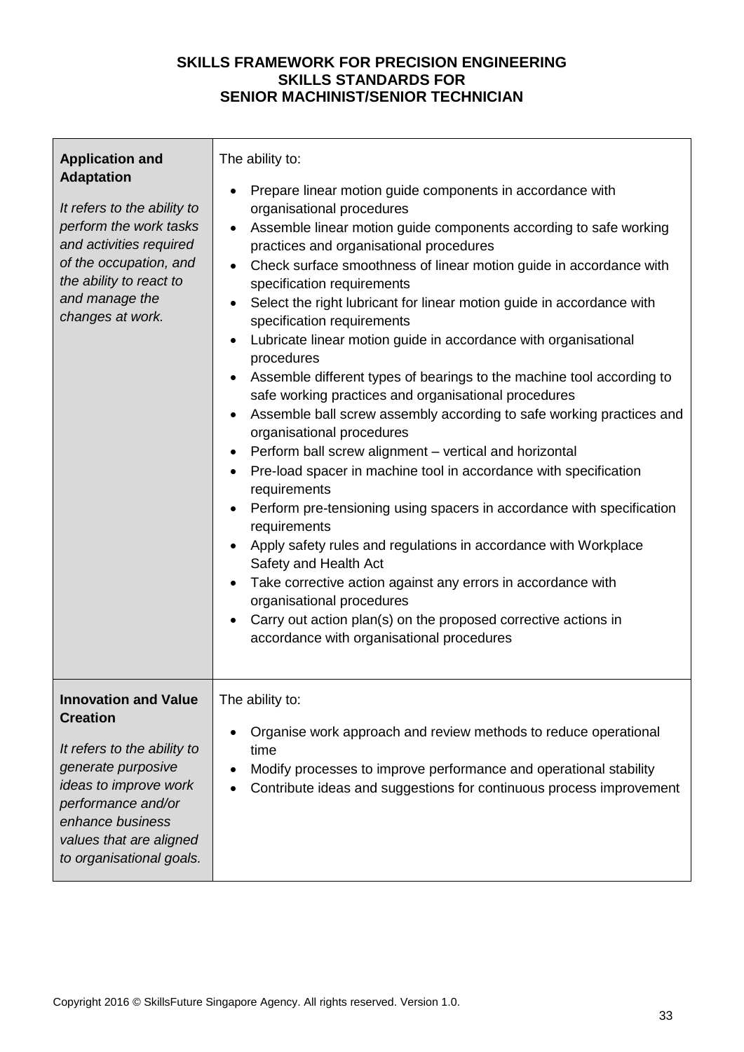| <b>Application and</b><br><b>Adaptation</b><br>It refers to the ability to<br>perform the work tasks<br>and activities required<br>of the occupation, and<br>the ability to react to<br>and manage the<br>changes at work.    | The ability to:<br>Prepare linear motion guide components in accordance with<br>$\bullet$<br>organisational procedures<br>Assemble linear motion guide components according to safe working<br>$\bullet$<br>practices and organisational procedures<br>Check surface smoothness of linear motion guide in accordance with<br>$\bullet$<br>specification requirements<br>Select the right lubricant for linear motion guide in accordance with<br>specification requirements<br>Lubricate linear motion guide in accordance with organisational<br>procedures<br>Assemble different types of bearings to the machine tool according to<br>safe working practices and organisational procedures<br>Assemble ball screw assembly according to safe working practices and<br>organisational procedures<br>Perform ball screw alignment - vertical and horizontal<br>$\bullet$<br>Pre-load spacer in machine tool in accordance with specification<br>$\bullet$<br>requirements<br>Perform pre-tensioning using spacers in accordance with specification<br>$\bullet$<br>requirements<br>Apply safety rules and regulations in accordance with Workplace<br>Safety and Health Act<br>Take corrective action against any errors in accordance with<br>$\bullet$<br>organisational procedures<br>Carry out action plan(s) on the proposed corrective actions in<br>accordance with organisational procedures |
|-------------------------------------------------------------------------------------------------------------------------------------------------------------------------------------------------------------------------------|-------------------------------------------------------------------------------------------------------------------------------------------------------------------------------------------------------------------------------------------------------------------------------------------------------------------------------------------------------------------------------------------------------------------------------------------------------------------------------------------------------------------------------------------------------------------------------------------------------------------------------------------------------------------------------------------------------------------------------------------------------------------------------------------------------------------------------------------------------------------------------------------------------------------------------------------------------------------------------------------------------------------------------------------------------------------------------------------------------------------------------------------------------------------------------------------------------------------------------------------------------------------------------------------------------------------------------------------------------------------------------------------------------|
| <b>Innovation and Value</b><br><b>Creation</b><br>It refers to the ability to<br>generate purposive<br>ideas to improve work<br>performance and/or<br>enhance business<br>values that are aligned<br>to organisational goals. | The ability to:<br>Organise work approach and review methods to reduce operational<br>time<br>Modify processes to improve performance and operational stability<br>Contribute ideas and suggestions for continuous process improvement                                                                                                                                                                                                                                                                                                                                                                                                                                                                                                                                                                                                                                                                                                                                                                                                                                                                                                                                                                                                                                                                                                                                                                |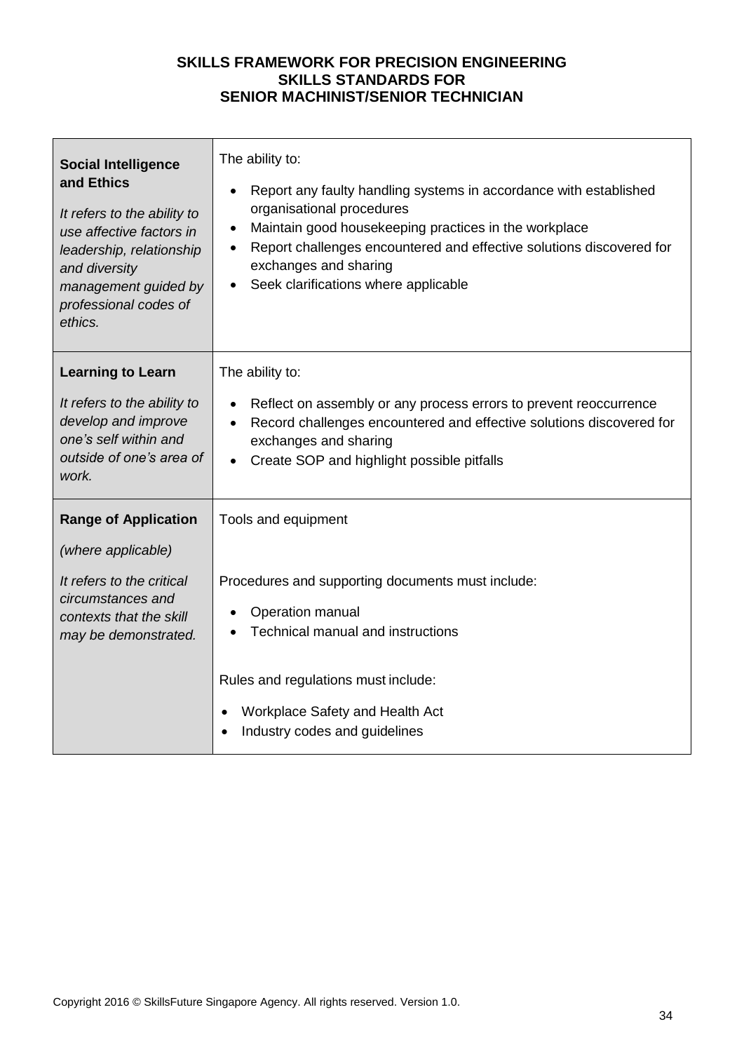| <b>Social Intelligence</b><br>and Ethics<br>It refers to the ability to<br>use affective factors in<br>leadership, relationship<br>and diversity<br>management guided by<br>professional codes of<br>ethics. | The ability to:<br>Report any faulty handling systems in accordance with established<br>$\bullet$<br>organisational procedures<br>Maintain good housekeeping practices in the workplace<br>٠<br>Report challenges encountered and effective solutions discovered for<br>$\bullet$<br>exchanges and sharing<br>Seek clarifications where applicable<br>$\bullet$ |
|--------------------------------------------------------------------------------------------------------------------------------------------------------------------------------------------------------------|-----------------------------------------------------------------------------------------------------------------------------------------------------------------------------------------------------------------------------------------------------------------------------------------------------------------------------------------------------------------|
| <b>Learning to Learn</b><br>It refers to the ability to<br>develop and improve<br>one's self within and<br>outside of one's area of<br>work.                                                                 | The ability to:<br>Reflect on assembly or any process errors to prevent reoccurrence<br>$\bullet$<br>Record challenges encountered and effective solutions discovered for<br>$\bullet$<br>exchanges and sharing<br>Create SOP and highlight possible pitfalls                                                                                                   |
| <b>Range of Application</b><br>(where applicable)<br>It refers to the critical<br>circumstances and<br>contexts that the skill<br>may be demonstrated.                                                       | Tools and equipment<br>Procedures and supporting documents must include:<br>Operation manual<br>Technical manual and instructions                                                                                                                                                                                                                               |
|                                                                                                                                                                                                              | Rules and regulations must include:<br>Workplace Safety and Health Act<br>Industry codes and guidelines                                                                                                                                                                                                                                                         |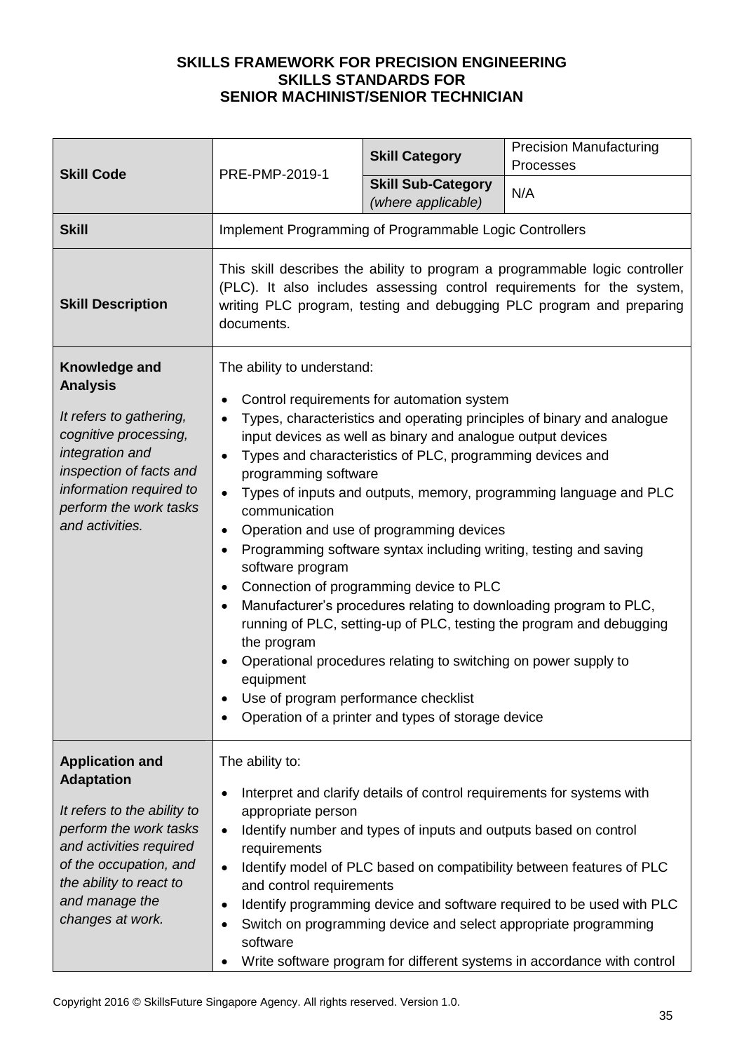| <b>Skill Code</b>                                                                                                                                                                                          | PRE-PMP-2019-1                                                                                                                                                                                                                                                                                                                                                                                                                                                                                                                                                                                                                                                                                                                                                                                                                                                                                                                                                | <b>Skill Category</b>                                            | <b>Precision Manufacturing</b><br>Processes                                                                                                                                                                                                                                                                                                                           |
|------------------------------------------------------------------------------------------------------------------------------------------------------------------------------------------------------------|---------------------------------------------------------------------------------------------------------------------------------------------------------------------------------------------------------------------------------------------------------------------------------------------------------------------------------------------------------------------------------------------------------------------------------------------------------------------------------------------------------------------------------------------------------------------------------------------------------------------------------------------------------------------------------------------------------------------------------------------------------------------------------------------------------------------------------------------------------------------------------------------------------------------------------------------------------------|------------------------------------------------------------------|-----------------------------------------------------------------------------------------------------------------------------------------------------------------------------------------------------------------------------------------------------------------------------------------------------------------------------------------------------------------------|
|                                                                                                                                                                                                            |                                                                                                                                                                                                                                                                                                                                                                                                                                                                                                                                                                                                                                                                                                                                                                                                                                                                                                                                                               | <b>Skill Sub-Category</b><br>(where applicable)                  | N/A                                                                                                                                                                                                                                                                                                                                                                   |
| <b>Skill</b>                                                                                                                                                                                               | Implement Programming of Programmable Logic Controllers                                                                                                                                                                                                                                                                                                                                                                                                                                                                                                                                                                                                                                                                                                                                                                                                                                                                                                       |                                                                  |                                                                                                                                                                                                                                                                                                                                                                       |
| <b>Skill Description</b>                                                                                                                                                                                   | This skill describes the ability to program a programmable logic controller<br>(PLC). It also includes assessing control requirements for the system,<br>writing PLC program, testing and debugging PLC program and preparing<br>documents.                                                                                                                                                                                                                                                                                                                                                                                                                                                                                                                                                                                                                                                                                                                   |                                                                  |                                                                                                                                                                                                                                                                                                                                                                       |
| Knowledge and<br><b>Analysis</b><br>It refers to gathering,<br>cognitive processing,<br>integration and<br>inspection of facts and<br>information required to<br>perform the work tasks<br>and activities. | The ability to understand:<br>Control requirements for automation system<br>Types, characteristics and operating principles of binary and analogue<br>input devices as well as binary and analogue output devices<br>Types and characteristics of PLC, programming devices and<br>programming software<br>Types of inputs and outputs, memory, programming language and PLC<br>communication<br>Operation and use of programming devices<br>$\bullet$<br>Programming software syntax including writing, testing and saving<br>$\bullet$<br>software program<br>Connection of programming device to PLC<br>$\bullet$<br>Manufacturer's procedures relating to downloading program to PLC,<br>running of PLC, setting-up of PLC, testing the program and debugging<br>the program<br>Operational procedures relating to switching on power supply to<br>equipment<br>Use of program performance checklist<br>Operation of a printer and types of storage device |                                                                  |                                                                                                                                                                                                                                                                                                                                                                       |
| <b>Application and</b><br><b>Adaptation</b>                                                                                                                                                                | The ability to:                                                                                                                                                                                                                                                                                                                                                                                                                                                                                                                                                                                                                                                                                                                                                                                                                                                                                                                                               |                                                                  |                                                                                                                                                                                                                                                                                                                                                                       |
| It refers to the ability to<br>perform the work tasks<br>and activities required<br>of the occupation, and<br>the ability to react to<br>and manage the<br>changes at work.                                | appropriate person<br>$\bullet$<br>requirements<br>$\bullet$<br>and control requirements<br>$\bullet$<br>software<br>٠                                                                                                                                                                                                                                                                                                                                                                                                                                                                                                                                                                                                                                                                                                                                                                                                                                        | Identify number and types of inputs and outputs based on control | Interpret and clarify details of control requirements for systems with<br>Identify model of PLC based on compatibility between features of PLC<br>Identify programming device and software required to be used with PLC<br>Switch on programming device and select appropriate programming<br>Write software program for different systems in accordance with control |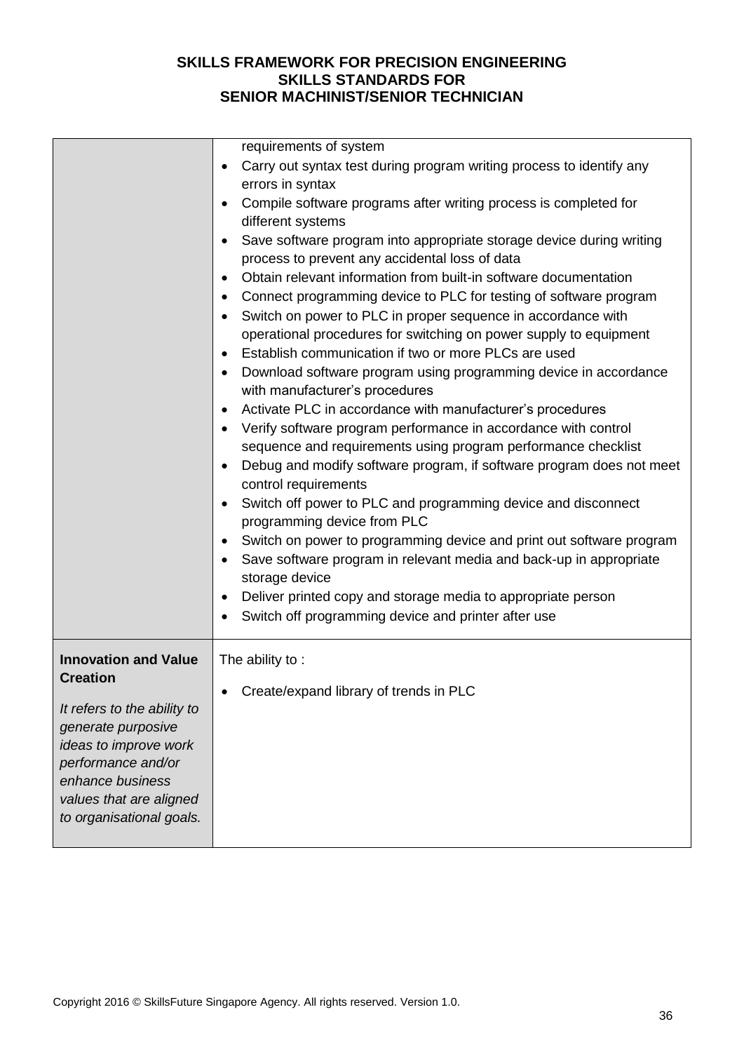|                                                                                                                                                                                                                               | requirements of system<br>Carry out syntax test during program writing process to identify any<br>errors in syntax<br>Compile software programs after writing process is completed for<br>different systems<br>Save software program into appropriate storage device during writing<br>process to prevent any accidental loss of data<br>Obtain relevant information from built-in software documentation<br>$\bullet$<br>Connect programming device to PLC for testing of software program<br>Switch on power to PLC in proper sequence in accordance with<br>operational procedures for switching on power supply to equipment<br>Establish communication if two or more PLCs are used<br>$\bullet$<br>Download software program using programming device in accordance<br>with manufacturer's procedures<br>Activate PLC in accordance with manufacturer's procedures<br>Verify software program performance in accordance with control<br>sequence and requirements using program performance checklist<br>Debug and modify software program, if software program does not meet<br>$\bullet$<br>control requirements<br>Switch off power to PLC and programming device and disconnect<br>programming device from PLC<br>Switch on power to programming device and print out software program<br>Save software program in relevant media and back-up in appropriate<br>storage device<br>Deliver printed copy and storage media to appropriate person<br>Switch off programming device and printer after use |
|-------------------------------------------------------------------------------------------------------------------------------------------------------------------------------------------------------------------------------|-----------------------------------------------------------------------------------------------------------------------------------------------------------------------------------------------------------------------------------------------------------------------------------------------------------------------------------------------------------------------------------------------------------------------------------------------------------------------------------------------------------------------------------------------------------------------------------------------------------------------------------------------------------------------------------------------------------------------------------------------------------------------------------------------------------------------------------------------------------------------------------------------------------------------------------------------------------------------------------------------------------------------------------------------------------------------------------------------------------------------------------------------------------------------------------------------------------------------------------------------------------------------------------------------------------------------------------------------------------------------------------------------------------------------------------------------------------------------------------------------------------------|
| <b>Innovation and Value</b><br><b>Creation</b><br>It refers to the ability to<br>generate purposive<br>ideas to improve work<br>performance and/or<br>enhance business<br>values that are aligned<br>to organisational goals. | The ability to:<br>Create/expand library of trends in PLC                                                                                                                                                                                                                                                                                                                                                                                                                                                                                                                                                                                                                                                                                                                                                                                                                                                                                                                                                                                                                                                                                                                                                                                                                                                                                                                                                                                                                                                       |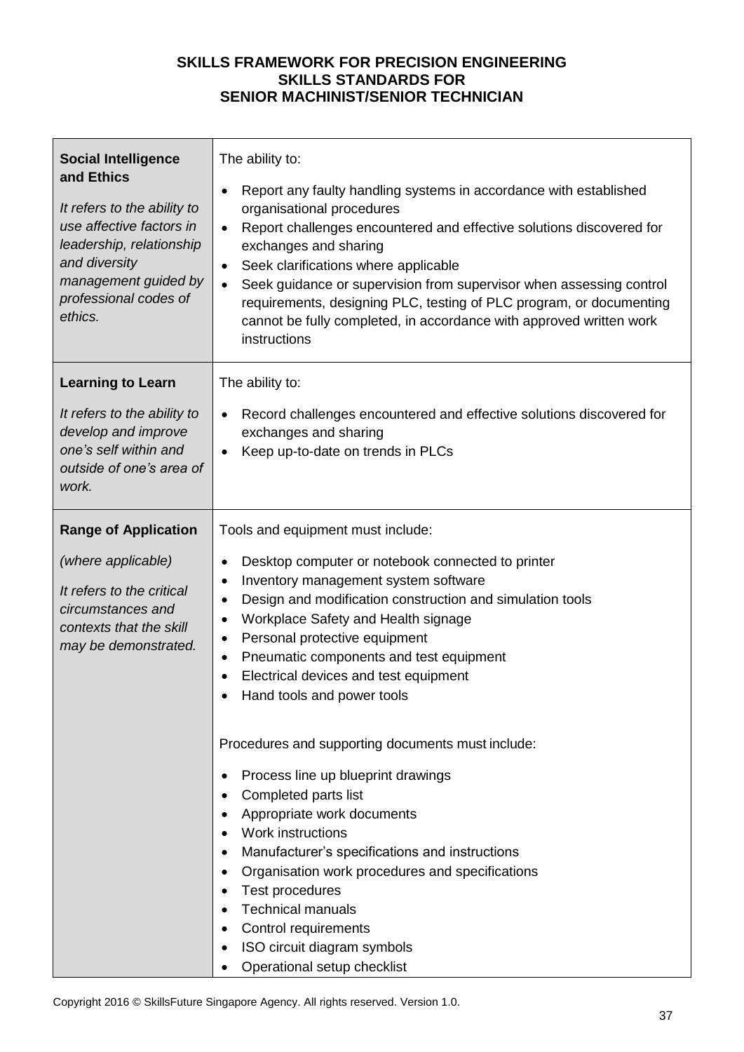| <b>Social Intelligence</b><br>and Ethics<br>It refers to the ability to<br>use affective factors in<br>leadership, relationship<br>and diversity<br>management guided by<br>professional codes of<br>ethics. | The ability to:<br>Report any faulty handling systems in accordance with established<br>$\bullet$<br>organisational procedures<br>Report challenges encountered and effective solutions discovered for<br>$\bullet$<br>exchanges and sharing<br>Seek clarifications where applicable<br>$\bullet$<br>Seek guidance or supervision from supervisor when assessing control<br>$\bullet$<br>requirements, designing PLC, testing of PLC program, or documenting<br>cannot be fully completed, in accordance with approved written work<br>instructions |
|--------------------------------------------------------------------------------------------------------------------------------------------------------------------------------------------------------------|-----------------------------------------------------------------------------------------------------------------------------------------------------------------------------------------------------------------------------------------------------------------------------------------------------------------------------------------------------------------------------------------------------------------------------------------------------------------------------------------------------------------------------------------------------|
| <b>Learning to Learn</b>                                                                                                                                                                                     | The ability to:                                                                                                                                                                                                                                                                                                                                                                                                                                                                                                                                     |
| It refers to the ability to<br>develop and improve<br>one's self within and<br>outside of one's area of<br>work.                                                                                             | Record challenges encountered and effective solutions discovered for<br>$\bullet$<br>exchanges and sharing<br>Keep up-to-date on trends in PLCs                                                                                                                                                                                                                                                                                                                                                                                                     |
| <b>Range of Application</b>                                                                                                                                                                                  | Tools and equipment must include:                                                                                                                                                                                                                                                                                                                                                                                                                                                                                                                   |
| (where applicable)<br>It refers to the critical<br>circumstances and<br>contexts that the skill<br>may be demonstrated.                                                                                      | Desktop computer or notebook connected to printer<br>Inventory management system software<br>$\bullet$<br>Design and modification construction and simulation tools<br>$\bullet$<br>Workplace Safety and Health signage<br>$\bullet$<br>Personal protective equipment<br>$\bullet$<br>Pneumatic components and test equipment<br>$\bullet$<br>Electrical devices and test equipment<br>Hand tools and power tools                                                                                                                                   |
|                                                                                                                                                                                                              | Procedures and supporting documents must include:<br>Process line up blueprint drawings<br>Completed parts list<br>Appropriate work documents<br>Work instructions<br>Manufacturer's specifications and instructions<br>Organisation work procedures and specifications<br>٠<br>Test procedures<br><b>Technical manuals</b><br>Control requirements<br>ISO circuit diagram symbols<br>Operational setup checklist                                                                                                                                   |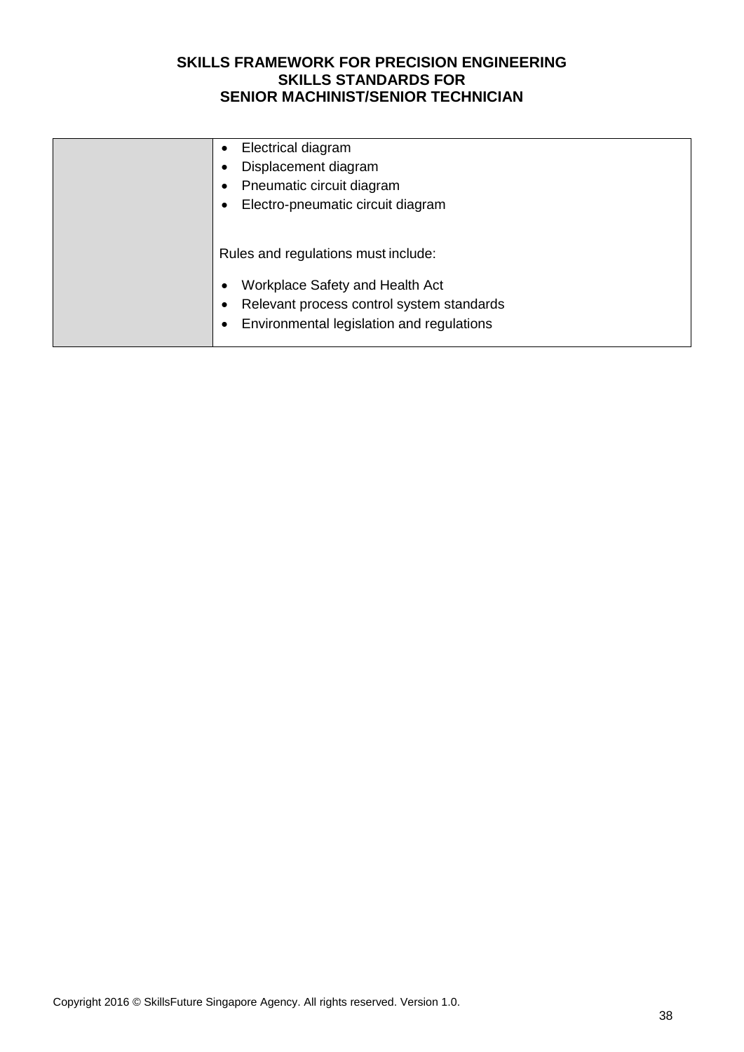| Electrical diagram                           |
|----------------------------------------------|
| Displacement diagram                         |
| Pneumatic circuit diagram                    |
| Electro-pneumatic circuit diagram            |
|                                              |
| Rules and regulations must include:          |
|                                              |
| Workplace Safety and Health Act<br>$\bullet$ |
| Relevant process control system standards    |
| Environmental legislation and regulations    |
|                                              |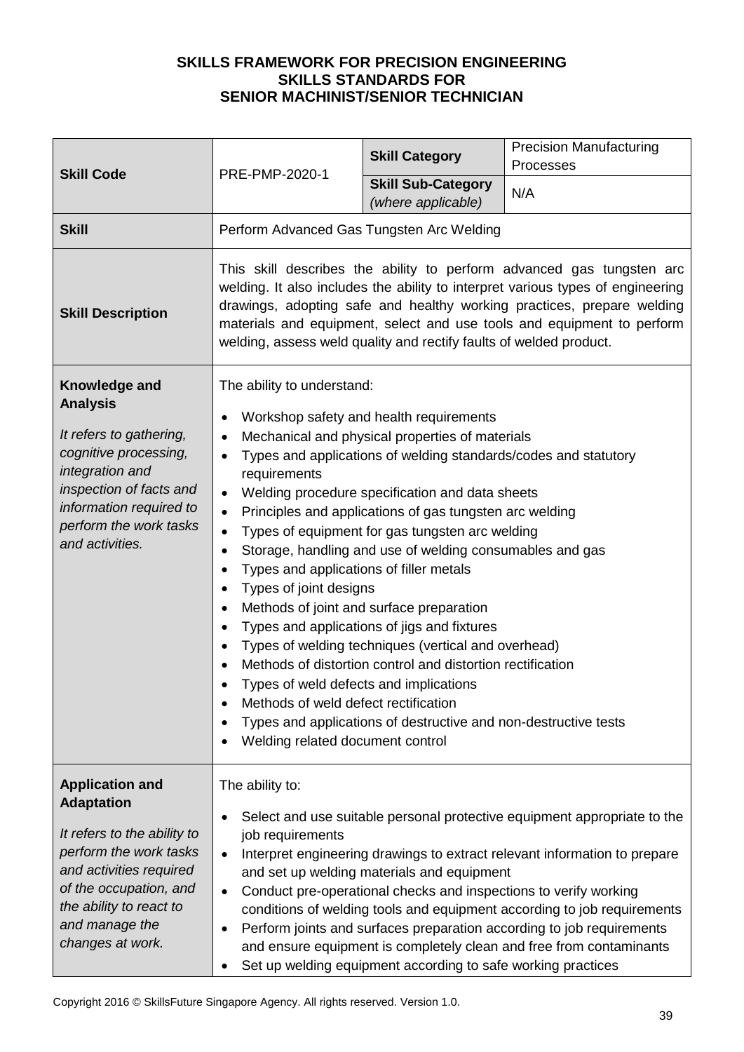| <b>Skill Code</b>                                                                                                                                                                                                          | PRE-PMP-2020-1                                                                                                                                                                                                                                                                                                                                                                                                                                                                                                                                                                                                                                                                                                                                                                                                                                                                                                                                                                                                                              | <b>Skill Category</b>                           | <b>Precision Manufacturing</b><br>Processes |
|----------------------------------------------------------------------------------------------------------------------------------------------------------------------------------------------------------------------------|---------------------------------------------------------------------------------------------------------------------------------------------------------------------------------------------------------------------------------------------------------------------------------------------------------------------------------------------------------------------------------------------------------------------------------------------------------------------------------------------------------------------------------------------------------------------------------------------------------------------------------------------------------------------------------------------------------------------------------------------------------------------------------------------------------------------------------------------------------------------------------------------------------------------------------------------------------------------------------------------------------------------------------------------|-------------------------------------------------|---------------------------------------------|
|                                                                                                                                                                                                                            |                                                                                                                                                                                                                                                                                                                                                                                                                                                                                                                                                                                                                                                                                                                                                                                                                                                                                                                                                                                                                                             | <b>Skill Sub-Category</b><br>(where applicable) | N/A                                         |
| <b>Skill</b>                                                                                                                                                                                                               | Perform Advanced Gas Tungsten Arc Welding                                                                                                                                                                                                                                                                                                                                                                                                                                                                                                                                                                                                                                                                                                                                                                                                                                                                                                                                                                                                   |                                                 |                                             |
| <b>Skill Description</b>                                                                                                                                                                                                   | This skill describes the ability to perform advanced gas tungsten arc<br>welding. It also includes the ability to interpret various types of engineering<br>drawings, adopting safe and healthy working practices, prepare welding<br>materials and equipment, select and use tools and equipment to perform<br>welding, assess weld quality and rectify faults of welded product.                                                                                                                                                                                                                                                                                                                                                                                                                                                                                                                                                                                                                                                          |                                                 |                                             |
| Knowledge and<br><b>Analysis</b><br>It refers to gathering,<br>cognitive processing,<br>integration and<br>inspection of facts and<br>information required to<br>perform the work tasks<br>and activities.                 | The ability to understand:<br>Workshop safety and health requirements<br>$\bullet$<br>Mechanical and physical properties of materials<br>$\bullet$<br>Types and applications of welding standards/codes and statutory<br>$\bullet$<br>requirements<br>Welding procedure specification and data sheets<br>$\bullet$<br>Principles and applications of gas tungsten arc welding<br>$\bullet$<br>Types of equipment for gas tungsten arc welding<br>$\bullet$<br>Storage, handling and use of welding consumables and gas<br>$\bullet$<br>Types and applications of filler metals<br>Types of joint designs<br>$\bullet$<br>Methods of joint and surface preparation<br>Types and applications of jigs and fixtures<br>$\bullet$<br>Types of welding techniques (vertical and overhead)<br>Methods of distortion control and distortion rectification<br>Types of weld defects and implications<br>Methods of weld defect rectification<br>Types and applications of destructive and non-destructive tests<br>Welding related document control |                                                 |                                             |
| <b>Application and</b><br><b>Adaptation</b><br>It refers to the ability to<br>perform the work tasks<br>and activities required<br>of the occupation, and<br>the ability to react to<br>and manage the<br>changes at work. | The ability to:<br>Select and use suitable personal protective equipment appropriate to the<br>job requirements<br>Interpret engineering drawings to extract relevant information to prepare<br>$\bullet$<br>and set up welding materials and equipment<br>Conduct pre-operational checks and inspections to verify working<br>$\bullet$<br>conditions of welding tools and equipment according to job requirements<br>Perform joints and surfaces preparation according to job requirements<br>٠<br>and ensure equipment is completely clean and free from contaminants<br>Set up welding equipment according to safe working practices                                                                                                                                                                                                                                                                                                                                                                                                    |                                                 |                                             |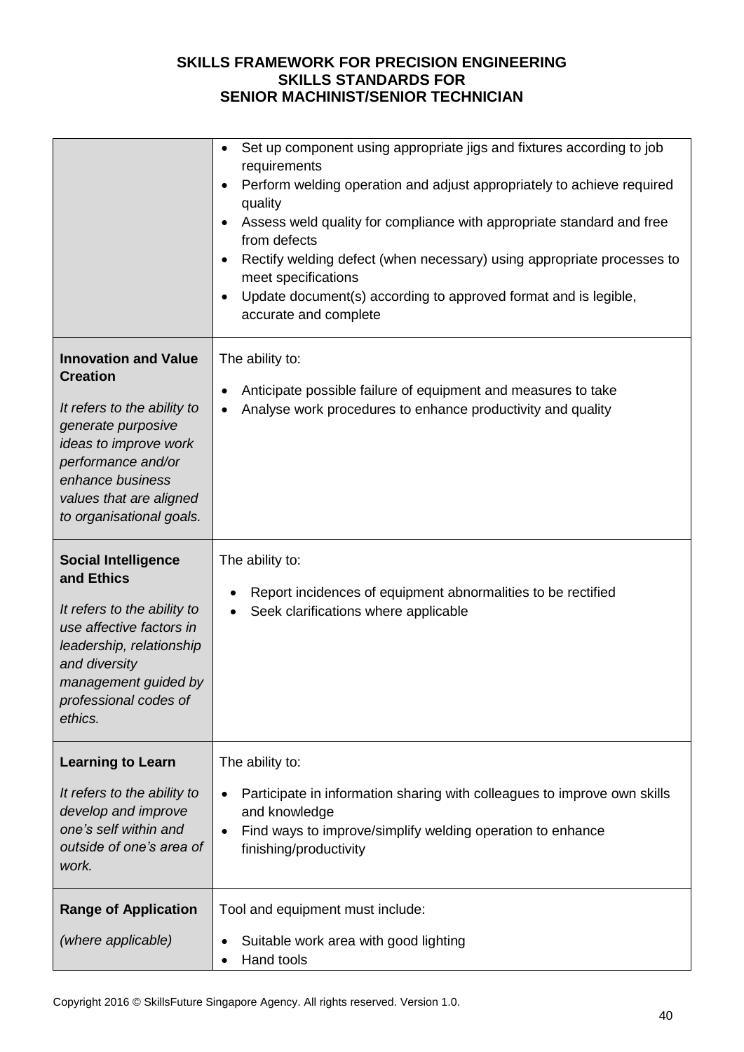|                                                                                                                                                                                                                               | Set up component using appropriate jigs and fixtures according to job<br>$\bullet$<br>requirements<br>Perform welding operation and adjust appropriately to achieve required<br>$\bullet$<br>quality<br>Assess weld quality for compliance with appropriate standard and free<br>$\bullet$<br>from defects<br>Rectify welding defect (when necessary) using appropriate processes to<br>$\bullet$<br>meet specifications<br>Update document(s) according to approved format and is legible,<br>$\bullet$<br>accurate and complete |
|-------------------------------------------------------------------------------------------------------------------------------------------------------------------------------------------------------------------------------|-----------------------------------------------------------------------------------------------------------------------------------------------------------------------------------------------------------------------------------------------------------------------------------------------------------------------------------------------------------------------------------------------------------------------------------------------------------------------------------------------------------------------------------|
| <b>Innovation and Value</b><br><b>Creation</b><br>It refers to the ability to<br>generate purposive<br>ideas to improve work<br>performance and/or<br>enhance business<br>values that are aligned<br>to organisational goals. | The ability to:<br>Anticipate possible failure of equipment and measures to take<br>٠<br>Analyse work procedures to enhance productivity and quality                                                                                                                                                                                                                                                                                                                                                                              |
| <b>Social Intelligence</b><br>and Ethics<br>It refers to the ability to<br>use affective factors in<br>leadership, relationship<br>and diversity<br>management guided by<br>professional codes of<br>ethics.                  | The ability to:<br>Report incidences of equipment abnormalities to be rectified<br>Seek clarifications where applicable                                                                                                                                                                                                                                                                                                                                                                                                           |
| <b>Learning to Learn</b><br>It refers to the ability to<br>develop and improve<br>one's self within and<br>outside of one's area of<br>work.                                                                                  | The ability to:<br>Participate in information sharing with colleagues to improve own skills<br>$\bullet$<br>and knowledge<br>Find ways to improve/simplify welding operation to enhance<br>$\bullet$<br>finishing/productivity                                                                                                                                                                                                                                                                                                    |
| <b>Range of Application</b><br>(where applicable)                                                                                                                                                                             | Tool and equipment must include:<br>Suitable work area with good lighting<br>Hand tools                                                                                                                                                                                                                                                                                                                                                                                                                                           |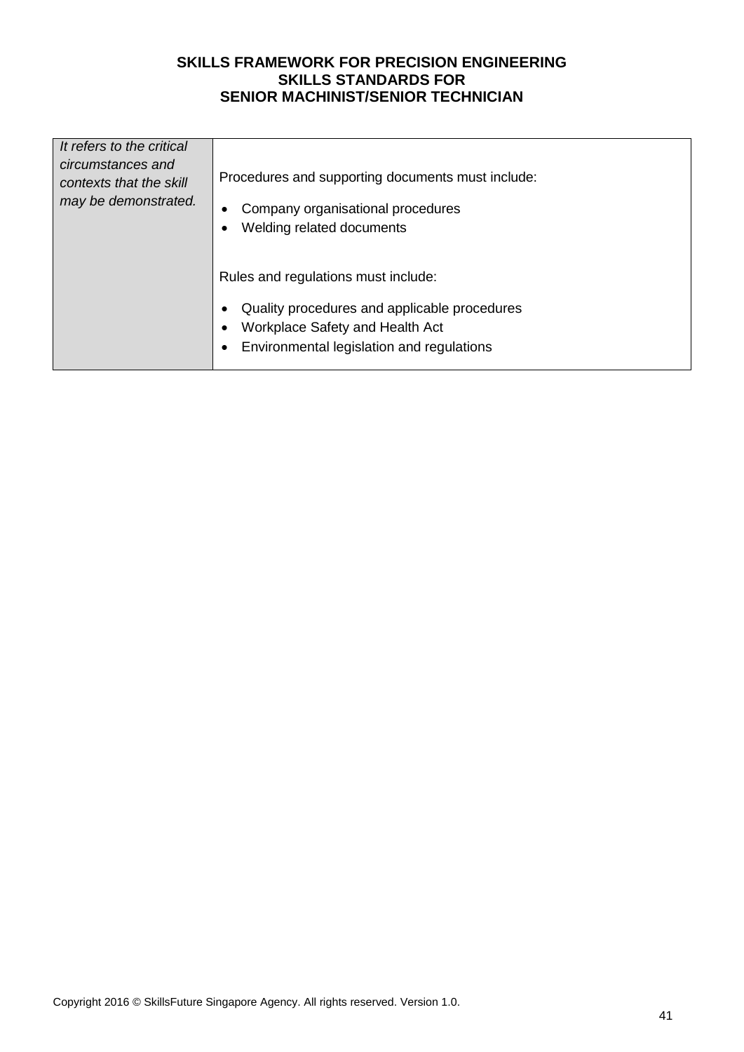| It refers to the critical<br>circumstances and<br>contexts that the skill<br>may be demonstrated. | Procedures and supporting documents must include:<br>Company organisational procedures<br>Welding related documents<br>Rules and regulations must include:<br>Quality procedures and applicable procedures<br>Workplace Safety and Health Act<br>Environmental legislation and regulations |
|---------------------------------------------------------------------------------------------------|--------------------------------------------------------------------------------------------------------------------------------------------------------------------------------------------------------------------------------------------------------------------------------------------|
|                                                                                                   |                                                                                                                                                                                                                                                                                            |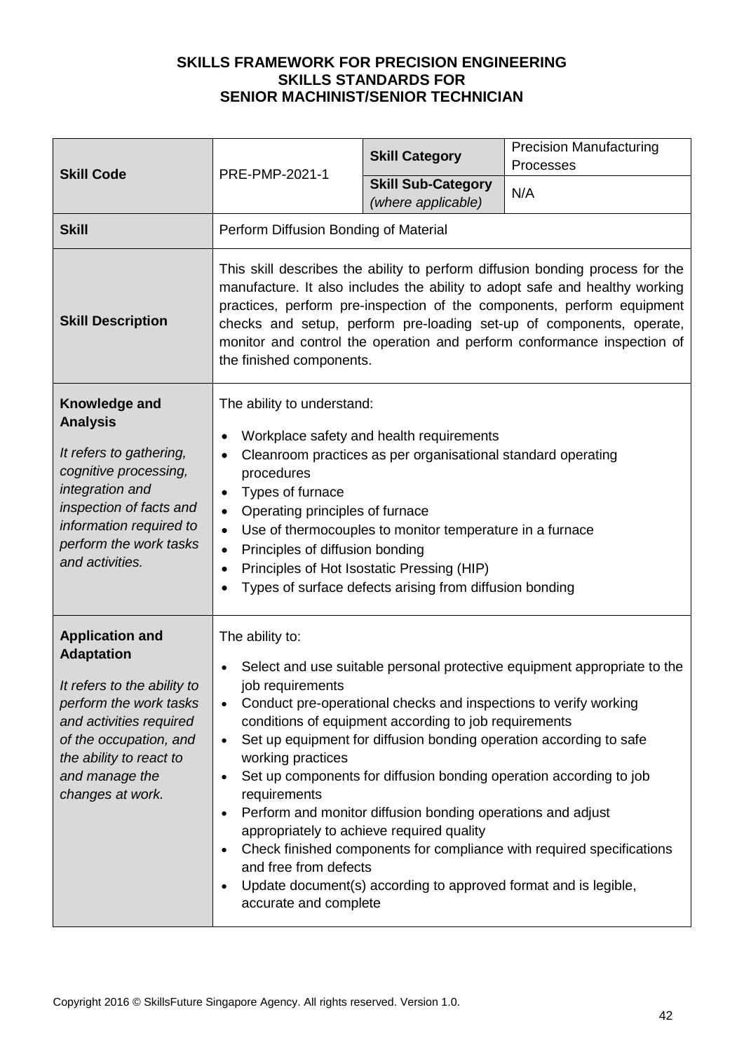| <b>Skill Code</b>                                                                                                                                                                                                          | PRE-PMP-2021-1                                                                                                                                                                                                                                                                                                                                                                                                                                                                                                                                                                                                                                                                                                                                                    | <b>Skill Category</b>                           | <b>Precision Manufacturing</b><br>Processes |  |
|----------------------------------------------------------------------------------------------------------------------------------------------------------------------------------------------------------------------------|-------------------------------------------------------------------------------------------------------------------------------------------------------------------------------------------------------------------------------------------------------------------------------------------------------------------------------------------------------------------------------------------------------------------------------------------------------------------------------------------------------------------------------------------------------------------------------------------------------------------------------------------------------------------------------------------------------------------------------------------------------------------|-------------------------------------------------|---------------------------------------------|--|
|                                                                                                                                                                                                                            |                                                                                                                                                                                                                                                                                                                                                                                                                                                                                                                                                                                                                                                                                                                                                                   | <b>Skill Sub-Category</b><br>(where applicable) | N/A                                         |  |
| <b>Skill</b>                                                                                                                                                                                                               | Perform Diffusion Bonding of Material                                                                                                                                                                                                                                                                                                                                                                                                                                                                                                                                                                                                                                                                                                                             |                                                 |                                             |  |
| <b>Skill Description</b>                                                                                                                                                                                                   | This skill describes the ability to perform diffusion bonding process for the<br>manufacture. It also includes the ability to adopt safe and healthy working<br>practices, perform pre-inspection of the components, perform equipment<br>checks and setup, perform pre-loading set-up of components, operate,<br>monitor and control the operation and perform conformance inspection of<br>the finished components.                                                                                                                                                                                                                                                                                                                                             |                                                 |                                             |  |
| Knowledge and<br><b>Analysis</b><br>It refers to gathering,<br>cognitive processing,<br>integration and<br>inspection of facts and<br>information required to<br>perform the work tasks<br>and activities.                 | The ability to understand:<br>Workplace safety and health requirements<br>Cleanroom practices as per organisational standard operating<br>$\bullet$<br>procedures<br>Types of furnace<br>$\bullet$<br>Operating principles of furnace<br>$\bullet$<br>Use of thermocouples to monitor temperature in a furnace<br>$\bullet$<br>Principles of diffusion bonding<br>$\bullet$<br>Principles of Hot Isostatic Pressing (HIP)<br>$\bullet$<br>Types of surface defects arising from diffusion bonding<br>$\bullet$                                                                                                                                                                                                                                                    |                                                 |                                             |  |
| <b>Application and</b><br><b>Adaptation</b><br>It refers to the ability to<br>perform the work tasks<br>and activities required<br>of the occupation, and<br>the ability to react to<br>and manage the<br>changes at work. | The ability to:<br>Select and use suitable personal protective equipment appropriate to the<br>job requirements<br>Conduct pre-operational checks and inspections to verify working<br>conditions of equipment according to job requirements<br>Set up equipment for diffusion bonding operation according to safe<br>$\bullet$<br>working practices<br>Set up components for diffusion bonding operation according to job<br>$\bullet$<br>requirements<br>Perform and monitor diffusion bonding operations and adjust<br>appropriately to achieve required quality<br>Check finished components for compliance with required specifications<br>and free from defects<br>Update document(s) according to approved format and is legible,<br>accurate and complete |                                                 |                                             |  |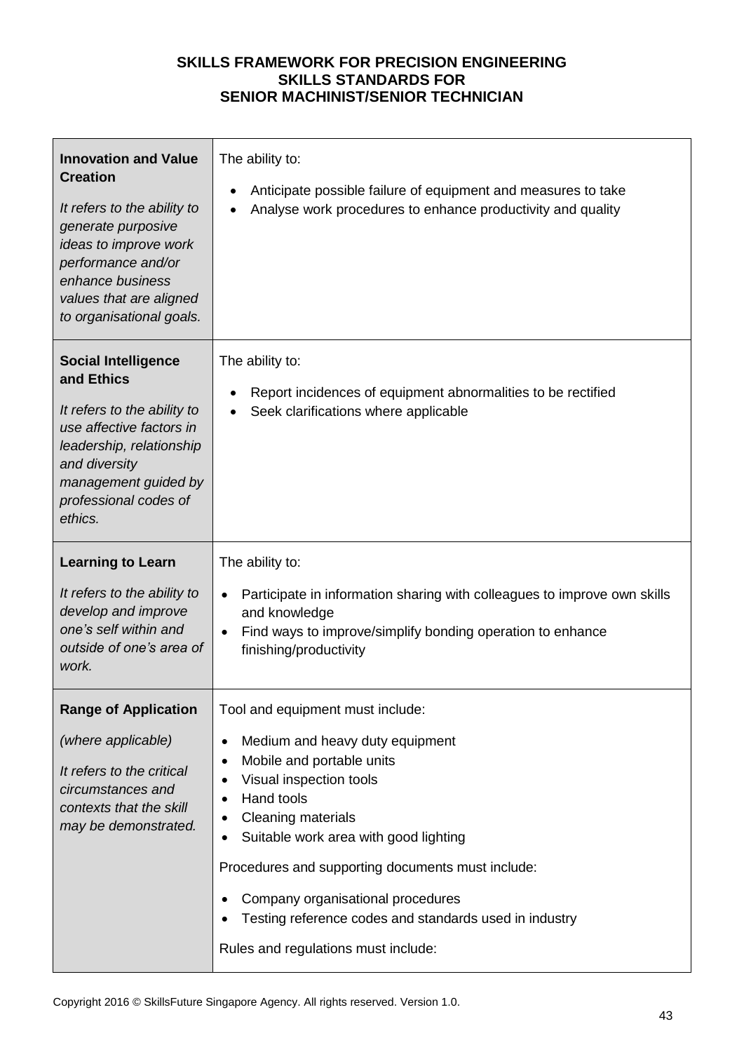| <b>Innovation and Value</b><br><b>Creation</b><br>It refers to the ability to<br>generate purposive<br>ideas to improve work<br>performance and/or<br>enhance business<br>values that are aligned<br>to organisational goals. | The ability to:<br>Anticipate possible failure of equipment and measures to take<br>Analyse work procedures to enhance productivity and quality                                                                                                                                                                                                                                   |
|-------------------------------------------------------------------------------------------------------------------------------------------------------------------------------------------------------------------------------|-----------------------------------------------------------------------------------------------------------------------------------------------------------------------------------------------------------------------------------------------------------------------------------------------------------------------------------------------------------------------------------|
| <b>Social Intelligence</b><br>and Ethics<br>It refers to the ability to<br>use affective factors in<br>leadership, relationship<br>and diversity<br>management guided by<br>professional codes of<br>ethics.                  | The ability to:<br>Report incidences of equipment abnormalities to be rectified<br>Seek clarifications where applicable                                                                                                                                                                                                                                                           |
| <b>Learning to Learn</b>                                                                                                                                                                                                      | The ability to:                                                                                                                                                                                                                                                                                                                                                                   |
| It refers to the ability to<br>develop and improve<br>one's self within and<br>outside of one's area of<br>work.                                                                                                              | Participate in information sharing with colleagues to improve own skills<br>and knowledge<br>Find ways to improve/simplify bonding operation to enhance<br>finishing/productivity                                                                                                                                                                                                 |
| <b>Range of Application</b>                                                                                                                                                                                                   | Tool and equipment must include:                                                                                                                                                                                                                                                                                                                                                  |
| (where applicable)<br>It refers to the critical<br>circumstances and<br>contexts that the skill<br>may be demonstrated.                                                                                                       | Medium and heavy duty equipment<br>$\bullet$<br>Mobile and portable units<br>٠<br>Visual inspection tools<br>Hand tools<br>Cleaning materials<br>Suitable work area with good lighting<br>Procedures and supporting documents must include:<br>Company organisational procedures<br>Testing reference codes and standards used in industry<br>Rules and regulations must include: |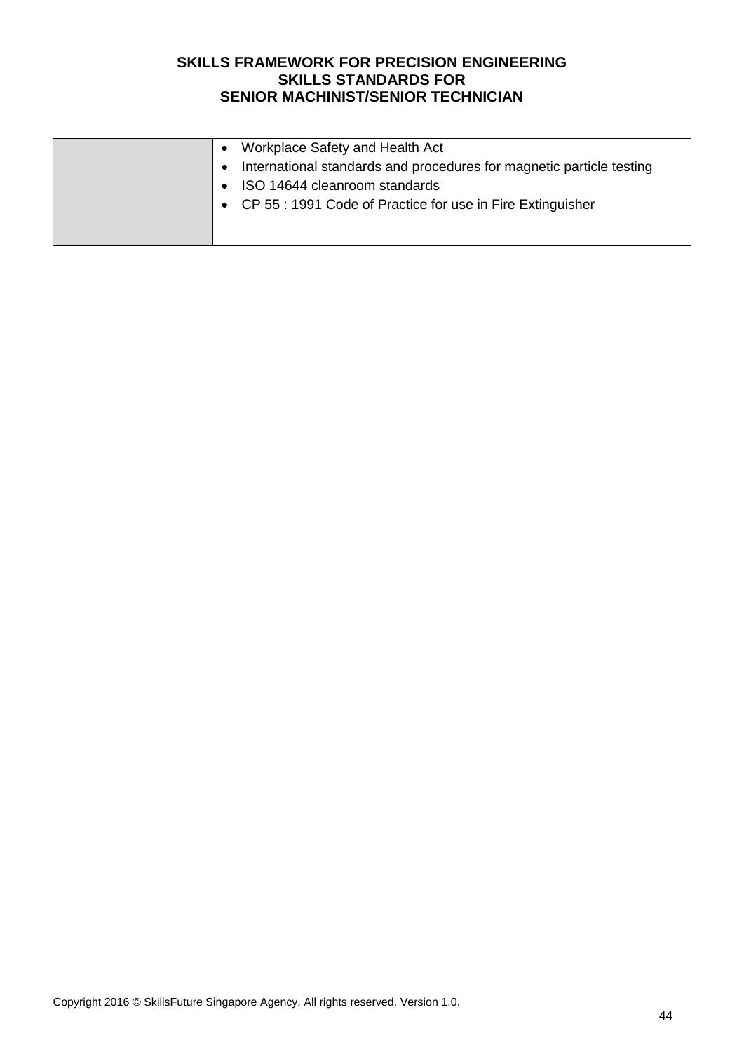| Workplace Safety and Health Act<br>International standards and procedures for magnetic particle testing<br>$\bullet$<br>ISO 14644 cleanroom standards<br>• CP 55 : 1991 Code of Practice for use in Fire Extinguisher |
|-----------------------------------------------------------------------------------------------------------------------------------------------------------------------------------------------------------------------|
|-----------------------------------------------------------------------------------------------------------------------------------------------------------------------------------------------------------------------|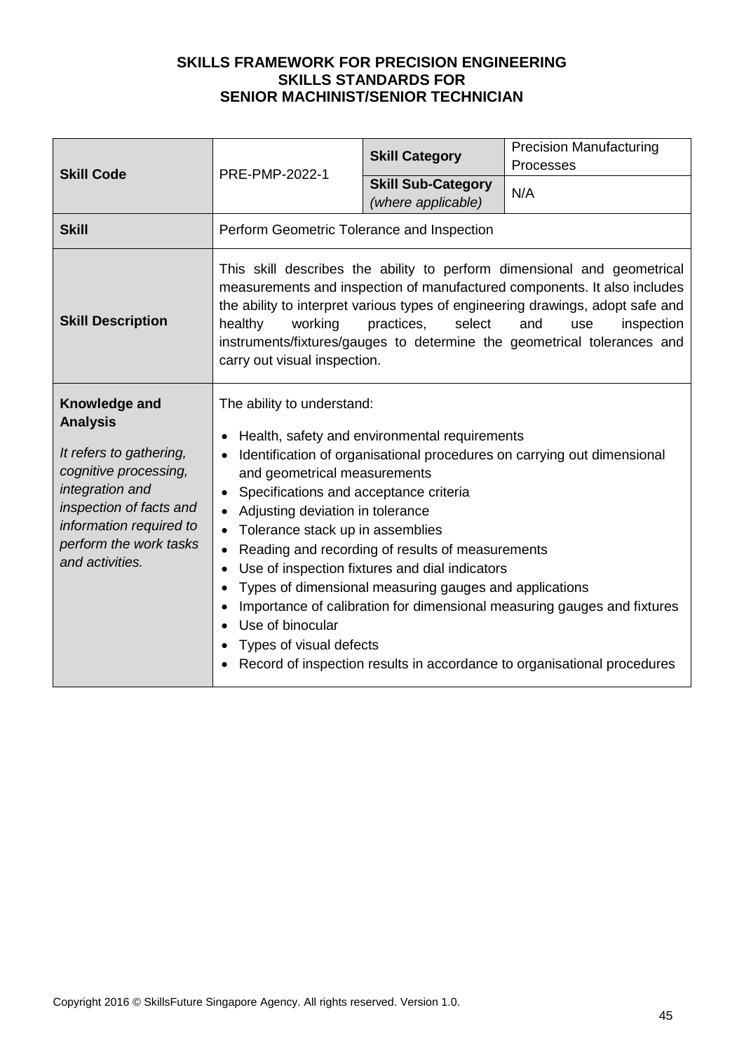| <b>Skill Code</b>                                                                                                                                                                                          | PRE-PMP-2022-1                                                                                                                                                                                                                                                                                                                                                                                                                                                                                                                                                                                                                                                                | <b>Skill Category</b>                           | <b>Precision Manufacturing</b><br>Processes |
|------------------------------------------------------------------------------------------------------------------------------------------------------------------------------------------------------------|-------------------------------------------------------------------------------------------------------------------------------------------------------------------------------------------------------------------------------------------------------------------------------------------------------------------------------------------------------------------------------------------------------------------------------------------------------------------------------------------------------------------------------------------------------------------------------------------------------------------------------------------------------------------------------|-------------------------------------------------|---------------------------------------------|
|                                                                                                                                                                                                            |                                                                                                                                                                                                                                                                                                                                                                                                                                                                                                                                                                                                                                                                               | <b>Skill Sub-Category</b><br>(where applicable) | N/A                                         |
| <b>Skill</b>                                                                                                                                                                                               | Perform Geometric Tolerance and Inspection                                                                                                                                                                                                                                                                                                                                                                                                                                                                                                                                                                                                                                    |                                                 |                                             |
| <b>Skill Description</b>                                                                                                                                                                                   | This skill describes the ability to perform dimensional and geometrical<br>measurements and inspection of manufactured components. It also includes<br>the ability to interpret various types of engineering drawings, adopt safe and<br>healthy<br>working<br>practices,<br>select<br>and<br>inspection<br>use<br>instruments/fixtures/gauges to determine the geometrical tolerances and<br>carry out visual inspection.                                                                                                                                                                                                                                                    |                                                 |                                             |
| Knowledge and<br><b>Analysis</b><br>It refers to gathering,<br>cognitive processing,<br>integration and<br>inspection of facts and<br>information required to<br>perform the work tasks<br>and activities. | The ability to understand:<br>Health, safety and environmental requirements<br>Identification of organisational procedures on carrying out dimensional<br>and geometrical measurements<br>Specifications and acceptance criteria<br>Adjusting deviation in tolerance<br>Tolerance stack up in assemblies<br>Reading and recording of results of measurements<br>Use of inspection fixtures and dial indicators<br>Types of dimensional measuring gauges and applications<br>Importance of calibration for dimensional measuring gauges and fixtures<br>Use of binocular<br>Types of visual defects<br>Record of inspection results in accordance to organisational procedures |                                                 |                                             |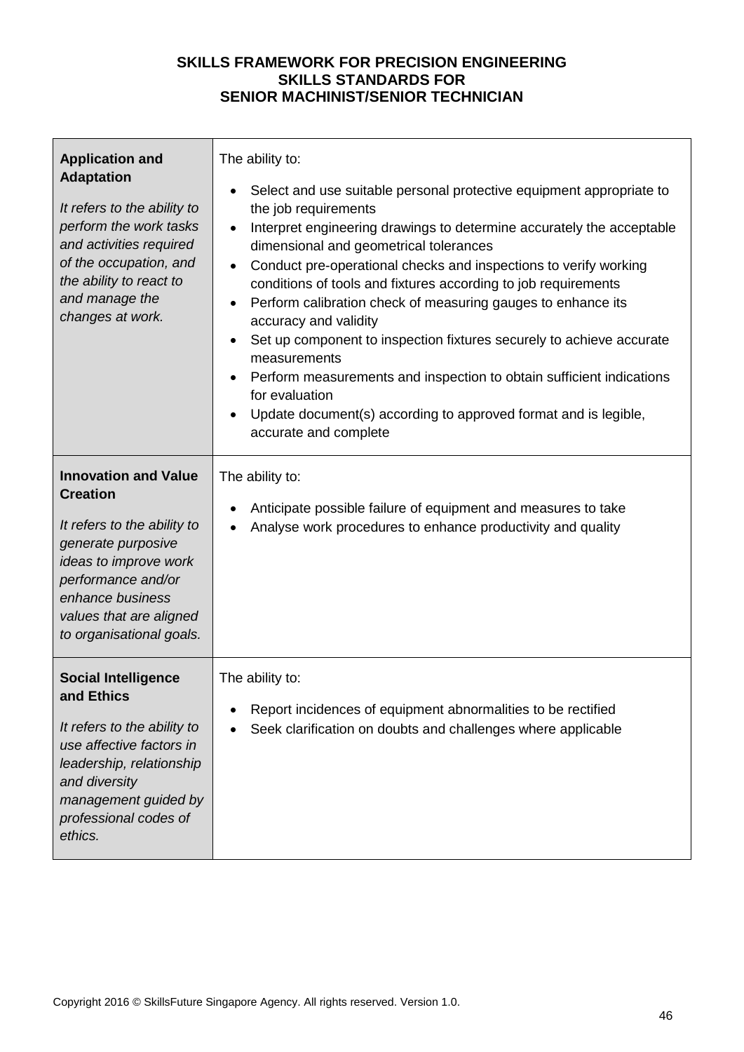| <b>Application and</b><br><b>Adaptation</b><br>It refers to the ability to<br>perform the work tasks<br>and activities required<br>of the occupation, and<br>the ability to react to<br>and manage the<br>changes at work.    | The ability to:<br>Select and use suitable personal protective equipment appropriate to<br>$\bullet$<br>the job requirements<br>Interpret engineering drawings to determine accurately the acceptable<br>dimensional and geometrical tolerances<br>Conduct pre-operational checks and inspections to verify working<br>conditions of tools and fixtures according to job requirements<br>Perform calibration check of measuring gauges to enhance its<br>accuracy and validity<br>Set up component to inspection fixtures securely to achieve accurate<br>measurements<br>Perform measurements and inspection to obtain sufficient indications<br>$\bullet$<br>for evaluation<br>Update document(s) according to approved format and is legible,<br>$\bullet$<br>accurate and complete |
|-------------------------------------------------------------------------------------------------------------------------------------------------------------------------------------------------------------------------------|----------------------------------------------------------------------------------------------------------------------------------------------------------------------------------------------------------------------------------------------------------------------------------------------------------------------------------------------------------------------------------------------------------------------------------------------------------------------------------------------------------------------------------------------------------------------------------------------------------------------------------------------------------------------------------------------------------------------------------------------------------------------------------------|
| <b>Innovation and Value</b><br><b>Creation</b><br>It refers to the ability to<br>generate purposive<br>ideas to improve work<br>performance and/or<br>enhance business<br>values that are aligned<br>to organisational goals. | The ability to:<br>Anticipate possible failure of equipment and measures to take<br>Analyse work procedures to enhance productivity and quality                                                                                                                                                                                                                                                                                                                                                                                                                                                                                                                                                                                                                                        |
| <b>Social Intelligence</b><br>and Ethics<br>It refers to the ability to<br>use affective factors in<br>leadership, relationship<br>and diversity<br>management guided by<br>professional codes of<br>ethics.                  | The ability to:<br>Report incidences of equipment abnormalities to be rectified<br>Seek clarification on doubts and challenges where applicable                                                                                                                                                                                                                                                                                                                                                                                                                                                                                                                                                                                                                                        |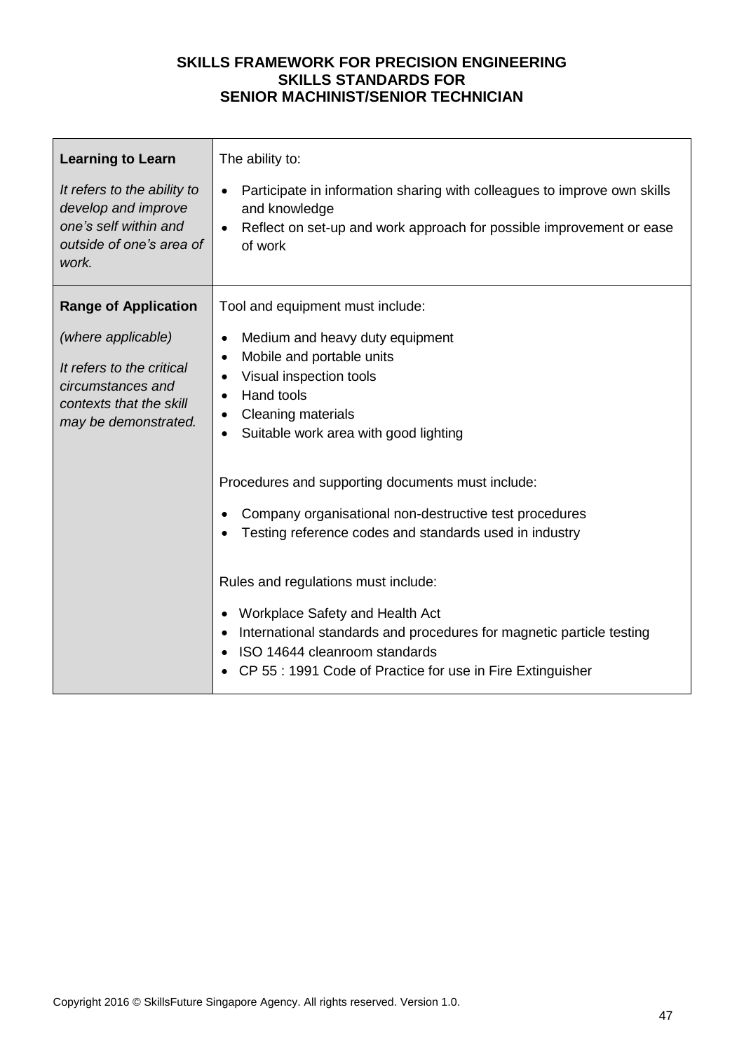| <b>Learning to Learn</b><br>It refers to the ability to<br>develop and improve<br>one's self within and<br>outside of one's area of<br>work.           | The ability to:<br>Participate in information sharing with colleagues to improve own skills<br>and knowledge<br>Reflect on set-up and work approach for possible improvement or ease<br>of work                                                                                                                                                                                                                                                                                                                                                                                                                                                        |
|--------------------------------------------------------------------------------------------------------------------------------------------------------|--------------------------------------------------------------------------------------------------------------------------------------------------------------------------------------------------------------------------------------------------------------------------------------------------------------------------------------------------------------------------------------------------------------------------------------------------------------------------------------------------------------------------------------------------------------------------------------------------------------------------------------------------------|
| <b>Range of Application</b><br>(where applicable)<br>It refers to the critical<br>circumstances and<br>contexts that the skill<br>may be demonstrated. | Tool and equipment must include:<br>Medium and heavy duty equipment<br>Mobile and portable units<br>$\bullet$<br>Visual inspection tools<br>Hand tools<br><b>Cleaning materials</b><br>Suitable work area with good lighting<br>Procedures and supporting documents must include:<br>Company organisational non-destructive test procedures<br>Testing reference codes and standards used in industry<br>Rules and regulations must include:<br>Workplace Safety and Health Act<br>International standards and procedures for magnetic particle testing<br>ISO 14644 cleanroom standards<br>CP 55 : 1991 Code of Practice for use in Fire Extinguisher |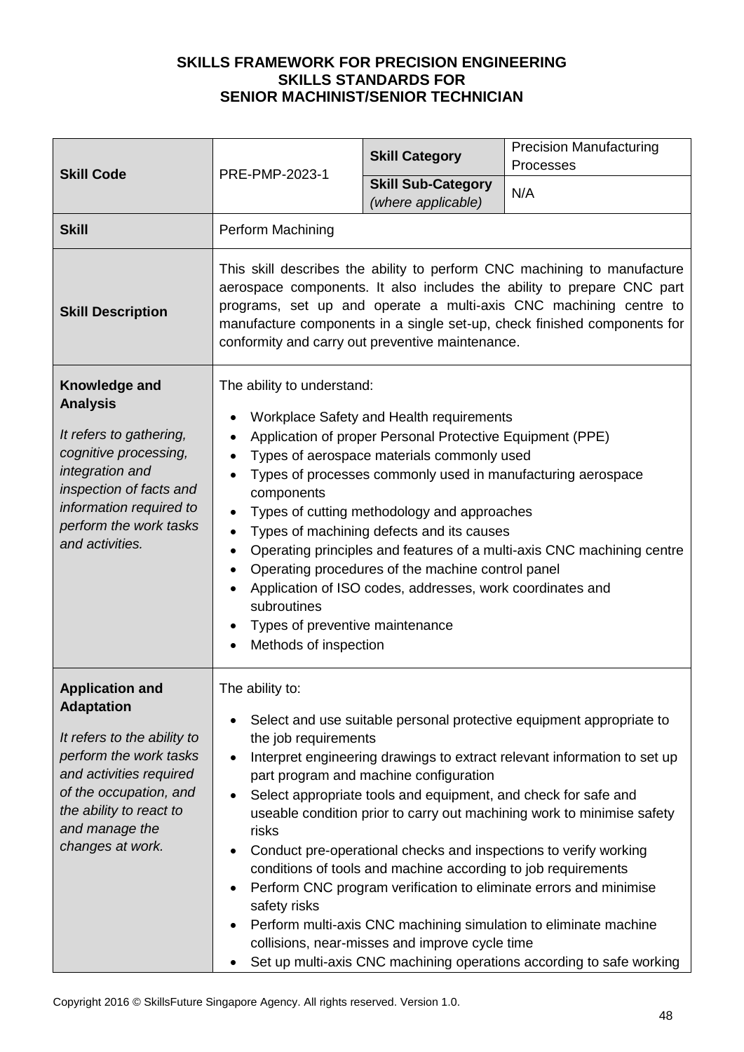| <b>Skill Code</b>                                                                                                                                                                                                          | PRE-PMP-2023-1                                                                                                                                                                                                                                                                                                                                                                                                                                                                                                                                                                                                                                                                | <b>Skill Category</b>                                                                                                                                                                                                       | <b>Precision Manufacturing</b><br>Processes                                                                                                                                                                                                                                                                                                                                                                                                                                                                     |  |
|----------------------------------------------------------------------------------------------------------------------------------------------------------------------------------------------------------------------------|-------------------------------------------------------------------------------------------------------------------------------------------------------------------------------------------------------------------------------------------------------------------------------------------------------------------------------------------------------------------------------------------------------------------------------------------------------------------------------------------------------------------------------------------------------------------------------------------------------------------------------------------------------------------------------|-----------------------------------------------------------------------------------------------------------------------------------------------------------------------------------------------------------------------------|-----------------------------------------------------------------------------------------------------------------------------------------------------------------------------------------------------------------------------------------------------------------------------------------------------------------------------------------------------------------------------------------------------------------------------------------------------------------------------------------------------------------|--|
|                                                                                                                                                                                                                            |                                                                                                                                                                                                                                                                                                                                                                                                                                                                                                                                                                                                                                                                               | <b>Skill Sub-Category</b><br>(where applicable)                                                                                                                                                                             | N/A                                                                                                                                                                                                                                                                                                                                                                                                                                                                                                             |  |
| <b>Skill</b>                                                                                                                                                                                                               | Perform Machining                                                                                                                                                                                                                                                                                                                                                                                                                                                                                                                                                                                                                                                             |                                                                                                                                                                                                                             |                                                                                                                                                                                                                                                                                                                                                                                                                                                                                                                 |  |
| <b>Skill Description</b>                                                                                                                                                                                                   | This skill describes the ability to perform CNC machining to manufacture<br>aerospace components. It also includes the ability to prepare CNC part<br>programs, set up and operate a multi-axis CNC machining centre to<br>manufacture components in a single set-up, check finished components for<br>conformity and carry out preventive maintenance.                                                                                                                                                                                                                                                                                                                       |                                                                                                                                                                                                                             |                                                                                                                                                                                                                                                                                                                                                                                                                                                                                                                 |  |
| Knowledge and<br><b>Analysis</b><br>It refers to gathering,<br>cognitive processing,<br>integration and<br>inspection of facts and<br>information required to<br>perform the work tasks<br>and activities.                 | The ability to understand:<br>Workplace Safety and Health requirements<br>Application of proper Personal Protective Equipment (PPE)<br>Types of aerospace materials commonly used<br>Types of processes commonly used in manufacturing aerospace<br>components<br>Types of cutting methodology and approaches<br>Types of machining defects and its causes<br>$\bullet$<br>Operating principles and features of a multi-axis CNC machining centre<br>٠<br>Operating procedures of the machine control panel<br>Application of ISO codes, addresses, work coordinates and<br>$\bullet$<br>subroutines<br>Types of preventive maintenance<br>Methods of inspection<br>$\bullet$ |                                                                                                                                                                                                                             |                                                                                                                                                                                                                                                                                                                                                                                                                                                                                                                 |  |
| <b>Application and</b><br><b>Adaptation</b><br>It refers to the ability to<br>perform the work tasks<br>and activities required<br>of the occupation, and<br>the ability to react to<br>and manage the<br>changes at work. | The ability to:<br>the job requirements<br>$\bullet$<br>risks<br>$\bullet$<br>safety risks                                                                                                                                                                                                                                                                                                                                                                                                                                                                                                                                                                                    | part program and machine configuration<br>Select appropriate tools and equipment, and check for safe and<br>conditions of tools and machine according to job requirements<br>collisions, near-misses and improve cycle time | Select and use suitable personal protective equipment appropriate to<br>Interpret engineering drawings to extract relevant information to set up<br>useable condition prior to carry out machining work to minimise safety<br>Conduct pre-operational checks and inspections to verify working<br>Perform CNC program verification to eliminate errors and minimise<br>Perform multi-axis CNC machining simulation to eliminate machine<br>Set up multi-axis CNC machining operations according to safe working |  |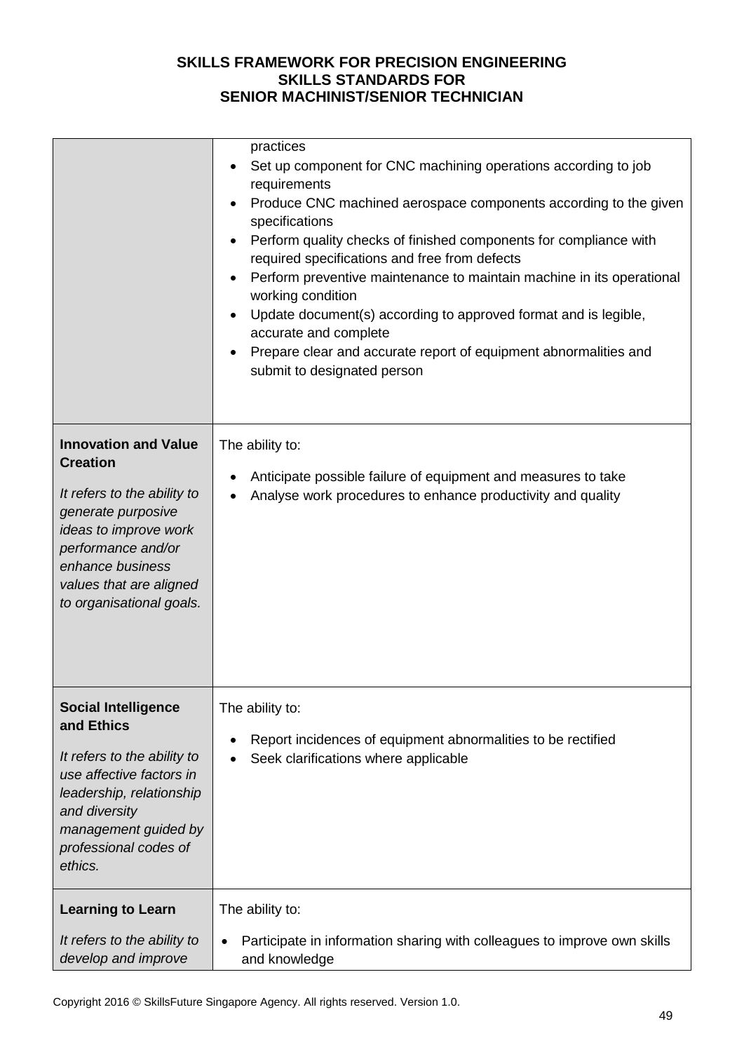|                                                                                                                                                                                                                               | practices<br>Set up component for CNC machining operations according to job<br>requirements<br>Produce CNC machined aerospace components according to the given<br>specifications<br>Perform quality checks of finished components for compliance with<br>required specifications and free from defects<br>Perform preventive maintenance to maintain machine in its operational<br>working condition<br>Update document(s) according to approved format and is legible,<br>accurate and complete<br>Prepare clear and accurate report of equipment abnormalities and<br>submit to designated person |
|-------------------------------------------------------------------------------------------------------------------------------------------------------------------------------------------------------------------------------|------------------------------------------------------------------------------------------------------------------------------------------------------------------------------------------------------------------------------------------------------------------------------------------------------------------------------------------------------------------------------------------------------------------------------------------------------------------------------------------------------------------------------------------------------------------------------------------------------|
| <b>Innovation and Value</b><br><b>Creation</b><br>It refers to the ability to<br>generate purposive<br>ideas to improve work<br>performance and/or<br>enhance business<br>values that are aligned<br>to organisational goals. | The ability to:<br>Anticipate possible failure of equipment and measures to take<br>Analyse work procedures to enhance productivity and quality                                                                                                                                                                                                                                                                                                                                                                                                                                                      |
| <b>Social Intelligence</b><br>and Ethics<br>It refers to the ability to<br>use affective factors in<br>leadership, relationship<br>and diversity<br>management guided by<br>professional codes of<br>ethics.                  | The ability to:<br>Report incidences of equipment abnormalities to be rectified<br>Seek clarifications where applicable                                                                                                                                                                                                                                                                                                                                                                                                                                                                              |
| <b>Learning to Learn</b><br>It refers to the ability to<br>develop and improve                                                                                                                                                | The ability to:<br>Participate in information sharing with colleagues to improve own skills<br>$\bullet$<br>and knowledge                                                                                                                                                                                                                                                                                                                                                                                                                                                                            |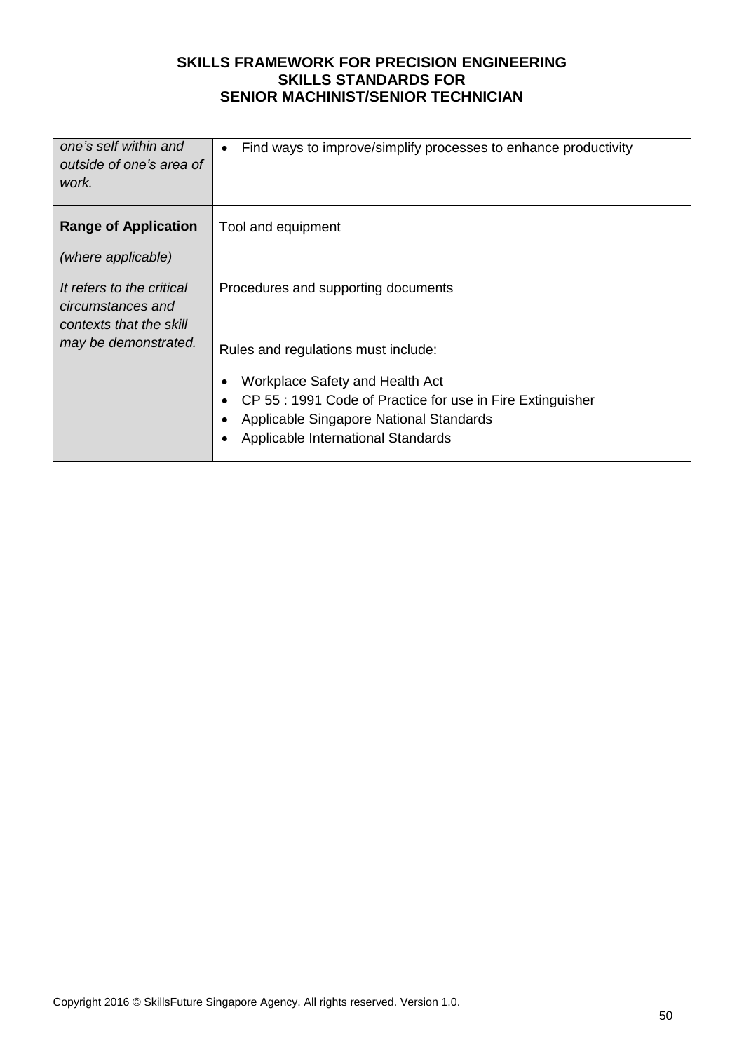| one's self within and<br>outside of one's area of<br>work.                | Find ways to improve/simplify processes to enhance productivity               |
|---------------------------------------------------------------------------|-------------------------------------------------------------------------------|
| <b>Range of Application</b>                                               | Tool and equipment                                                            |
| (where applicable)                                                        |                                                                               |
| It refers to the critical<br>circumstances and<br>contexts that the skill | Procedures and supporting documents                                           |
| may be demonstrated.                                                      | Rules and regulations must include:                                           |
|                                                                           | Workplace Safety and Health Act                                               |
|                                                                           | CP 55 : 1991 Code of Practice for use in Fire Extinguisher                    |
|                                                                           | Applicable Singapore National Standards<br>Applicable International Standards |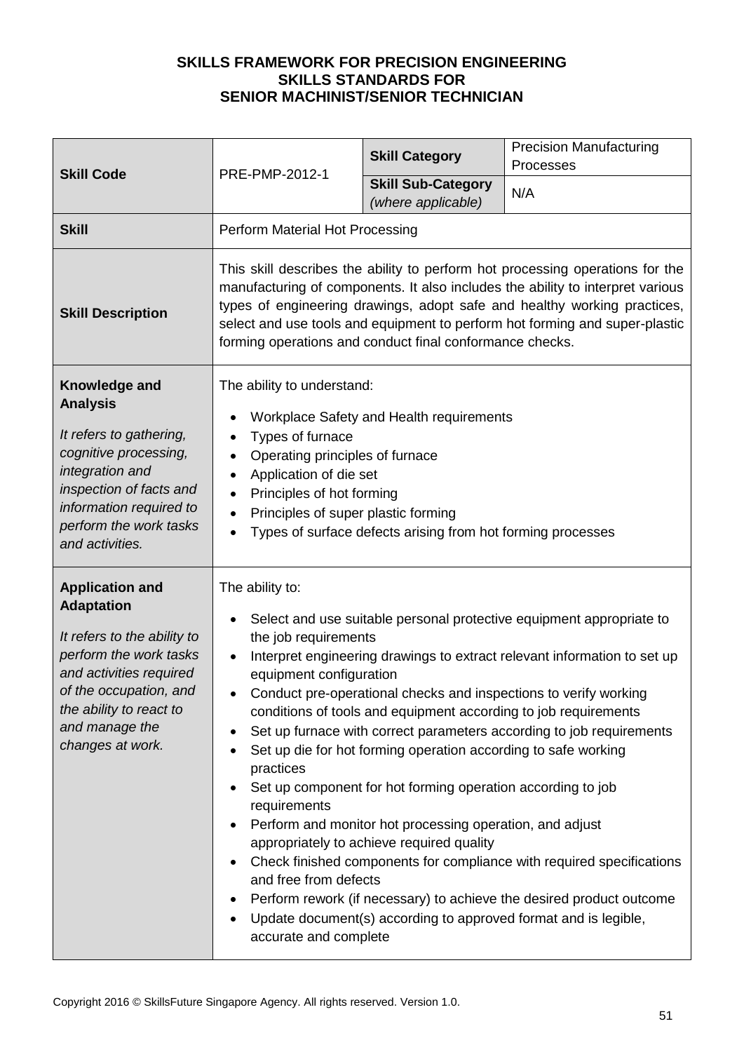|                                                                                                                                                                                                                            | PRE-PMP-2012-1                                                                                                                                                                                                                                                                                                                                                                                                                                                                                                                                                                                                                                                                                                                                                                                                                                                                                                                                                                     | <b>Skill Category</b>                           | <b>Precision Manufacturing</b><br>Processes |
|----------------------------------------------------------------------------------------------------------------------------------------------------------------------------------------------------------------------------|------------------------------------------------------------------------------------------------------------------------------------------------------------------------------------------------------------------------------------------------------------------------------------------------------------------------------------------------------------------------------------------------------------------------------------------------------------------------------------------------------------------------------------------------------------------------------------------------------------------------------------------------------------------------------------------------------------------------------------------------------------------------------------------------------------------------------------------------------------------------------------------------------------------------------------------------------------------------------------|-------------------------------------------------|---------------------------------------------|
| <b>Skill Code</b>                                                                                                                                                                                                          |                                                                                                                                                                                                                                                                                                                                                                                                                                                                                                                                                                                                                                                                                                                                                                                                                                                                                                                                                                                    | <b>Skill Sub-Category</b><br>(where applicable) | N/A                                         |
| <b>Skill</b>                                                                                                                                                                                                               | Perform Material Hot Processing                                                                                                                                                                                                                                                                                                                                                                                                                                                                                                                                                                                                                                                                                                                                                                                                                                                                                                                                                    |                                                 |                                             |
| <b>Skill Description</b>                                                                                                                                                                                                   | This skill describes the ability to perform hot processing operations for the<br>manufacturing of components. It also includes the ability to interpret various<br>types of engineering drawings, adopt safe and healthy working practices,<br>select and use tools and equipment to perform hot forming and super-plastic<br>forming operations and conduct final conformance checks.                                                                                                                                                                                                                                                                                                                                                                                                                                                                                                                                                                                             |                                                 |                                             |
| Knowledge and<br><b>Analysis</b><br>It refers to gathering,<br>cognitive processing,<br>integration and<br>inspection of facts and<br>information required to<br>perform the work tasks<br>and activities.                 | The ability to understand:<br>Workplace Safety and Health requirements<br>Types of furnace<br>$\bullet$<br>Operating principles of furnace<br>Application of die set<br>Principles of hot forming<br>Principles of super plastic forming<br>$\bullet$<br>Types of surface defects arising from hot forming processes                                                                                                                                                                                                                                                                                                                                                                                                                                                                                                                                                                                                                                                               |                                                 |                                             |
| <b>Application and</b><br><b>Adaptation</b><br>It refers to the ability to<br>perform the work tasks<br>and activities required<br>of the occupation, and<br>the ability to react to<br>and manage the<br>changes at work. | The ability to:<br>Select and use suitable personal protective equipment appropriate to<br>the job requirements<br>Interpret engineering drawings to extract relevant information to set up<br>equipment configuration<br>Conduct pre-operational checks and inspections to verify working<br>conditions of tools and equipment according to job requirements<br>Set up furnace with correct parameters according to job requirements<br>Set up die for hot forming operation according to safe working<br>practices<br>Set up component for hot forming operation according to job<br>requirements<br>Perform and monitor hot processing operation, and adjust<br>appropriately to achieve required quality<br>Check finished components for compliance with required specifications<br>and free from defects<br>Perform rework (if necessary) to achieve the desired product outcome<br>Update document(s) according to approved format and is legible,<br>accurate and complete |                                                 |                                             |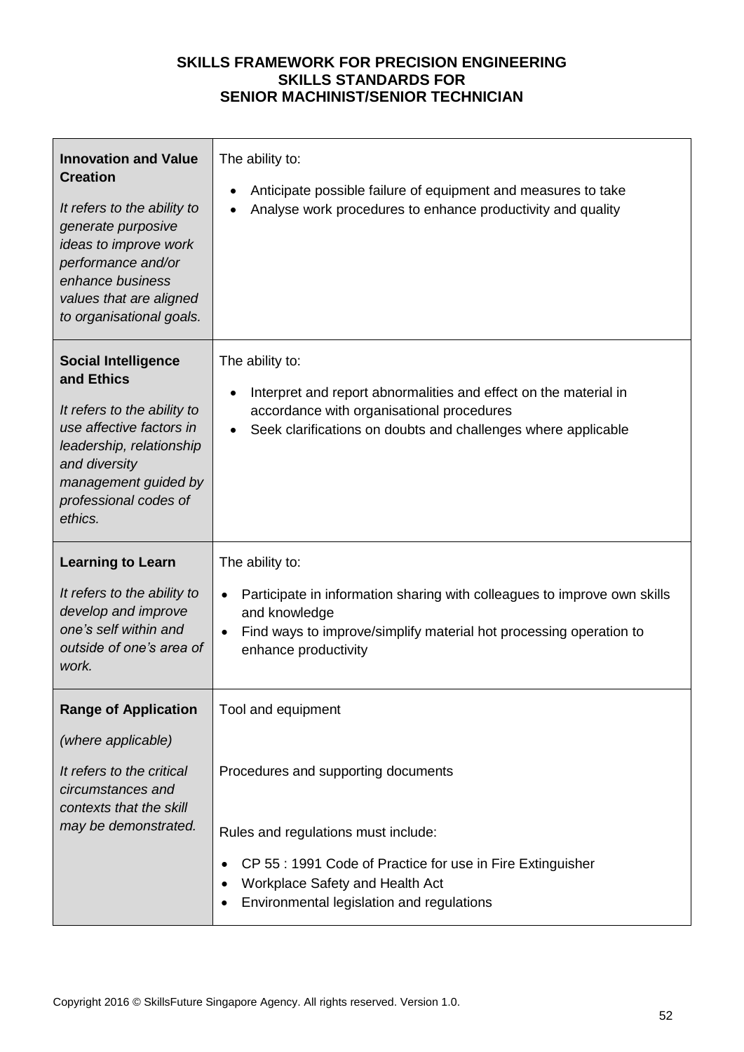| <b>Innovation and Value</b><br><b>Creation</b><br>It refers to the ability to<br>generate purposive<br>ideas to improve work<br>performance and/or<br>enhance business<br>values that are aligned<br>to organisational goals. | The ability to:<br>Anticipate possible failure of equipment and measures to take<br>Analyse work procedures to enhance productivity and quality                                                            |
|-------------------------------------------------------------------------------------------------------------------------------------------------------------------------------------------------------------------------------|------------------------------------------------------------------------------------------------------------------------------------------------------------------------------------------------------------|
| <b>Social Intelligence</b><br>and Ethics<br>It refers to the ability to<br>use affective factors in<br>leadership, relationship<br>and diversity<br>management guided by<br>professional codes of<br>ethics.                  | The ability to:<br>Interpret and report abnormalities and effect on the material in<br>accordance with organisational procedures<br>Seek clarifications on doubts and challenges where applicable          |
| <b>Learning to Learn</b><br>It refers to the ability to<br>develop and improve<br>one's self within and<br>outside of one's area of<br>work.                                                                                  | The ability to:<br>Participate in information sharing with colleagues to improve own skills<br>and knowledge<br>Find ways to improve/simplify material hot processing operation to<br>enhance productivity |
| <b>Range of Application</b><br>(where applicable)<br>It refers to the critical<br>circumstances and                                                                                                                           | Tool and equipment<br>Procedures and supporting documents                                                                                                                                                  |
| contexts that the skill<br>may be demonstrated.                                                                                                                                                                               | Rules and regulations must include:<br>CP 55 : 1991 Code of Practice for use in Fire Extinguisher<br>Workplace Safety and Health Act<br>٠<br>Environmental legislation and regulations                     |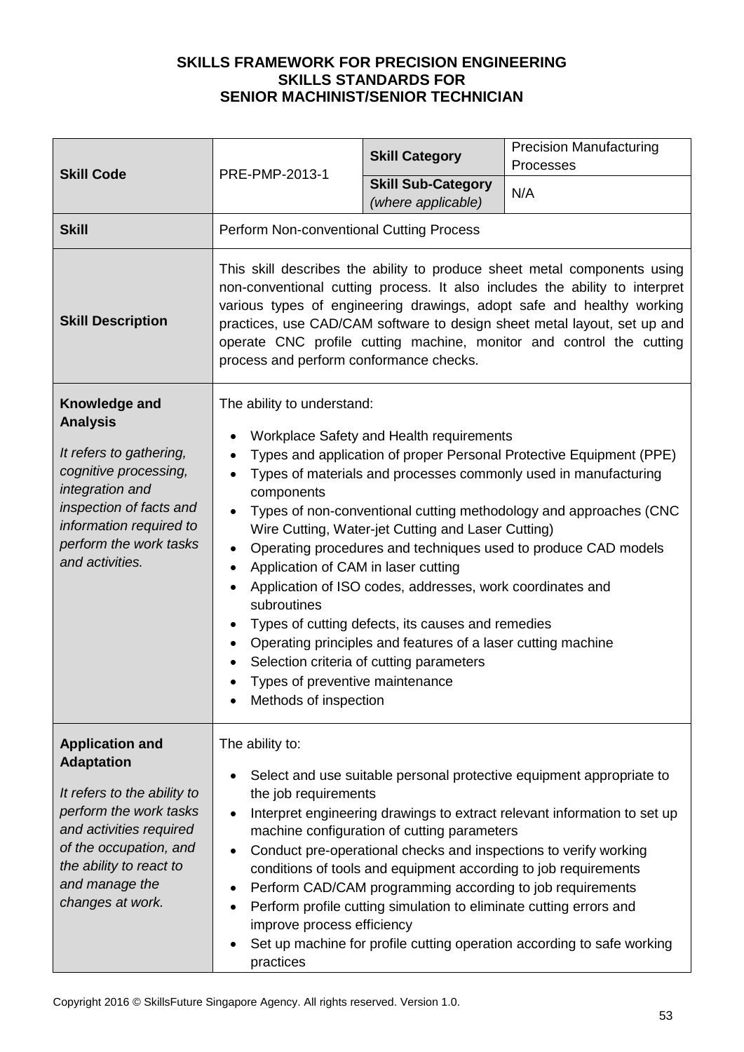| <b>Skill Code</b>                                                                                                                                                                                                          | PRE-PMP-2013-1                                                                                                                                                                                                                                                                                                                                                                                                                                                                                                                                                                                                                                                                                                                                                                                | <b>Skill Category</b>                           | <b>Precision Manufacturing</b><br>Processes |
|----------------------------------------------------------------------------------------------------------------------------------------------------------------------------------------------------------------------------|-----------------------------------------------------------------------------------------------------------------------------------------------------------------------------------------------------------------------------------------------------------------------------------------------------------------------------------------------------------------------------------------------------------------------------------------------------------------------------------------------------------------------------------------------------------------------------------------------------------------------------------------------------------------------------------------------------------------------------------------------------------------------------------------------|-------------------------------------------------|---------------------------------------------|
|                                                                                                                                                                                                                            |                                                                                                                                                                                                                                                                                                                                                                                                                                                                                                                                                                                                                                                                                                                                                                                               | <b>Skill Sub-Category</b><br>(where applicable) | N/A                                         |
| <b>Skill</b>                                                                                                                                                                                                               | Perform Non-conventional Cutting Process                                                                                                                                                                                                                                                                                                                                                                                                                                                                                                                                                                                                                                                                                                                                                      |                                                 |                                             |
| <b>Skill Description</b>                                                                                                                                                                                                   | This skill describes the ability to produce sheet metal components using<br>non-conventional cutting process. It also includes the ability to interpret<br>various types of engineering drawings, adopt safe and healthy working<br>practices, use CAD/CAM software to design sheet metal layout, set up and<br>operate CNC profile cutting machine, monitor and control the cutting<br>process and perform conformance checks.                                                                                                                                                                                                                                                                                                                                                               |                                                 |                                             |
| Knowledge and<br><b>Analysis</b><br>It refers to gathering,<br>cognitive processing,<br>integration and<br>inspection of facts and<br>information required to<br>perform the work tasks<br>and activities.                 | The ability to understand:<br>Workplace Safety and Health requirements<br>Types and application of proper Personal Protective Equipment (PPE)<br>Types of materials and processes commonly used in manufacturing<br>components<br>Types of non-conventional cutting methodology and approaches (CNC<br>Wire Cutting, Water-jet Cutting and Laser Cutting)<br>Operating procedures and techniques used to produce CAD models<br>Application of CAM in laser cutting<br>$\bullet$<br>Application of ISO codes, addresses, work coordinates and<br>subroutines<br>Types of cutting defects, its causes and remedies<br>Operating principles and features of a laser cutting machine<br>٠<br>Selection criteria of cutting parameters<br>Types of preventive maintenance<br>Methods of inspection |                                                 |                                             |
| <b>Application and</b><br><b>Adaptation</b><br>It refers to the ability to<br>perform the work tasks<br>and activities required<br>of the occupation, and<br>the ability to react to<br>and manage the<br>changes at work. | The ability to:<br>Select and use suitable personal protective equipment appropriate to<br>the job requirements<br>Interpret engineering drawings to extract relevant information to set up<br>machine configuration of cutting parameters<br>Conduct pre-operational checks and inspections to verify working<br>conditions of tools and equipment according to job requirements<br>Perform CAD/CAM programming according to job requirements<br>Perform profile cutting simulation to eliminate cutting errors and<br>٠<br>improve process efficiency<br>Set up machine for profile cutting operation according to safe working<br>practices                                                                                                                                                |                                                 |                                             |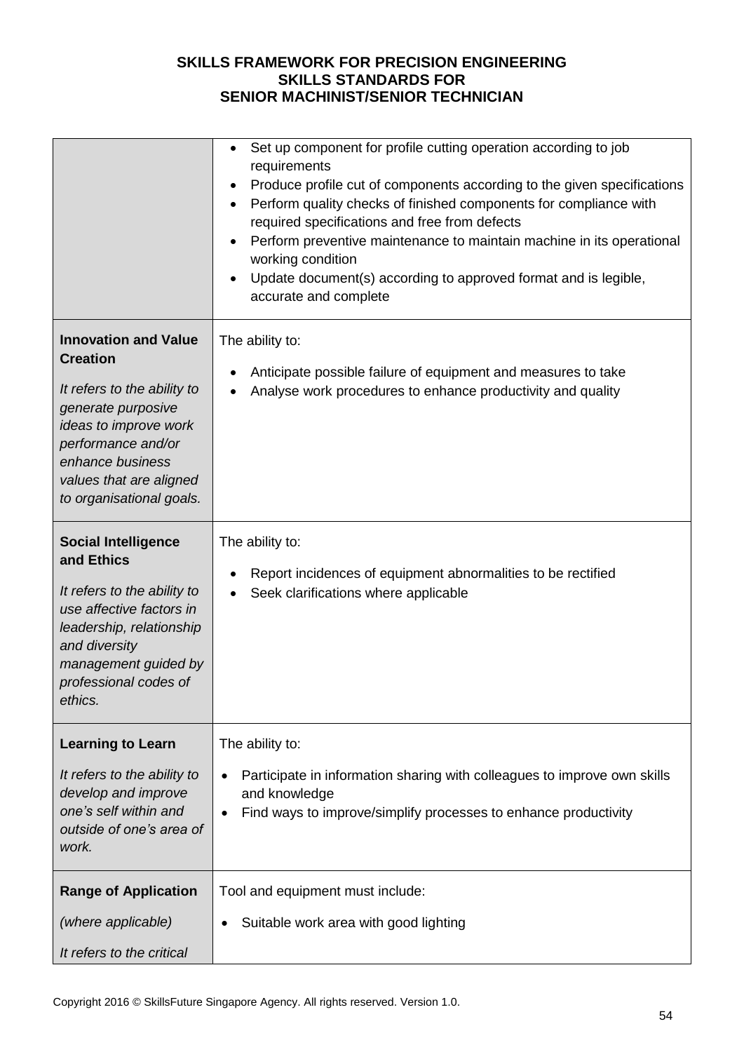|                                                                                                                                                                                                                               | Set up component for profile cutting operation according to job<br>$\bullet$<br>requirements<br>Produce profile cut of components according to the given specifications<br>$\bullet$<br>Perform quality checks of finished components for compliance with<br>required specifications and free from defects<br>Perform preventive maintenance to maintain machine in its operational<br>working condition<br>Update document(s) according to approved format and is legible,<br>accurate and complete |
|-------------------------------------------------------------------------------------------------------------------------------------------------------------------------------------------------------------------------------|------------------------------------------------------------------------------------------------------------------------------------------------------------------------------------------------------------------------------------------------------------------------------------------------------------------------------------------------------------------------------------------------------------------------------------------------------------------------------------------------------|
| <b>Innovation and Value</b><br><b>Creation</b><br>It refers to the ability to<br>generate purposive<br>ideas to improve work<br>performance and/or<br>enhance business<br>values that are aligned<br>to organisational goals. | The ability to:<br>Anticipate possible failure of equipment and measures to take<br>٠<br>Analyse work procedures to enhance productivity and quality                                                                                                                                                                                                                                                                                                                                                 |
| <b>Social Intelligence</b><br>and Ethics<br>It refers to the ability to<br>use affective factors in<br>leadership, relationship<br>and diversity<br>management guided by<br>professional codes of<br>ethics.                  | The ability to:<br>Report incidences of equipment abnormalities to be rectified<br>Seek clarifications where applicable                                                                                                                                                                                                                                                                                                                                                                              |
| <b>Learning to Learn</b><br>It refers to the ability to<br>develop and improve<br>one's self within and<br>outside of one's area of<br>work.                                                                                  | The ability to:<br>Participate in information sharing with colleagues to improve own skills<br>$\bullet$<br>and knowledge<br>Find ways to improve/simplify processes to enhance productivity                                                                                                                                                                                                                                                                                                         |
| <b>Range of Application</b><br>(where applicable)<br>It refers to the critical                                                                                                                                                | Tool and equipment must include:<br>Suitable work area with good lighting                                                                                                                                                                                                                                                                                                                                                                                                                            |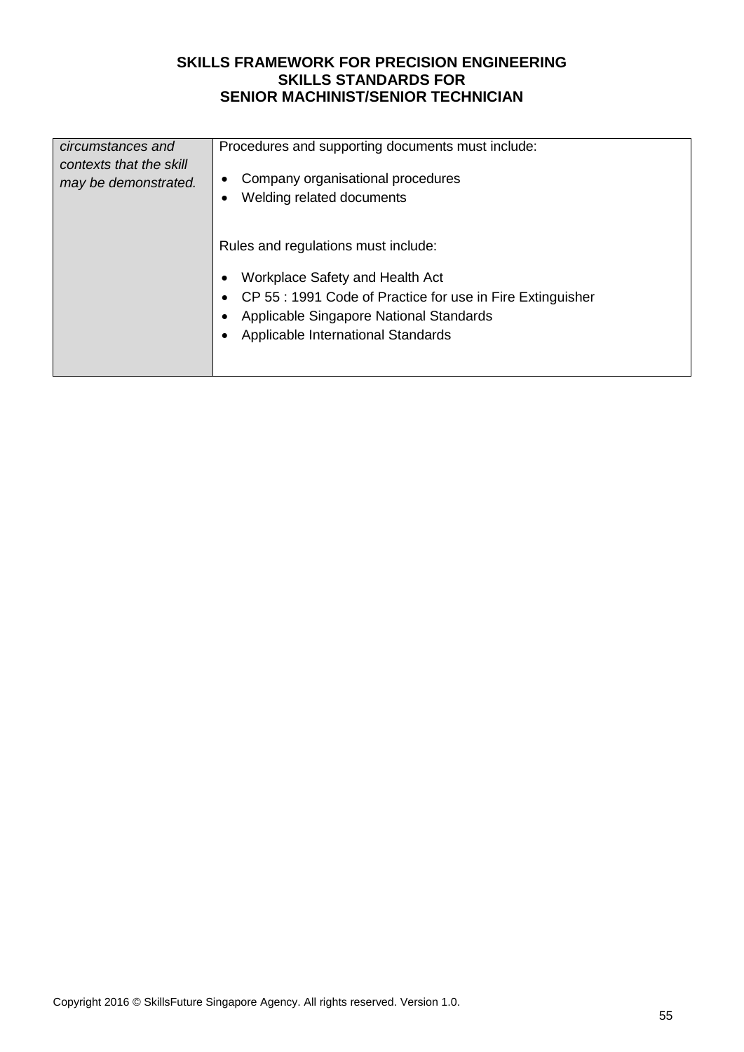| circumstances and<br>contexts that the skill<br>may be demonstrated. | Procedures and supporting documents must include:<br>Company organisational procedures<br>Welding related documents<br>Rules and regulations must include:<br>Workplace Safety and Health Act<br>CP 55 : 1991 Code of Practice for use in Fire Extinguisher<br>Applicable Singapore National Standards<br>Applicable International Standards |
|----------------------------------------------------------------------|----------------------------------------------------------------------------------------------------------------------------------------------------------------------------------------------------------------------------------------------------------------------------------------------------------------------------------------------|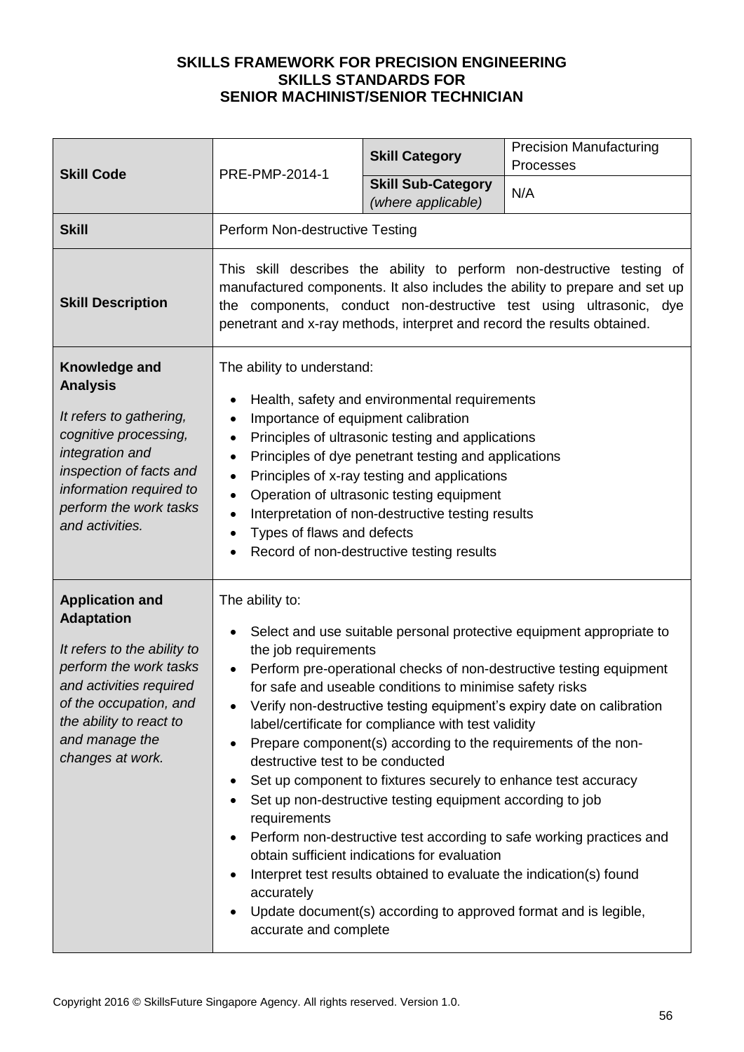|                                                                                                                                                                                                                            | PRE-PMP-2014-1                                                                                                                                                                                                                                                                                                                                                                                                                                                                                                                                                                                                                                                                                                                                                                                                                                                                                                                                   | <b>Skill Category</b>                                                                                                                                                                                                                                                                                                                                     | <b>Precision Manufacturing</b><br>Processes |
|----------------------------------------------------------------------------------------------------------------------------------------------------------------------------------------------------------------------------|--------------------------------------------------------------------------------------------------------------------------------------------------------------------------------------------------------------------------------------------------------------------------------------------------------------------------------------------------------------------------------------------------------------------------------------------------------------------------------------------------------------------------------------------------------------------------------------------------------------------------------------------------------------------------------------------------------------------------------------------------------------------------------------------------------------------------------------------------------------------------------------------------------------------------------------------------|-----------------------------------------------------------------------------------------------------------------------------------------------------------------------------------------------------------------------------------------------------------------------------------------------------------------------------------------------------------|---------------------------------------------|
| <b>Skill Code</b>                                                                                                                                                                                                          |                                                                                                                                                                                                                                                                                                                                                                                                                                                                                                                                                                                                                                                                                                                                                                                                                                                                                                                                                  | <b>Skill Sub-Category</b><br>(where applicable)                                                                                                                                                                                                                                                                                                           | N/A                                         |
| <b>Skill</b>                                                                                                                                                                                                               | Perform Non-destructive Testing                                                                                                                                                                                                                                                                                                                                                                                                                                                                                                                                                                                                                                                                                                                                                                                                                                                                                                                  |                                                                                                                                                                                                                                                                                                                                                           |                                             |
| <b>Skill Description</b>                                                                                                                                                                                                   | This skill describes the ability to perform non-destructive testing of<br>manufactured components. It also includes the ability to prepare and set up<br>the components, conduct non-destructive test using ultrasonic, dye<br>penetrant and x-ray methods, interpret and record the results obtained.                                                                                                                                                                                                                                                                                                                                                                                                                                                                                                                                                                                                                                           |                                                                                                                                                                                                                                                                                                                                                           |                                             |
| Knowledge and<br><b>Analysis</b><br>It refers to gathering,<br>cognitive processing,<br>integration and<br>inspection of facts and<br>information required to<br>perform the work tasks<br>and activities.                 | The ability to understand:<br>Importance of equipment calibration<br>$\bullet$<br>$\bullet$<br>$\bullet$<br>$\bullet$<br>$\bullet$<br>$\bullet$<br>Types of flaws and defects                                                                                                                                                                                                                                                                                                                                                                                                                                                                                                                                                                                                                                                                                                                                                                    | Health, safety and environmental requirements<br>Principles of ultrasonic testing and applications<br>Principles of dye penetrant testing and applications<br>Principles of x-ray testing and applications<br>Operation of ultrasonic testing equipment<br>Interpretation of non-destructive testing results<br>Record of non-destructive testing results |                                             |
| <b>Application and</b><br><b>Adaptation</b><br>It refers to the ability to<br>perform the work tasks<br>and activities required<br>of the occupation, and<br>the ability to react to<br>and manage the<br>changes at work. | The ability to:<br>Select and use suitable personal protective equipment appropriate to<br>the job requirements<br>Perform pre-operational checks of non-destructive testing equipment<br>for safe and useable conditions to minimise safety risks<br>Verify non-destructive testing equipment's expiry date on calibration<br>label/certificate for compliance with test validity<br>Prepare component(s) according to the requirements of the non-<br>destructive test to be conducted<br>Set up component to fixtures securely to enhance test accuracy<br>Set up non-destructive testing equipment according to job<br>requirements<br>Perform non-destructive test according to safe working practices and<br>obtain sufficient indications for evaluation<br>Interpret test results obtained to evaluate the indication(s) found<br>accurately<br>Update document(s) according to approved format and is legible,<br>accurate and complete |                                                                                                                                                                                                                                                                                                                                                           |                                             |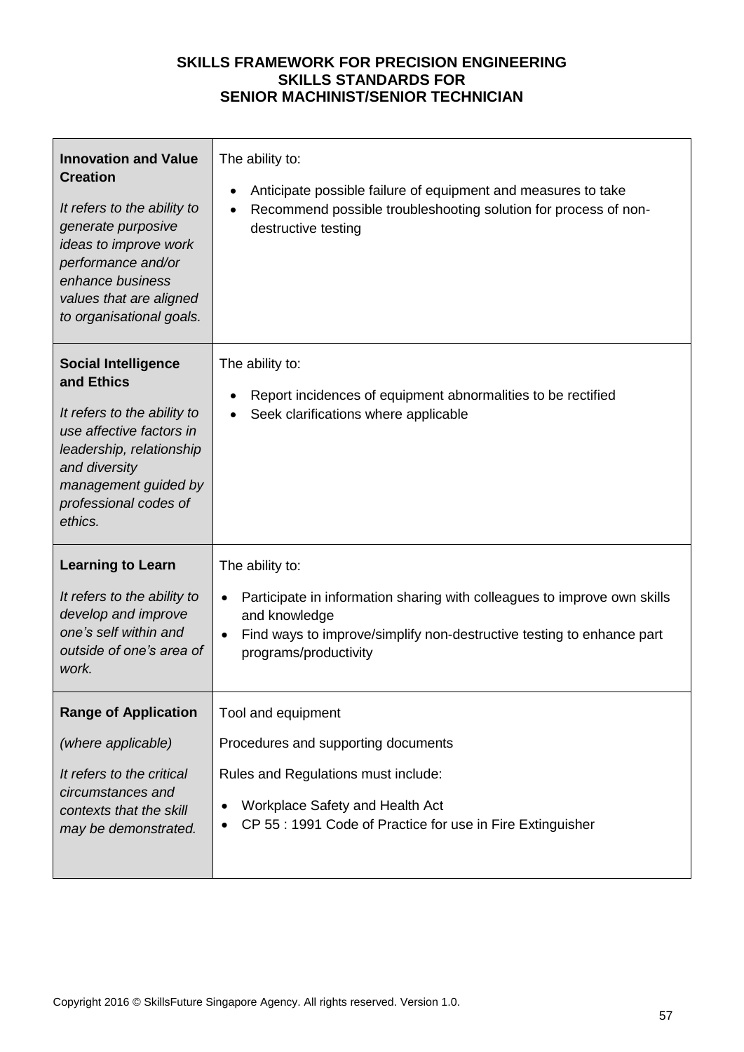| <b>Innovation and Value</b><br><b>Creation</b><br>It refers to the ability to<br>generate purposive<br>ideas to improve work<br>performance and/or<br>enhance business<br>values that are aligned<br>to organisational goals. | The ability to:<br>Anticipate possible failure of equipment and measures to take<br>Recommend possible troubleshooting solution for process of non-<br>destructive testing                                     |
|-------------------------------------------------------------------------------------------------------------------------------------------------------------------------------------------------------------------------------|----------------------------------------------------------------------------------------------------------------------------------------------------------------------------------------------------------------|
| <b>Social Intelligence</b><br>and Ethics<br>It refers to the ability to<br>use affective factors in<br>leadership, relationship<br>and diversity<br>management guided by<br>professional codes of<br>ethics.                  | The ability to:<br>Report incidences of equipment abnormalities to be rectified<br>٠<br>Seek clarifications where applicable                                                                                   |
| <b>Learning to Learn</b><br>It refers to the ability to<br>develop and improve<br>one's self within and<br>outside of one's area of<br>work.                                                                                  | The ability to:<br>Participate in information sharing with colleagues to improve own skills<br>and knowledge<br>Find ways to improve/simplify non-destructive testing to enhance part<br>programs/productivity |
| <b>Range of Application</b><br>(where applicable)<br>It refers to the critical<br>circumstances and<br>contexts that the skill<br>may be demonstrated.                                                                        | Tool and equipment<br>Procedures and supporting documents<br>Rules and Regulations must include:<br>Workplace Safety and Health Act<br>CP 55: 1991 Code of Practice for use in Fire Extinguisher               |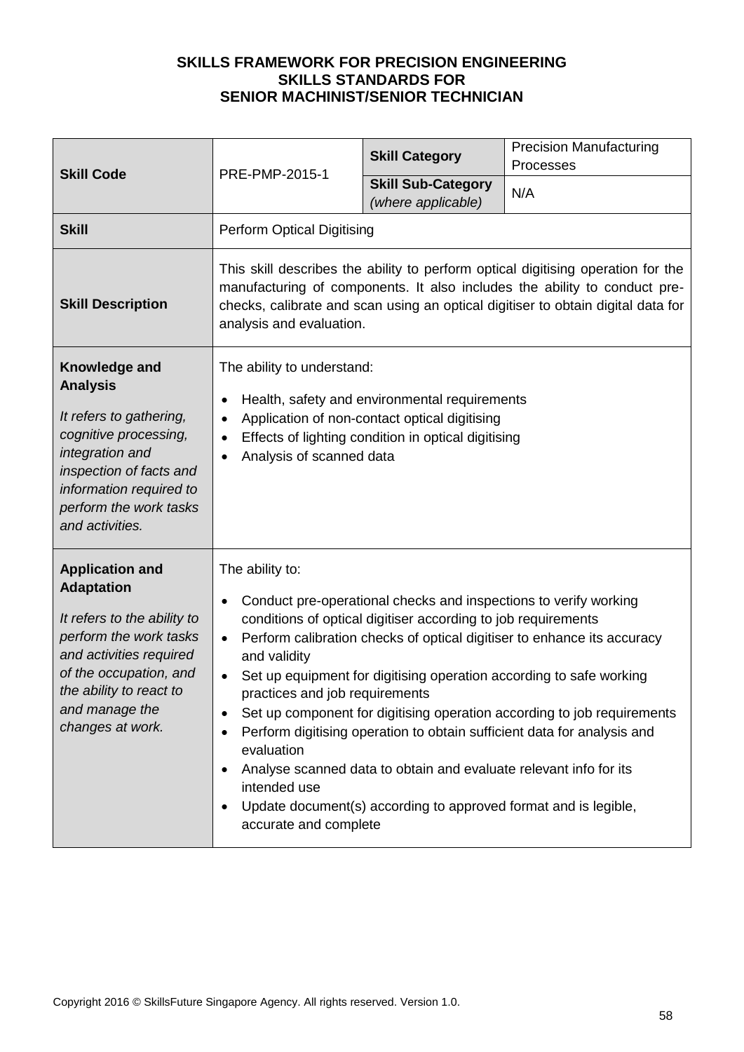|                                                                                                                                                                                                                            | <b>Skill Code</b><br>PRE-PMP-2015-1                                                                                                                                                                                                                                                                                                                                                                                                                                                                                                                                                                                                                                                                                                                  | <b>Skill Category</b>                           | <b>Precision Manufacturing</b><br>Processes |
|----------------------------------------------------------------------------------------------------------------------------------------------------------------------------------------------------------------------------|------------------------------------------------------------------------------------------------------------------------------------------------------------------------------------------------------------------------------------------------------------------------------------------------------------------------------------------------------------------------------------------------------------------------------------------------------------------------------------------------------------------------------------------------------------------------------------------------------------------------------------------------------------------------------------------------------------------------------------------------------|-------------------------------------------------|---------------------------------------------|
|                                                                                                                                                                                                                            |                                                                                                                                                                                                                                                                                                                                                                                                                                                                                                                                                                                                                                                                                                                                                      | <b>Skill Sub-Category</b><br>(where applicable) | N/A                                         |
| <b>Skill</b>                                                                                                                                                                                                               | Perform Optical Digitising                                                                                                                                                                                                                                                                                                                                                                                                                                                                                                                                                                                                                                                                                                                           |                                                 |                                             |
| <b>Skill Description</b>                                                                                                                                                                                                   | This skill describes the ability to perform optical digitising operation for the<br>manufacturing of components. It also includes the ability to conduct pre-<br>checks, calibrate and scan using an optical digitiser to obtain digital data for<br>analysis and evaluation.                                                                                                                                                                                                                                                                                                                                                                                                                                                                        |                                                 |                                             |
| Knowledge and<br><b>Analysis</b><br>It refers to gathering,<br>cognitive processing,<br>integration and<br>inspection of facts and<br>information required to<br>perform the work tasks<br>and activities.                 | The ability to understand:<br>Health, safety and environmental requirements<br>Application of non-contact optical digitising<br>$\bullet$<br>Effects of lighting condition in optical digitising<br>$\bullet$<br>Analysis of scanned data                                                                                                                                                                                                                                                                                                                                                                                                                                                                                                            |                                                 |                                             |
| <b>Application and</b><br><b>Adaptation</b><br>It refers to the ability to<br>perform the work tasks<br>and activities required<br>of the occupation, and<br>the ability to react to<br>and manage the<br>changes at work. | The ability to:<br>Conduct pre-operational checks and inspections to verify working<br>$\bullet$<br>conditions of optical digitiser according to job requirements<br>Perform calibration checks of optical digitiser to enhance its accuracy<br>$\bullet$<br>and validity<br>Set up equipment for digitising operation according to safe working<br>practices and job requirements<br>Set up component for digitising operation according to job requirements<br>Perform digitising operation to obtain sufficient data for analysis and<br>evaluation<br>Analyse scanned data to obtain and evaluate relevant info for its<br>intended use<br>Update document(s) according to approved format and is legible,<br>$\bullet$<br>accurate and complete |                                                 |                                             |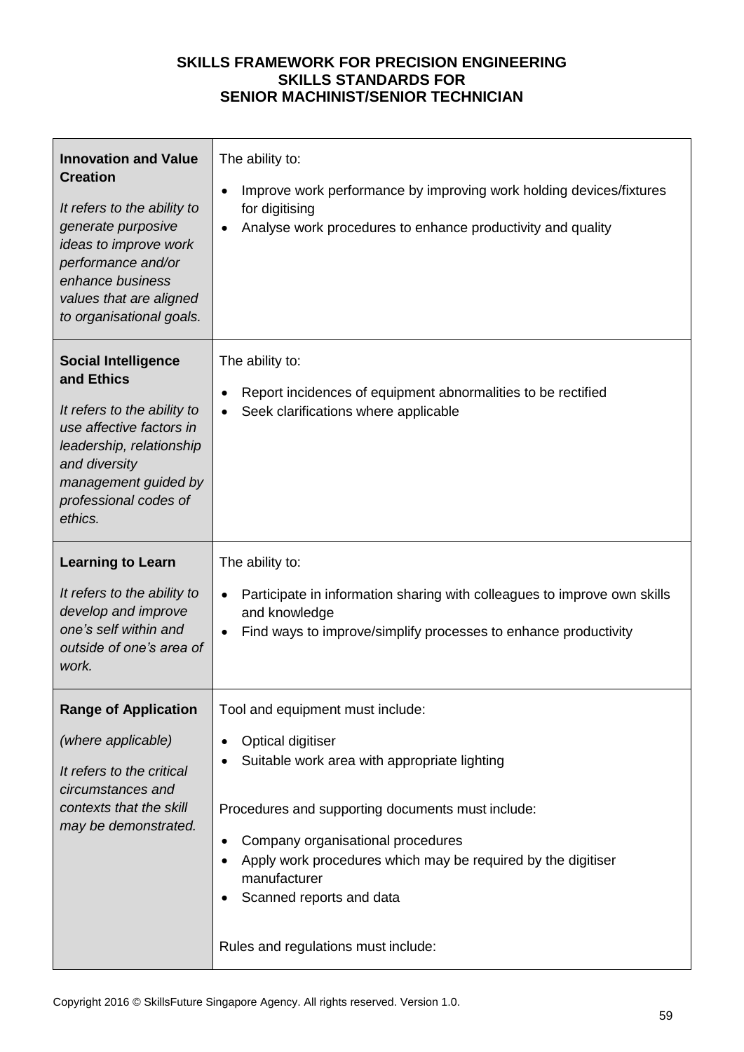| <b>Innovation and Value</b><br><b>Creation</b><br>It refers to the ability to<br>generate purposive<br>ideas to improve work<br>performance and/or<br>enhance business<br>values that are aligned<br>to organisational goals. | The ability to:<br>Improve work performance by improving work holding devices/fixtures<br>for digitising<br>Analyse work procedures to enhance productivity and quality                                                                                                                     |
|-------------------------------------------------------------------------------------------------------------------------------------------------------------------------------------------------------------------------------|---------------------------------------------------------------------------------------------------------------------------------------------------------------------------------------------------------------------------------------------------------------------------------------------|
| <b>Social Intelligence</b><br>and Ethics<br>It refers to the ability to<br>use affective factors in<br>leadership, relationship<br>and diversity<br>management guided by<br>professional codes of<br>ethics.                  | The ability to:<br>Report incidences of equipment abnormalities to be rectified<br>Seek clarifications where applicable                                                                                                                                                                     |
| <b>Learning to Learn</b>                                                                                                                                                                                                      | The ability to:                                                                                                                                                                                                                                                                             |
| It refers to the ability to<br>develop and improve<br>one's self within and<br>outside of one's area of<br>work.                                                                                                              | Participate in information sharing with colleagues to improve own skills<br>and knowledge<br>Find ways to improve/simplify processes to enhance productivity                                                                                                                                |
| <b>Range of Application</b>                                                                                                                                                                                                   | Tool and equipment must include:                                                                                                                                                                                                                                                            |
| (where applicable)<br>It refers to the critical<br>circumstances and<br>contexts that the skill<br>may be demonstrated.                                                                                                       | <b>Optical digitiser</b><br>$\bullet$<br>Suitable work area with appropriate lighting<br>Procedures and supporting documents must include:<br>Company organisational procedures<br>Apply work procedures which may be required by the digitiser<br>manufacturer<br>Scanned reports and data |
|                                                                                                                                                                                                                               | Rules and regulations must include:                                                                                                                                                                                                                                                         |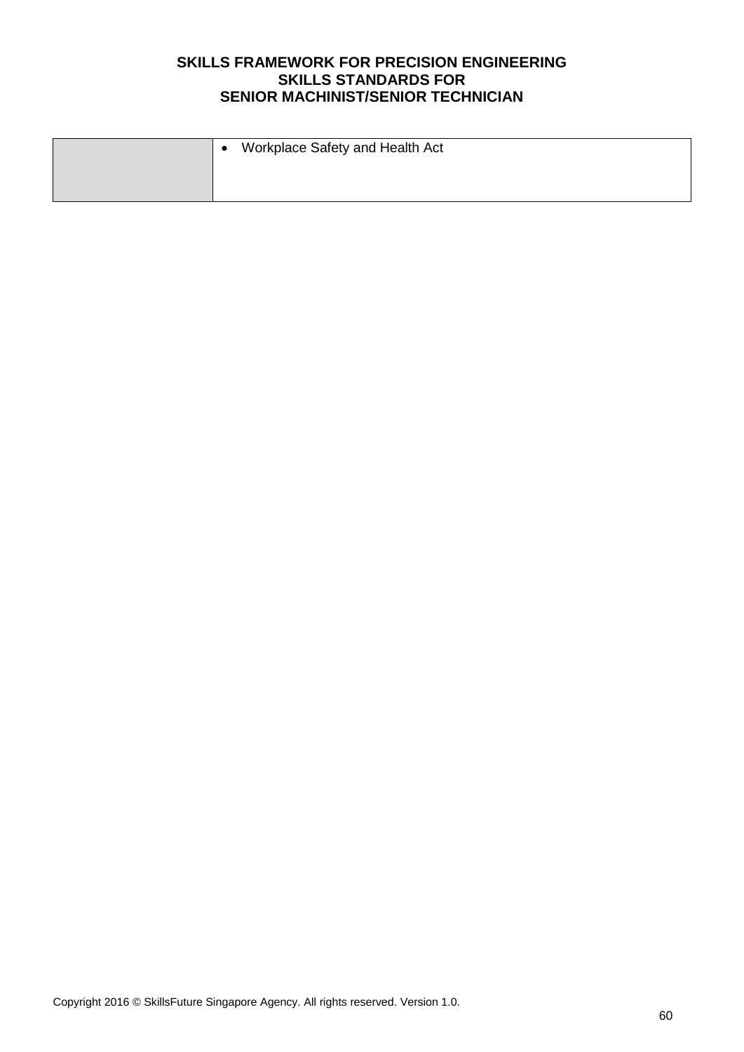| $\bullet$ | Workplace Safety and Health Act |
|-----------|---------------------------------|
|           |                                 |
|           |                                 |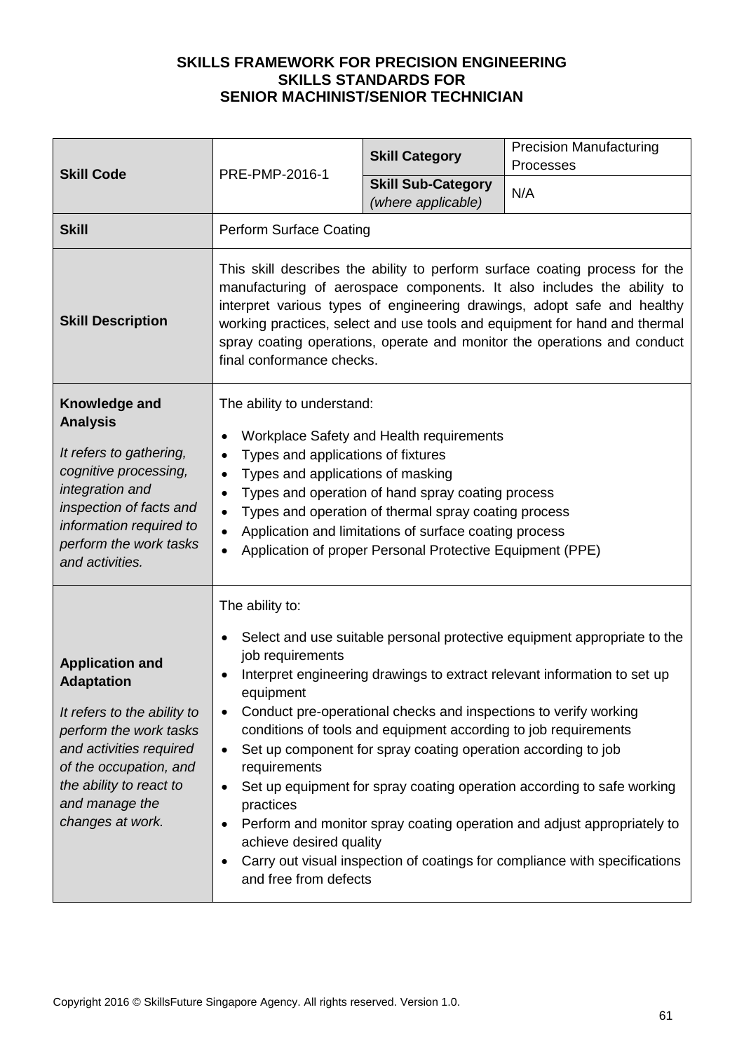| <b>Skill Code</b>                                                                                                                                                                                                          | PRE-PMP-2016-1                                                                                                                                                                                                                                                                                                                                                                                                                            | <b>Skill Category</b>                                                                                                                                                                                | <b>Precision Manufacturing</b><br>Processes                                                                                                                                                                                                                                                                                                                                             |
|----------------------------------------------------------------------------------------------------------------------------------------------------------------------------------------------------------------------------|-------------------------------------------------------------------------------------------------------------------------------------------------------------------------------------------------------------------------------------------------------------------------------------------------------------------------------------------------------------------------------------------------------------------------------------------|------------------------------------------------------------------------------------------------------------------------------------------------------------------------------------------------------|-----------------------------------------------------------------------------------------------------------------------------------------------------------------------------------------------------------------------------------------------------------------------------------------------------------------------------------------------------------------------------------------|
|                                                                                                                                                                                                                            |                                                                                                                                                                                                                                                                                                                                                                                                                                           | <b>Skill Sub-Category</b><br>(where applicable)                                                                                                                                                      | N/A                                                                                                                                                                                                                                                                                                                                                                                     |
| <b>Skill</b>                                                                                                                                                                                                               | <b>Perform Surface Coating</b>                                                                                                                                                                                                                                                                                                                                                                                                            |                                                                                                                                                                                                      |                                                                                                                                                                                                                                                                                                                                                                                         |
| <b>Skill Description</b>                                                                                                                                                                                                   | This skill describes the ability to perform surface coating process for the<br>manufacturing of aerospace components. It also includes the ability to<br>interpret various types of engineering drawings, adopt safe and healthy<br>working practices, select and use tools and equipment for hand and thermal<br>spray coating operations, operate and monitor the operations and conduct<br>final conformance checks.                   |                                                                                                                                                                                                      |                                                                                                                                                                                                                                                                                                                                                                                         |
| Knowledge and<br><b>Analysis</b><br>It refers to gathering,<br>cognitive processing,<br>integration and<br>inspection of facts and<br>information required to<br>perform the work tasks<br>and activities.                 | The ability to understand:<br>Workplace Safety and Health requirements<br>Types and applications of fixtures<br>$\bullet$<br>Types and applications of masking<br>Types and operation of hand spray coating process<br>$\bullet$<br>Types and operation of thermal spray coating process<br>$\bullet$<br>Application and limitations of surface coating process<br>$\bullet$<br>Application of proper Personal Protective Equipment (PPE) |                                                                                                                                                                                                      |                                                                                                                                                                                                                                                                                                                                                                                         |
| <b>Application and</b><br><b>Adaptation</b><br>It refers to the ability to<br>perform the work tasks<br>and activities required<br>of the occupation, and<br>the ability to react to<br>and manage the<br>changes at work. | The ability to:<br>job requirements<br>equipment<br>$\bullet$<br>requirements<br>practices<br>achieve desired quality<br>and free from defects                                                                                                                                                                                                                                                                                            | Conduct pre-operational checks and inspections to verify working<br>conditions of tools and equipment according to job requirements<br>Set up component for spray coating operation according to job | Select and use suitable personal protective equipment appropriate to the<br>Interpret engineering drawings to extract relevant information to set up<br>Set up equipment for spray coating operation according to safe working<br>Perform and monitor spray coating operation and adjust appropriately to<br>Carry out visual inspection of coatings for compliance with specifications |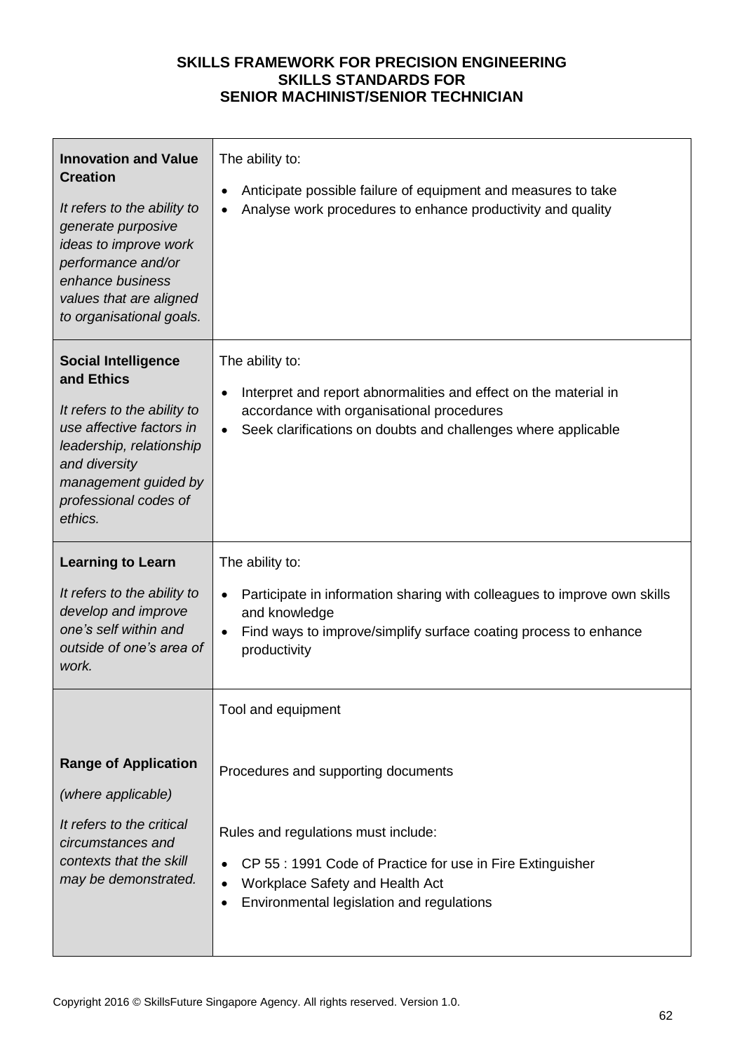| <b>Innovation and Value</b><br><b>Creation</b><br>It refers to the ability to<br>generate purposive<br>ideas to improve work<br>performance and/or<br>enhance business<br>values that are aligned<br>to organisational goals. | The ability to:<br>Anticipate possible failure of equipment and measures to take<br>Analyse work procedures to enhance productivity and quality                                                                          |
|-------------------------------------------------------------------------------------------------------------------------------------------------------------------------------------------------------------------------------|--------------------------------------------------------------------------------------------------------------------------------------------------------------------------------------------------------------------------|
| <b>Social Intelligence</b><br>and Ethics<br>It refers to the ability to<br>use affective factors in<br>leadership, relationship<br>and diversity<br>management guided by<br>professional codes of<br>ethics.                  | The ability to:<br>Interpret and report abnormalities and effect on the material in<br>$\bullet$<br>accordance with organisational procedures<br>Seek clarifications on doubts and challenges where applicable           |
| <b>Learning to Learn</b><br>It refers to the ability to<br>develop and improve<br>one's self within and<br>outside of one's area of<br>work.                                                                                  | The ability to:<br>Participate in information sharing with colleagues to improve own skills<br>and knowledge<br>Find ways to improve/simplify surface coating process to enhance<br>productivity                         |
|                                                                                                                                                                                                                               | Tool and equipment                                                                                                                                                                                                       |
| <b>Range of Application</b><br>(where applicable)<br>It refers to the critical<br>circumstances and<br>contexts that the skill<br>may be demonstrated.                                                                        | Procedures and supporting documents<br>Rules and regulations must include:<br>CP 55 : 1991 Code of Practice for use in Fire Extinguisher<br>Workplace Safety and Health Act<br>Environmental legislation and regulations |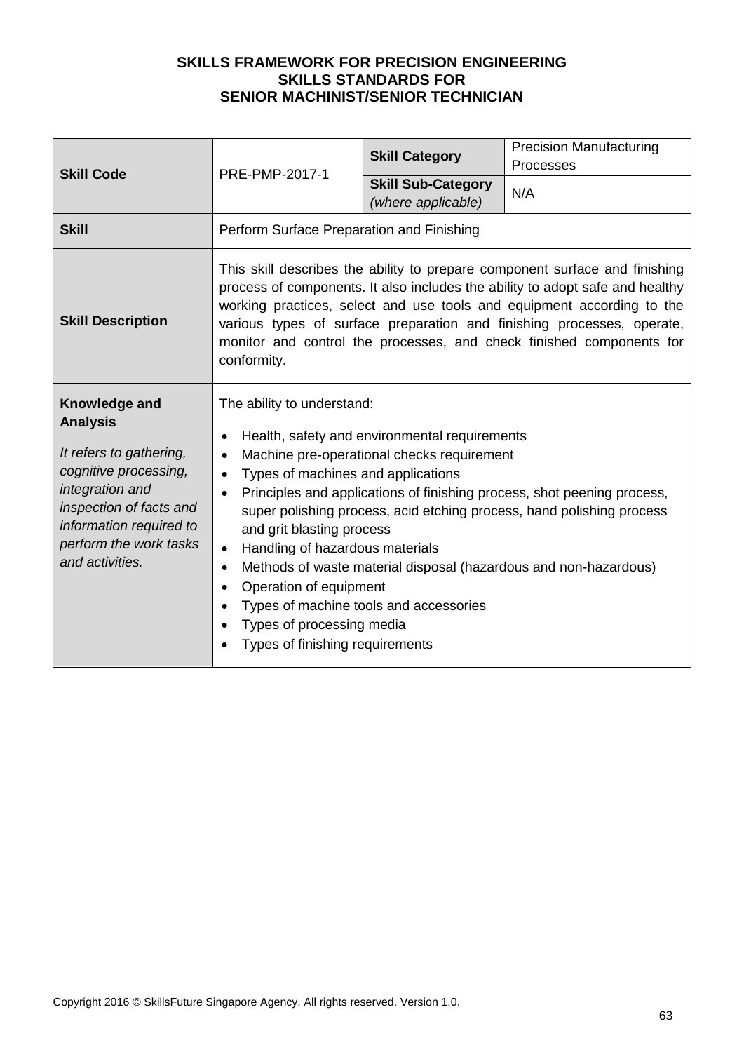| <b>Skill Code</b>                                                                                                                                                                                          | PRE-PMP-2017-1                                                                                                                                                                                                                                                                                                                                                                                                                                                                                                                                                                                                                                  | <b>Skill Category</b> | <b>Precision Manufacturing</b><br>Processes                                                                                                                                                                                                                                                                                                                                              |
|------------------------------------------------------------------------------------------------------------------------------------------------------------------------------------------------------------|-------------------------------------------------------------------------------------------------------------------------------------------------------------------------------------------------------------------------------------------------------------------------------------------------------------------------------------------------------------------------------------------------------------------------------------------------------------------------------------------------------------------------------------------------------------------------------------------------------------------------------------------------|-----------------------|------------------------------------------------------------------------------------------------------------------------------------------------------------------------------------------------------------------------------------------------------------------------------------------------------------------------------------------------------------------------------------------|
|                                                                                                                                                                                                            | <b>Skill Sub-Category</b><br>(where applicable)                                                                                                                                                                                                                                                                                                                                                                                                                                                                                                                                                                                                 | N/A                   |                                                                                                                                                                                                                                                                                                                                                                                          |
| <b>Skill</b>                                                                                                                                                                                               | Perform Surface Preparation and Finishing                                                                                                                                                                                                                                                                                                                                                                                                                                                                                                                                                                                                       |                       |                                                                                                                                                                                                                                                                                                                                                                                          |
| <b>Skill Description</b>                                                                                                                                                                                   | conformity.                                                                                                                                                                                                                                                                                                                                                                                                                                                                                                                                                                                                                                     |                       | This skill describes the ability to prepare component surface and finishing<br>process of components. It also includes the ability to adopt safe and healthy<br>working practices, select and use tools and equipment according to the<br>various types of surface preparation and finishing processes, operate,<br>monitor and control the processes, and check finished components for |
| Knowledge and<br><b>Analysis</b><br>It refers to gathering,<br>cognitive processing,<br>integration and<br>inspection of facts and<br>information required to<br>perform the work tasks<br>and activities. | The ability to understand:<br>Health, safety and environmental requirements<br>Machine pre-operational checks requirement<br>$\bullet$<br>Types of machines and applications<br>$\bullet$<br>Principles and applications of finishing process, shot peening process,<br>super polishing process, acid etching process, hand polishing process<br>and grit blasting process<br>Handling of hazardous materials<br>$\bullet$<br>Methods of waste material disposal (hazardous and non-hazardous)<br>$\bullet$<br>Operation of equipment<br>Types of machine tools and accessories<br>Types of processing media<br>Types of finishing requirements |                       |                                                                                                                                                                                                                                                                                                                                                                                          |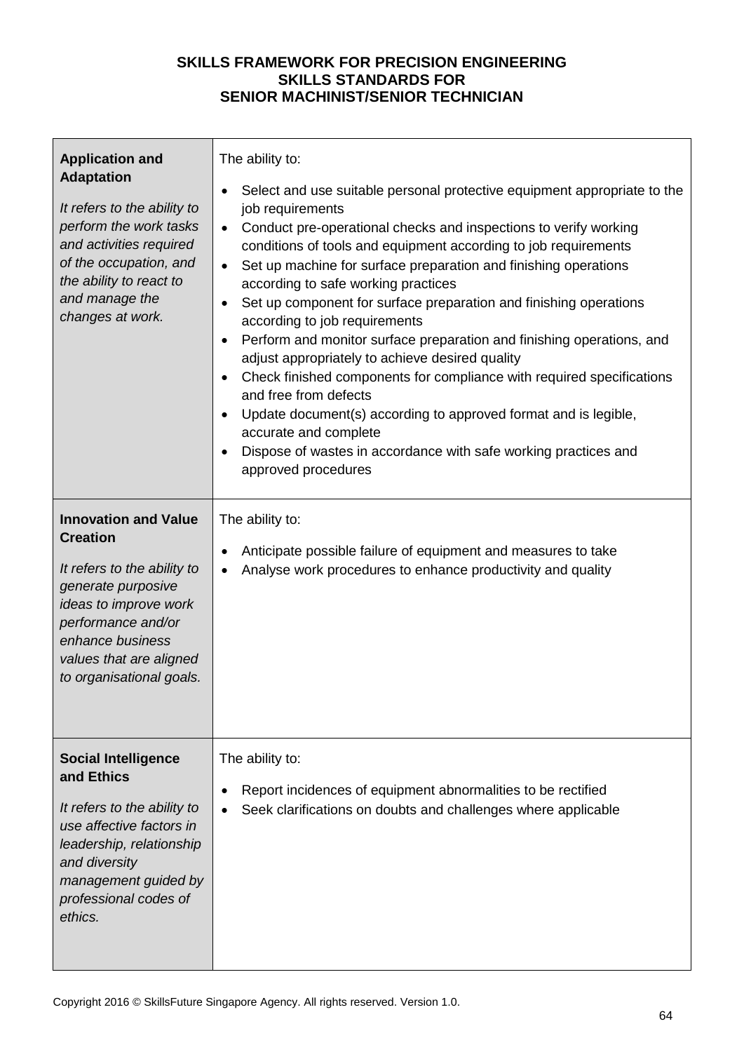| <b>Application and</b><br><b>Adaptation</b><br>It refers to the ability to<br>perform the work tasks<br>and activities required<br>of the occupation, and<br>the ability to react to<br>and manage the<br>changes at work.    | The ability to:<br>Select and use suitable personal protective equipment appropriate to the<br>٠<br>job requirements<br>Conduct pre-operational checks and inspections to verify working<br>$\bullet$<br>conditions of tools and equipment according to job requirements<br>Set up machine for surface preparation and finishing operations<br>$\bullet$<br>according to safe working practices<br>Set up component for surface preparation and finishing operations<br>$\bullet$<br>according to job requirements<br>Perform and monitor surface preparation and finishing operations, and<br>$\bullet$<br>adjust appropriately to achieve desired quality<br>Check finished components for compliance with required specifications<br>$\bullet$<br>and free from defects<br>Update document(s) according to approved format and is legible,<br>$\bullet$<br>accurate and complete<br>Dispose of wastes in accordance with safe working practices and<br>$\bullet$<br>approved procedures |
|-------------------------------------------------------------------------------------------------------------------------------------------------------------------------------------------------------------------------------|--------------------------------------------------------------------------------------------------------------------------------------------------------------------------------------------------------------------------------------------------------------------------------------------------------------------------------------------------------------------------------------------------------------------------------------------------------------------------------------------------------------------------------------------------------------------------------------------------------------------------------------------------------------------------------------------------------------------------------------------------------------------------------------------------------------------------------------------------------------------------------------------------------------------------------------------------------------------------------------------|
| <b>Innovation and Value</b><br><b>Creation</b><br>It refers to the ability to<br>generate purposive<br>ideas to improve work<br>performance and/or<br>enhance business<br>values that are aligned<br>to organisational goals. | The ability to:<br>Anticipate possible failure of equipment and measures to take<br>٠<br>Analyse work procedures to enhance productivity and quality                                                                                                                                                                                                                                                                                                                                                                                                                                                                                                                                                                                                                                                                                                                                                                                                                                       |
| <b>Social Intelligence</b><br>and Ethics<br>It refers to the ability to<br>use affective factors in<br>leadership, relationship<br>and diversity<br>management guided by<br>professional codes of<br>ethics.                  | The ability to:<br>Report incidences of equipment abnormalities to be rectified<br>Seek clarifications on doubts and challenges where applicable                                                                                                                                                                                                                                                                                                                                                                                                                                                                                                                                                                                                                                                                                                                                                                                                                                           |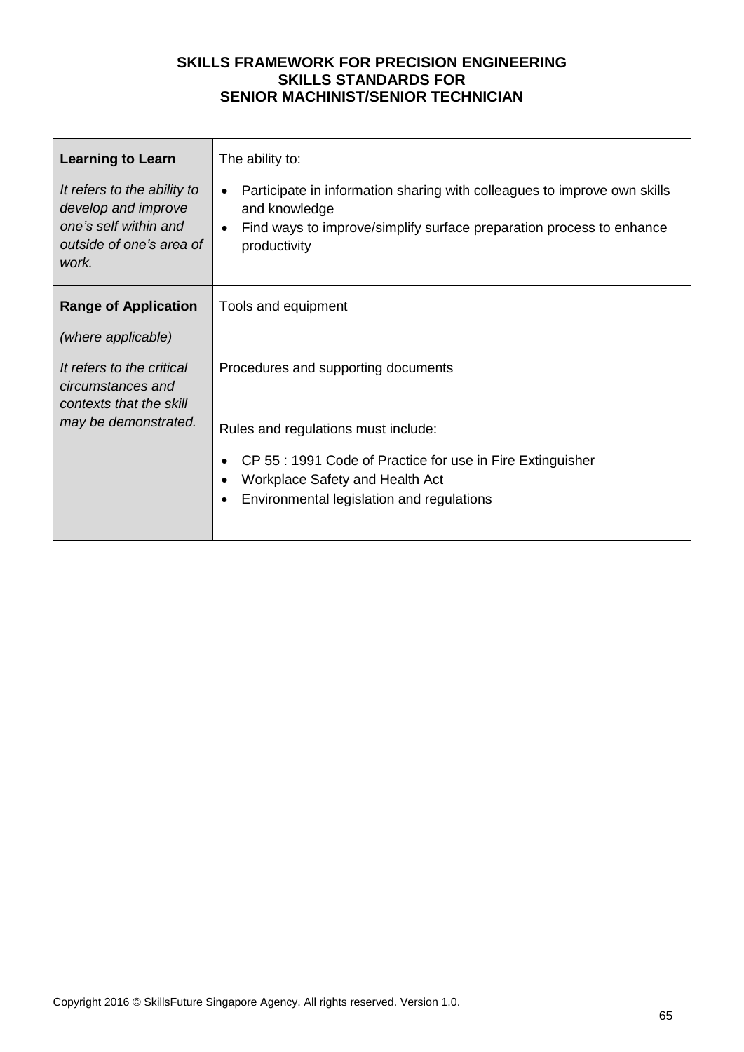| <b>Learning to Learn</b><br>It refers to the ability to<br>develop and improve<br>one's self within and<br>outside of one's area of<br>work. | The ability to:<br>Participate in information sharing with colleagues to improve own skills<br>$\bullet$<br>and knowledge<br>Find ways to improve/simplify surface preparation process to enhance<br>$\bullet$<br>productivity |
|----------------------------------------------------------------------------------------------------------------------------------------------|--------------------------------------------------------------------------------------------------------------------------------------------------------------------------------------------------------------------------------|
| <b>Range of Application</b>                                                                                                                  | Tools and equipment                                                                                                                                                                                                            |
| (where applicable)                                                                                                                           |                                                                                                                                                                                                                                |
| It refers to the critical<br>circumstances and<br>contexts that the skill<br>may be demonstrated.                                            | Procedures and supporting documents<br>Rules and regulations must include:                                                                                                                                                     |
|                                                                                                                                              |                                                                                                                                                                                                                                |
|                                                                                                                                              | CP 55 : 1991 Code of Practice for use in Fire Extinguisher<br>Workplace Safety and Health Act                                                                                                                                  |
|                                                                                                                                              | Environmental legislation and regulations                                                                                                                                                                                      |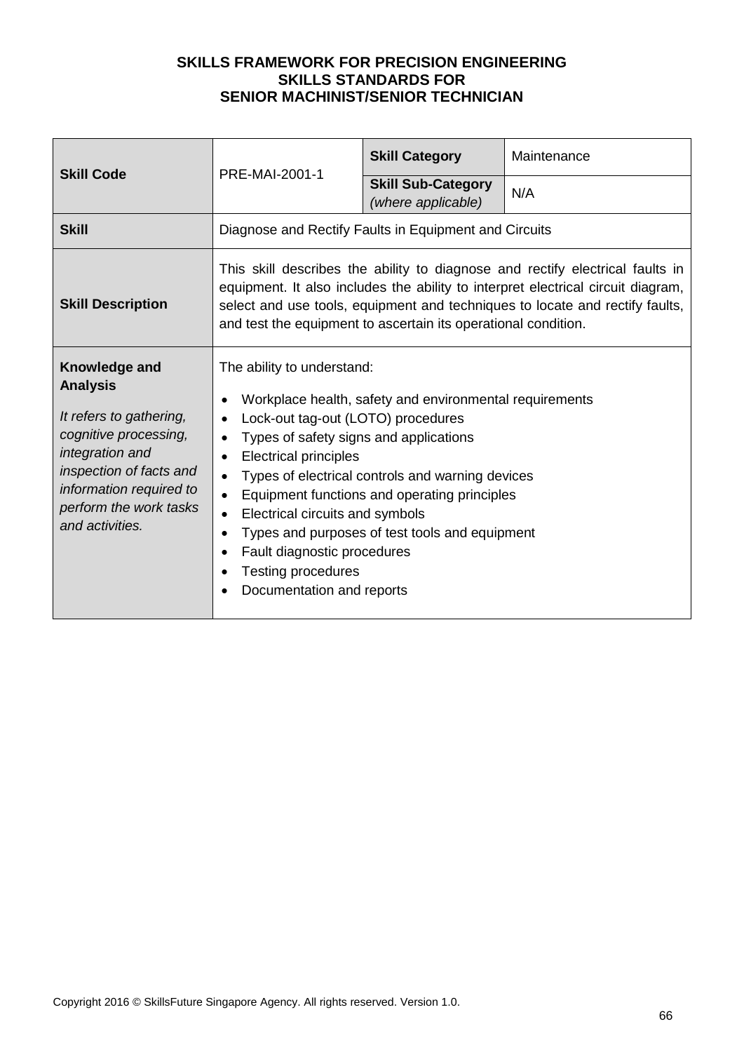| <b>Skill Code</b>                                                                                                                                                                                          | PRE-MAI-2001-1                                                                                                                                                                                                                                                                                                                                       | <b>Skill Category</b>                                                                                                                                                                                         | Maintenance                                                                                                                                                                                                                                       |
|------------------------------------------------------------------------------------------------------------------------------------------------------------------------------------------------------------|------------------------------------------------------------------------------------------------------------------------------------------------------------------------------------------------------------------------------------------------------------------------------------------------------------------------------------------------------|---------------------------------------------------------------------------------------------------------------------------------------------------------------------------------------------------------------|---------------------------------------------------------------------------------------------------------------------------------------------------------------------------------------------------------------------------------------------------|
|                                                                                                                                                                                                            |                                                                                                                                                                                                                                                                                                                                                      | <b>Skill Sub-Category</b><br>(where applicable)                                                                                                                                                               | N/A                                                                                                                                                                                                                                               |
| <b>Skill</b>                                                                                                                                                                                               | Diagnose and Rectify Faults in Equipment and Circuits                                                                                                                                                                                                                                                                                                |                                                                                                                                                                                                               |                                                                                                                                                                                                                                                   |
| <b>Skill Description</b>                                                                                                                                                                                   | and test the equipment to ascertain its operational condition.                                                                                                                                                                                                                                                                                       |                                                                                                                                                                                                               | This skill describes the ability to diagnose and rectify electrical faults in<br>equipment. It also includes the ability to interpret electrical circuit diagram,<br>select and use tools, equipment and techniques to locate and rectify faults, |
| Knowledge and<br><b>Analysis</b><br>It refers to gathering,<br>cognitive processing,<br>integration and<br>inspection of facts and<br>information required to<br>perform the work tasks<br>and activities. | The ability to understand:<br>Lock-out tag-out (LOTO) procedures<br>$\bullet$<br>Types of safety signs and applications<br>$\bullet$<br><b>Electrical principles</b><br>$\bullet$<br>$\bullet$<br>$\bullet$<br>Electrical circuits and symbols<br>$\bullet$<br>Fault diagnostic procedures<br><b>Testing procedures</b><br>Documentation and reports | Workplace health, safety and environmental requirements<br>Types of electrical controls and warning devices<br>Equipment functions and operating principles<br>Types and purposes of test tools and equipment |                                                                                                                                                                                                                                                   |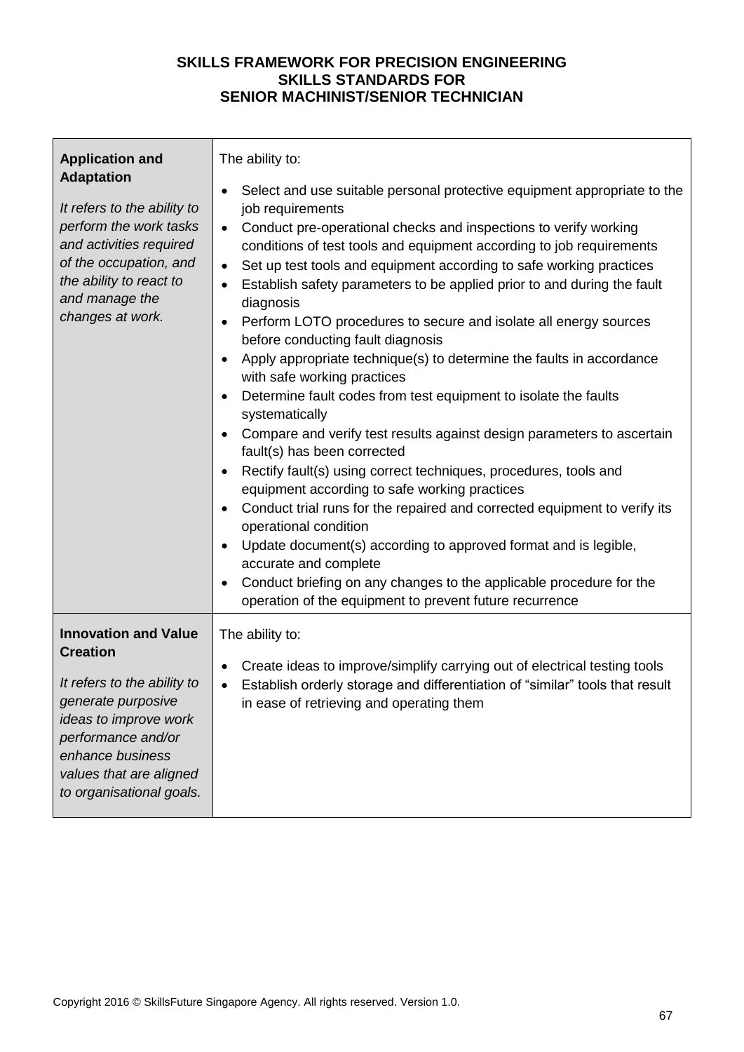| <b>Application and</b>                                                                                                                                                                                                        | The ability to:                                                                                                                                                                                                                                                                                                                                                                                                                                                                                                                                                                                                                                                                                                                                                                                                                                                                                                                                                                                                                                                                                                                                                                                                                                                                                                                                              |
|-------------------------------------------------------------------------------------------------------------------------------------------------------------------------------------------------------------------------------|--------------------------------------------------------------------------------------------------------------------------------------------------------------------------------------------------------------------------------------------------------------------------------------------------------------------------------------------------------------------------------------------------------------------------------------------------------------------------------------------------------------------------------------------------------------------------------------------------------------------------------------------------------------------------------------------------------------------------------------------------------------------------------------------------------------------------------------------------------------------------------------------------------------------------------------------------------------------------------------------------------------------------------------------------------------------------------------------------------------------------------------------------------------------------------------------------------------------------------------------------------------------------------------------------------------------------------------------------------------|
| <b>Adaptation</b><br>It refers to the ability to<br>perform the work tasks<br>and activities required<br>of the occupation, and<br>the ability to react to<br>and manage the<br>changes at work.                              | Select and use suitable personal protective equipment appropriate to the<br>job requirements<br>Conduct pre-operational checks and inspections to verify working<br>$\bullet$<br>conditions of test tools and equipment according to job requirements<br>Set up test tools and equipment according to safe working practices<br>$\bullet$<br>Establish safety parameters to be applied prior to and during the fault<br>$\bullet$<br>diagnosis<br>Perform LOTO procedures to secure and isolate all energy sources<br>$\bullet$<br>before conducting fault diagnosis<br>Apply appropriate technique(s) to determine the faults in accordance<br>$\bullet$<br>with safe working practices<br>Determine fault codes from test equipment to isolate the faults<br>systematically<br>Compare and verify test results against design parameters to ascertain<br>fault(s) has been corrected<br>Rectify fault(s) using correct techniques, procedures, tools and<br>$\bullet$<br>equipment according to safe working practices<br>Conduct trial runs for the repaired and corrected equipment to verify its<br>operational condition<br>Update document(s) according to approved format and is legible,<br>accurate and complete<br>Conduct briefing on any changes to the applicable procedure for the<br>operation of the equipment to prevent future recurrence |
| <b>Innovation and Value</b><br><b>Creation</b><br>It refers to the ability to<br>generate purposive<br>ideas to improve work<br>performance and/or<br>enhance business<br>values that are aligned<br>to organisational goals. | The ability to:<br>Create ideas to improve/simplify carrying out of electrical testing tools<br>٠<br>Establish orderly storage and differentiation of "similar" tools that result<br>$\bullet$<br>in ease of retrieving and operating them                                                                                                                                                                                                                                                                                                                                                                                                                                                                                                                                                                                                                                                                                                                                                                                                                                                                                                                                                                                                                                                                                                                   |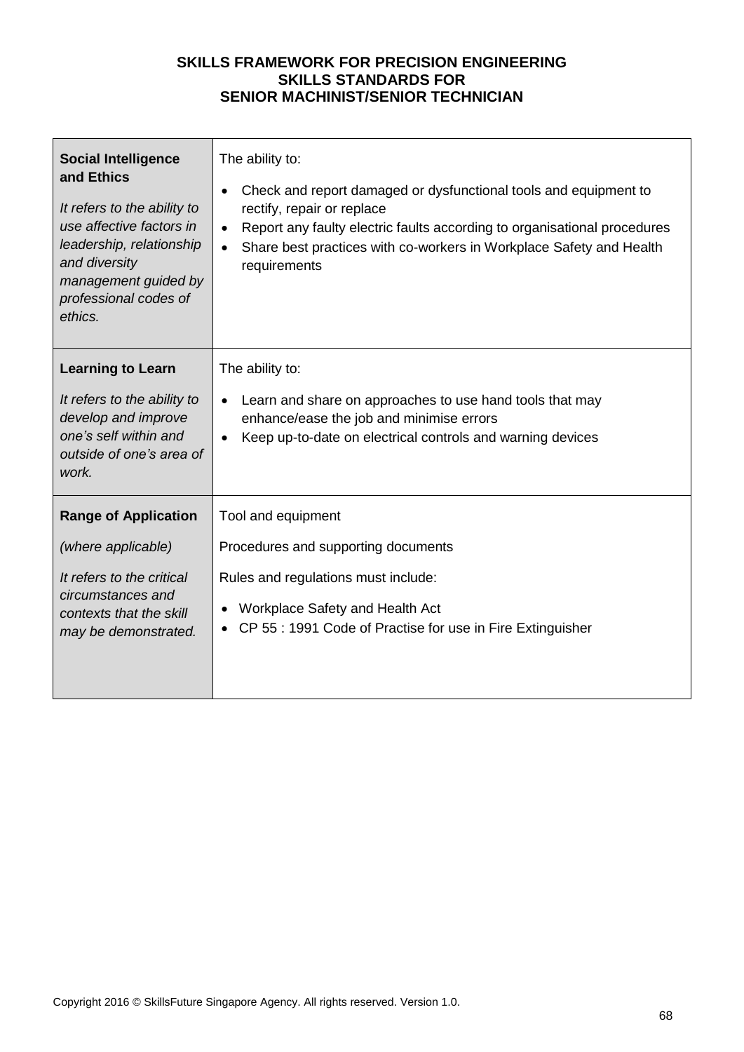| <b>Social Intelligence</b>                                                                                                                   | The ability to:                                                                                                                                                                       |
|----------------------------------------------------------------------------------------------------------------------------------------------|---------------------------------------------------------------------------------------------------------------------------------------------------------------------------------------|
| and Ethics                                                                                                                                   | Check and report damaged or dysfunctional tools and equipment to                                                                                                                      |
| It refers to the ability to                                                                                                                  | $\bullet$                                                                                                                                                                             |
| use affective factors in                                                                                                                     | rectify, repair or replace                                                                                                                                                            |
| leadership, relationship                                                                                                                     | Report any faulty electric faults according to organisational procedures                                                                                                              |
| and diversity                                                                                                                                | $\bullet$                                                                                                                                                                             |
| management guided by                                                                                                                         | Share best practices with co-workers in Workplace Safety and Health                                                                                                                   |
| professional codes of                                                                                                                        | $\bullet$                                                                                                                                                                             |
| ethics.                                                                                                                                      | requirements                                                                                                                                                                          |
| <b>Learning to Learn</b><br>It refers to the ability to<br>develop and improve<br>one's self within and<br>outside of one's area of<br>work. | The ability to:<br>Learn and share on approaches to use hand tools that may<br>enhance/ease the job and minimise errors<br>Keep up-to-date on electrical controls and warning devices |
| <b>Range of Application</b>                                                                                                                  | Tool and equipment                                                                                                                                                                    |
| (where applicable)                                                                                                                           | Procedures and supporting documents                                                                                                                                                   |
| It refers to the critical<br>circumstances and<br>contexts that the skill<br>may be demonstrated.                                            | Rules and regulations must include:<br>Workplace Safety and Health Act<br>CP 55 : 1991 Code of Practise for use in Fire Extinguisher                                                  |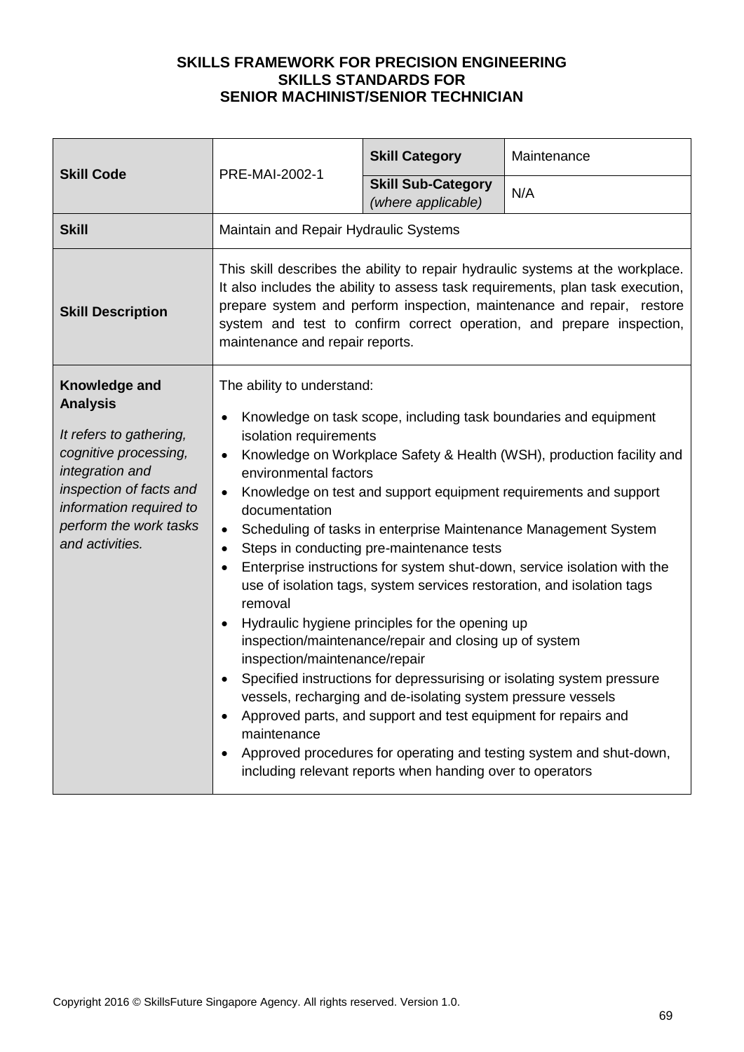| <b>Skill Code</b><br>PRE-MAI-2002-1                                                                                                                                                                        | <b>Skill Category</b>                                                                                                                                                                                                                                                                                                                                  | Maintenance                                                                                                                                                                                                                                                                                                                                           |                                                                                                                                                                                                                                                                                                                                                                                                                                                                                                                                                                                         |
|------------------------------------------------------------------------------------------------------------------------------------------------------------------------------------------------------------|--------------------------------------------------------------------------------------------------------------------------------------------------------------------------------------------------------------------------------------------------------------------------------------------------------------------------------------------------------|-------------------------------------------------------------------------------------------------------------------------------------------------------------------------------------------------------------------------------------------------------------------------------------------------------------------------------------------------------|-----------------------------------------------------------------------------------------------------------------------------------------------------------------------------------------------------------------------------------------------------------------------------------------------------------------------------------------------------------------------------------------------------------------------------------------------------------------------------------------------------------------------------------------------------------------------------------------|
|                                                                                                                                                                                                            |                                                                                                                                                                                                                                                                                                                                                        | <b>Skill Sub-Category</b><br>(where applicable)                                                                                                                                                                                                                                                                                                       | N/A                                                                                                                                                                                                                                                                                                                                                                                                                                                                                                                                                                                     |
| <b>Skill</b>                                                                                                                                                                                               | Maintain and Repair Hydraulic Systems                                                                                                                                                                                                                                                                                                                  |                                                                                                                                                                                                                                                                                                                                                       |                                                                                                                                                                                                                                                                                                                                                                                                                                                                                                                                                                                         |
| <b>Skill Description</b>                                                                                                                                                                                   | This skill describes the ability to repair hydraulic systems at the workplace.<br>It also includes the ability to assess task requirements, plan task execution,<br>prepare system and perform inspection, maintenance and repair, restore<br>system and test to confirm correct operation, and prepare inspection,<br>maintenance and repair reports. |                                                                                                                                                                                                                                                                                                                                                       |                                                                                                                                                                                                                                                                                                                                                                                                                                                                                                                                                                                         |
| Knowledge and<br><b>Analysis</b><br>It refers to gathering,<br>cognitive processing,<br>integration and<br>inspection of facts and<br>information required to<br>perform the work tasks<br>and activities. | The ability to understand:<br>isolation requirements<br>$\bullet$<br>environmental factors<br>$\bullet$<br>documentation<br>$\bullet$<br>$\bullet$<br>$\bullet$<br>removal<br>inspection/maintenance/repair<br>maintenance                                                                                                                             | Steps in conducting pre-maintenance tests<br>Hydraulic hygiene principles for the opening up<br>inspection/maintenance/repair and closing up of system<br>vessels, recharging and de-isolating system pressure vessels<br>Approved parts, and support and test equipment for repairs and<br>including relevant reports when handing over to operators | Knowledge on task scope, including task boundaries and equipment<br>Knowledge on Workplace Safety & Health (WSH), production facility and<br>Knowledge on test and support equipment requirements and support<br>Scheduling of tasks in enterprise Maintenance Management System<br>Enterprise instructions for system shut-down, service isolation with the<br>use of isolation tags, system services restoration, and isolation tags<br>Specified instructions for depressurising or isolating system pressure<br>Approved procedures for operating and testing system and shut-down, |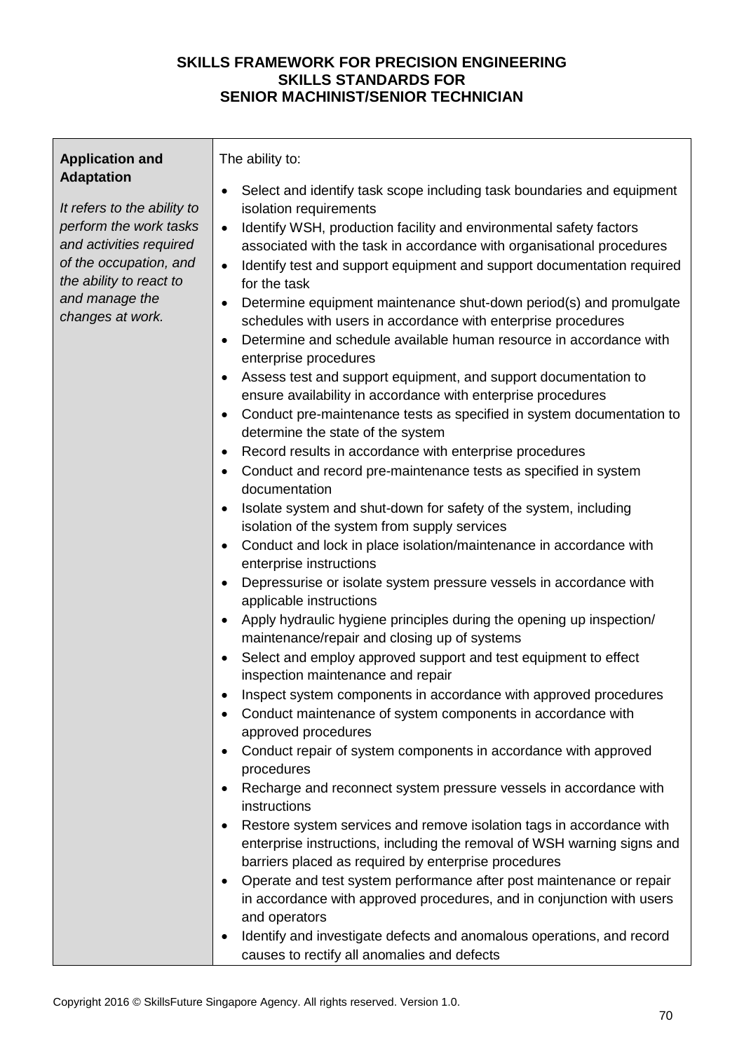| <b>Application and</b>                                                                                                                                                                           | The ability to:                                                                                                                                                                                                                                                                                                                                                                                                                                                                                                                                                                                                                                                                                                                                                                                                                                                                                                                                                                                                                                                                                                                                                                                                                                                                                                                                                                                                                                                                                                                                                                                                                                                                                                                                                  |
|--------------------------------------------------------------------------------------------------------------------------------------------------------------------------------------------------|------------------------------------------------------------------------------------------------------------------------------------------------------------------------------------------------------------------------------------------------------------------------------------------------------------------------------------------------------------------------------------------------------------------------------------------------------------------------------------------------------------------------------------------------------------------------------------------------------------------------------------------------------------------------------------------------------------------------------------------------------------------------------------------------------------------------------------------------------------------------------------------------------------------------------------------------------------------------------------------------------------------------------------------------------------------------------------------------------------------------------------------------------------------------------------------------------------------------------------------------------------------------------------------------------------------------------------------------------------------------------------------------------------------------------------------------------------------------------------------------------------------------------------------------------------------------------------------------------------------------------------------------------------------------------------------------------------------------------------------------------------------|
| <b>Adaptation</b><br>It refers to the ability to<br>perform the work tasks<br>and activities required<br>of the occupation, and<br>the ability to react to<br>and manage the<br>changes at work. | Select and identify task scope including task boundaries and equipment<br>isolation requirements<br>Identify WSH, production facility and environmental safety factors<br>$\bullet$<br>associated with the task in accordance with organisational procedures<br>Identify test and support equipment and support documentation required<br>$\bullet$<br>for the task<br>Determine equipment maintenance shut-down period(s) and promulgate<br>schedules with users in accordance with enterprise procedures<br>Determine and schedule available human resource in accordance with<br>enterprise procedures<br>Assess test and support equipment, and support documentation to<br>ensure availability in accordance with enterprise procedures<br>Conduct pre-maintenance tests as specified in system documentation to<br>determine the state of the system<br>Record results in accordance with enterprise procedures<br>Conduct and record pre-maintenance tests as specified in system<br>$\bullet$<br>documentation<br>Isolate system and shut-down for safety of the system, including<br>$\bullet$<br>isolation of the system from supply services<br>Conduct and lock in place isolation/maintenance in accordance with<br>enterprise instructions<br>Depressurise or isolate system pressure vessels in accordance with<br>$\bullet$<br>applicable instructions<br>Apply hydraulic hygiene principles during the opening up inspection/<br>maintenance/repair and closing up of systems<br>Select and employ approved support and test equipment to effect<br>inspection maintenance and repair<br>Inspect system components in accordance with approved procedures<br>Conduct maintenance of system components in accordance with<br>approved procedures |
|                                                                                                                                                                                                  |                                                                                                                                                                                                                                                                                                                                                                                                                                                                                                                                                                                                                                                                                                                                                                                                                                                                                                                                                                                                                                                                                                                                                                                                                                                                                                                                                                                                                                                                                                                                                                                                                                                                                                                                                                  |
|                                                                                                                                                                                                  | Conduct repair of system components in accordance with approved<br>procedures<br>Recharge and reconnect system pressure vessels in accordance with<br>instructions                                                                                                                                                                                                                                                                                                                                                                                                                                                                                                                                                                                                                                                                                                                                                                                                                                                                                                                                                                                                                                                                                                                                                                                                                                                                                                                                                                                                                                                                                                                                                                                               |
|                                                                                                                                                                                                  | Restore system services and remove isolation tags in accordance with<br>enterprise instructions, including the removal of WSH warning signs and<br>barriers placed as required by enterprise procedures<br>Operate and test system performance after post maintenance or repair<br>in accordance with approved procedures, and in conjunction with users<br>and operators<br>Identify and investigate defects and anomalous operations, and record<br>$\bullet$<br>causes to rectify all anomalies and defects                                                                                                                                                                                                                                                                                                                                                                                                                                                                                                                                                                                                                                                                                                                                                                                                                                                                                                                                                                                                                                                                                                                                                                                                                                                   |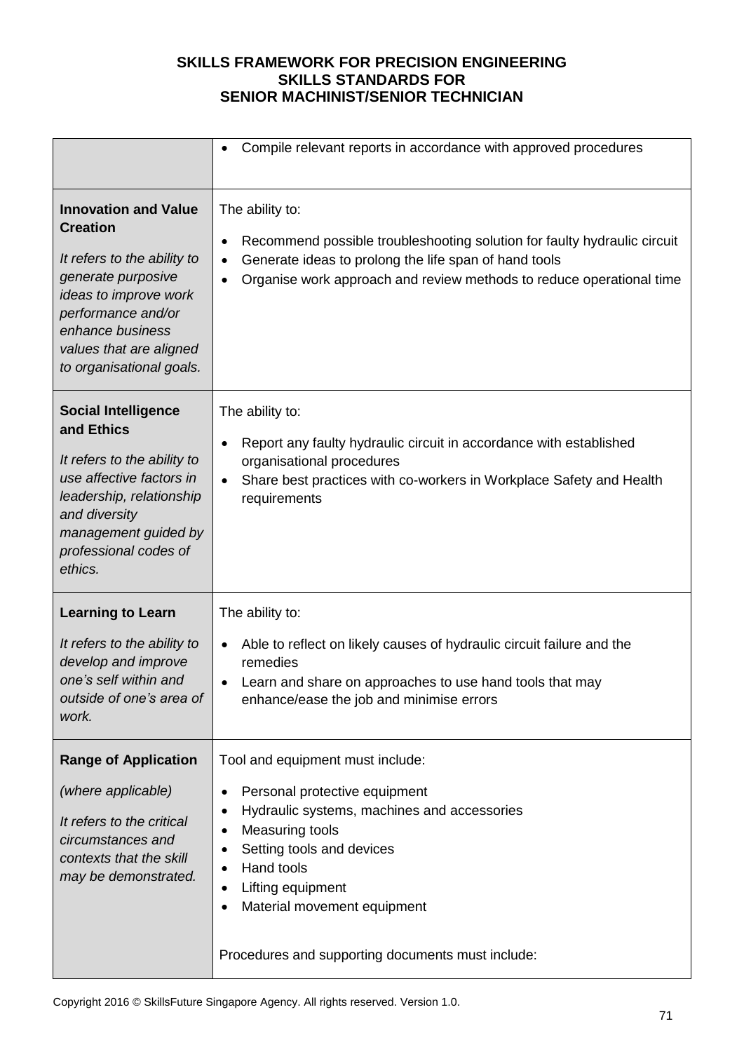|                                                                                                                                                                                                                               | Compile relevant reports in accordance with approved procedures                                                                                                                                                                                                                         |
|-------------------------------------------------------------------------------------------------------------------------------------------------------------------------------------------------------------------------------|-----------------------------------------------------------------------------------------------------------------------------------------------------------------------------------------------------------------------------------------------------------------------------------------|
| <b>Innovation and Value</b><br><b>Creation</b><br>It refers to the ability to<br>generate purposive<br>ideas to improve work<br>performance and/or<br>enhance business<br>values that are aligned<br>to organisational goals. | The ability to:<br>Recommend possible troubleshooting solution for faulty hydraulic circuit<br>$\bullet$<br>Generate ideas to prolong the life span of hand tools<br>Organise work approach and review methods to reduce operational time                                               |
| <b>Social Intelligence</b><br>and Ethics<br>It refers to the ability to<br>use affective factors in<br>leadership, relationship<br>and diversity<br>management guided by<br>professional codes of<br>ethics.                  | The ability to:<br>Report any faulty hydraulic circuit in accordance with established<br>organisational procedures<br>Share best practices with co-workers in Workplace Safety and Health<br>requirements                                                                               |
| <b>Learning to Learn</b><br>It refers to the ability to<br>develop and improve<br>one's self within and<br>outside of one's area of<br>work.                                                                                  | The ability to:<br>Able to reflect on likely causes of hydraulic circuit failure and the<br>remedies<br>Learn and share on approaches to use hand tools that may<br>enhance/ease the job and minimise errors                                                                            |
| <b>Range of Application</b><br>(where applicable)<br>It refers to the critical<br>circumstances and<br>contexts that the skill<br>may be demonstrated.                                                                        | Tool and equipment must include:<br>Personal protective equipment<br>Hydraulic systems, machines and accessories<br>Measuring tools<br>Setting tools and devices<br>Hand tools<br>Lifting equipment<br>Material movement equipment<br>Procedures and supporting documents must include: |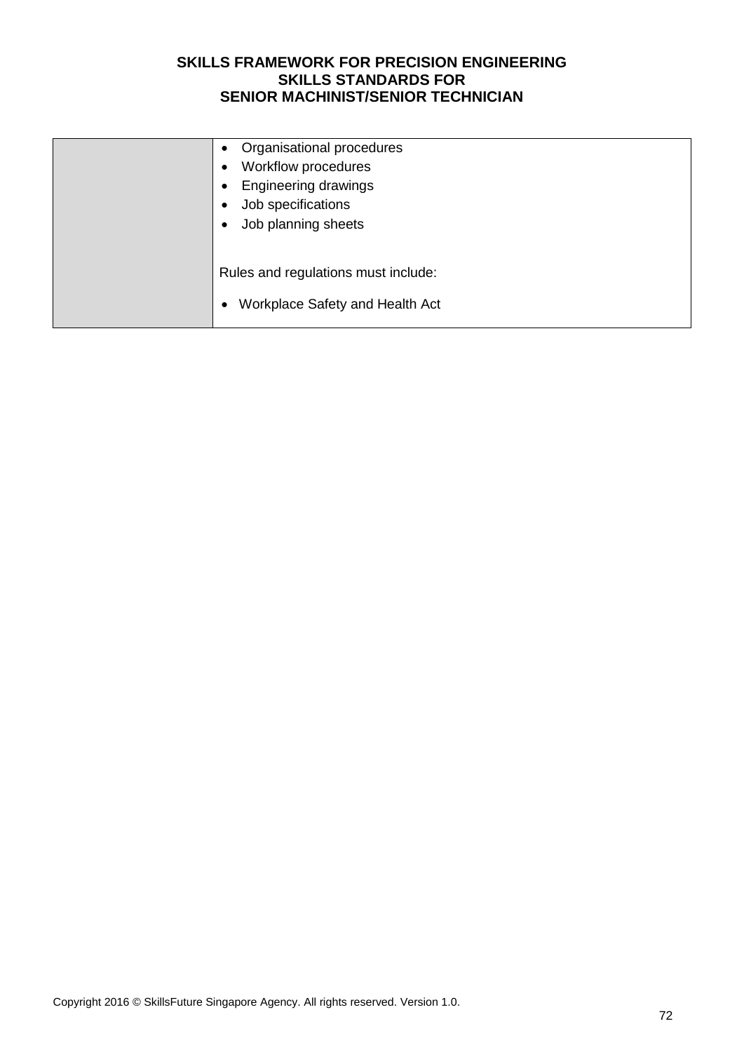| Organisational procedures<br>$\bullet$<br>Workflow procedures<br>٠<br><b>Engineering drawings</b><br>$\bullet$<br>Job specifications<br>٠<br>Job planning sheets<br>٠ |
|-----------------------------------------------------------------------------------------------------------------------------------------------------------------------|
| Rules and regulations must include:<br>Workplace Safety and Health Act<br>٠                                                                                           |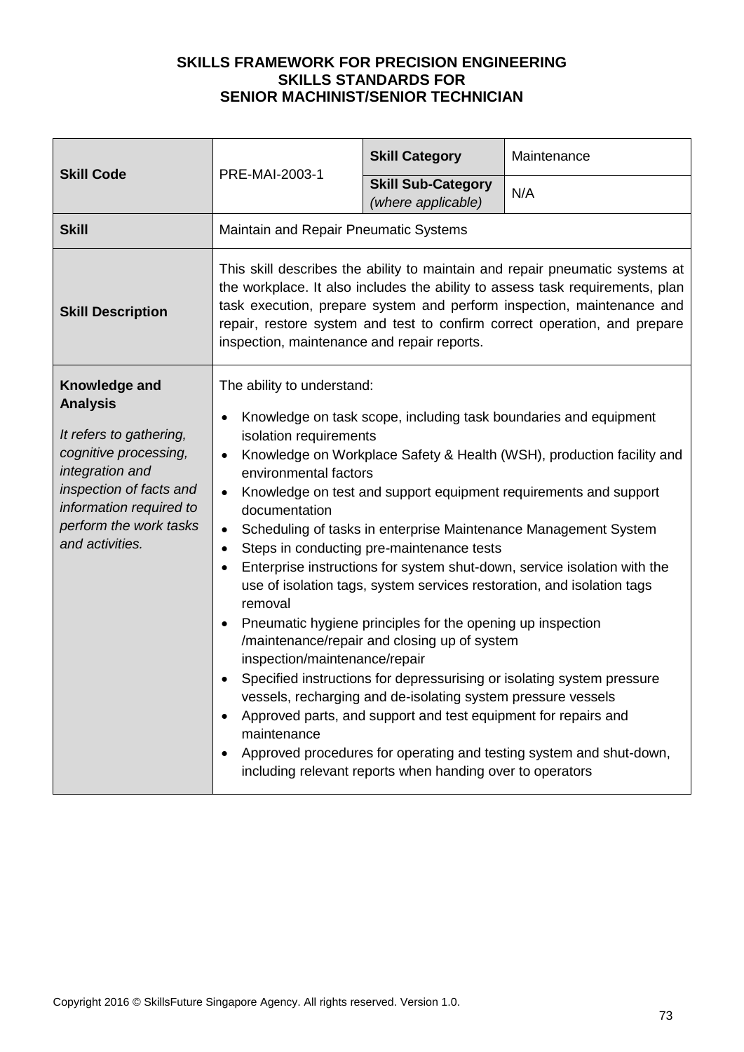| <b>Skill Code</b>                                                                                                                                                                                          | PRE-MAI-2003-1                                                                                                                                                                                                                                                                                                                                                                                                                                                                                                                                                                                                                                                                                                                                                                                                                                                                                                                                                                                                                                                                                                     | <b>Skill Category</b>                           | Maintenance |
|------------------------------------------------------------------------------------------------------------------------------------------------------------------------------------------------------------|--------------------------------------------------------------------------------------------------------------------------------------------------------------------------------------------------------------------------------------------------------------------------------------------------------------------------------------------------------------------------------------------------------------------------------------------------------------------------------------------------------------------------------------------------------------------------------------------------------------------------------------------------------------------------------------------------------------------------------------------------------------------------------------------------------------------------------------------------------------------------------------------------------------------------------------------------------------------------------------------------------------------------------------------------------------------------------------------------------------------|-------------------------------------------------|-------------|
|                                                                                                                                                                                                            |                                                                                                                                                                                                                                                                                                                                                                                                                                                                                                                                                                                                                                                                                                                                                                                                                                                                                                                                                                                                                                                                                                                    | <b>Skill Sub-Category</b><br>(where applicable) | N/A         |
| <b>Skill</b>                                                                                                                                                                                               | Maintain and Repair Pneumatic Systems                                                                                                                                                                                                                                                                                                                                                                                                                                                                                                                                                                                                                                                                                                                                                                                                                                                                                                                                                                                                                                                                              |                                                 |             |
| <b>Skill Description</b>                                                                                                                                                                                   | This skill describes the ability to maintain and repair pneumatic systems at<br>the workplace. It also includes the ability to assess task requirements, plan<br>task execution, prepare system and perform inspection, maintenance and<br>repair, restore system and test to confirm correct operation, and prepare<br>inspection, maintenance and repair reports.                                                                                                                                                                                                                                                                                                                                                                                                                                                                                                                                                                                                                                                                                                                                                |                                                 |             |
| Knowledge and<br><b>Analysis</b><br>It refers to gathering,<br>cognitive processing,<br>integration and<br>inspection of facts and<br>information required to<br>perform the work tasks<br>and activities. | The ability to understand:<br>Knowledge on task scope, including task boundaries and equipment<br>isolation requirements<br>Knowledge on Workplace Safety & Health (WSH), production facility and<br>$\bullet$<br>environmental factors<br>Knowledge on test and support equipment requirements and support<br>$\bullet$<br>documentation<br>Scheduling of tasks in enterprise Maintenance Management System<br>$\bullet$<br>Steps in conducting pre-maintenance tests<br>$\bullet$<br>Enterprise instructions for system shut-down, service isolation with the<br>$\bullet$<br>use of isolation tags, system services restoration, and isolation tags<br>removal<br>Pneumatic hygiene principles for the opening up inspection<br>/maintenance/repair and closing up of system<br>inspection/maintenance/repair<br>Specified instructions for depressurising or isolating system pressure<br>vessels, recharging and de-isolating system pressure vessels<br>Approved parts, and support and test equipment for repairs and<br>maintenance<br>Approved procedures for operating and testing system and shut-down, |                                                 |             |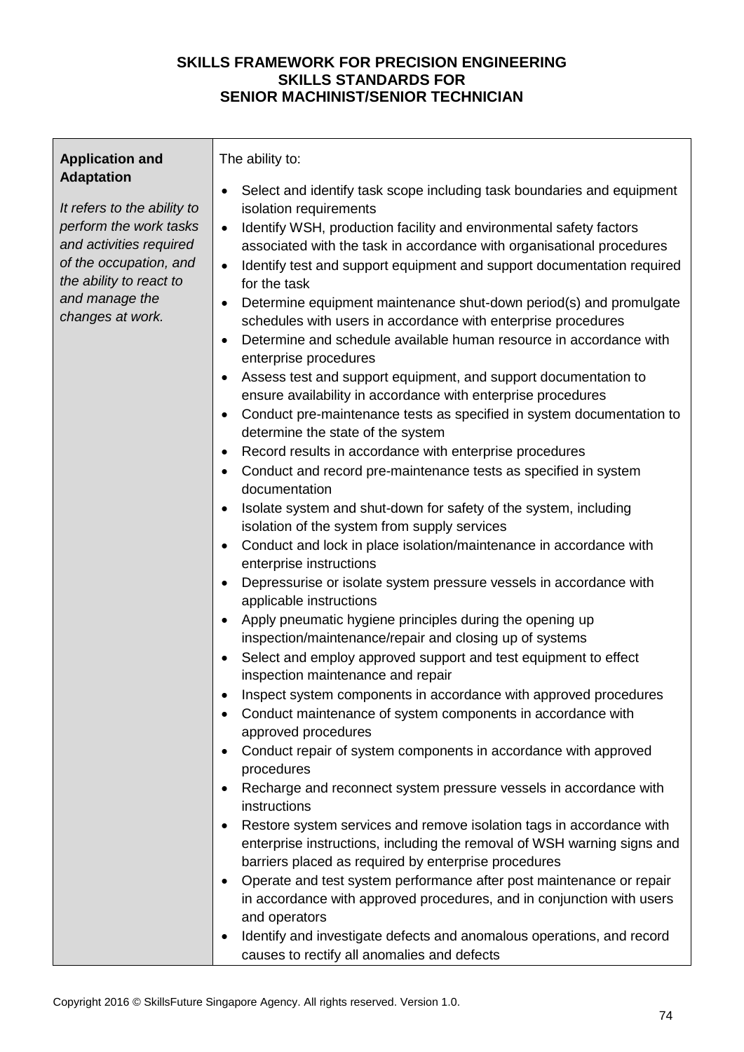| <b>Application and</b>                                                                                                                                                                           | The ability to:                                                                                                                                                                                                                                                                                                                                                                                                                                                                                                                                                                                                                                                                                                                                                                                                                                                                                                                                                                                                                                                                                                                                                                                                                                                                                                                                                                                                                                                                                                                                                                                                                                                                                                                                                                                                                                                                                                                                                                                                                                                                                                                                                            |
|--------------------------------------------------------------------------------------------------------------------------------------------------------------------------------------------------|----------------------------------------------------------------------------------------------------------------------------------------------------------------------------------------------------------------------------------------------------------------------------------------------------------------------------------------------------------------------------------------------------------------------------------------------------------------------------------------------------------------------------------------------------------------------------------------------------------------------------------------------------------------------------------------------------------------------------------------------------------------------------------------------------------------------------------------------------------------------------------------------------------------------------------------------------------------------------------------------------------------------------------------------------------------------------------------------------------------------------------------------------------------------------------------------------------------------------------------------------------------------------------------------------------------------------------------------------------------------------------------------------------------------------------------------------------------------------------------------------------------------------------------------------------------------------------------------------------------------------------------------------------------------------------------------------------------------------------------------------------------------------------------------------------------------------------------------------------------------------------------------------------------------------------------------------------------------------------------------------------------------------------------------------------------------------------------------------------------------------------------------------------------------------|
| <b>Adaptation</b><br>It refers to the ability to<br>perform the work tasks<br>and activities required<br>of the occupation, and<br>the ability to react to<br>and manage the<br>changes at work. | Select and identify task scope including task boundaries and equipment<br>isolation requirements<br>Identify WSH, production facility and environmental safety factors<br>$\bullet$<br>associated with the task in accordance with organisational procedures<br>Identify test and support equipment and support documentation required<br>$\bullet$<br>for the task<br>Determine equipment maintenance shut-down period(s) and promulgate<br>schedules with users in accordance with enterprise procedures<br>Determine and schedule available human resource in accordance with<br>enterprise procedures<br>Assess test and support equipment, and support documentation to<br>ensure availability in accordance with enterprise procedures<br>Conduct pre-maintenance tests as specified in system documentation to<br>determine the state of the system<br>Record results in accordance with enterprise procedures<br>$\bullet$<br>Conduct and record pre-maintenance tests as specified in system<br>$\bullet$<br>documentation<br>Isolate system and shut-down for safety of the system, including<br>$\bullet$<br>isolation of the system from supply services<br>Conduct and lock in place isolation/maintenance in accordance with<br>enterprise instructions<br>Depressurise or isolate system pressure vessels in accordance with<br>$\bullet$<br>applicable instructions<br>Apply pneumatic hygiene principles during the opening up<br>$\bullet$<br>inspection/maintenance/repair and closing up of systems<br>Select and employ approved support and test equipment to effect<br>inspection maintenance and repair<br>Inspect system components in accordance with approved procedures<br>Conduct maintenance of system components in accordance with<br>approved procedures<br>Conduct repair of system components in accordance with approved<br>procedures<br>Recharge and reconnect system pressure vessels in accordance with<br>instructions<br>Restore system services and remove isolation tags in accordance with<br>enterprise instructions, including the removal of WSH warning signs and<br>barriers placed as required by enterprise procedures |
|                                                                                                                                                                                                  | Operate and test system performance after post maintenance or repair<br>in accordance with approved procedures, and in conjunction with users<br>and operators<br>Identify and investigate defects and anomalous operations, and record<br>٠                                                                                                                                                                                                                                                                                                                                                                                                                                                                                                                                                                                                                                                                                                                                                                                                                                                                                                                                                                                                                                                                                                                                                                                                                                                                                                                                                                                                                                                                                                                                                                                                                                                                                                                                                                                                                                                                                                                               |
|                                                                                                                                                                                                  | causes to rectify all anomalies and defects                                                                                                                                                                                                                                                                                                                                                                                                                                                                                                                                                                                                                                                                                                                                                                                                                                                                                                                                                                                                                                                                                                                                                                                                                                                                                                                                                                                                                                                                                                                                                                                                                                                                                                                                                                                                                                                                                                                                                                                                                                                                                                                                |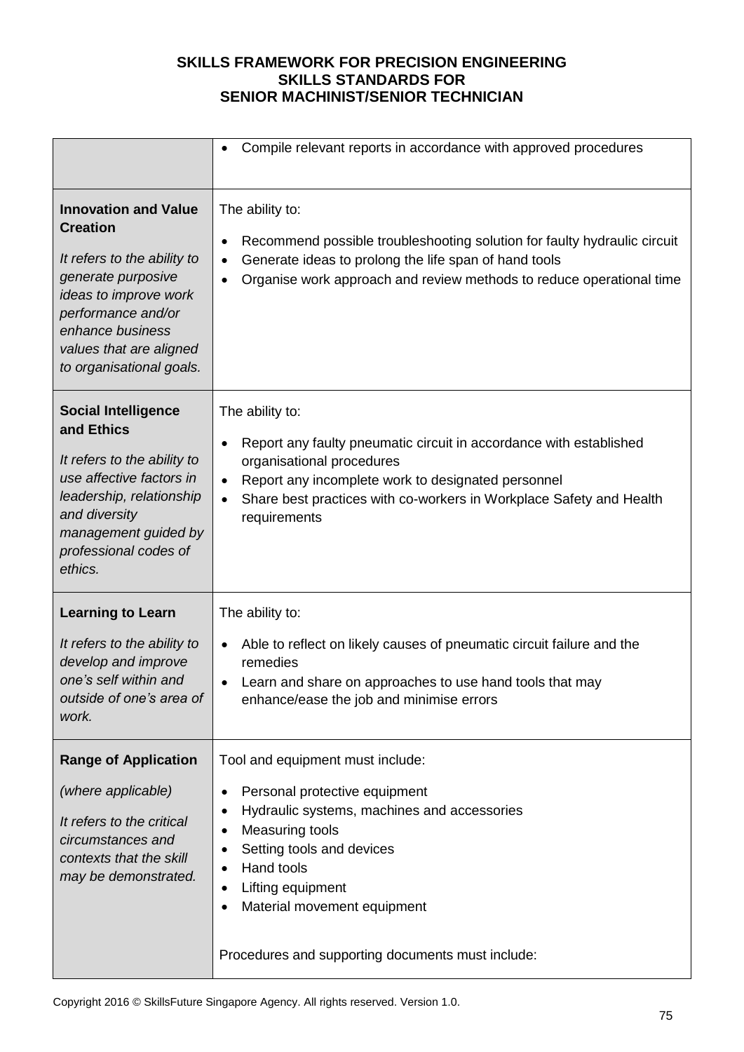|                                                                                                                                                                                                                               | Compile relevant reports in accordance with approved procedures                                                                                                                                                                                                                                        |  |
|-------------------------------------------------------------------------------------------------------------------------------------------------------------------------------------------------------------------------------|--------------------------------------------------------------------------------------------------------------------------------------------------------------------------------------------------------------------------------------------------------------------------------------------------------|--|
| <b>Innovation and Value</b><br><b>Creation</b><br>It refers to the ability to<br>generate purposive<br>ideas to improve work<br>performance and/or<br>enhance business<br>values that are aligned<br>to organisational goals. | The ability to:<br>Recommend possible troubleshooting solution for faulty hydraulic circuit<br>٠<br>Generate ideas to prolong the life span of hand tools<br>Organise work approach and review methods to reduce operational time<br>$\bullet$                                                         |  |
| <b>Social Intelligence</b><br>and Ethics<br>It refers to the ability to<br>use affective factors in<br>leadership, relationship<br>and diversity<br>management guided by<br>professional codes of<br>ethics.                  | The ability to:<br>Report any faulty pneumatic circuit in accordance with established<br>$\bullet$<br>organisational procedures<br>Report any incomplete work to designated personnel<br>$\bullet$<br>Share best practices with co-workers in Workplace Safety and Health<br>$\bullet$<br>requirements |  |
| <b>Learning to Learn</b><br>It refers to the ability to<br>develop and improve<br>one's self within and<br>outside of one's area of<br>work.                                                                                  | The ability to:<br>Able to reflect on likely causes of pneumatic circuit failure and the<br>$\bullet$<br>remedies<br>Learn and share on approaches to use hand tools that may<br>enhance/ease the job and minimise errors                                                                              |  |
| <b>Range of Application</b><br>(where applicable)<br>It refers to the critical<br>circumstances and<br>contexts that the skill<br>may be demonstrated.                                                                        | Tool and equipment must include:<br>Personal protective equipment<br>Hydraulic systems, machines and accessories<br>Measuring tools<br>Setting tools and devices<br>Hand tools<br>Lifting equipment<br>Material movement equipment<br>Procedures and supporting documents must include:                |  |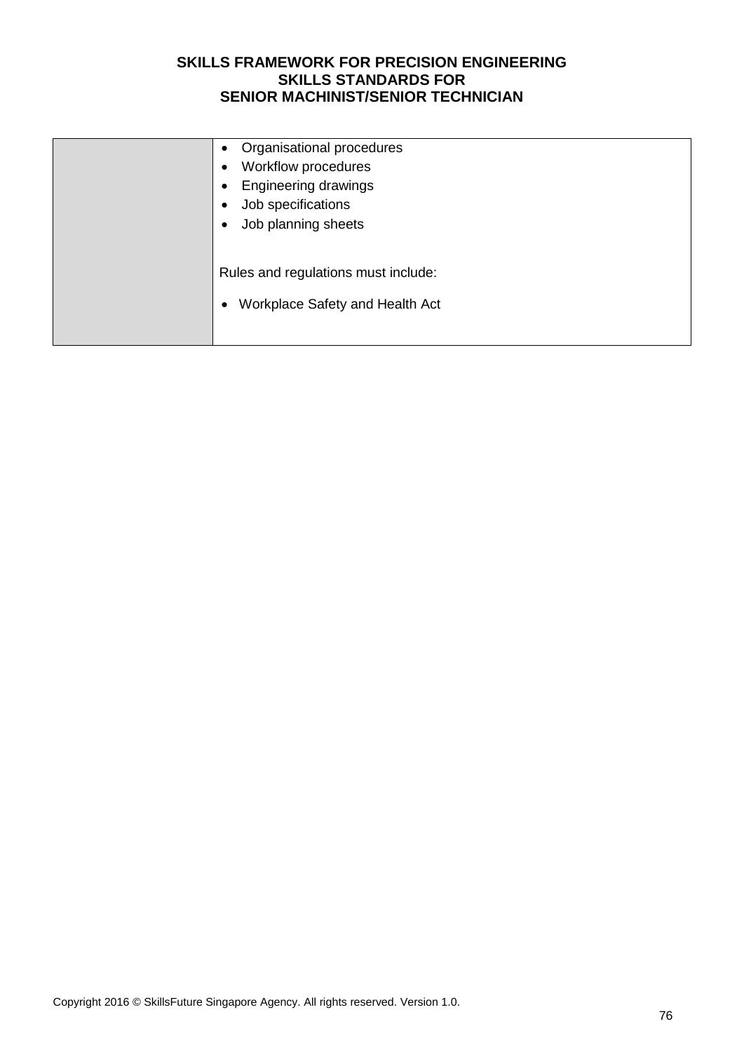| Organisational procedures<br>$\bullet$<br>Workflow procedures<br><b>Engineering drawings</b><br>Job specifications<br>Job planning sheets |
|-------------------------------------------------------------------------------------------------------------------------------------------|
| Rules and regulations must include:<br>Workplace Safety and Health Act                                                                    |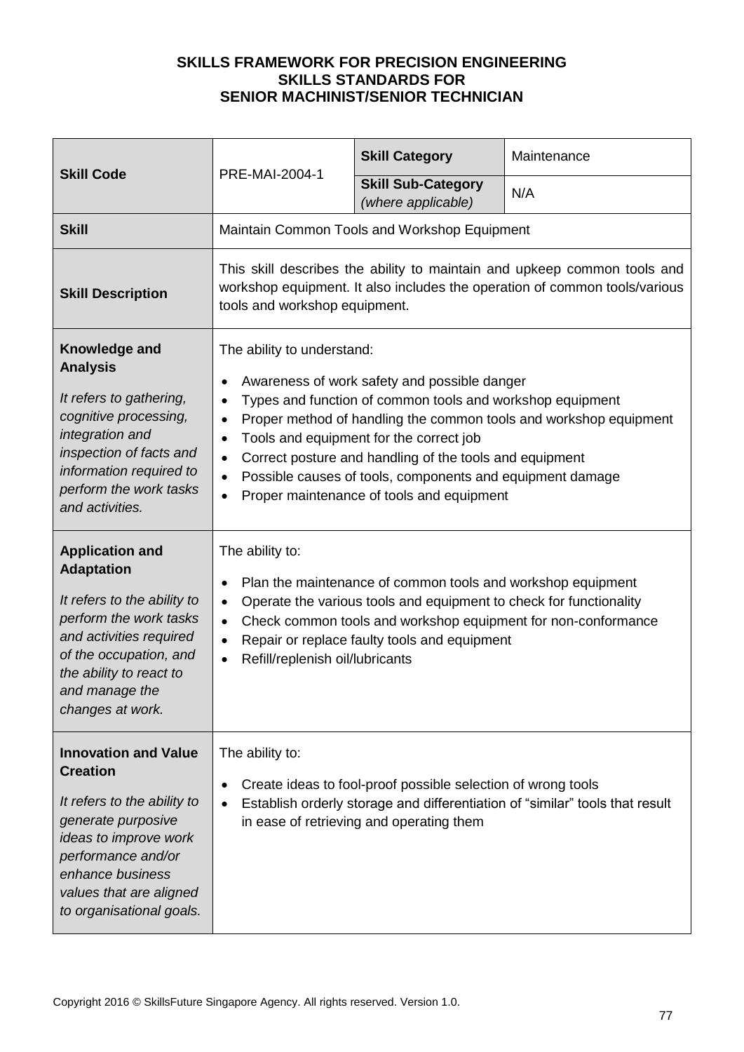|                                                                                                                                                                                                                               | PRE-MAI-2004-1                                                                                                                                                                                                                                                                                                                                                                                                                                                                                             | <b>Skill Category</b>                                                                                    | Maintenance                                                                  |
|-------------------------------------------------------------------------------------------------------------------------------------------------------------------------------------------------------------------------------|------------------------------------------------------------------------------------------------------------------------------------------------------------------------------------------------------------------------------------------------------------------------------------------------------------------------------------------------------------------------------------------------------------------------------------------------------------------------------------------------------------|----------------------------------------------------------------------------------------------------------|------------------------------------------------------------------------------|
| <b>Skill Code</b>                                                                                                                                                                                                             |                                                                                                                                                                                                                                                                                                                                                                                                                                                                                                            | <b>Skill Sub-Category</b><br>(where applicable)                                                          | N/A                                                                          |
| <b>Skill</b>                                                                                                                                                                                                                  |                                                                                                                                                                                                                                                                                                                                                                                                                                                                                                            | Maintain Common Tools and Workshop Equipment                                                             |                                                                              |
| <b>Skill Description</b>                                                                                                                                                                                                      | This skill describes the ability to maintain and upkeep common tools and<br>workshop equipment. It also includes the operation of common tools/various<br>tools and workshop equipment.                                                                                                                                                                                                                                                                                                                    |                                                                                                          |                                                                              |
| Knowledge and<br><b>Analysis</b><br>It refers to gathering,<br>cognitive processing,<br>integration and<br>inspection of facts and<br>information required to<br>perform the work tasks<br>and activities.                    | The ability to understand:<br>Awareness of work safety and possible danger<br>Types and function of common tools and workshop equipment<br>$\bullet$<br>Proper method of handling the common tools and workshop equipment<br>$\bullet$<br>Tools and equipment for the correct job<br>$\bullet$<br>Correct posture and handling of the tools and equipment<br>$\bullet$<br>Possible causes of tools, components and equipment damage<br>$\bullet$<br>Proper maintenance of tools and equipment<br>$\bullet$ |                                                                                                          |                                                                              |
| <b>Application and</b><br><b>Adaptation</b><br>It refers to the ability to<br>perform the work tasks<br>and activities required<br>of the occupation, and<br>the ability to react to<br>and manage the<br>changes at work.    | The ability to:<br>Plan the maintenance of common tools and workshop equipment<br>$\bullet$<br>Operate the various tools and equipment to check for functionality<br>$\bullet$<br>Check common tools and workshop equipment for non-conformance<br>$\bullet$<br>Repair or replace faulty tools and equipment<br>$\bullet$<br>Refill/replenish oil/lubricants<br>$\bullet$                                                                                                                                  |                                                                                                          |                                                                              |
| <b>Innovation and Value</b><br><b>Creation</b><br>It refers to the ability to<br>generate purposive<br>ideas to improve work<br>performance and/or<br>enhance business<br>values that are aligned<br>to organisational goals. | The ability to:                                                                                                                                                                                                                                                                                                                                                                                                                                                                                            | Create ideas to fool-proof possible selection of wrong tools<br>in ease of retrieving and operating them | Establish orderly storage and differentiation of "similar" tools that result |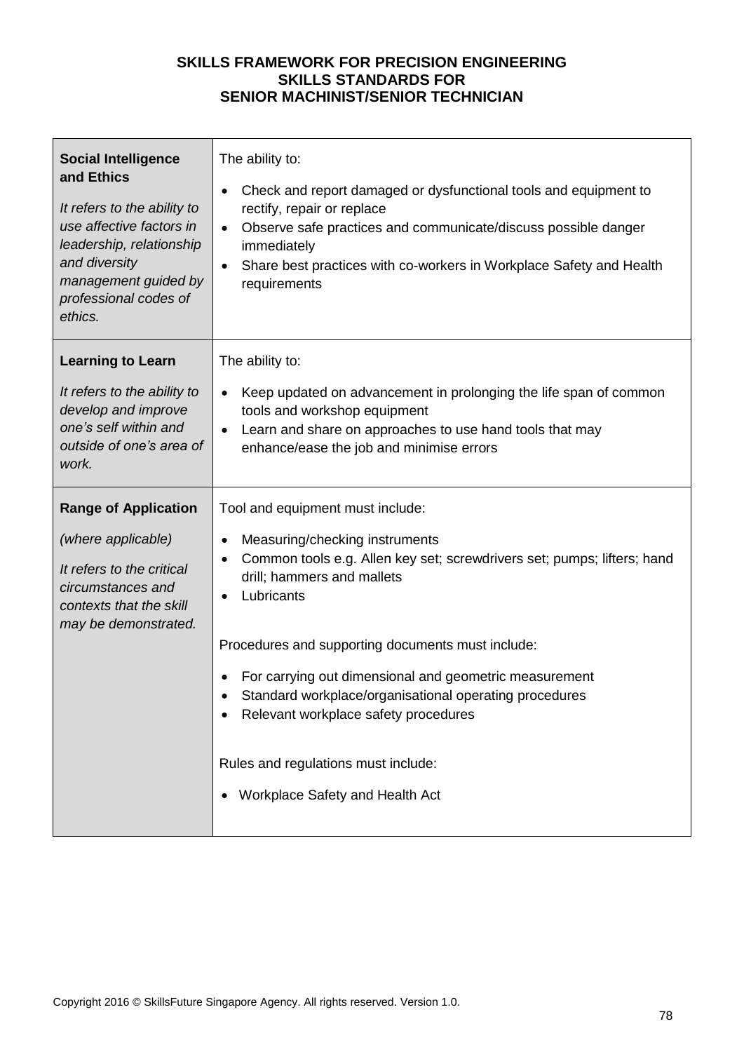| <b>Social Intelligence</b><br>and Ethics<br>It refers to the ability to<br>use affective factors in<br>leadership, relationship<br>and diversity<br>management guided by<br>professional codes of<br>ethics. | The ability to:<br>Check and report damaged or dysfunctional tools and equipment to<br>$\bullet$<br>rectify, repair or replace<br>Observe safe practices and communicate/discuss possible danger<br>$\bullet$<br>immediately<br>Share best practices with co-workers in Workplace Safety and Health<br>$\bullet$<br>requirements                                                                                                                                                                  |
|--------------------------------------------------------------------------------------------------------------------------------------------------------------------------------------------------------------|---------------------------------------------------------------------------------------------------------------------------------------------------------------------------------------------------------------------------------------------------------------------------------------------------------------------------------------------------------------------------------------------------------------------------------------------------------------------------------------------------|
| <b>Learning to Learn</b><br>It refers to the ability to<br>develop and improve<br>one's self within and<br>outside of one's area of<br>work.                                                                 | The ability to:<br>Keep updated on advancement in prolonging the life span of common<br>$\bullet$<br>tools and workshop equipment<br>Learn and share on approaches to use hand tools that may<br>enhance/ease the job and minimise errors                                                                                                                                                                                                                                                         |
| <b>Range of Application</b><br>(where applicable)<br>It refers to the critical<br>circumstances and<br>contexts that the skill<br>may be demonstrated.                                                       | Tool and equipment must include:<br>Measuring/checking instruments<br>$\bullet$<br>Common tools e.g. Allen key set; screwdrivers set; pumps; lifters; hand<br>drill; hammers and mallets<br>Lubricants<br>Procedures and supporting documents must include:<br>For carrying out dimensional and geometric measurement<br>Standard workplace/organisational operating procedures<br>Relevant workplace safety procedures<br>Rules and regulations must include:<br>Workplace Safety and Health Act |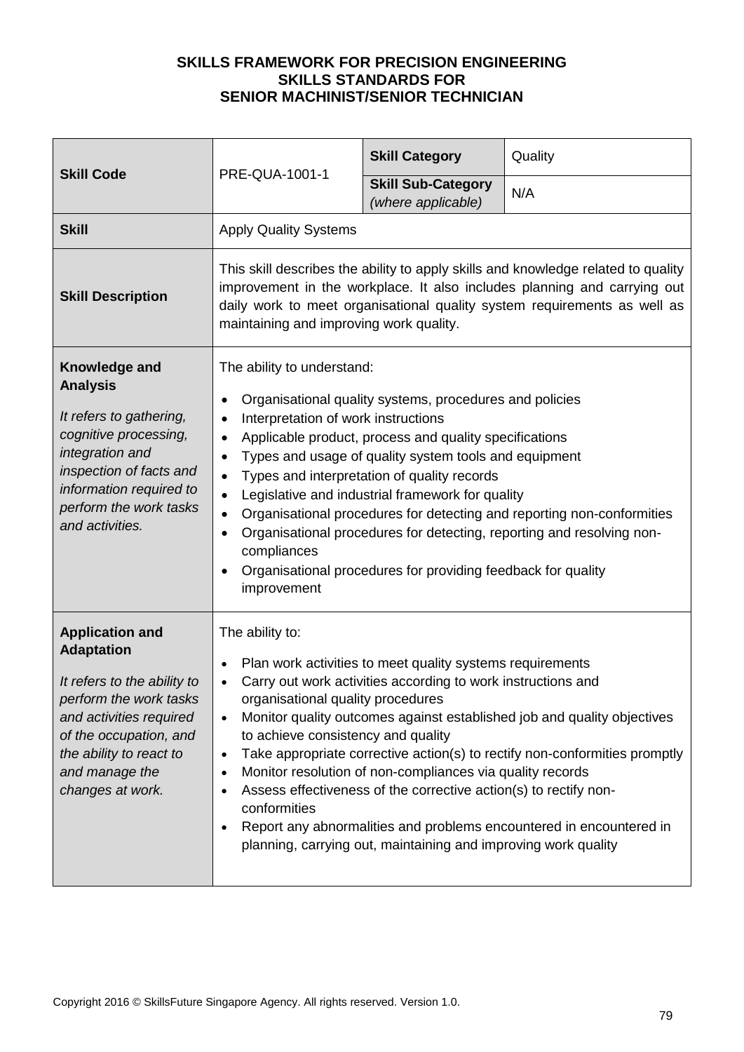| <b>Skill Code</b><br>PRE-QUA-1001-1                                                                                                                                                                                        |                                                                                                                                                                                                                                                                                                                                                                                                                                                                                                                                                                                                                                                                                                                                             | <b>Skill Category</b> | Quality |
|----------------------------------------------------------------------------------------------------------------------------------------------------------------------------------------------------------------------------|---------------------------------------------------------------------------------------------------------------------------------------------------------------------------------------------------------------------------------------------------------------------------------------------------------------------------------------------------------------------------------------------------------------------------------------------------------------------------------------------------------------------------------------------------------------------------------------------------------------------------------------------------------------------------------------------------------------------------------------------|-----------------------|---------|
|                                                                                                                                                                                                                            | <b>Skill Sub-Category</b><br>(where applicable)                                                                                                                                                                                                                                                                                                                                                                                                                                                                                                                                                                                                                                                                                             | N/A                   |         |
| <b>Skill</b>                                                                                                                                                                                                               | <b>Apply Quality Systems</b>                                                                                                                                                                                                                                                                                                                                                                                                                                                                                                                                                                                                                                                                                                                |                       |         |
| <b>Skill Description</b>                                                                                                                                                                                                   | This skill describes the ability to apply skills and knowledge related to quality<br>improvement in the workplace. It also includes planning and carrying out<br>daily work to meet organisational quality system requirements as well as<br>maintaining and improving work quality.                                                                                                                                                                                                                                                                                                                                                                                                                                                        |                       |         |
| Knowledge and<br><b>Analysis</b><br>It refers to gathering,<br>cognitive processing,<br>integration and<br>inspection of facts and<br>information required to<br>perform the work tasks<br>and activities.                 | The ability to understand:<br>Organisational quality systems, procedures and policies<br>Interpretation of work instructions<br>$\bullet$<br>Applicable product, process and quality specifications<br>$\bullet$<br>Types and usage of quality system tools and equipment<br>Types and interpretation of quality records<br>$\bullet$<br>Legislative and industrial framework for quality<br>$\bullet$<br>Organisational procedures for detecting and reporting non-conformities<br>$\bullet$<br>Organisational procedures for detecting, reporting and resolving non-<br>compliances<br>Organisational procedures for providing feedback for quality<br>improvement                                                                        |                       |         |
| <b>Application and</b><br><b>Adaptation</b><br>It refers to the ability to<br>perform the work tasks<br>and activities required<br>of the occupation, and<br>the ability to react to<br>and manage the<br>changes at work. | The ability to:<br>Plan work activities to meet quality systems requirements<br>$\bullet$<br>Carry out work activities according to work instructions and<br>$\bullet$<br>organisational quality procedures<br>Monitor quality outcomes against established job and quality objectives<br>$\bullet$<br>to achieve consistency and quality<br>Take appropriate corrective action(s) to rectify non-conformities promptly<br>$\bullet$<br>Monitor resolution of non-compliances via quality records<br>Assess effectiveness of the corrective action(s) to rectify non-<br>$\bullet$<br>conformities<br>Report any abnormalities and problems encountered in encountered in<br>planning, carrying out, maintaining and improving work quality |                       |         |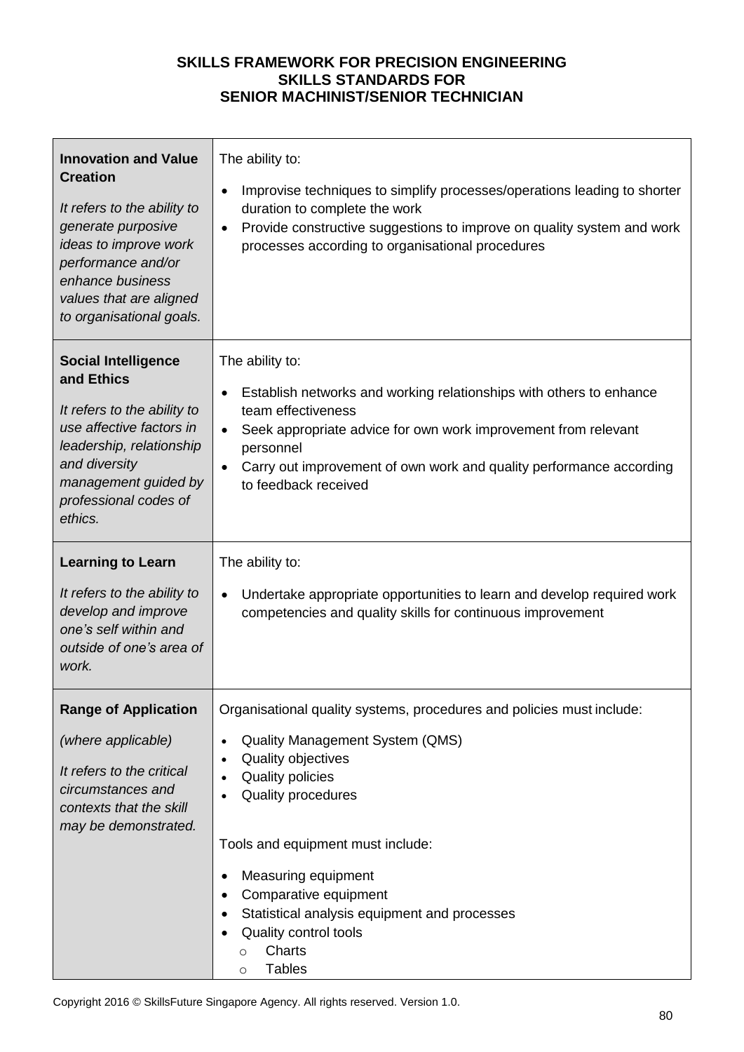| <b>Innovation and Value</b><br><b>Creation</b><br>It refers to the ability to<br>generate purposive<br>ideas to improve work<br>performance and/or<br>enhance business<br>values that are aligned<br>to organisational goals. | The ability to:<br>Improvise techniques to simplify processes/operations leading to shorter<br>$\bullet$<br>duration to complete the work<br>Provide constructive suggestions to improve on quality system and work<br>$\bullet$<br>processes according to organisational procedures                                                                                                                               |
|-------------------------------------------------------------------------------------------------------------------------------------------------------------------------------------------------------------------------------|--------------------------------------------------------------------------------------------------------------------------------------------------------------------------------------------------------------------------------------------------------------------------------------------------------------------------------------------------------------------------------------------------------------------|
| <b>Social Intelligence</b><br>and Ethics<br>It refers to the ability to<br>use affective factors in<br>leadership, relationship<br>and diversity<br>management guided by<br>professional codes of<br>ethics.                  | The ability to:<br>Establish networks and working relationships with others to enhance<br>$\bullet$<br>team effectiveness<br>Seek appropriate advice for own work improvement from relevant<br>$\bullet$<br>personnel<br>Carry out improvement of own work and quality performance according<br>$\bullet$<br>to feedback received                                                                                  |
| <b>Learning to Learn</b><br>It refers to the ability to<br>develop and improve<br>one's self within and<br>outside of one's area of<br>work.                                                                                  | The ability to:<br>Undertake appropriate opportunities to learn and develop required work<br>$\bullet$<br>competencies and quality skills for continuous improvement                                                                                                                                                                                                                                               |
| <b>Range of Application</b><br>(where applicable)<br>It refers to the critical<br>circumstances and<br>contexts that the skill<br>may be demonstrated.                                                                        | Organisational quality systems, procedures and policies must include:<br>Quality Management System (QMS)<br>$\bullet$<br>Quality objectives<br><b>Quality policies</b><br>Quality procedures<br>Tools and equipment must include:<br>Measuring equipment<br>Comparative equipment<br>Statistical analysis equipment and processes<br>Quality control tools<br><b>Charts</b><br>$\circ$<br><b>Tables</b><br>$\circ$ |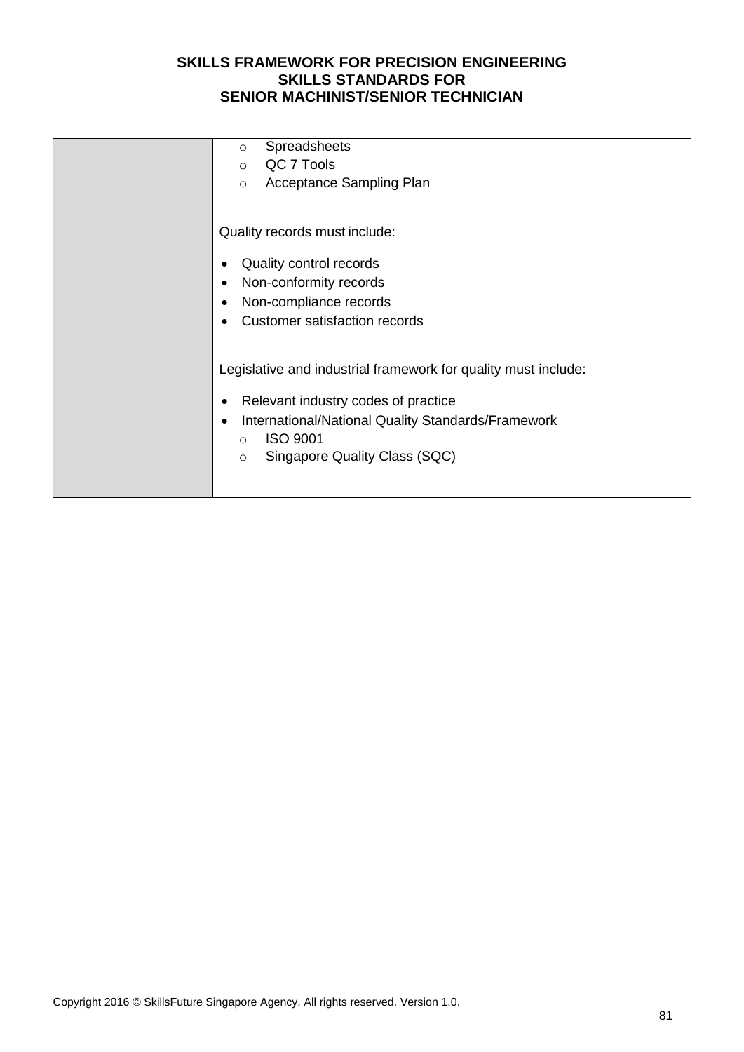| Spreadsheets<br>$\circ$                                         |
|-----------------------------------------------------------------|
| QC 7 Tools<br>$\Omega$                                          |
| Acceptance Sampling Plan<br>$\circ$                             |
|                                                                 |
| Quality records must include:                                   |
| Quality control records                                         |
| Non-conformity records<br>٠                                     |
| Non-compliance records<br>٠                                     |
| <b>Customer satisfaction records</b>                            |
|                                                                 |
|                                                                 |
| Legislative and industrial framework for quality must include:  |
| Relevant industry codes of practice<br>٠                        |
| International/National Quality Standards/Framework<br>$\bullet$ |
| <b>ISO 9001</b><br>$\Omega$                                     |
| Singapore Quality Class (SQC)                                   |
| $\circ$                                                         |
|                                                                 |
|                                                                 |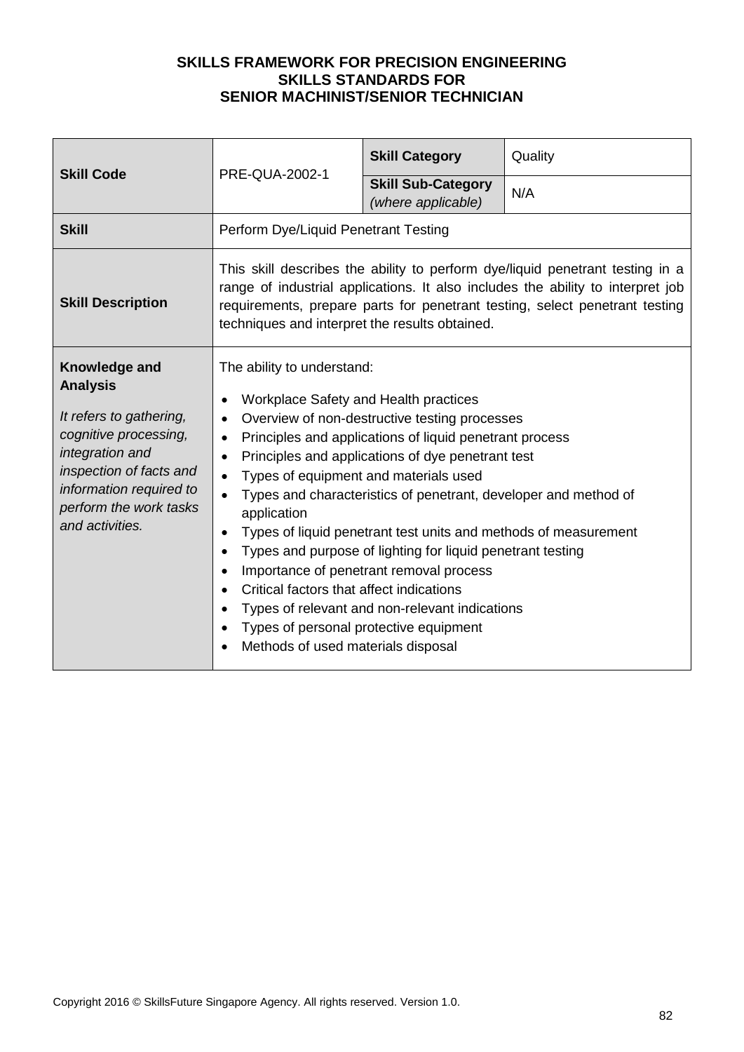| <b>Skill Code</b>                                                                                                                                                                                          |                                                                                                                                                                                                                                                                                                                                                                                                                                                                                                                                                                                                                                                                                                                                                                               | <b>Skill Category</b>                           | Quality |
|------------------------------------------------------------------------------------------------------------------------------------------------------------------------------------------------------------|-------------------------------------------------------------------------------------------------------------------------------------------------------------------------------------------------------------------------------------------------------------------------------------------------------------------------------------------------------------------------------------------------------------------------------------------------------------------------------------------------------------------------------------------------------------------------------------------------------------------------------------------------------------------------------------------------------------------------------------------------------------------------------|-------------------------------------------------|---------|
|                                                                                                                                                                                                            | PRE-QUA-2002-1                                                                                                                                                                                                                                                                                                                                                                                                                                                                                                                                                                                                                                                                                                                                                                | <b>Skill Sub-Category</b><br>(where applicable) | N/A     |
| <b>Skill</b>                                                                                                                                                                                               | Perform Dye/Liquid Penetrant Testing                                                                                                                                                                                                                                                                                                                                                                                                                                                                                                                                                                                                                                                                                                                                          |                                                 |         |
| <b>Skill Description</b>                                                                                                                                                                                   | This skill describes the ability to perform dye/liquid penetrant testing in a<br>range of industrial applications. It also includes the ability to interpret job<br>requirements, prepare parts for penetrant testing, select penetrant testing<br>techniques and interpret the results obtained.                                                                                                                                                                                                                                                                                                                                                                                                                                                                             |                                                 |         |
| Knowledge and<br><b>Analysis</b><br>It refers to gathering,<br>cognitive processing,<br>integration and<br>inspection of facts and<br>information required to<br>perform the work tasks<br>and activities. | The ability to understand:<br>Workplace Safety and Health practices<br>Overview of non-destructive testing processes<br>$\bullet$<br>Principles and applications of liquid penetrant process<br>Principles and applications of dye penetrant test<br>Types of equipment and materials used<br>$\bullet$<br>Types and characteristics of penetrant, developer and method of<br>application<br>Types of liquid penetrant test units and methods of measurement<br>$\bullet$<br>Types and purpose of lighting for liquid penetrant testing<br>Importance of penetrant removal process<br>Critical factors that affect indications<br>$\bullet$<br>Types of relevant and non-relevant indications<br>Types of personal protective equipment<br>Methods of used materials disposal |                                                 |         |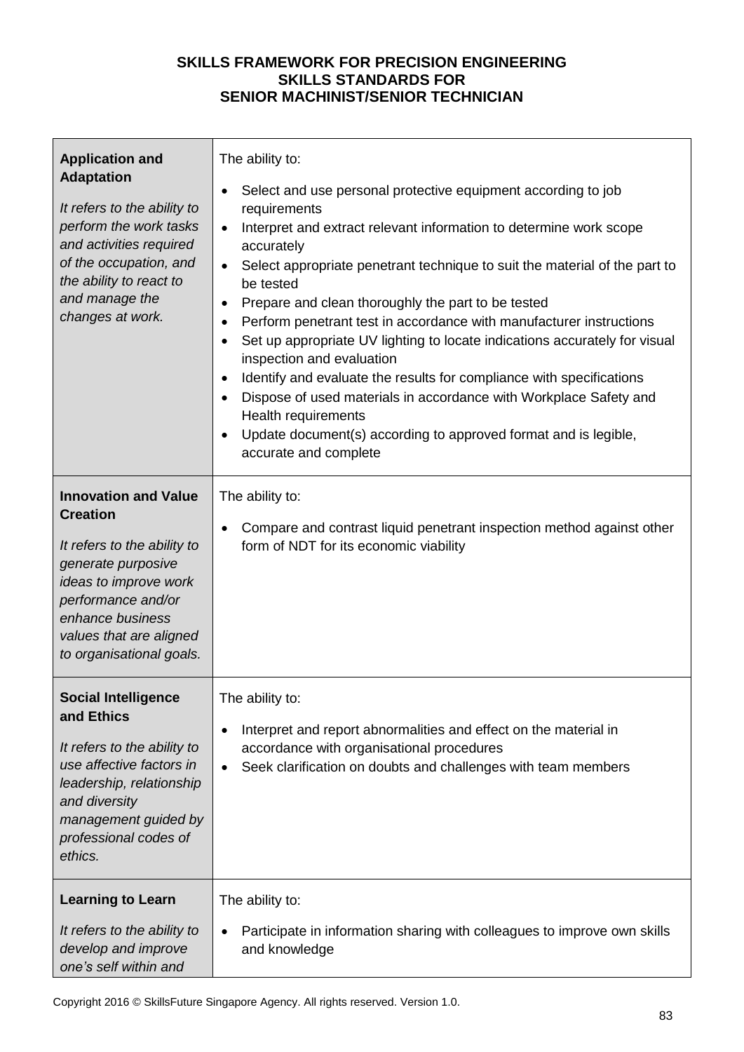| <b>Application and</b><br><b>Adaptation</b><br>It refers to the ability to<br>perform the work tasks<br>and activities required<br>of the occupation, and<br>the ability to react to<br>and manage the<br>changes at work.    | The ability to:<br>Select and use personal protective equipment according to job<br>$\bullet$<br>requirements<br>Interpret and extract relevant information to determine work scope<br>$\bullet$<br>accurately<br>Select appropriate penetrant technique to suit the material of the part to<br>$\bullet$<br>be tested<br>Prepare and clean thoroughly the part to be tested<br>$\bullet$<br>Perform penetrant test in accordance with manufacturer instructions<br>$\bullet$<br>Set up appropriate UV lighting to locate indications accurately for visual<br>$\bullet$<br>inspection and evaluation<br>Identify and evaluate the results for compliance with specifications<br>$\bullet$<br>Dispose of used materials in accordance with Workplace Safety and<br>$\bullet$<br>Health requirements<br>Update document(s) according to approved format and is legible,<br>$\bullet$<br>accurate and complete |
|-------------------------------------------------------------------------------------------------------------------------------------------------------------------------------------------------------------------------------|--------------------------------------------------------------------------------------------------------------------------------------------------------------------------------------------------------------------------------------------------------------------------------------------------------------------------------------------------------------------------------------------------------------------------------------------------------------------------------------------------------------------------------------------------------------------------------------------------------------------------------------------------------------------------------------------------------------------------------------------------------------------------------------------------------------------------------------------------------------------------------------------------------------|
| <b>Innovation and Value</b><br><b>Creation</b><br>It refers to the ability to<br>generate purposive<br>ideas to improve work<br>performance and/or<br>enhance business<br>values that are aligned<br>to organisational goals. | The ability to:<br>Compare and contrast liquid penetrant inspection method against other<br>$\bullet$<br>form of NDT for its economic viability                                                                                                                                                                                                                                                                                                                                                                                                                                                                                                                                                                                                                                                                                                                                                              |
| <b>Social Intelligence</b><br>and Ethics<br>It refers to the ability to<br>use affective factors in<br>leadership, relationship<br>and diversity<br>management guided by<br>professional codes of<br>ethics.                  | The ability to:<br>Interpret and report abnormalities and effect on the material in<br>$\bullet$<br>accordance with organisational procedures<br>Seek clarification on doubts and challenges with team members<br>$\bullet$                                                                                                                                                                                                                                                                                                                                                                                                                                                                                                                                                                                                                                                                                  |
| <b>Learning to Learn</b><br>It refers to the ability to<br>develop and improve<br>one's self within and                                                                                                                       | The ability to:<br>Participate in information sharing with colleagues to improve own skills<br>and knowledge                                                                                                                                                                                                                                                                                                                                                                                                                                                                                                                                                                                                                                                                                                                                                                                                 |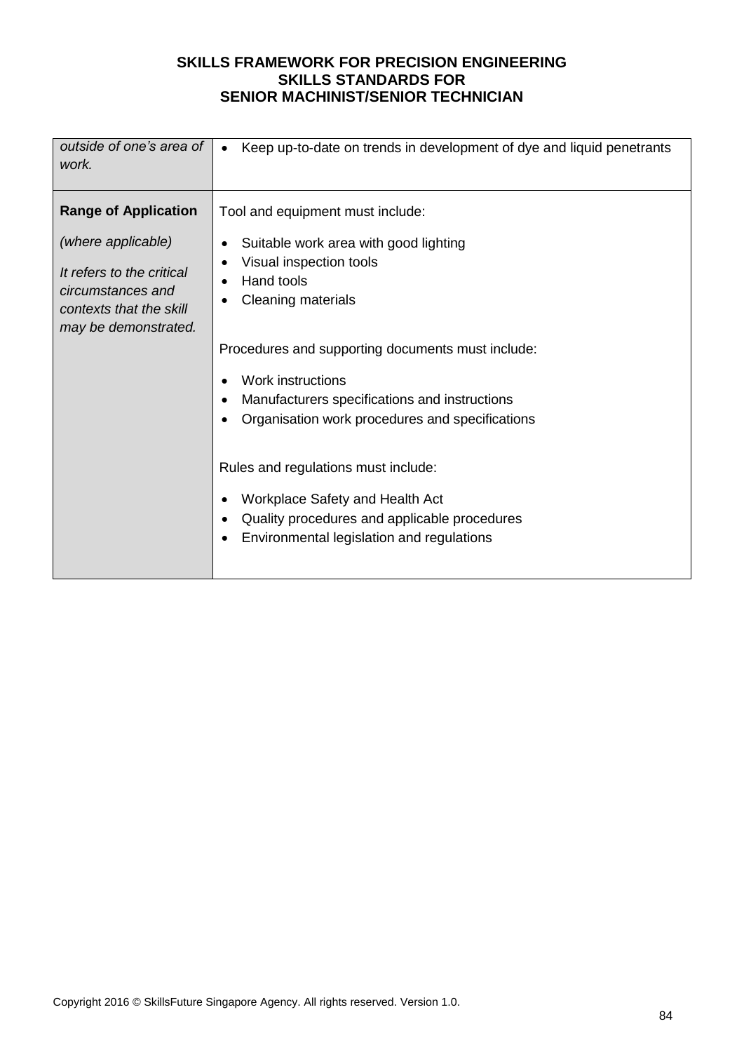| outside of one's area of<br>work.                                                                                       | Keep up-to-date on trends in development of dye and liquid penetrants<br>$\bullet$                                                                                                                                                                                                                                                                |
|-------------------------------------------------------------------------------------------------------------------------|---------------------------------------------------------------------------------------------------------------------------------------------------------------------------------------------------------------------------------------------------------------------------------------------------------------------------------------------------|
| <b>Range of Application</b>                                                                                             | Tool and equipment must include:                                                                                                                                                                                                                                                                                                                  |
| (where applicable)<br>It refers to the critical<br>circumstances and<br>contexts that the skill<br>may be demonstrated. | Suitable work area with good lighting<br>Visual inspection tools<br>Hand tools<br><b>Cleaning materials</b>                                                                                                                                                                                                                                       |
|                                                                                                                         | Procedures and supporting documents must include:<br>Work instructions<br>Manufacturers specifications and instructions<br>Organisation work procedures and specifications<br>Rules and regulations must include:<br>Workplace Safety and Health Act<br>Quality procedures and applicable procedures<br>Environmental legislation and regulations |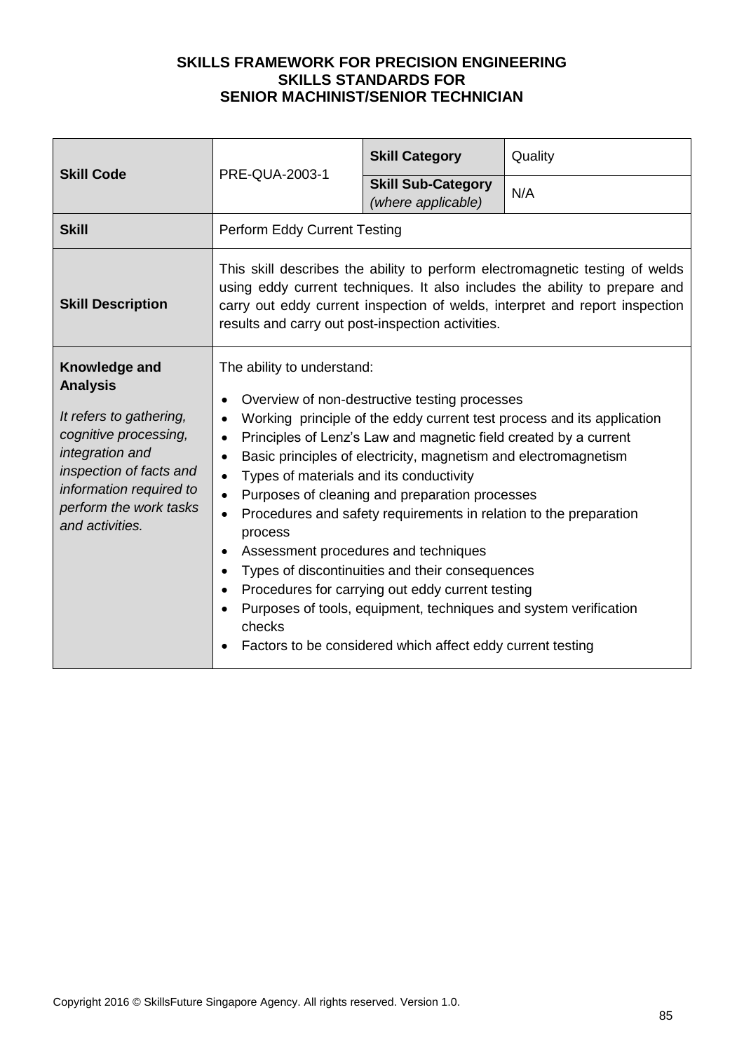| <b>Skill Code</b>                                                                                                                                                                                          | PRE-QUA-2003-1                                                                                                                                 | <b>Skill Category</b>                                                                                                                                                                                                                                                                                                                                                                                                                                                                                                                                                                        | Quality                                                                                                                                                                                                                                   |
|------------------------------------------------------------------------------------------------------------------------------------------------------------------------------------------------------------|------------------------------------------------------------------------------------------------------------------------------------------------|----------------------------------------------------------------------------------------------------------------------------------------------------------------------------------------------------------------------------------------------------------------------------------------------------------------------------------------------------------------------------------------------------------------------------------------------------------------------------------------------------------------------------------------------------------------------------------------------|-------------------------------------------------------------------------------------------------------------------------------------------------------------------------------------------------------------------------------------------|
|                                                                                                                                                                                                            |                                                                                                                                                | <b>Skill Sub-Category</b><br>(where applicable)                                                                                                                                                                                                                                                                                                                                                                                                                                                                                                                                              | N/A                                                                                                                                                                                                                                       |
| <b>Skill</b>                                                                                                                                                                                               | Perform Eddy Current Testing                                                                                                                   |                                                                                                                                                                                                                                                                                                                                                                                                                                                                                                                                                                                              |                                                                                                                                                                                                                                           |
| <b>Skill Description</b>                                                                                                                                                                                   | results and carry out post-inspection activities.                                                                                              |                                                                                                                                                                                                                                                                                                                                                                                                                                                                                                                                                                                              | This skill describes the ability to perform electromagnetic testing of welds<br>using eddy current techniques. It also includes the ability to prepare and<br>carry out eddy current inspection of welds, interpret and report inspection |
| Knowledge and<br><b>Analysis</b><br>It refers to gathering,<br>cognitive processing,<br>integration and<br>inspection of facts and<br>information required to<br>perform the work tasks<br>and activities. | The ability to understand:<br>$\bullet$<br>$\bullet$<br>Types of materials and its conductivity<br>$\bullet$<br>process<br>$\bullet$<br>checks | Overview of non-destructive testing processes<br>Principles of Lenz's Law and magnetic field created by a current<br>Basic principles of electricity, magnetism and electromagnetism<br>Purposes of cleaning and preparation processes<br>Procedures and safety requirements in relation to the preparation<br>Assessment procedures and techniques<br>Types of discontinuities and their consequences<br>Procedures for carrying out eddy current testing<br>Purposes of tools, equipment, techniques and system verification<br>Factors to be considered which affect eddy current testing | Working principle of the eddy current test process and its application                                                                                                                                                                    |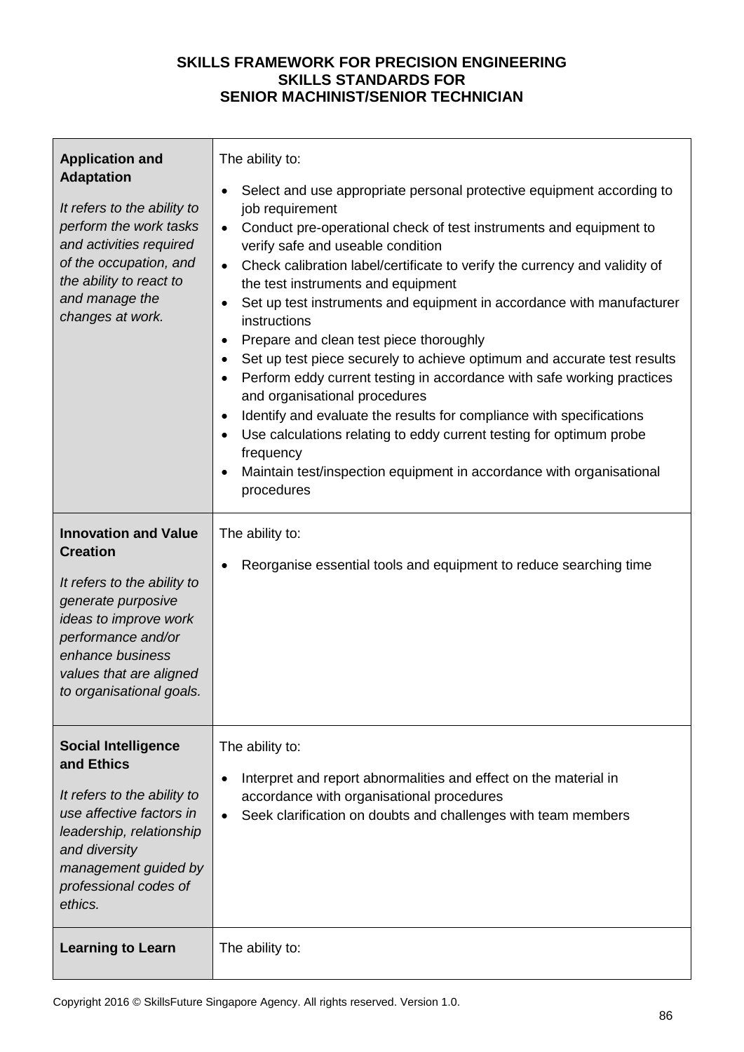| <b>Application and</b><br><b>Adaptation</b><br>It refers to the ability to<br>perform the work tasks<br>and activities required<br>of the occupation, and<br>the ability to react to<br>and manage the<br>changes at work.    | The ability to:<br>Select and use appropriate personal protective equipment according to<br>$\bullet$<br>job requirement<br>Conduct pre-operational check of test instruments and equipment to<br>$\bullet$<br>verify safe and useable condition<br>Check calibration label/certificate to verify the currency and validity of<br>$\bullet$<br>the test instruments and equipment<br>Set up test instruments and equipment in accordance with manufacturer<br>$\bullet$<br>instructions<br>Prepare and clean test piece thoroughly<br>$\bullet$<br>Set up test piece securely to achieve optimum and accurate test results<br>٠<br>Perform eddy current testing in accordance with safe working practices<br>and organisational procedures<br>Identify and evaluate the results for compliance with specifications<br>$\bullet$<br>Use calculations relating to eddy current testing for optimum probe<br>$\bullet$<br>frequency<br>Maintain test/inspection equipment in accordance with organisational<br>procedures |
|-------------------------------------------------------------------------------------------------------------------------------------------------------------------------------------------------------------------------------|------------------------------------------------------------------------------------------------------------------------------------------------------------------------------------------------------------------------------------------------------------------------------------------------------------------------------------------------------------------------------------------------------------------------------------------------------------------------------------------------------------------------------------------------------------------------------------------------------------------------------------------------------------------------------------------------------------------------------------------------------------------------------------------------------------------------------------------------------------------------------------------------------------------------------------------------------------------------------------------------------------------------|
| <b>Innovation and Value</b><br><b>Creation</b><br>It refers to the ability to<br>generate purposive<br>ideas to improve work<br>performance and/or<br>enhance business<br>values that are aligned<br>to organisational goals. | The ability to:<br>Reorganise essential tools and equipment to reduce searching time                                                                                                                                                                                                                                                                                                                                                                                                                                                                                                                                                                                                                                                                                                                                                                                                                                                                                                                                   |
| <b>Social Intelligence</b><br>and Ethics<br>It refers to the ability to<br>use affective factors in<br>leadership, relationship<br>and diversity<br>management guided by<br>professional codes of<br>ethics.                  | The ability to:<br>Interpret and report abnormalities and effect on the material in<br>$\bullet$<br>accordance with organisational procedures<br>Seek clarification on doubts and challenges with team members                                                                                                                                                                                                                                                                                                                                                                                                                                                                                                                                                                                                                                                                                                                                                                                                         |
| <b>Learning to Learn</b>                                                                                                                                                                                                      | The ability to:                                                                                                                                                                                                                                                                                                                                                                                                                                                                                                                                                                                                                                                                                                                                                                                                                                                                                                                                                                                                        |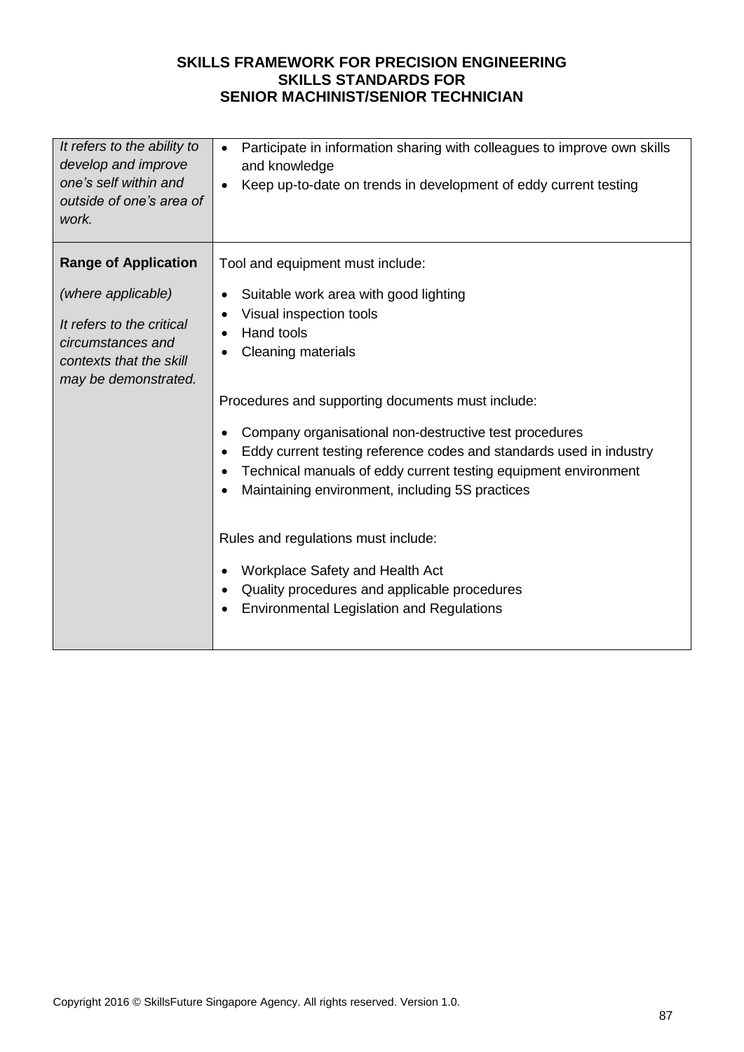| It refers to the ability to<br>develop and improve<br>one's self within and<br>outside of one's area of<br>work.        | Participate in information sharing with colleagues to improve own skills<br>$\bullet$<br>and knowledge<br>Keep up-to-date on trends in development of eddy current testing<br>$\bullet$                                                                                                                                                                                              |
|-------------------------------------------------------------------------------------------------------------------------|--------------------------------------------------------------------------------------------------------------------------------------------------------------------------------------------------------------------------------------------------------------------------------------------------------------------------------------------------------------------------------------|
| <b>Range of Application</b>                                                                                             | Tool and equipment must include:                                                                                                                                                                                                                                                                                                                                                     |
| (where applicable)<br>It refers to the critical<br>circumstances and<br>contexts that the skill<br>may be demonstrated. | Suitable work area with good lighting<br>٠<br>Visual inspection tools<br>$\bullet$<br>Hand tools<br>Cleaning materials<br>Procedures and supporting documents must include:<br>Company organisational non-destructive test procedures<br>$\bullet$                                                                                                                                   |
|                                                                                                                         | Eddy current testing reference codes and standards used in industry<br>Technical manuals of eddy current testing equipment environment<br>Maintaining environment, including 5S practices<br>Rules and regulations must include:<br>Workplace Safety and Health Act<br>$\bullet$<br>Quality procedures and applicable procedures<br><b>Environmental Legislation and Regulations</b> |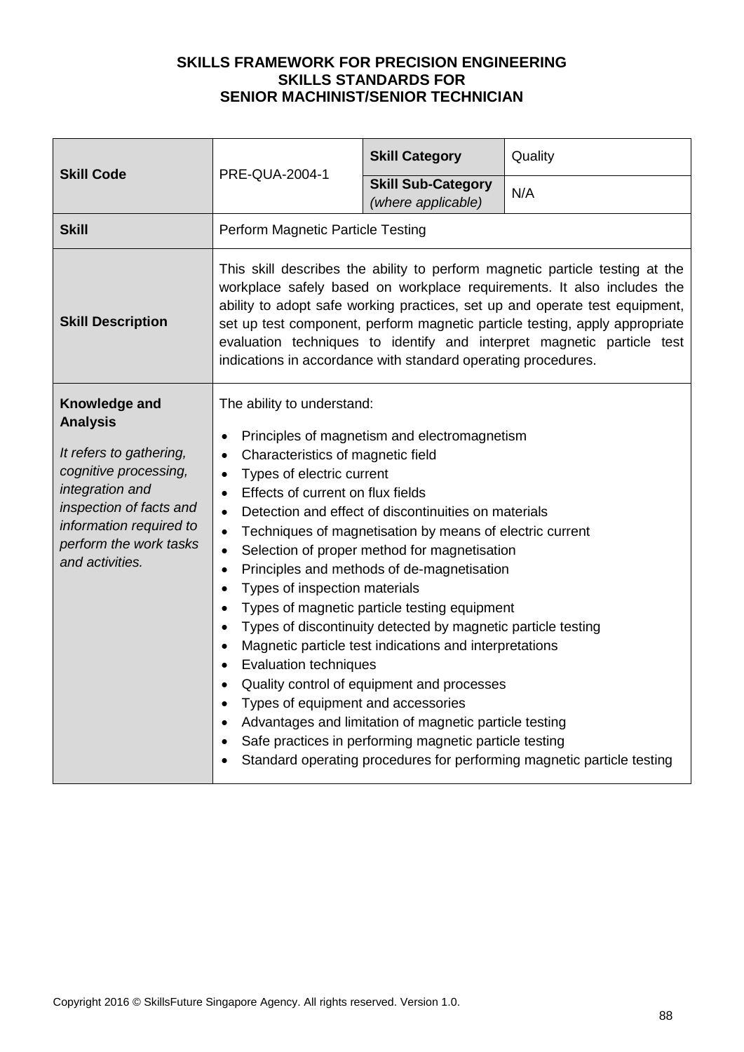| <b>Skill Code</b>                                                                                                                                                                                          | PRE-QUA-2004-1                                                                                                                                                                                                                                                                                                                                                                          | <b>Skill Category</b>                                                                                                                                                                                                                                                                                                                                                                                                                                                                                                                                                                                      | Quality                                                                                                                                                                                                                                                                                                                                                                                        |
|------------------------------------------------------------------------------------------------------------------------------------------------------------------------------------------------------------|-----------------------------------------------------------------------------------------------------------------------------------------------------------------------------------------------------------------------------------------------------------------------------------------------------------------------------------------------------------------------------------------|------------------------------------------------------------------------------------------------------------------------------------------------------------------------------------------------------------------------------------------------------------------------------------------------------------------------------------------------------------------------------------------------------------------------------------------------------------------------------------------------------------------------------------------------------------------------------------------------------------|------------------------------------------------------------------------------------------------------------------------------------------------------------------------------------------------------------------------------------------------------------------------------------------------------------------------------------------------------------------------------------------------|
|                                                                                                                                                                                                            |                                                                                                                                                                                                                                                                                                                                                                                         | <b>Skill Sub-Category</b><br>(where applicable)                                                                                                                                                                                                                                                                                                                                                                                                                                                                                                                                                            | N/A                                                                                                                                                                                                                                                                                                                                                                                            |
| <b>Skill</b>                                                                                                                                                                                               | Perform Magnetic Particle Testing                                                                                                                                                                                                                                                                                                                                                       |                                                                                                                                                                                                                                                                                                                                                                                                                                                                                                                                                                                                            |                                                                                                                                                                                                                                                                                                                                                                                                |
| <b>Skill Description</b>                                                                                                                                                                                   | indications in accordance with standard operating procedures.                                                                                                                                                                                                                                                                                                                           |                                                                                                                                                                                                                                                                                                                                                                                                                                                                                                                                                                                                            | This skill describes the ability to perform magnetic particle testing at the<br>workplace safely based on workplace requirements. It also includes the<br>ability to adopt safe working practices, set up and operate test equipment,<br>set up test component, perform magnetic particle testing, apply appropriate<br>evaluation techniques to identify and interpret magnetic particle test |
| Knowledge and<br><b>Analysis</b><br>It refers to gathering,<br>cognitive processing,<br>integration and<br>inspection of facts and<br>information required to<br>perform the work tasks<br>and activities. | The ability to understand:<br>$\bullet$<br>Characteristics of magnetic field<br>Types of electric current<br>$\bullet$<br>Effects of current on flux fields<br>$\bullet$<br>$\bullet$<br>$\bullet$<br>$\bullet$<br>$\bullet$<br>Types of inspection materials<br>$\bullet$<br>$\bullet$<br><b>Evaluation techniques</b><br>$\bullet$<br>Types of equipment and accessories<br>$\bullet$ | Principles of magnetism and electromagnetism<br>Detection and effect of discontinuities on materials<br>Techniques of magnetisation by means of electric current<br>Selection of proper method for magnetisation<br>Principles and methods of de-magnetisation<br>Types of magnetic particle testing equipment<br>Types of discontinuity detected by magnetic particle testing<br>Magnetic particle test indications and interpretations<br>Quality control of equipment and processes<br>Advantages and limitation of magnetic particle testing<br>Safe practices in performing magnetic particle testing | Standard operating procedures for performing magnetic particle testing                                                                                                                                                                                                                                                                                                                         |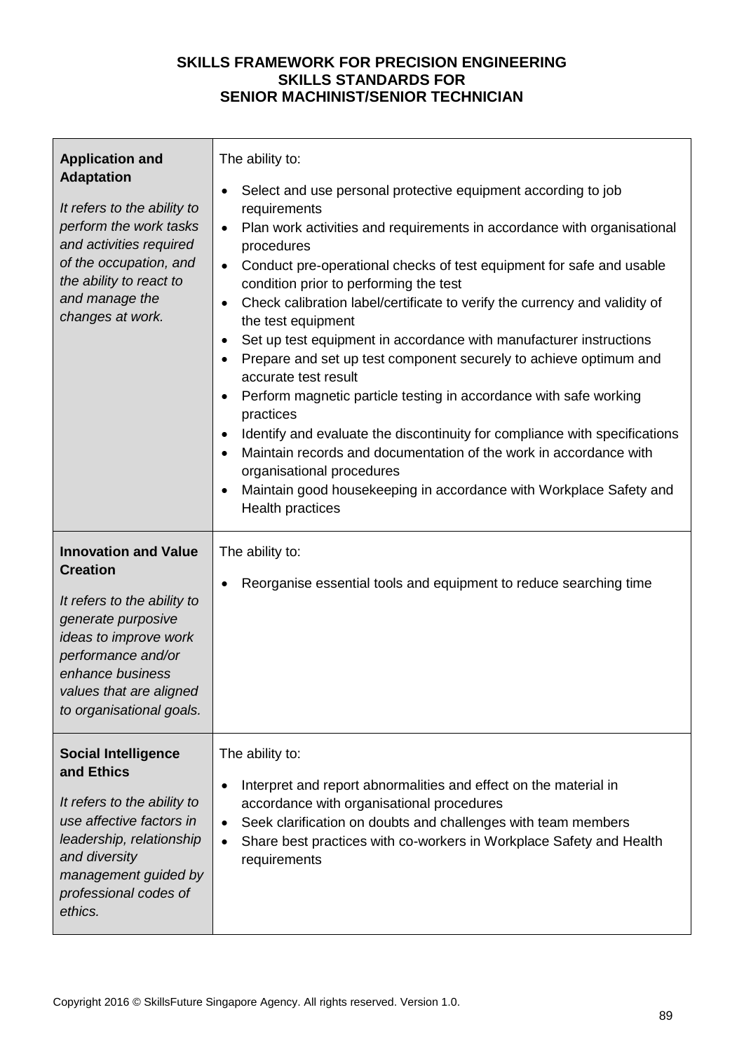| <b>Application and</b><br><b>Adaptation</b><br>It refers to the ability to<br>perform the work tasks<br>and activities required<br>of the occupation, and<br>the ability to react to<br>and manage the<br>changes at work.    | The ability to:<br>Select and use personal protective equipment according to job<br>requirements<br>Plan work activities and requirements in accordance with organisational<br>$\bullet$<br>procedures<br>Conduct pre-operational checks of test equipment for safe and usable<br>condition prior to performing the test<br>Check calibration label/certificate to verify the currency and validity of<br>$\bullet$<br>the test equipment<br>Set up test equipment in accordance with manufacturer instructions<br>$\bullet$<br>Prepare and set up test component securely to achieve optimum and<br>accurate test result<br>Perform magnetic particle testing in accordance with safe working<br>$\bullet$<br>practices<br>Identify and evaluate the discontinuity for compliance with specifications<br>$\bullet$<br>Maintain records and documentation of the work in accordance with<br>organisational procedures<br>Maintain good housekeeping in accordance with Workplace Safety and<br>Health practices |
|-------------------------------------------------------------------------------------------------------------------------------------------------------------------------------------------------------------------------------|-----------------------------------------------------------------------------------------------------------------------------------------------------------------------------------------------------------------------------------------------------------------------------------------------------------------------------------------------------------------------------------------------------------------------------------------------------------------------------------------------------------------------------------------------------------------------------------------------------------------------------------------------------------------------------------------------------------------------------------------------------------------------------------------------------------------------------------------------------------------------------------------------------------------------------------------------------------------------------------------------------------------|
| <b>Innovation and Value</b><br><b>Creation</b><br>It refers to the ability to<br>generate purposive<br>ideas to improve work<br>performance and/or<br>enhance business<br>values that are aligned<br>to organisational goals. | The ability to:<br>Reorganise essential tools and equipment to reduce searching time                                                                                                                                                                                                                                                                                                                                                                                                                                                                                                                                                                                                                                                                                                                                                                                                                                                                                                                            |
| <b>Social Intelligence</b><br>and Ethics<br>It refers to the ability to<br>use affective factors in<br>leadership, relationship<br>and diversity<br>management guided by<br>professional codes of<br>ethics.                  | The ability to:<br>Interpret and report abnormalities and effect on the material in<br>accordance with organisational procedures<br>Seek clarification on doubts and challenges with team members<br>Share best practices with co-workers in Workplace Safety and Health<br>$\bullet$<br>requirements                                                                                                                                                                                                                                                                                                                                                                                                                                                                                                                                                                                                                                                                                                           |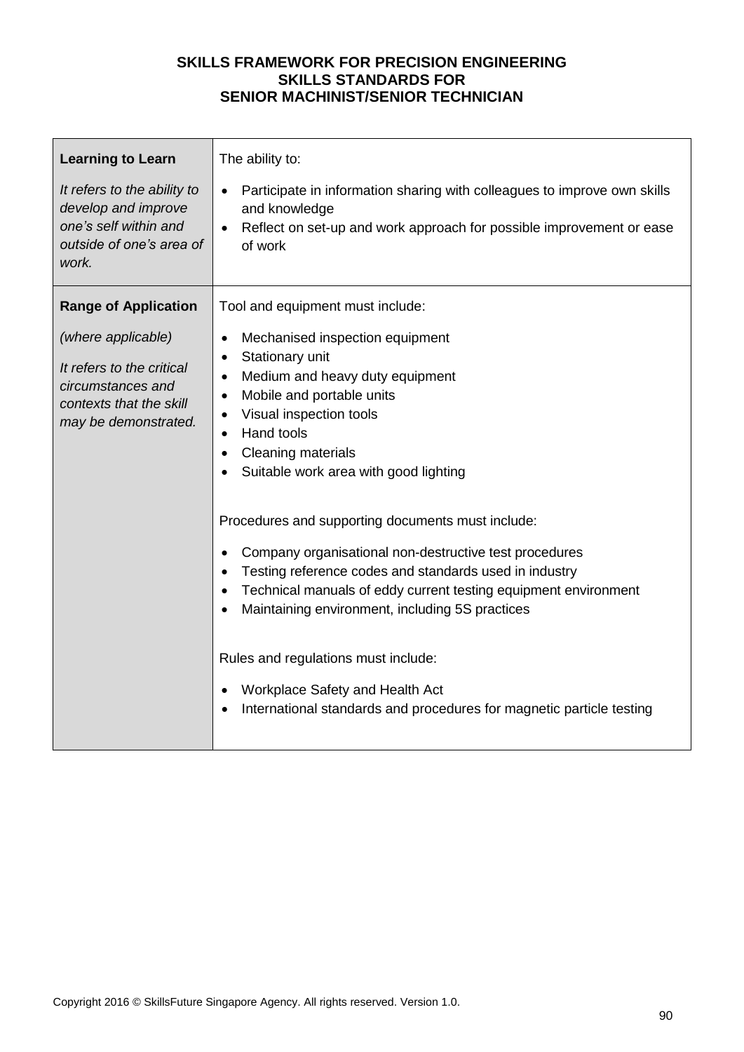| <b>Learning to Learn</b>                                                                                                                               | The ability to:                                                                                                                                                                                                                                                                                                                                                                                                                                                                                                                                                                                                                                                                                                                                                                                                         |
|--------------------------------------------------------------------------------------------------------------------------------------------------------|-------------------------------------------------------------------------------------------------------------------------------------------------------------------------------------------------------------------------------------------------------------------------------------------------------------------------------------------------------------------------------------------------------------------------------------------------------------------------------------------------------------------------------------------------------------------------------------------------------------------------------------------------------------------------------------------------------------------------------------------------------------------------------------------------------------------------|
| It refers to the ability to                                                                                                                            | Participate in information sharing with colleagues to improve own skills                                                                                                                                                                                                                                                                                                                                                                                                                                                                                                                                                                                                                                                                                                                                                |
| develop and improve                                                                                                                                    | $\bullet$                                                                                                                                                                                                                                                                                                                                                                                                                                                                                                                                                                                                                                                                                                                                                                                                               |
| one's self within and                                                                                                                                  | and knowledge                                                                                                                                                                                                                                                                                                                                                                                                                                                                                                                                                                                                                                                                                                                                                                                                           |
| outside of one's area of                                                                                                                               | Reflect on set-up and work approach for possible improvement or ease                                                                                                                                                                                                                                                                                                                                                                                                                                                                                                                                                                                                                                                                                                                                                    |
| work.                                                                                                                                                  | of work                                                                                                                                                                                                                                                                                                                                                                                                                                                                                                                                                                                                                                                                                                                                                                                                                 |
| <b>Range of Application</b><br>(where applicable)<br>It refers to the critical<br>circumstances and<br>contexts that the skill<br>may be demonstrated. | Tool and equipment must include:<br>Mechanised inspection equipment<br>$\bullet$<br>Stationary unit<br>$\bullet$<br>Medium and heavy duty equipment<br>$\bullet$<br>Mobile and portable units<br>$\bullet$<br>Visual inspection tools<br>Hand tools<br>$\bullet$<br>Cleaning materials<br>$\bullet$<br>Suitable work area with good lighting<br>Procedures and supporting documents must include:<br>Company organisational non-destructive test procedures<br>$\bullet$<br>Testing reference codes and standards used in industry<br>Technical manuals of eddy current testing equipment environment<br>Maintaining environment, including 5S practices<br>Rules and regulations must include:<br>Workplace Safety and Health Act<br>$\bullet$<br>International standards and procedures for magnetic particle testing |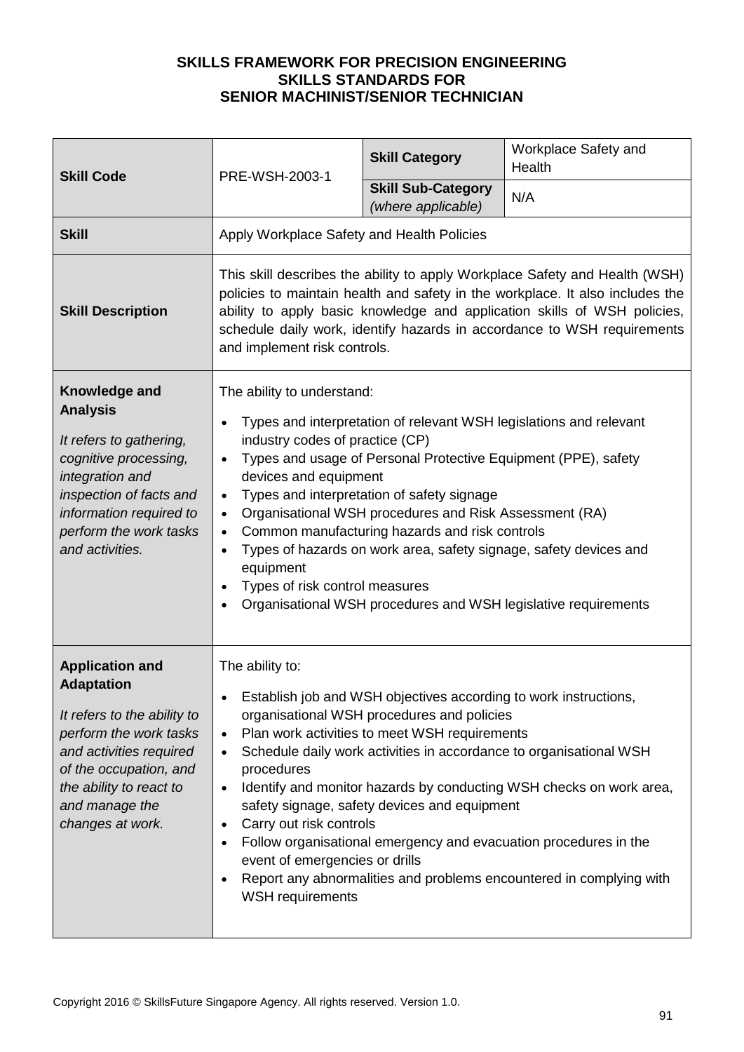| <b>Skill Code</b>                                                                                                                                                                                                          | PRE-WSH-2003-1                                                                                                                                                                                                                                                                                                                                                                                                                                                                                                                                                                                                                                                                         | <b>Skill Category</b>                                                                                                                                                                                           | Workplace Safety and<br>Health                                                                                                                                                                                                                                                       |
|----------------------------------------------------------------------------------------------------------------------------------------------------------------------------------------------------------------------------|----------------------------------------------------------------------------------------------------------------------------------------------------------------------------------------------------------------------------------------------------------------------------------------------------------------------------------------------------------------------------------------------------------------------------------------------------------------------------------------------------------------------------------------------------------------------------------------------------------------------------------------------------------------------------------------|-----------------------------------------------------------------------------------------------------------------------------------------------------------------------------------------------------------------|--------------------------------------------------------------------------------------------------------------------------------------------------------------------------------------------------------------------------------------------------------------------------------------|
|                                                                                                                                                                                                                            |                                                                                                                                                                                                                                                                                                                                                                                                                                                                                                                                                                                                                                                                                        | <b>Skill Sub-Category</b><br>(where applicable)                                                                                                                                                                 | N/A                                                                                                                                                                                                                                                                                  |
| <b>Skill</b>                                                                                                                                                                                                               | Apply Workplace Safety and Health Policies                                                                                                                                                                                                                                                                                                                                                                                                                                                                                                                                                                                                                                             |                                                                                                                                                                                                                 |                                                                                                                                                                                                                                                                                      |
| <b>Skill Description</b>                                                                                                                                                                                                   | This skill describes the ability to apply Workplace Safety and Health (WSH)<br>policies to maintain health and safety in the workplace. It also includes the<br>ability to apply basic knowledge and application skills of WSH policies,<br>schedule daily work, identify hazards in accordance to WSH requirements<br>and implement risk controls.                                                                                                                                                                                                                                                                                                                                    |                                                                                                                                                                                                                 |                                                                                                                                                                                                                                                                                      |
| Knowledge and<br><b>Analysis</b><br>It refers to gathering,<br>cognitive processing,<br>integration and<br>inspection of facts and<br>information required to<br>perform the work tasks<br>and activities.                 | The ability to understand:<br>Types and interpretation of relevant WSH legislations and relevant<br>$\bullet$<br>industry codes of practice (CP)<br>Types and usage of Personal Protective Equipment (PPE), safety<br>$\bullet$<br>devices and equipment<br>Types and interpretation of safety signage<br>$\bullet$<br>Organisational WSH procedures and Risk Assessment (RA)<br>$\bullet$<br>Common manufacturing hazards and risk controls<br>$\bullet$<br>Types of hazards on work area, safety signage, safety devices and<br>$\bullet$<br>equipment<br>Types of risk control measures<br>$\bullet$<br>Organisational WSH procedures and WSH legislative requirements<br>$\bullet$ |                                                                                                                                                                                                                 |                                                                                                                                                                                                                                                                                      |
| <b>Application and</b><br><b>Adaptation</b><br>It refers to the ability to<br>perform the work tasks<br>and activities required<br>of the occupation, and<br>the ability to react to<br>and manage the<br>changes at work. | The ability to:<br>$\bullet$<br>$\bullet$<br>procedures<br>$\bullet$<br>Carry out risk controls<br>$\bullet$<br>event of emergencies or drills<br>$\bullet$<br>WSH requirements                                                                                                                                                                                                                                                                                                                                                                                                                                                                                                        | Establish job and WSH objectives according to work instructions,<br>organisational WSH procedures and policies<br>Plan work activities to meet WSH requirements<br>safety signage, safety devices and equipment | Schedule daily work activities in accordance to organisational WSH<br>Identify and monitor hazards by conducting WSH checks on work area,<br>Follow organisational emergency and evacuation procedures in the<br>Report any abnormalities and problems encountered in complying with |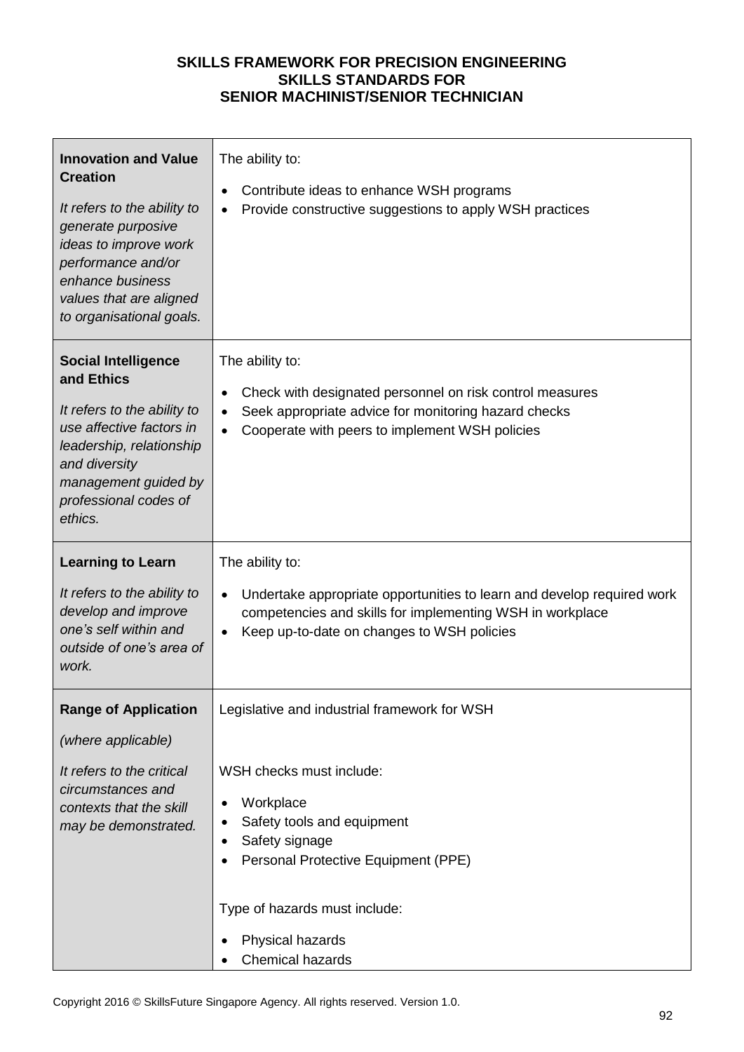| <b>Innovation and Value</b><br><b>Creation</b><br>It refers to the ability to<br>generate purposive<br>ideas to improve work<br>performance and/or<br>enhance business<br>values that are aligned<br>to organisational goals. | The ability to:<br>Contribute ideas to enhance WSH programs<br>Provide constructive suggestions to apply WSH practices                                                                                     |
|-------------------------------------------------------------------------------------------------------------------------------------------------------------------------------------------------------------------------------|------------------------------------------------------------------------------------------------------------------------------------------------------------------------------------------------------------|
| <b>Social Intelligence</b><br>and Ethics<br>It refers to the ability to<br>use affective factors in<br>leadership, relationship<br>and diversity<br>management guided by<br>professional codes of<br>ethics.                  | The ability to:<br>Check with designated personnel on risk control measures<br>Seek appropriate advice for monitoring hazard checks<br>Cooperate with peers to implement WSH policies                      |
| <b>Learning to Learn</b>                                                                                                                                                                                                      | The ability to:                                                                                                                                                                                            |
| It refers to the ability to<br>develop and improve<br>one's self within and<br>outside of one's area of<br>work.                                                                                                              | Undertake appropriate opportunities to learn and develop required work<br>competencies and skills for implementing WSH in workplace<br>Keep up-to-date on changes to WSH policies                          |
| <b>Range of Application</b>                                                                                                                                                                                                   | Legislative and industrial framework for WSH                                                                                                                                                               |
| (where applicable)                                                                                                                                                                                                            |                                                                                                                                                                                                            |
| It refers to the critical<br>circumstances and<br>contexts that the skill<br>may be demonstrated.                                                                                                                             | WSH checks must include:<br>Workplace<br>Safety tools and equipment<br>٠<br>Safety signage<br>Personal Protective Equipment (PPE)<br>Type of hazards must include:<br>Physical hazards<br>Chemical hazards |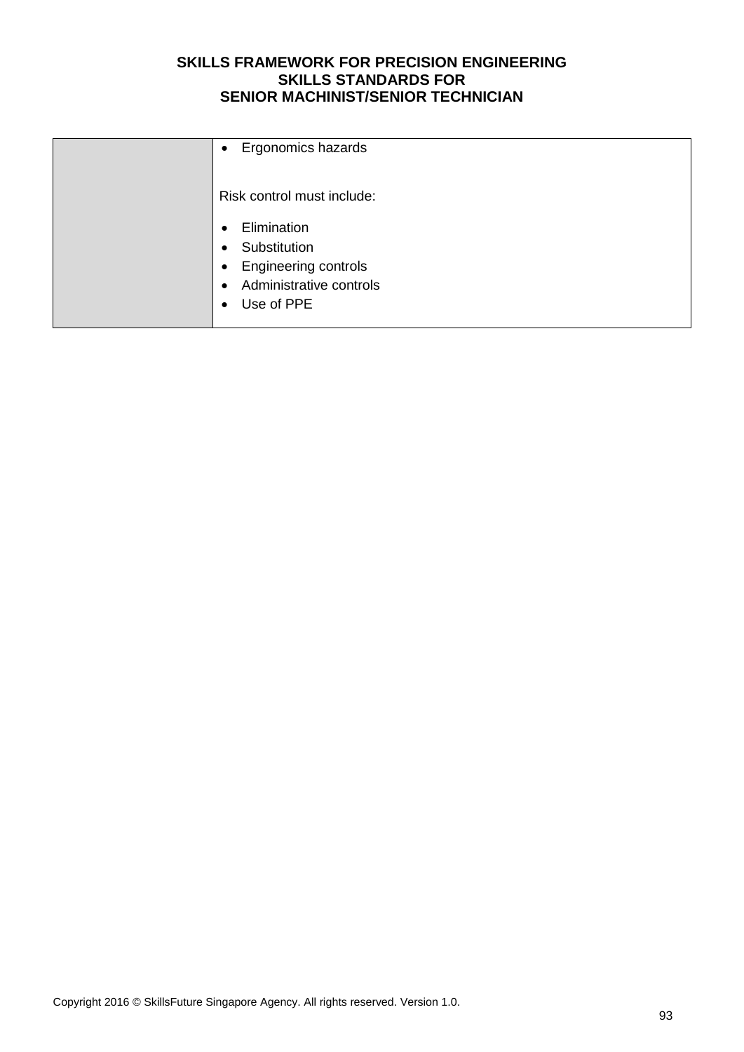| Ergonomics hazards<br>$\bullet$                                                                                                                                      |
|----------------------------------------------------------------------------------------------------------------------------------------------------------------------|
| Risk control must include:                                                                                                                                           |
| Elimination<br>$\bullet$<br>Substitution<br>$\bullet$<br><b>Engineering controls</b><br>$\bullet$<br>Administrative controls<br>$\bullet$<br>Use of PPE<br>$\bullet$ |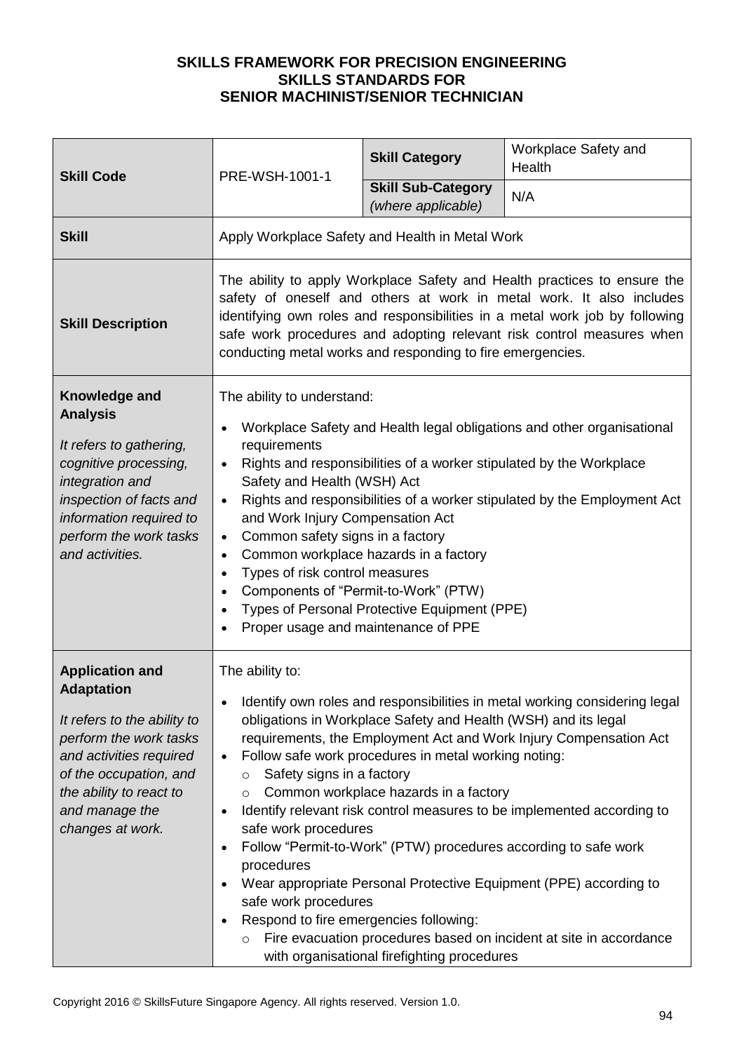| <b>Skill Code</b>                                                                                                                                                                                                          | PRE-WSH-1001-1                                                                                                                                                                                                                                                                                                                                                                                                                                                                                                                                                                                                                                                                      | <b>Skill Category</b>                                                                                                                                                                                                                                                             | Workplace Safety and<br>Health                                                                                                                                                                                                                                                                                                                                       |
|----------------------------------------------------------------------------------------------------------------------------------------------------------------------------------------------------------------------------|-------------------------------------------------------------------------------------------------------------------------------------------------------------------------------------------------------------------------------------------------------------------------------------------------------------------------------------------------------------------------------------------------------------------------------------------------------------------------------------------------------------------------------------------------------------------------------------------------------------------------------------------------------------------------------------|-----------------------------------------------------------------------------------------------------------------------------------------------------------------------------------------------------------------------------------------------------------------------------------|----------------------------------------------------------------------------------------------------------------------------------------------------------------------------------------------------------------------------------------------------------------------------------------------------------------------------------------------------------------------|
|                                                                                                                                                                                                                            |                                                                                                                                                                                                                                                                                                                                                                                                                                                                                                                                                                                                                                                                                     | <b>Skill Sub-Category</b><br>(where applicable)                                                                                                                                                                                                                                   | N/A                                                                                                                                                                                                                                                                                                                                                                  |
| <b>Skill</b>                                                                                                                                                                                                               | Apply Workplace Safety and Health in Metal Work                                                                                                                                                                                                                                                                                                                                                                                                                                                                                                                                                                                                                                     |                                                                                                                                                                                                                                                                                   |                                                                                                                                                                                                                                                                                                                                                                      |
| <b>Skill Description</b>                                                                                                                                                                                                   | The ability to apply Workplace Safety and Health practices to ensure the<br>safety of oneself and others at work in metal work. It also includes<br>identifying own roles and responsibilities in a metal work job by following<br>safe work procedures and adopting relevant risk control measures when<br>conducting metal works and responding to fire emergencies.                                                                                                                                                                                                                                                                                                              |                                                                                                                                                                                                                                                                                   |                                                                                                                                                                                                                                                                                                                                                                      |
| Knowledge and<br><b>Analysis</b><br>It refers to gathering,<br>cognitive processing,<br>integration and<br>inspection of facts and<br>information required to<br>perform the work tasks<br>and activities.                 | The ability to understand:<br>Workplace Safety and Health legal obligations and other organisational<br>requirements<br>Rights and responsibilities of a worker stipulated by the Workplace<br>$\bullet$<br>Safety and Health (WSH) Act<br>Rights and responsibilities of a worker stipulated by the Employment Act<br>$\bullet$<br>and Work Injury Compensation Act<br>Common safety signs in a factory<br>$\bullet$<br>Common workplace hazards in a factory<br>$\bullet$<br>Types of risk control measures<br>$\bullet$<br>Components of "Permit-to-Work" (PTW)<br>$\bullet$<br>Types of Personal Protective Equipment (PPE)<br>Proper usage and maintenance of PPE<br>$\bullet$ |                                                                                                                                                                                                                                                                                   |                                                                                                                                                                                                                                                                                                                                                                      |
| <b>Application and</b><br><b>Adaptation</b><br>It refers to the ability to<br>perform the work tasks<br>and activities required<br>of the occupation, and<br>the ability to react to<br>and manage the<br>changes at work. | The ability to:<br>$\bullet$<br>Safety signs in a factory<br>O<br>O<br>$\bullet$<br>safe work procedures<br>$\bullet$<br>procedures<br>safe work procedures<br>Respond to fire emergencies following:<br>$\bullet$<br>$\circ$                                                                                                                                                                                                                                                                                                                                                                                                                                                       | obligations in Workplace Safety and Health (WSH) and its legal<br>Follow safe work procedures in metal working noting:<br>Common workplace hazards in a factory<br>Follow "Permit-to-Work" (PTW) procedures according to safe work<br>with organisational firefighting procedures | Identify own roles and responsibilities in metal working considering legal<br>requirements, the Employment Act and Work Injury Compensation Act<br>Identify relevant risk control measures to be implemented according to<br>Wear appropriate Personal Protective Equipment (PPE) according to<br>Fire evacuation procedures based on incident at site in accordance |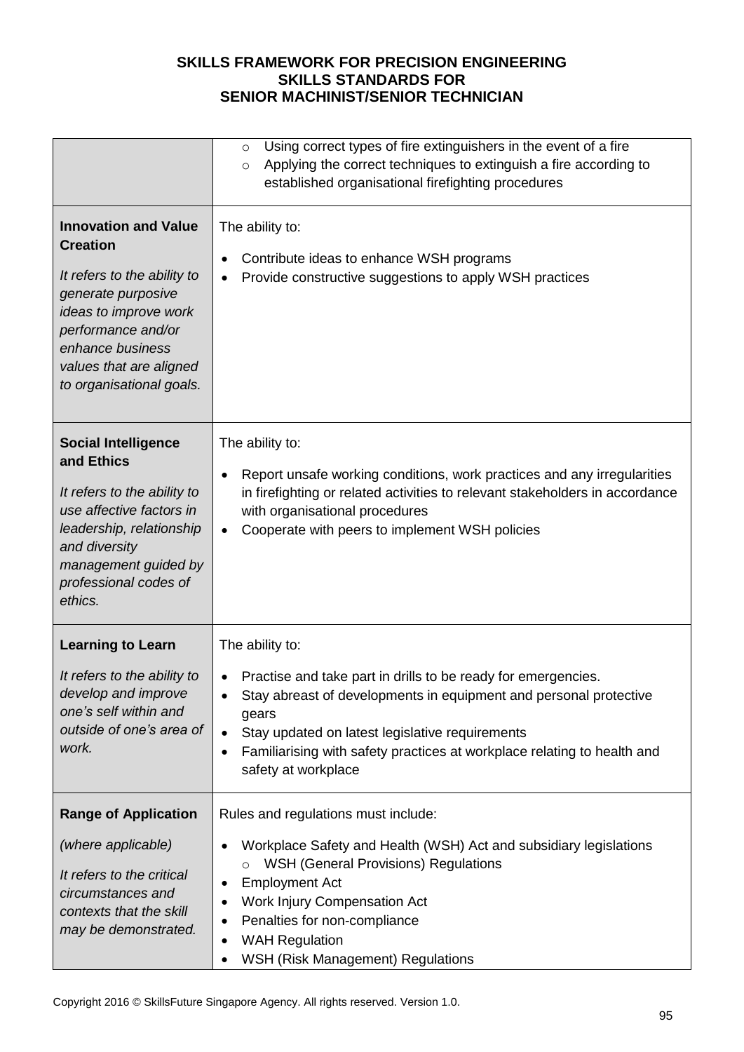|                                                                                                                                                                                                                               | Using correct types of fire extinguishers in the event of a fire<br>$\circ$<br>Applying the correct techniques to extinguish a fire according to<br>$\circ$<br>established organisational firefighting procedures                                                                                                                                  |
|-------------------------------------------------------------------------------------------------------------------------------------------------------------------------------------------------------------------------------|----------------------------------------------------------------------------------------------------------------------------------------------------------------------------------------------------------------------------------------------------------------------------------------------------------------------------------------------------|
| <b>Innovation and Value</b><br><b>Creation</b><br>It refers to the ability to<br>generate purposive<br>ideas to improve work<br>performance and/or<br>enhance business<br>values that are aligned<br>to organisational goals. | The ability to:<br>Contribute ideas to enhance WSH programs<br>Provide constructive suggestions to apply WSH practices                                                                                                                                                                                                                             |
| <b>Social Intelligence</b><br>and Ethics<br>It refers to the ability to<br>use affective factors in<br>leadership, relationship<br>and diversity<br>management guided by<br>professional codes of<br>ethics.                  | The ability to:<br>Report unsafe working conditions, work practices and any irregularities<br>in firefighting or related activities to relevant stakeholders in accordance<br>with organisational procedures<br>Cooperate with peers to implement WSH policies                                                                                     |
| <b>Learning to Learn</b><br>It refers to the ability to<br>develop and improve<br>one's self within and<br>outside of one's area of<br>work.                                                                                  | The ability to:<br>Practise and take part in drills to be ready for emergencies.<br>$\bullet$<br>Stay abreast of developments in equipment and personal protective<br>gears<br>Stay updated on latest legislative requirements<br>$\bullet$<br>Familiarising with safety practices at workplace relating to health and<br>٠<br>safety at workplace |
| <b>Range of Application</b><br>(where applicable)<br>It refers to the critical<br>circumstances and<br>contexts that the skill<br>may be demonstrated.                                                                        | Rules and regulations must include:<br>Workplace Safety and Health (WSH) Act and subsidiary legislations<br><b>WSH (General Provisions) Regulations</b><br>$\circ$<br><b>Employment Act</b><br>Work Injury Compensation Act<br>Penalties for non-compliance<br><b>WAH Regulation</b><br>WSH (Risk Management) Regulations<br>٠                     |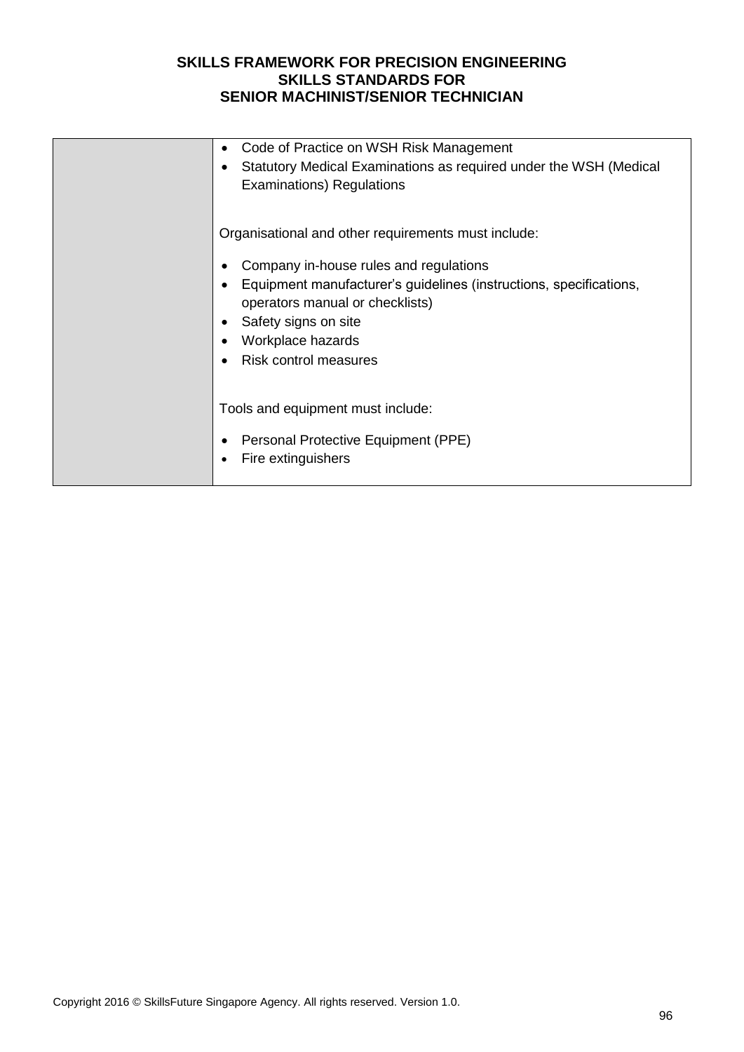| Code of Practice on WSH Risk Management<br>Statutory Medical Examinations as required under the WSH (Medical<br><b>Examinations) Regulations</b>                                                                             |
|------------------------------------------------------------------------------------------------------------------------------------------------------------------------------------------------------------------------------|
| Organisational and other requirements must include:                                                                                                                                                                          |
| Company in-house rules and regulations<br>Equipment manufacturer's guidelines (instructions, specifications,<br>operators manual or checklists)<br>Safety signs on site<br>Workplace hazards<br><b>Risk control measures</b> |
| Tools and equipment must include:<br>Personal Protective Equipment (PPE)<br>Fire extinguishers                                                                                                                               |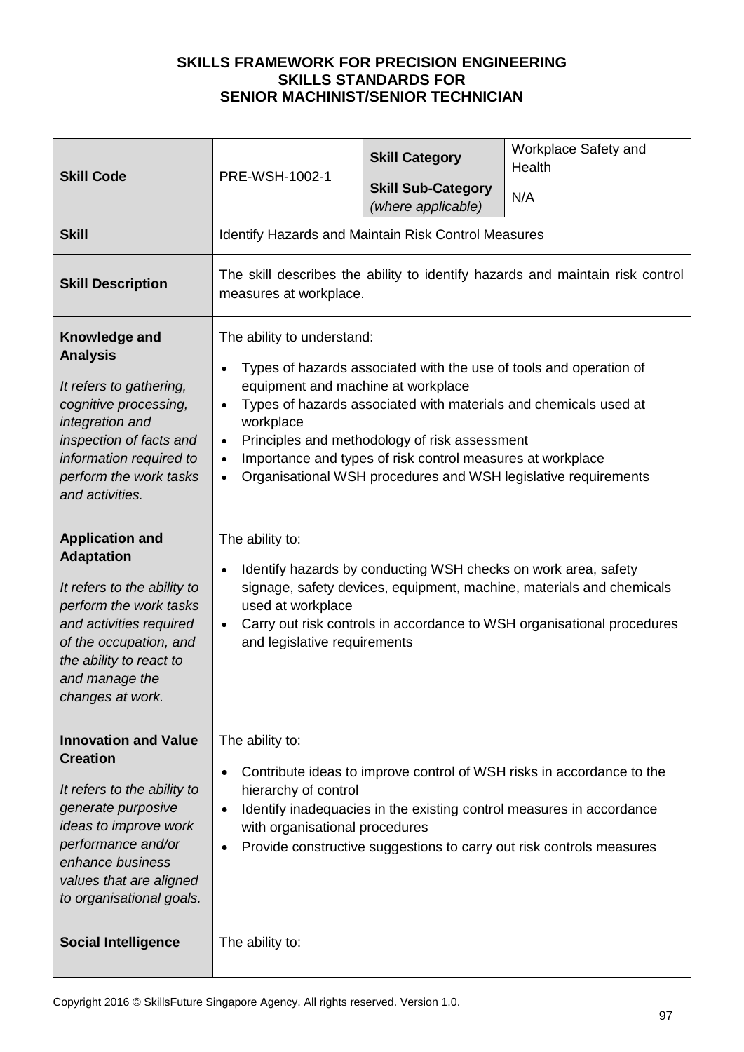| <b>Skill Code</b>                                                                                                                                                                                                             | PRE-WSH-1002-1                                                                                                                                                                                                                                                                                                                                                                                                                                               | <b>Skill Category</b>                                          | Workplace Safety and<br>Health                                                                                                                 |
|-------------------------------------------------------------------------------------------------------------------------------------------------------------------------------------------------------------------------------|--------------------------------------------------------------------------------------------------------------------------------------------------------------------------------------------------------------------------------------------------------------------------------------------------------------------------------------------------------------------------------------------------------------------------------------------------------------|----------------------------------------------------------------|------------------------------------------------------------------------------------------------------------------------------------------------|
|                                                                                                                                                                                                                               |                                                                                                                                                                                                                                                                                                                                                                                                                                                              | <b>Skill Sub-Category</b><br>(where applicable)                | N/A                                                                                                                                            |
| <b>Skill</b>                                                                                                                                                                                                                  | <b>Identify Hazards and Maintain Risk Control Measures</b>                                                                                                                                                                                                                                                                                                                                                                                                   |                                                                |                                                                                                                                                |
| <b>Skill Description</b>                                                                                                                                                                                                      | The skill describes the ability to identify hazards and maintain risk control<br>measures at workplace.                                                                                                                                                                                                                                                                                                                                                      |                                                                |                                                                                                                                                |
| Knowledge and<br><b>Analysis</b><br>It refers to gathering,<br>cognitive processing,<br>integration and<br>inspection of facts and<br>information required to<br>perform the work tasks<br>and activities.                    | The ability to understand:<br>Types of hazards associated with the use of tools and operation of<br>equipment and machine at workplace<br>Types of hazards associated with materials and chemicals used at<br>$\bullet$<br>workplace<br>Principles and methodology of risk assessment<br>$\bullet$<br>Importance and types of risk control measures at workplace<br>$\bullet$<br>Organisational WSH procedures and WSH legislative requirements<br>$\bullet$ |                                                                |                                                                                                                                                |
| <b>Application and</b><br><b>Adaptation</b><br>It refers to the ability to<br>perform the work tasks<br>and activities required<br>of the occupation, and<br>the ability to react to<br>and manage the<br>changes at work.    | The ability to:<br>$\bullet$<br>used at workplace<br>$\bullet$<br>and legislative requirements                                                                                                                                                                                                                                                                                                                                                               | Identify hazards by conducting WSH checks on work area, safety | signage, safety devices, equipment, machine, materials and chemicals<br>Carry out risk controls in accordance to WSH organisational procedures |
| <b>Innovation and Value</b><br><b>Creation</b><br>It refers to the ability to<br>generate purposive<br>ideas to improve work<br>performance and/or<br>enhance business<br>values that are aligned<br>to organisational goals. | The ability to:<br>Contribute ideas to improve control of WSH risks in accordance to the<br>hierarchy of control<br>Identify inadequacies in the existing control measures in accordance<br>$\bullet$<br>with organisational procedures<br>Provide constructive suggestions to carry out risk controls measures                                                                                                                                              |                                                                |                                                                                                                                                |
| <b>Social Intelligence</b>                                                                                                                                                                                                    | The ability to:                                                                                                                                                                                                                                                                                                                                                                                                                                              |                                                                |                                                                                                                                                |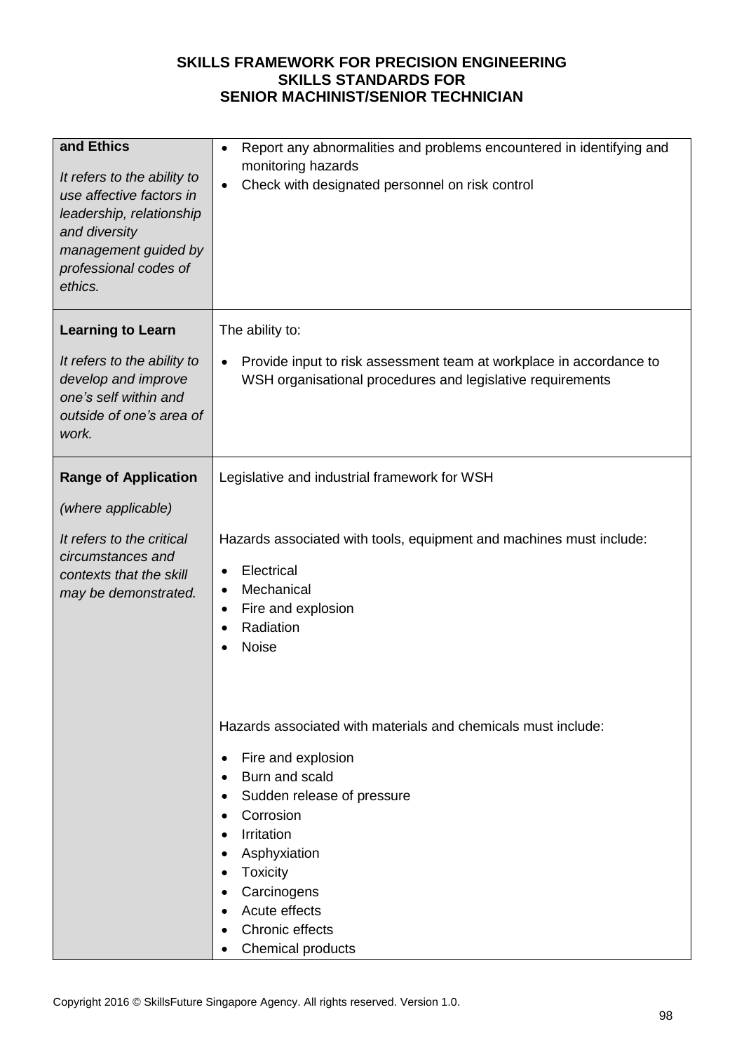| and Ethics<br>It refers to the ability to<br>use affective factors in<br>leadership, relationship<br>and diversity<br>management guided by<br>professional codes of<br>ethics. | Report any abnormalities and problems encountered in identifying and<br>٠<br>monitoring hazards<br>Check with designated personnel on risk control                                                                                            |
|--------------------------------------------------------------------------------------------------------------------------------------------------------------------------------|-----------------------------------------------------------------------------------------------------------------------------------------------------------------------------------------------------------------------------------------------|
| <b>Learning to Learn</b><br>It refers to the ability to<br>develop and improve                                                                                                 | The ability to:<br>Provide input to risk assessment team at workplace in accordance to<br>$\bullet$<br>WSH organisational procedures and legislative requirements                                                                             |
| one's self within and<br>outside of one's area of<br>work.                                                                                                                     |                                                                                                                                                                                                                                               |
| <b>Range of Application</b>                                                                                                                                                    | Legislative and industrial framework for WSH                                                                                                                                                                                                  |
| (where applicable)                                                                                                                                                             |                                                                                                                                                                                                                                               |
| It refers to the critical<br>circumstances and<br>contexts that the skill<br>may be demonstrated.                                                                              | Hazards associated with tools, equipment and machines must include:<br>Electrical<br>$\bullet$<br>Mechanical<br>Fire and explosion<br>$\bullet$<br>Radiation<br><b>Noise</b>                                                                  |
|                                                                                                                                                                                | Hazards associated with materials and chemicals must include:                                                                                                                                                                                 |
|                                                                                                                                                                                | Fire and explosion<br>$\bullet$<br>Burn and scald<br>Sudden release of pressure<br>٠<br>Corrosion<br>Irritation<br>$\bullet$<br>Asphyxiation<br>Toxicity<br>Carcinogens<br>$\bullet$<br>Acute effects<br>Chronic effects<br>Chemical products |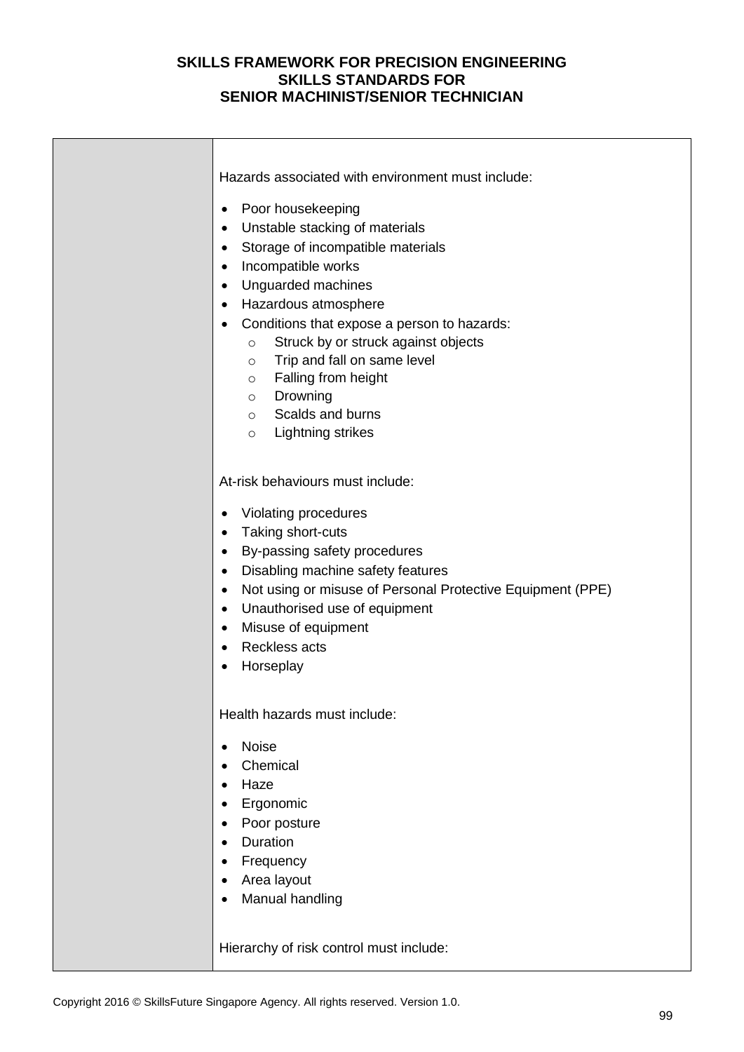| Hazards associated with environment must include:<br>Poor housekeeping<br>$\bullet$<br>Unstable stacking of materials<br>٠<br>Storage of incompatible materials<br>$\bullet$<br>Incompatible works<br>$\bullet$<br>Unguarded machines<br>$\bullet$<br>Hazardous atmosphere<br>$\bullet$<br>Conditions that expose a person to hazards:<br>Struck by or struck against objects<br>$\circ$<br>Trip and fall on same level<br>$\circ$<br>Falling from height<br>$\circ$<br>Drowning<br>$\circ$<br>Scalds and burns<br>$\circ$<br>Lightning strikes<br>$\circ$ |
|------------------------------------------------------------------------------------------------------------------------------------------------------------------------------------------------------------------------------------------------------------------------------------------------------------------------------------------------------------------------------------------------------------------------------------------------------------------------------------------------------------------------------------------------------------|
| At-risk behaviours must include:<br>Violating procedures<br>$\bullet$<br>Taking short-cuts<br>$\bullet$<br>By-passing safety procedures<br>$\bullet$<br>Disabling machine safety features<br>$\bullet$<br>Not using or misuse of Personal Protective Equipment (PPE)<br>$\bullet$<br>Unauthorised use of equipment<br>$\bullet$<br>Misuse of equipment<br>$\bullet$<br><b>Reckless acts</b><br>$\bullet$<br>Horseplay<br>$\bullet$                                                                                                                         |
| Health hazards must include:<br><b>Noise</b><br>$\bullet$<br>Chemical<br>Haze<br>$\bullet$<br>Ergonomic<br>$\bullet$<br>Poor posture<br>$\bullet$<br>Duration<br>$\bullet$<br>Frequency<br>٠<br>Area layout<br>$\bullet$<br>Manual handling                                                                                                                                                                                                                                                                                                                |
| Hierarchy of risk control must include:                                                                                                                                                                                                                                                                                                                                                                                                                                                                                                                    |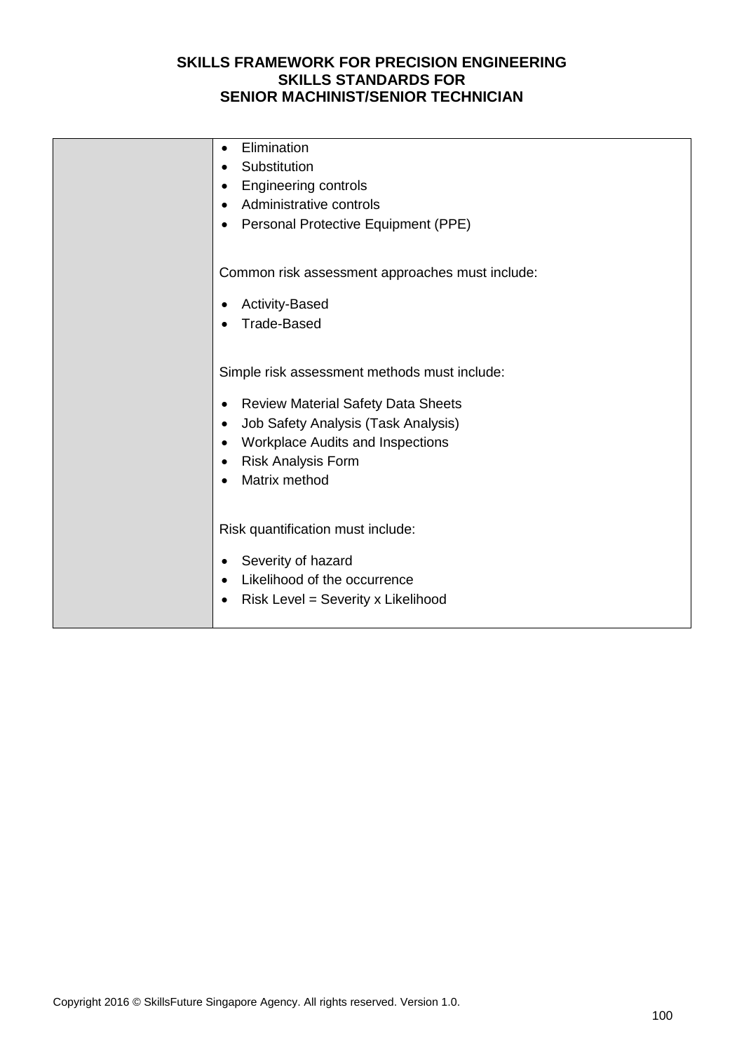| Elimination<br>$\bullet$<br>Substitution<br>$\bullet$<br><b>Engineering controls</b><br>٠<br>Administrative controls<br>$\bullet$<br>Personal Protective Equipment (PPE)<br>٠                                                                                                              |
|--------------------------------------------------------------------------------------------------------------------------------------------------------------------------------------------------------------------------------------------------------------------------------------------|
| Common risk assessment approaches must include:<br><b>Activity-Based</b><br><b>Trade-Based</b>                                                                                                                                                                                             |
| Simple risk assessment methods must include:<br><b>Review Material Safety Data Sheets</b><br>$\bullet$<br>Job Safety Analysis (Task Analysis)<br>$\bullet$<br><b>Workplace Audits and Inspections</b><br>$\bullet$<br><b>Risk Analysis Form</b><br>$\bullet$<br>Matrix method<br>$\bullet$ |
| Risk quantification must include:<br>Severity of hazard<br>$\bullet$<br>Likelihood of the occurrence<br>$\bullet$<br>Risk Level = Severity x Likelihood<br>$\bullet$                                                                                                                       |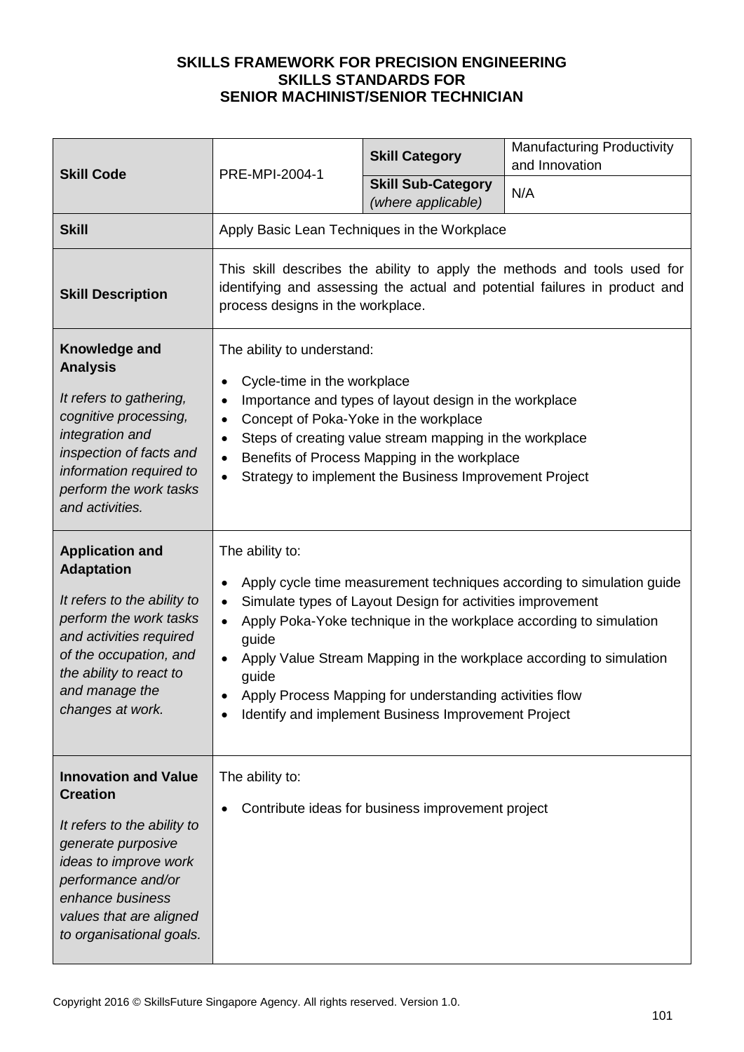| <b>Skill Code</b>                                                                                                                                                                                                             | PRE-MPI-2004-1                                                                                                                                                                                                                                                                                                                                                                                                                                                    | <b>Skill Category</b>                             | <b>Manufacturing Productivity</b><br>and Innovation |
|-------------------------------------------------------------------------------------------------------------------------------------------------------------------------------------------------------------------------------|-------------------------------------------------------------------------------------------------------------------------------------------------------------------------------------------------------------------------------------------------------------------------------------------------------------------------------------------------------------------------------------------------------------------------------------------------------------------|---------------------------------------------------|-----------------------------------------------------|
|                                                                                                                                                                                                                               |                                                                                                                                                                                                                                                                                                                                                                                                                                                                   | <b>Skill Sub-Category</b><br>(where applicable)   | N/A                                                 |
| <b>Skill</b>                                                                                                                                                                                                                  | Apply Basic Lean Techniques in the Workplace                                                                                                                                                                                                                                                                                                                                                                                                                      |                                                   |                                                     |
| <b>Skill Description</b>                                                                                                                                                                                                      | This skill describes the ability to apply the methods and tools used for<br>identifying and assessing the actual and potential failures in product and<br>process designs in the workplace.                                                                                                                                                                                                                                                                       |                                                   |                                                     |
| Knowledge and<br><b>Analysis</b><br>It refers to gathering,<br>cognitive processing,<br>integration and<br>inspection of facts and<br>information required to<br>perform the work tasks<br>and activities.                    | The ability to understand:<br>Cycle-time in the workplace<br>$\bullet$<br>Importance and types of layout design in the workplace<br>$\bullet$<br>Concept of Poka-Yoke in the workplace<br>$\bullet$<br>Steps of creating value stream mapping in the workplace<br>$\bullet$<br>Benefits of Process Mapping in the workplace<br>$\bullet$<br>Strategy to implement the Business Improvement Project<br>$\bullet$                                                   |                                                   |                                                     |
| <b>Application and</b><br><b>Adaptation</b><br>It refers to the ability to<br>perform the work tasks<br>and activities required<br>of the occupation, and<br>the ability to react to<br>and manage the<br>changes at work.    | The ability to:<br>Apply cycle time measurement techniques according to simulation guide<br>$\bullet$<br>Simulate types of Layout Design for activities improvement<br>$\bullet$<br>Apply Poka-Yoke technique in the workplace according to simulation<br>guide<br>Apply Value Stream Mapping in the workplace according to simulation<br>guide<br>Apply Process Mapping for understanding activities flow<br>Identify and implement Business Improvement Project |                                                   |                                                     |
| <b>Innovation and Value</b><br><b>Creation</b><br>It refers to the ability to<br>generate purposive<br>ideas to improve work<br>performance and/or<br>enhance business<br>values that are aligned<br>to organisational goals. | The ability to:                                                                                                                                                                                                                                                                                                                                                                                                                                                   | Contribute ideas for business improvement project |                                                     |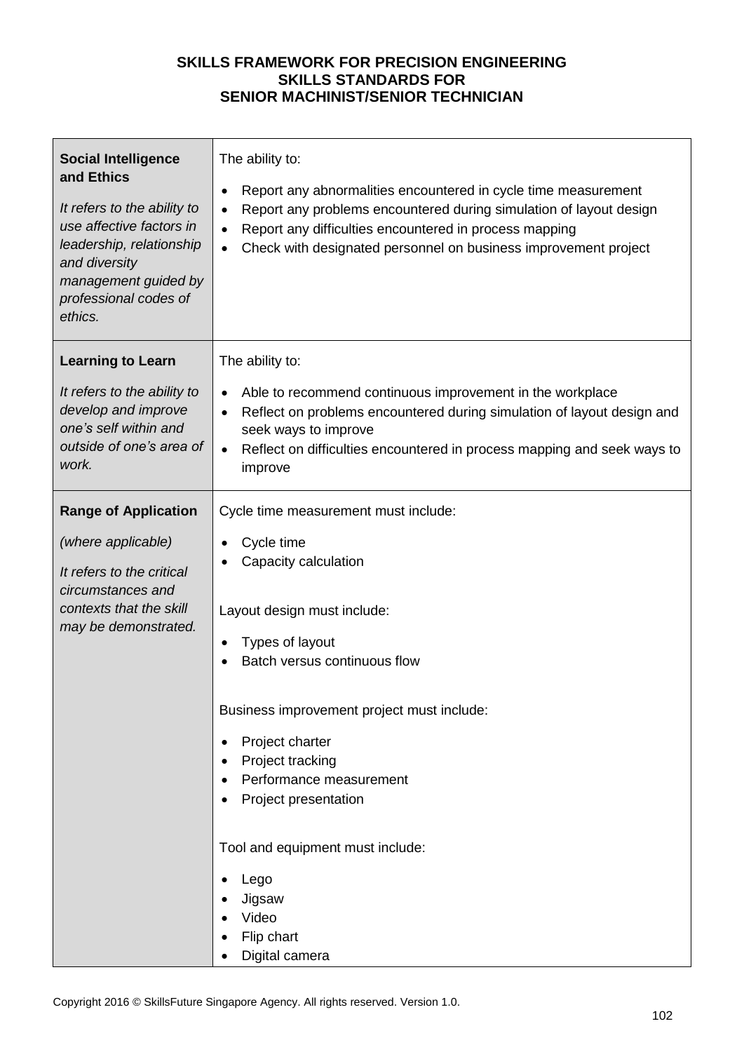| <b>Social Intelligence</b><br>and Ethics<br>It refers to the ability to<br>use affective factors in<br>leadership, relationship<br>and diversity<br>management guided by<br>professional codes of<br>ethics. | The ability to:<br>Report any abnormalities encountered in cycle time measurement<br>٠<br>Report any problems encountered during simulation of layout design<br>$\bullet$<br>Report any difficulties encountered in process mapping<br>Check with designated personnel on business improvement project<br>$\bullet$                                                                                      |
|--------------------------------------------------------------------------------------------------------------------------------------------------------------------------------------------------------------|----------------------------------------------------------------------------------------------------------------------------------------------------------------------------------------------------------------------------------------------------------------------------------------------------------------------------------------------------------------------------------------------------------|
| <b>Learning to Learn</b><br>It refers to the ability to<br>develop and improve<br>one's self within and<br>outside of one's area of<br>work.                                                                 | The ability to:<br>Able to recommend continuous improvement in the workplace<br>Reflect on problems encountered during simulation of layout design and<br>$\bullet$<br>seek ways to improve<br>Reflect on difficulties encountered in process mapping and seek ways to<br>$\bullet$<br>improve                                                                                                           |
| <b>Range of Application</b><br>(where applicable)<br>It refers to the critical<br>circumstances and<br>contexts that the skill<br>may be demonstrated.                                                       | Cycle time measurement must include:<br>Cycle time<br>Capacity calculation<br>Layout design must include:<br>Types of layout<br>Batch versus continuous flow<br>Business improvement project must include:<br>Project charter<br>٠<br>Project tracking<br>Performance measurement<br>Project presentation<br>Tool and equipment must include:<br>Lego<br>Jigsaw<br>Video<br>Flip chart<br>Digital camera |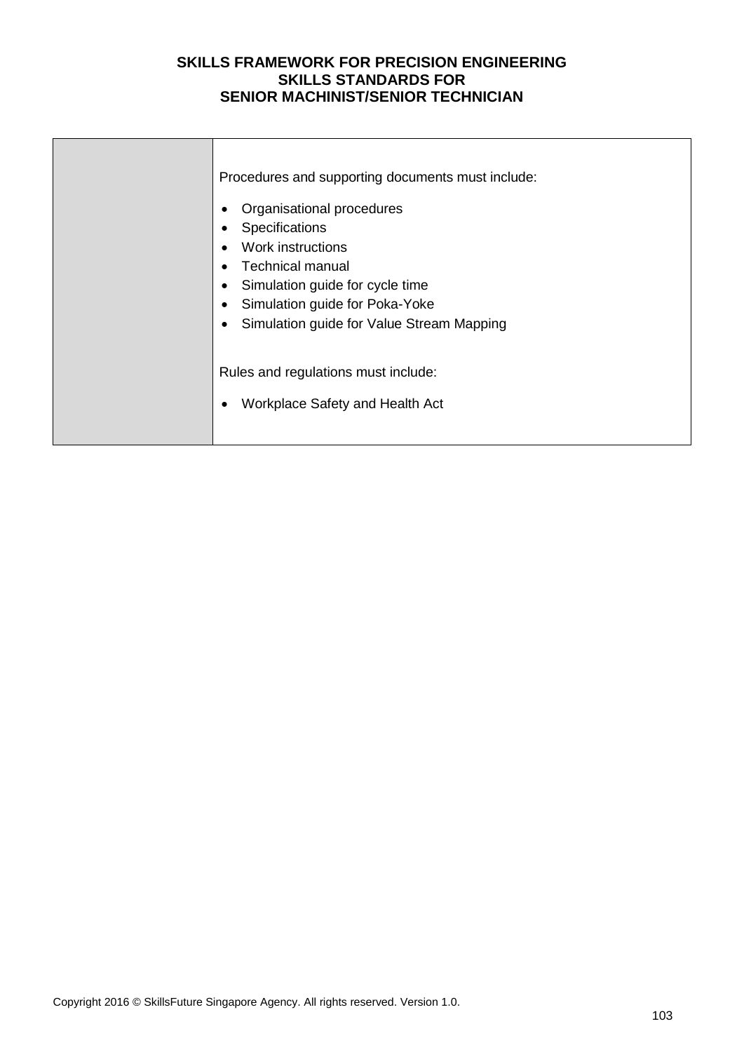| Procedures and supporting documents must include:<br>Organisational procedures<br>Specifications<br>Work instructions<br><b>Technical manual</b><br>Simulation guide for cycle time<br>Simulation guide for Poka-Yoke<br>Simulation guide for Value Stream Mapping |
|--------------------------------------------------------------------------------------------------------------------------------------------------------------------------------------------------------------------------------------------------------------------|
| Rules and regulations must include:<br>Workplace Safety and Health Act                                                                                                                                                                                             |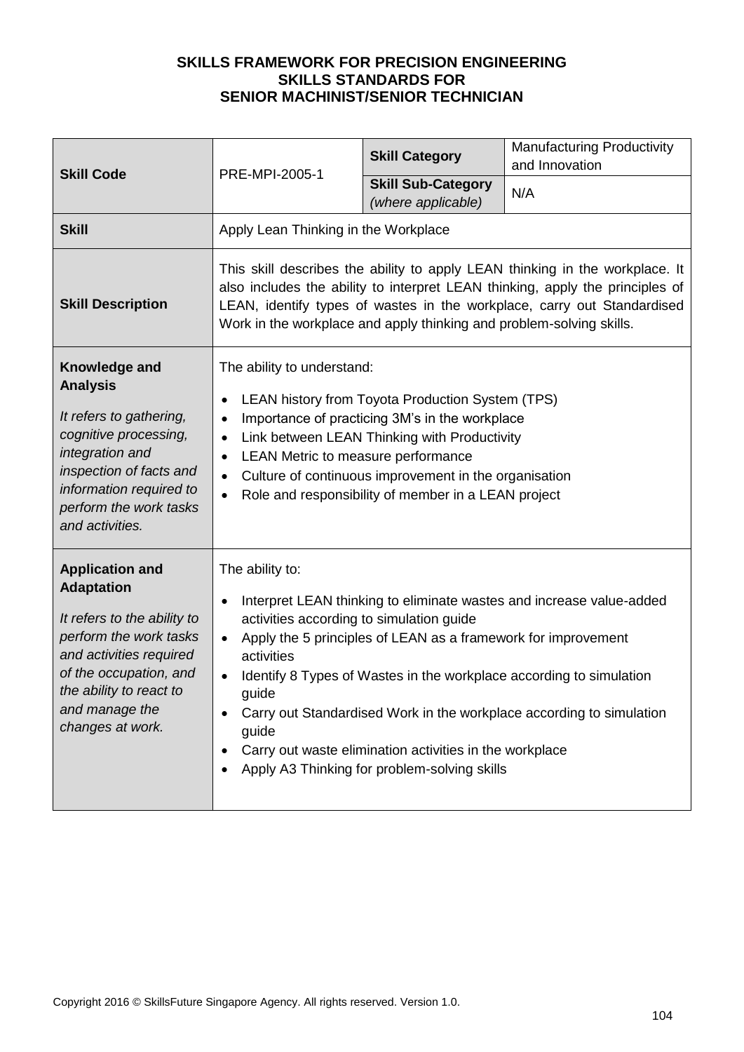| <b>Skill Code</b>                                                                                                                                                                                                          | PRE-MPI-2005-1                                                                                                                                                                                                                                                                                                                                                                                                                                                                                              | <b>Skill Category</b>                           | <b>Manufacturing Productivity</b><br>and Innovation |
|----------------------------------------------------------------------------------------------------------------------------------------------------------------------------------------------------------------------------|-------------------------------------------------------------------------------------------------------------------------------------------------------------------------------------------------------------------------------------------------------------------------------------------------------------------------------------------------------------------------------------------------------------------------------------------------------------------------------------------------------------|-------------------------------------------------|-----------------------------------------------------|
|                                                                                                                                                                                                                            |                                                                                                                                                                                                                                                                                                                                                                                                                                                                                                             | <b>Skill Sub-Category</b><br>(where applicable) | N/A                                                 |
| <b>Skill</b>                                                                                                                                                                                                               | Apply Lean Thinking in the Workplace                                                                                                                                                                                                                                                                                                                                                                                                                                                                        |                                                 |                                                     |
| <b>Skill Description</b>                                                                                                                                                                                                   | This skill describes the ability to apply LEAN thinking in the workplace. It<br>also includes the ability to interpret LEAN thinking, apply the principles of<br>LEAN, identify types of wastes in the workplace, carry out Standardised<br>Work in the workplace and apply thinking and problem-solving skills.                                                                                                                                                                                            |                                                 |                                                     |
| Knowledge and<br><b>Analysis</b><br>It refers to gathering,<br>cognitive processing,<br>integration and<br>inspection of facts and<br>information required to<br>perform the work tasks<br>and activities.                 | The ability to understand:<br>LEAN history from Toyota Production System (TPS)<br>Importance of practicing 3M's in the workplace<br>$\bullet$<br>Link between LEAN Thinking with Productivity<br>$\bullet$<br>LEAN Metric to measure performance<br>$\bullet$<br>Culture of continuous improvement in the organisation<br>$\bullet$<br>Role and responsibility of member in a LEAN project                                                                                                                  |                                                 |                                                     |
| <b>Application and</b><br><b>Adaptation</b><br>It refers to the ability to<br>perform the work tasks<br>and activities required<br>of the occupation, and<br>the ability to react to<br>and manage the<br>changes at work. | The ability to:<br>Interpret LEAN thinking to eliminate wastes and increase value-added<br>$\bullet$<br>activities according to simulation guide<br>Apply the 5 principles of LEAN as a framework for improvement<br>activities<br>Identify 8 Types of Wastes in the workplace according to simulation<br>guide<br>Carry out Standardised Work in the workplace according to simulation<br>guide<br>Carry out waste elimination activities in the workplace<br>Apply A3 Thinking for problem-solving skills |                                                 |                                                     |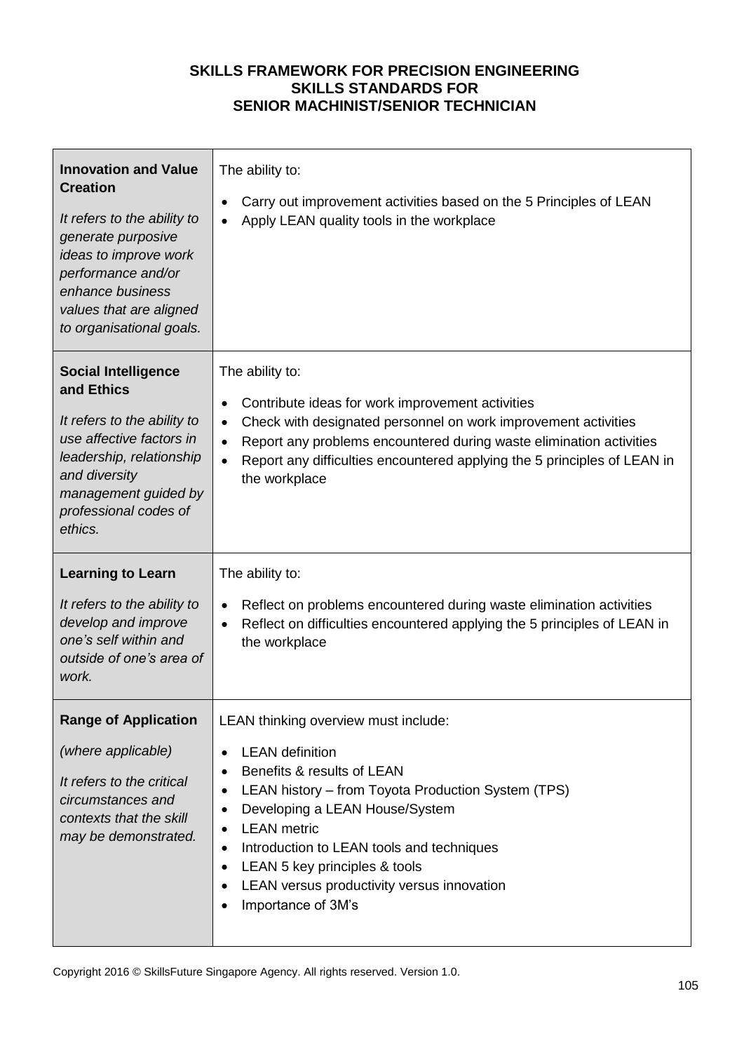| <b>Innovation and Value</b><br><b>Creation</b><br>It refers to the ability to<br>generate purposive<br>ideas to improve work<br>performance and/or<br>enhance business<br>values that are aligned<br>to organisational goals. | The ability to:<br>Carry out improvement activities based on the 5 Principles of LEAN<br>Apply LEAN quality tools in the workplace                                                                                                                                                                                                                                          |  |
|-------------------------------------------------------------------------------------------------------------------------------------------------------------------------------------------------------------------------------|-----------------------------------------------------------------------------------------------------------------------------------------------------------------------------------------------------------------------------------------------------------------------------------------------------------------------------------------------------------------------------|--|
| <b>Social Intelligence</b><br>and Ethics<br>It refers to the ability to<br>use affective factors in<br>leadership, relationship<br>and diversity<br>management guided by<br>professional codes of<br>ethics.                  | The ability to:<br>Contribute ideas for work improvement activities<br>$\bullet$<br>Check with designated personnel on work improvement activities<br>٠<br>Report any problems encountered during waste elimination activities<br>$\bullet$<br>Report any difficulties encountered applying the 5 principles of LEAN in<br>$\bullet$<br>the workplace                       |  |
| <b>Learning to Learn</b><br>It refers to the ability to<br>develop and improve<br>one's self within and<br>outside of one's area of<br>work.                                                                                  | The ability to:<br>Reflect on problems encountered during waste elimination activities<br>$\bullet$<br>Reflect on difficulties encountered applying the 5 principles of LEAN in<br>$\bullet$<br>the workplace                                                                                                                                                               |  |
| <b>Range of Application</b><br>(where applicable)<br>It refers to the critical<br>circumstances and<br>contexts that the skill<br>may be demonstrated.                                                                        | LEAN thinking overview must include:<br><b>LEAN</b> definition<br>Benefits & results of LEAN<br>LEAN history - from Toyota Production System (TPS)<br>٠<br>Developing a LEAN House/System<br><b>LEAN</b> metric<br>Introduction to LEAN tools and techniques<br>٠<br>LEAN 5 key principles & tools<br>٠<br>LEAN versus productivity versus innovation<br>Importance of 3M's |  |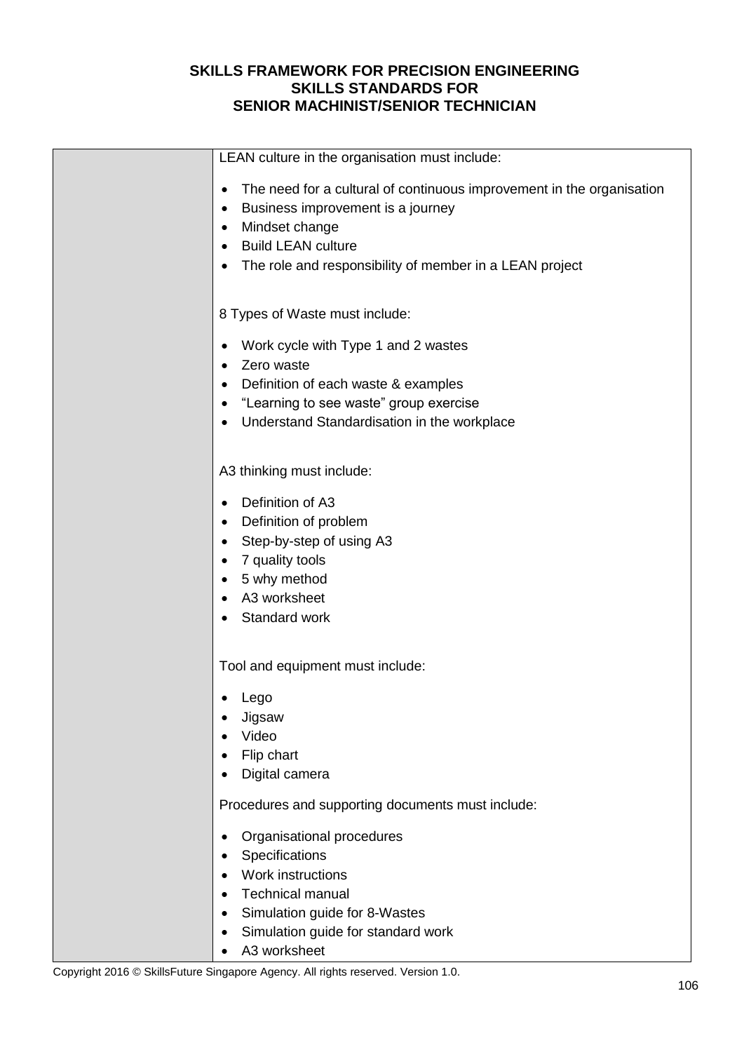| LEAN culture in the organisation must include:                             |
|----------------------------------------------------------------------------|
| The need for a cultural of continuous improvement in the organisation<br>٠ |
| Business improvement is a journey<br>٠                                     |
| Mindset change                                                             |
| <b>Build LEAN culture</b><br>٠                                             |
| The role and responsibility of member in a LEAN project<br>٠               |
|                                                                            |
| 8 Types of Waste must include:                                             |
| Work cycle with Type 1 and 2 wastes                                        |
| Zero waste                                                                 |
| Definition of each waste & examples<br>٠                                   |
| "Learning to see waste" group exercise                                     |
| Understand Standardisation in the workplace                                |
|                                                                            |
| A3 thinking must include:                                                  |
| Definition of A3                                                           |
| Definition of problem<br>٠                                                 |
| Step-by-step of using A3                                                   |
| 7 quality tools                                                            |
| 5 why method                                                               |
| A3 worksheet                                                               |
| Standard work                                                              |
|                                                                            |
| Tool and equipment must include:                                           |
| Lego                                                                       |
| Jigsaw<br>$\bullet$                                                        |
| Video                                                                      |
| Flip chart                                                                 |
| Digital camera                                                             |
| Procedures and supporting documents must include:                          |
| Organisational procedures<br>٠                                             |
| Specifications                                                             |
| Work instructions                                                          |
| <b>Technical manual</b>                                                    |
| Simulation guide for 8-Wastes<br>٠                                         |
| Simulation guide for standard work<br>٠                                    |
| A3 worksheet                                                               |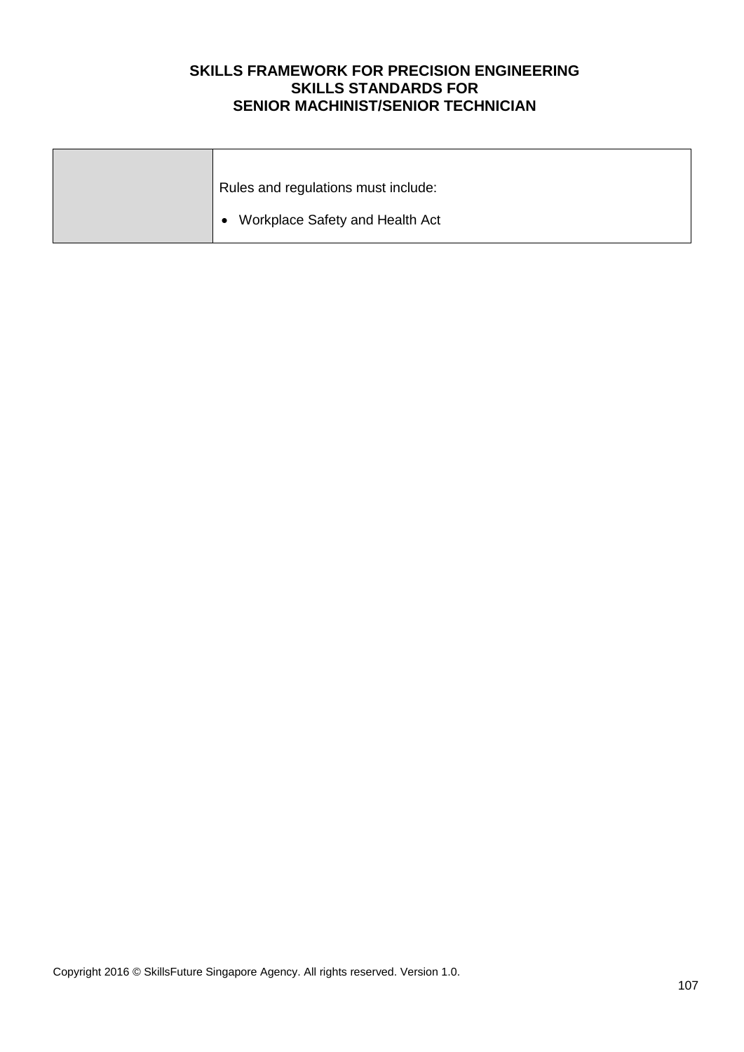| Rules and regulations must include:          |
|----------------------------------------------|
| Workplace Safety and Health Act<br>$\bullet$ |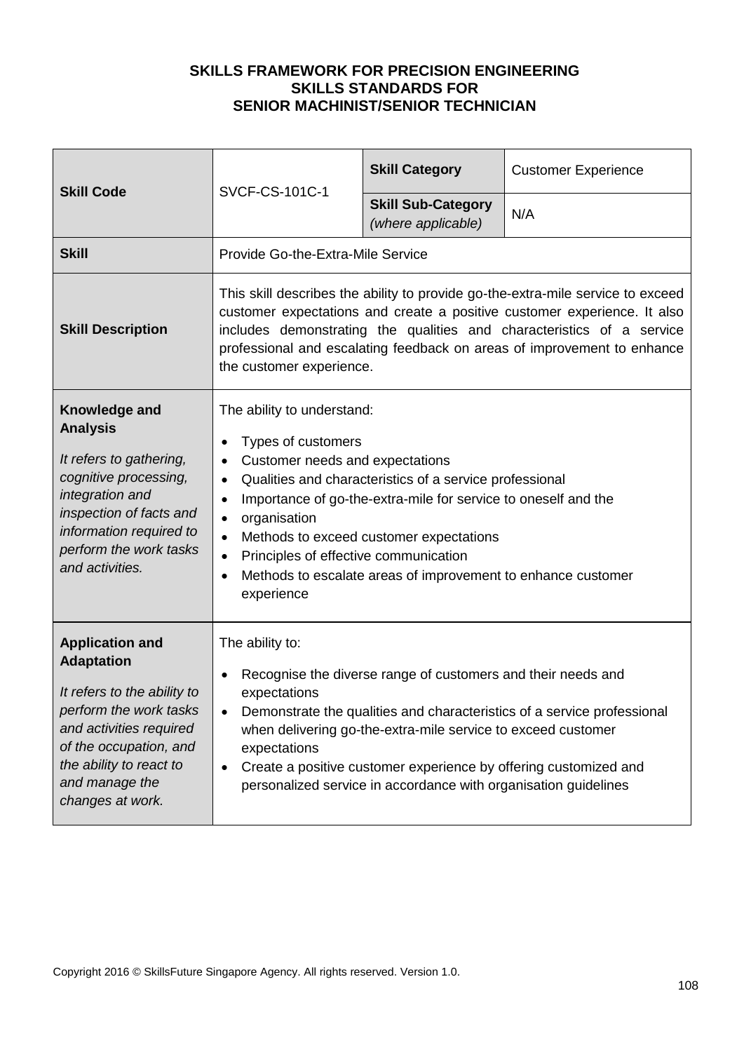| <b>Skill Code</b>                                                                                                                                                                                                          | <b>SVCF-CS-101C-1</b>                                                                                                                                                                                                                                                                                                                                                                                                                                                            | <b>Skill Category</b>                           | <b>Customer Experience</b> |
|----------------------------------------------------------------------------------------------------------------------------------------------------------------------------------------------------------------------------|----------------------------------------------------------------------------------------------------------------------------------------------------------------------------------------------------------------------------------------------------------------------------------------------------------------------------------------------------------------------------------------------------------------------------------------------------------------------------------|-------------------------------------------------|----------------------------|
|                                                                                                                                                                                                                            |                                                                                                                                                                                                                                                                                                                                                                                                                                                                                  | <b>Skill Sub-Category</b><br>(where applicable) | N/A                        |
| <b>Skill</b>                                                                                                                                                                                                               | Provide Go-the-Extra-Mile Service                                                                                                                                                                                                                                                                                                                                                                                                                                                |                                                 |                            |
| <b>Skill Description</b>                                                                                                                                                                                                   | This skill describes the ability to provide go-the-extra-mile service to exceed<br>customer expectations and create a positive customer experience. It also<br>includes demonstrating the qualities and characteristics of a service<br>professional and escalating feedback on areas of improvement to enhance<br>the customer experience.                                                                                                                                      |                                                 |                            |
| Knowledge and<br><b>Analysis</b><br>It refers to gathering,<br>cognitive processing,<br>integration and<br>inspection of facts and<br>information required to<br>perform the work tasks<br>and activities.                 | The ability to understand:<br>Types of customers<br>Customer needs and expectations<br>$\bullet$<br>Qualities and characteristics of a service professional<br>$\bullet$<br>Importance of go-the-extra-mile for service to oneself and the<br>$\bullet$<br>organisation<br>$\bullet$<br>Methods to exceed customer expectations<br>$\bullet$<br>Principles of effective communication<br>$\bullet$<br>Methods to escalate areas of improvement to enhance customer<br>experience |                                                 |                            |
| <b>Application and</b><br><b>Adaptation</b><br>It refers to the ability to<br>perform the work tasks<br>and activities required<br>of the occupation, and<br>the ability to react to<br>and manage the<br>changes at work. | The ability to:<br>Recognise the diverse range of customers and their needs and<br>$\bullet$<br>expectations<br>Demonstrate the qualities and characteristics of a service professional<br>when delivering go-the-extra-mile service to exceed customer<br>expectations<br>Create a positive customer experience by offering customized and<br>$\bullet$<br>personalized service in accordance with organisation guidelines                                                      |                                                 |                            |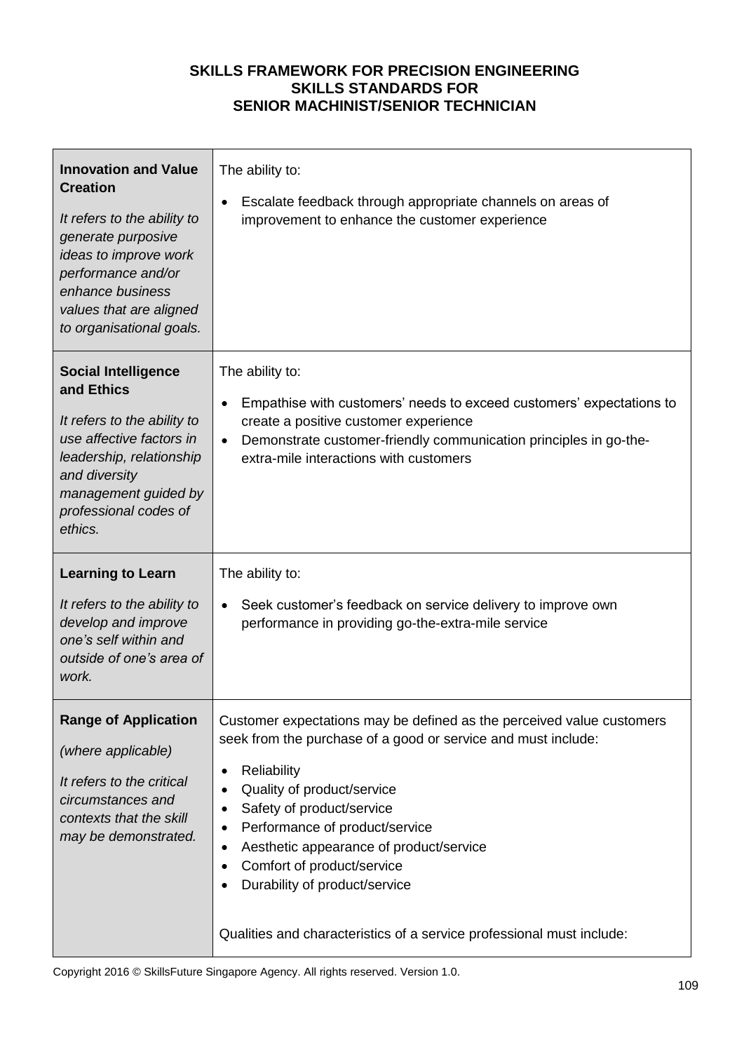| <b>Innovation and Value</b><br><b>Creation</b><br>It refers to the ability to<br>generate purposive<br>ideas to improve work<br>performance and/or<br>enhance business<br>values that are aligned<br>to organisational goals. | The ability to:<br>Escalate feedback through appropriate channels on areas of<br>$\bullet$<br>improvement to enhance the customer experience                                                                                                                              |
|-------------------------------------------------------------------------------------------------------------------------------------------------------------------------------------------------------------------------------|---------------------------------------------------------------------------------------------------------------------------------------------------------------------------------------------------------------------------------------------------------------------------|
| <b>Social Intelligence</b><br>and Ethics<br>It refers to the ability to<br>use affective factors in<br>leadership, relationship<br>and diversity<br>management guided by<br>professional codes of<br>ethics.                  | The ability to:<br>Empathise with customers' needs to exceed customers' expectations to<br>$\bullet$<br>create a positive customer experience<br>Demonstrate customer-friendly communication principles in go-the-<br>$\bullet$<br>extra-mile interactions with customers |
| <b>Learning to Learn</b><br>It refers to the ability to<br>develop and improve<br>one's self within and<br>outside of one's area of                                                                                           | The ability to:<br>Seek customer's feedback on service delivery to improve own<br>$\bullet$<br>performance in providing go-the-extra-mile service                                                                                                                         |
| work.                                                                                                                                                                                                                         |                                                                                                                                                                                                                                                                           |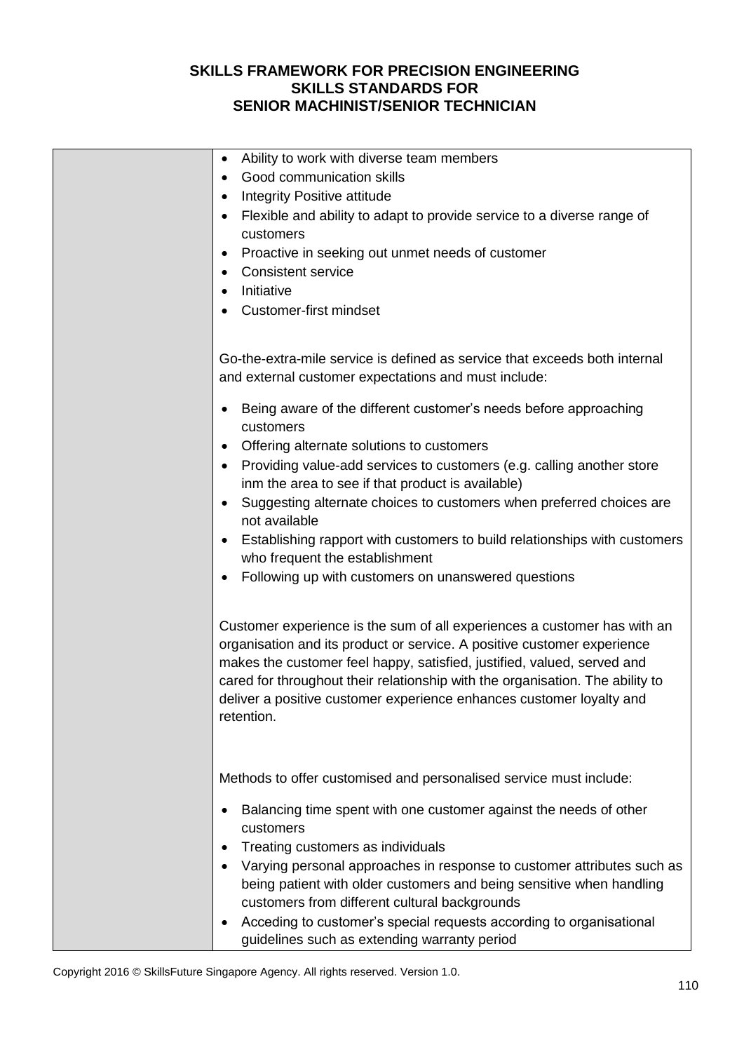| Ability to work with diverse team members<br>$\bullet$                                                                                                                                                                                                                                                                                                                                                |
|-------------------------------------------------------------------------------------------------------------------------------------------------------------------------------------------------------------------------------------------------------------------------------------------------------------------------------------------------------------------------------------------------------|
| Good communication skills                                                                                                                                                                                                                                                                                                                                                                             |
| Integrity Positive attitude                                                                                                                                                                                                                                                                                                                                                                           |
| Flexible and ability to adapt to provide service to a diverse range of<br>customers                                                                                                                                                                                                                                                                                                                   |
| Proactive in seeking out unmet needs of customer<br>$\bullet$                                                                                                                                                                                                                                                                                                                                         |
| <b>Consistent service</b>                                                                                                                                                                                                                                                                                                                                                                             |
| Initiative                                                                                                                                                                                                                                                                                                                                                                                            |
|                                                                                                                                                                                                                                                                                                                                                                                                       |
| <b>Customer-first mindset</b>                                                                                                                                                                                                                                                                                                                                                                         |
|                                                                                                                                                                                                                                                                                                                                                                                                       |
| Go-the-extra-mile service is defined as service that exceeds both internal<br>and external customer expectations and must include:                                                                                                                                                                                                                                                                    |
| Being aware of the different customer's needs before approaching<br>customers                                                                                                                                                                                                                                                                                                                         |
| Offering alternate solutions to customers                                                                                                                                                                                                                                                                                                                                                             |
| Providing value-add services to customers (e.g. calling another store                                                                                                                                                                                                                                                                                                                                 |
| inm the area to see if that product is available)                                                                                                                                                                                                                                                                                                                                                     |
| Suggesting alternate choices to customers when preferred choices are<br>$\bullet$                                                                                                                                                                                                                                                                                                                     |
| not available                                                                                                                                                                                                                                                                                                                                                                                         |
| Establishing rapport with customers to build relationships with customers                                                                                                                                                                                                                                                                                                                             |
| who frequent the establishment                                                                                                                                                                                                                                                                                                                                                                        |
| Following up with customers on unanswered questions<br>٠                                                                                                                                                                                                                                                                                                                                              |
|                                                                                                                                                                                                                                                                                                                                                                                                       |
| Customer experience is the sum of all experiences a customer has with an<br>organisation and its product or service. A positive customer experience<br>makes the customer feel happy, satisfied, justified, valued, served and<br>cared for throughout their relationship with the organisation. The ability to<br>deliver a positive customer experience enhances customer loyalty and<br>retention. |
| Methods to offer customised and personalised service must include:                                                                                                                                                                                                                                                                                                                                    |
| Balancing time spent with one customer against the needs of other<br>customers                                                                                                                                                                                                                                                                                                                        |
| Treating customers as individuals                                                                                                                                                                                                                                                                                                                                                                     |
| Varying personal approaches in response to customer attributes such as                                                                                                                                                                                                                                                                                                                                |
| being patient with older customers and being sensitive when handling                                                                                                                                                                                                                                                                                                                                  |
| customers from different cultural backgrounds                                                                                                                                                                                                                                                                                                                                                         |
| Acceding to customer's special requests according to organisational<br>$\bullet$                                                                                                                                                                                                                                                                                                                      |
| guidelines such as extending warranty period                                                                                                                                                                                                                                                                                                                                                          |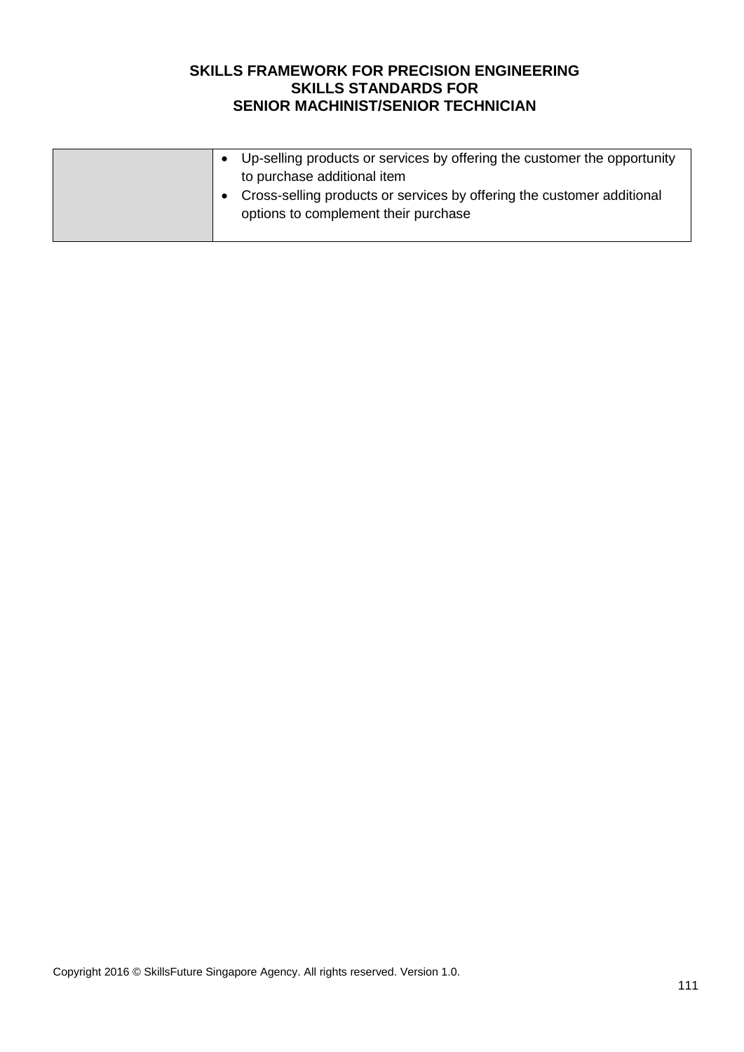|  | Up-selling products or services by offering the customer the opportunity<br>to purchase additional item<br>Cross-selling products or services by offering the customer additional<br>options to complement their purchase |
|--|---------------------------------------------------------------------------------------------------------------------------------------------------------------------------------------------------------------------------|
|--|---------------------------------------------------------------------------------------------------------------------------------------------------------------------------------------------------------------------------|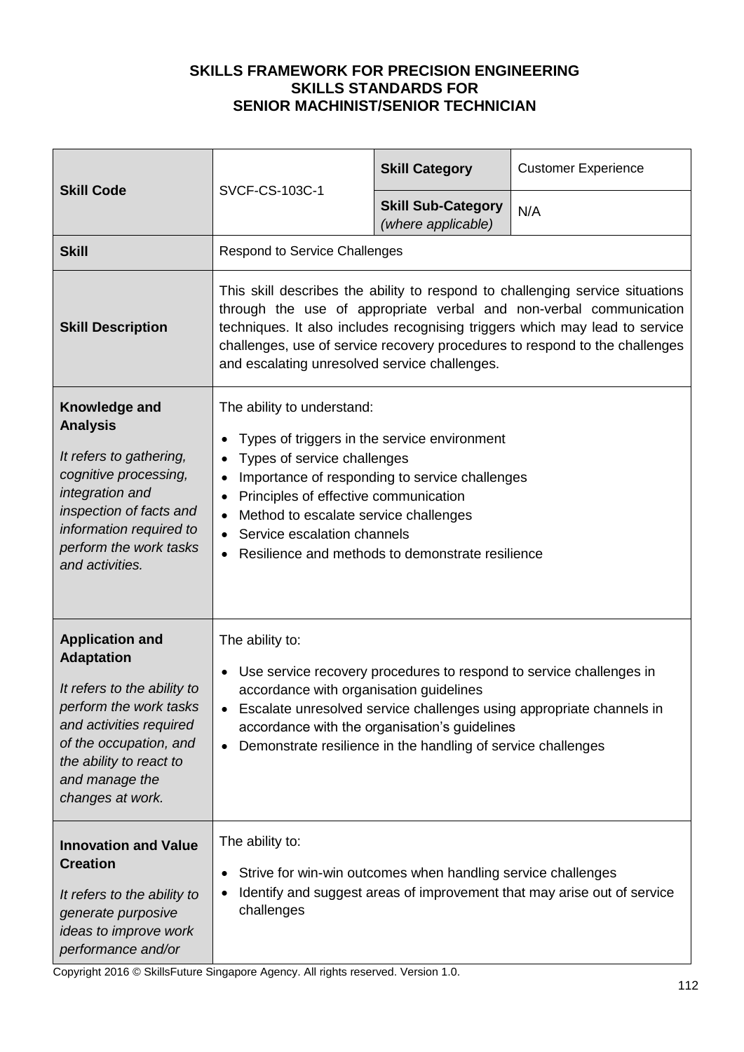| <b>Skill Code</b>                                                                                                                                                                                                          | SVCF-CS-103C-1                                                                                                                                                                                                                                                                                                                                                     | <b>Skill Category</b>                           | <b>Customer Experience</b> |  |
|----------------------------------------------------------------------------------------------------------------------------------------------------------------------------------------------------------------------------|--------------------------------------------------------------------------------------------------------------------------------------------------------------------------------------------------------------------------------------------------------------------------------------------------------------------------------------------------------------------|-------------------------------------------------|----------------------------|--|
|                                                                                                                                                                                                                            |                                                                                                                                                                                                                                                                                                                                                                    | <b>Skill Sub-Category</b><br>(where applicable) | N/A                        |  |
| <b>Skill</b>                                                                                                                                                                                                               | <b>Respond to Service Challenges</b>                                                                                                                                                                                                                                                                                                                               |                                                 |                            |  |
| <b>Skill Description</b>                                                                                                                                                                                                   | This skill describes the ability to respond to challenging service situations<br>through the use of appropriate verbal and non-verbal communication<br>techniques. It also includes recognising triggers which may lead to service<br>challenges, use of service recovery procedures to respond to the challenges<br>and escalating unresolved service challenges. |                                                 |                            |  |
| Knowledge and<br><b>Analysis</b><br>It refers to gathering,<br>cognitive processing,<br>integration and<br>inspection of facts and<br>information required to<br>perform the work tasks<br>and activities.                 | The ability to understand:<br>Types of triggers in the service environment<br>Types of service challenges<br>Importance of responding to service challenges<br>Principles of effective communication<br>$\bullet$<br>Method to escalate service challenges<br>Service escalation channels<br>$\bullet$<br>Resilience and methods to demonstrate resilience         |                                                 |                            |  |
| <b>Application and</b><br><b>Adaptation</b><br>It refers to the ability to<br>perform the work tasks<br>and activities required<br>of the occupation, and<br>the ability to react to<br>and manage the<br>changes at work. | The ability to:<br>Use service recovery procedures to respond to service challenges in<br>accordance with organisation guidelines<br>Escalate unresolved service challenges using appropriate channels in<br>accordance with the organisation's guidelines<br>Demonstrate resilience in the handling of service challenges<br>$\bullet$                            |                                                 |                            |  |
| <b>Innovation and Value</b><br><b>Creation</b><br>It refers to the ability to<br>generate purposive<br>ideas to improve work<br>performance and/or                                                                         | The ability to:<br>Strive for win-win outcomes when handling service challenges<br>$\bullet$<br>Identify and suggest areas of improvement that may arise out of service<br>challenges                                                                                                                                                                              |                                                 |                            |  |

Copyright 2016 © SkillsFuture Singapore Agency. All rights reserved. Version 1.0.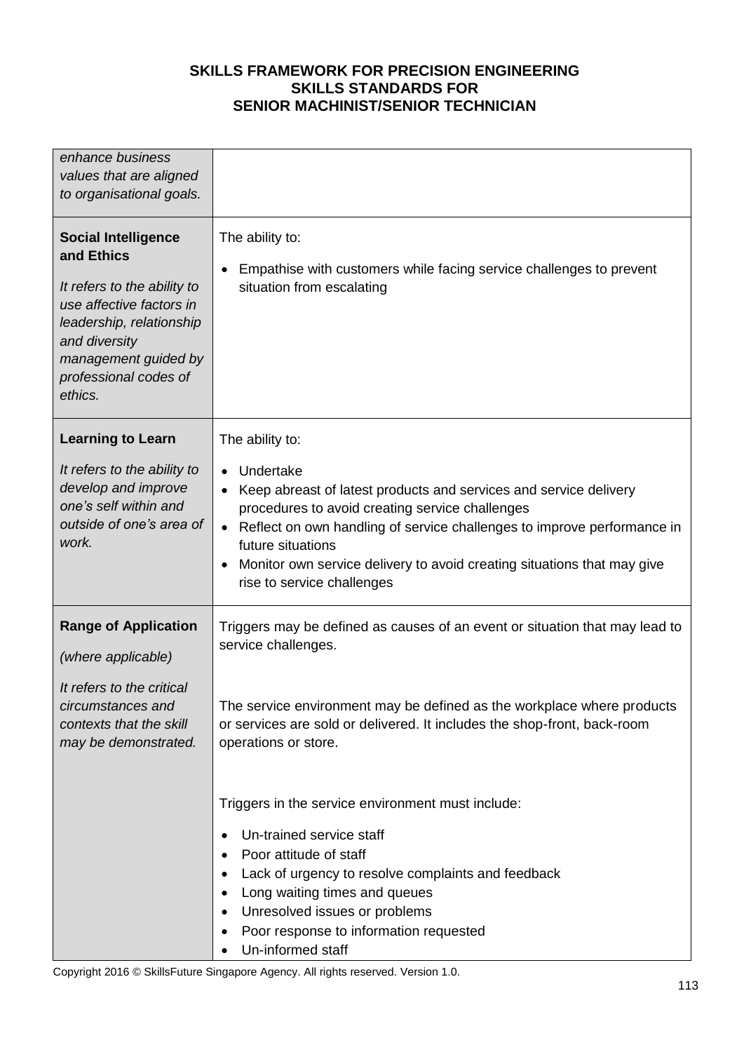| enhance business<br>values that are aligned<br>to organisational goals.                                                                                                                                      |                                                                                                                                                                                                                                                                                                                                                                            |
|--------------------------------------------------------------------------------------------------------------------------------------------------------------------------------------------------------------|----------------------------------------------------------------------------------------------------------------------------------------------------------------------------------------------------------------------------------------------------------------------------------------------------------------------------------------------------------------------------|
| <b>Social Intelligence</b><br>and Ethics<br>It refers to the ability to<br>use affective factors in<br>leadership, relationship<br>and diversity<br>management guided by<br>professional codes of<br>ethics. | The ability to:<br>Empathise with customers while facing service challenges to prevent<br>$\bullet$<br>situation from escalating                                                                                                                                                                                                                                           |
| <b>Learning to Learn</b><br>It refers to the ability to<br>develop and improve<br>one's self within and<br>outside of one's area of<br>work.                                                                 | The ability to:<br>Undertake<br>Keep abreast of latest products and services and service delivery<br>procedures to avoid creating service challenges<br>Reflect on own handling of service challenges to improve performance in<br>future situations<br>Monitor own service delivery to avoid creating situations that may give<br>$\bullet$<br>rise to service challenges |
| <b>Range of Application</b><br>(where applicable)<br>It refers to the critical<br>circumstances and<br>contexts that the skill<br>may be demonstrated.                                                       | Triggers may be defined as causes of an event or situation that may lead to<br>service challenges.<br>The service environment may be defined as the workplace where products<br>or services are sold or delivered. It includes the shop-front, back-room<br>operations or store.                                                                                           |
|                                                                                                                                                                                                              | Triggers in the service environment must include:<br>Un-trained service staff<br>Poor attitude of staff<br>Lack of urgency to resolve complaints and feedback<br>٠<br>Long waiting times and queues<br>٠<br>Unresolved issues or problems<br>Poor response to information requested<br>Un-informed staff                                                                   |

Copyright 2016 © SkillsFuture Singapore Agency. All rights reserved. Version 1.0.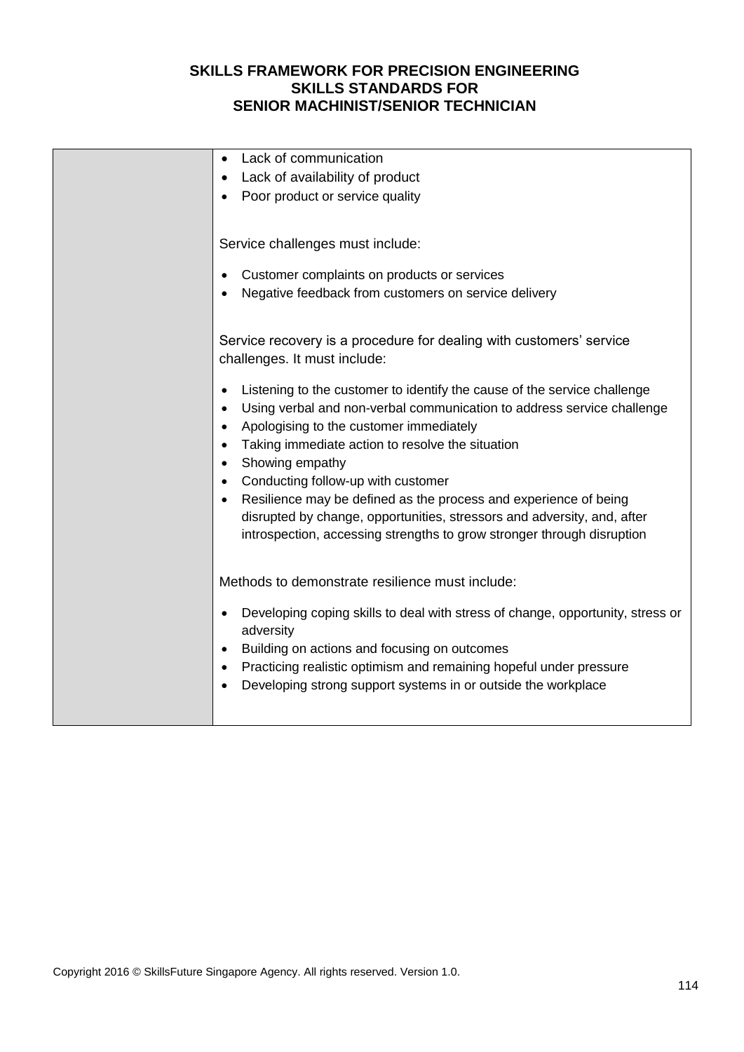| Lack of communication                                                                       |
|---------------------------------------------------------------------------------------------|
| Lack of availability of product                                                             |
| Poor product or service quality                                                             |
|                                                                                             |
|                                                                                             |
| Service challenges must include:                                                            |
| Customer complaints on products or services                                                 |
| Negative feedback from customers on service delivery                                        |
|                                                                                             |
|                                                                                             |
| Service recovery is a procedure for dealing with customers' service                         |
| challenges. It must include:                                                                |
| Listening to the customer to identify the cause of the service challenge                    |
| Using verbal and non-verbal communication to address service challenge<br>$\bullet$         |
| Apologising to the customer immediately<br>$\bullet$                                        |
| Taking immediate action to resolve the situation                                            |
| Showing empathy                                                                             |
| Conducting follow-up with customer                                                          |
| Resilience may be defined as the process and experience of being                            |
| disrupted by change, opportunities, stressors and adversity, and, after                     |
| introspection, accessing strengths to grow stronger through disruption                      |
|                                                                                             |
| Methods to demonstrate resilience must include:                                             |
| Developing coping skills to deal with stress of change, opportunity, stress or<br>$\bullet$ |
| adversity                                                                                   |
| Building on actions and focusing on outcomes                                                |
| Practicing realistic optimism and remaining hopeful under pressure                          |
| Developing strong support systems in or outside the workplace                               |
|                                                                                             |
|                                                                                             |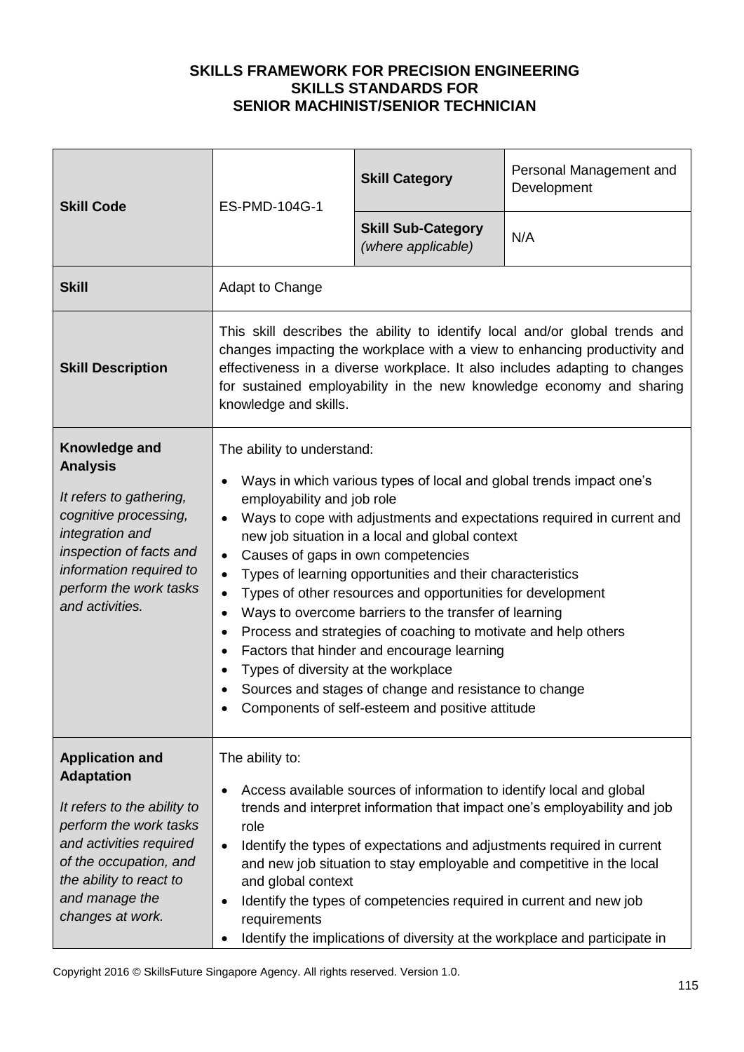| <b>Skill Code</b>                                                                                                                                                                                                          | ES-PMD-104G-1                                                                                                                                                                                                                                                                                                                                                                                                                                                                                                                                                                                                                                                                                                                                                                                                                           | <b>Skill Category</b>                           | Personal Management and<br>Development |
|----------------------------------------------------------------------------------------------------------------------------------------------------------------------------------------------------------------------------|-----------------------------------------------------------------------------------------------------------------------------------------------------------------------------------------------------------------------------------------------------------------------------------------------------------------------------------------------------------------------------------------------------------------------------------------------------------------------------------------------------------------------------------------------------------------------------------------------------------------------------------------------------------------------------------------------------------------------------------------------------------------------------------------------------------------------------------------|-------------------------------------------------|----------------------------------------|
|                                                                                                                                                                                                                            |                                                                                                                                                                                                                                                                                                                                                                                                                                                                                                                                                                                                                                                                                                                                                                                                                                         | <b>Skill Sub-Category</b><br>(where applicable) | N/A                                    |
| <b>Skill</b>                                                                                                                                                                                                               | Adapt to Change                                                                                                                                                                                                                                                                                                                                                                                                                                                                                                                                                                                                                                                                                                                                                                                                                         |                                                 |                                        |
| <b>Skill Description</b>                                                                                                                                                                                                   | This skill describes the ability to identify local and/or global trends and<br>changes impacting the workplace with a view to enhancing productivity and<br>effectiveness in a diverse workplace. It also includes adapting to changes<br>for sustained employability in the new knowledge economy and sharing<br>knowledge and skills.                                                                                                                                                                                                                                                                                                                                                                                                                                                                                                 |                                                 |                                        |
| Knowledge and<br><b>Analysis</b><br>It refers to gathering,<br>cognitive processing,<br>integration and<br>inspection of facts and<br>information required to<br>perform the work tasks<br>and activities.                 | The ability to understand:<br>Ways in which various types of local and global trends impact one's<br>employability and job role<br>Ways to cope with adjustments and expectations required in current and<br>$\bullet$<br>new job situation in a local and global context<br>Causes of gaps in own competencies<br>$\bullet$<br>Types of learning opportunities and their characteristics<br>$\bullet$<br>Types of other resources and opportunities for development<br>$\bullet$<br>Ways to overcome barriers to the transfer of learning<br>$\bullet$<br>Process and strategies of coaching to motivate and help others<br>$\bullet$<br>Factors that hinder and encourage learning<br>Types of diversity at the workplace<br>Sources and stages of change and resistance to change<br>Components of self-esteem and positive attitude |                                                 |                                        |
| <b>Application and</b><br><b>Adaptation</b><br>It refers to the ability to<br>perform the work tasks<br>and activities required<br>of the occupation, and<br>the ability to react to<br>and manage the<br>changes at work. | The ability to:<br>Access available sources of information to identify local and global<br>$\bullet$<br>trends and interpret information that impact one's employability and job<br>role<br>Identify the types of expectations and adjustments required in current<br>$\bullet$<br>and new job situation to stay employable and competitive in the local<br>and global context<br>Identify the types of competencies required in current and new job<br>requirements<br>Identify the implications of diversity at the workplace and participate in                                                                                                                                                                                                                                                                                      |                                                 |                                        |

Copyright 2016 © SkillsFuture Singapore Agency. All rights reserved. Version 1.0.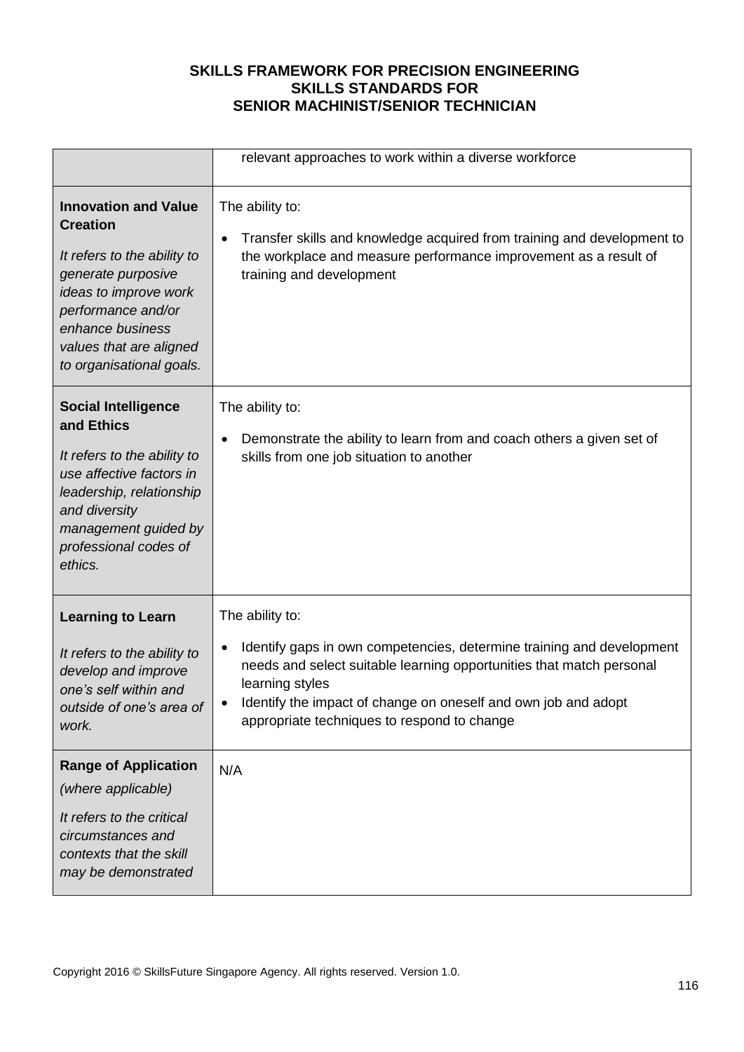|                                                                                                                                                                                                                               | relevant approaches to work within a diverse workforce                                                                                                                                                                                                                                               |
|-------------------------------------------------------------------------------------------------------------------------------------------------------------------------------------------------------------------------------|------------------------------------------------------------------------------------------------------------------------------------------------------------------------------------------------------------------------------------------------------------------------------------------------------|
| <b>Innovation and Value</b><br><b>Creation</b><br>It refers to the ability to<br>generate purposive<br>ideas to improve work<br>performance and/or<br>enhance business<br>values that are aligned<br>to organisational goals. | The ability to:<br>Transfer skills and knowledge acquired from training and development to<br>$\bullet$<br>the workplace and measure performance improvement as a result of<br>training and development                                                                                              |
| <b>Social Intelligence</b><br>and Ethics<br>It refers to the ability to<br>use affective factors in<br>leadership, relationship<br>and diversity<br>management guided by<br>professional codes of<br>ethics.                  | The ability to:<br>Demonstrate the ability to learn from and coach others a given set of<br>skills from one job situation to another                                                                                                                                                                 |
| <b>Learning to Learn</b><br>It refers to the ability to<br>develop and improve<br>one's self within and<br>outside of one's area of<br>work.                                                                                  | The ability to:<br>Identify gaps in own competencies, determine training and development<br>needs and select suitable learning opportunities that match personal<br>learning styles<br>Identify the impact of change on oneself and own job and adopt<br>appropriate techniques to respond to change |
| <b>Range of Application</b><br>(where applicable)<br>It refers to the critical<br>circumstances and<br>contexts that the skill<br>may be demonstrated                                                                         | N/A                                                                                                                                                                                                                                                                                                  |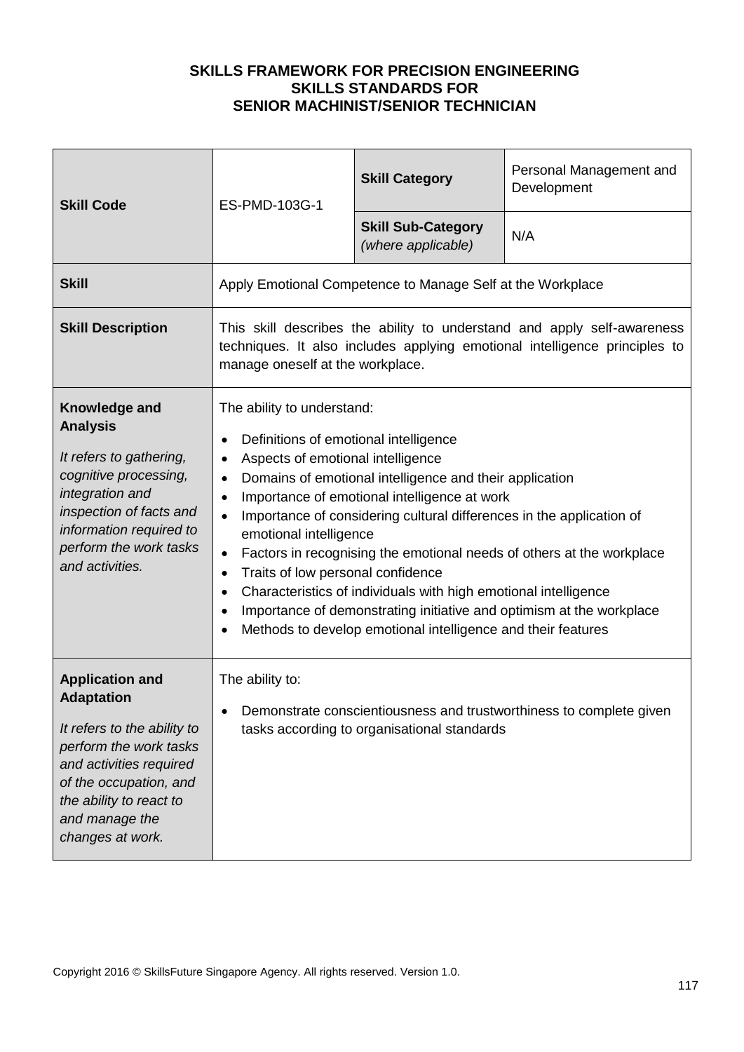| <b>Skill Code</b>                                                                                                                                                                                                          | ES-PMD-103G-1                                                                                                                                                                                                                                                                                                                                                                                                                                                                                                                                                                                                                                                                                                                                          | <b>Skill Category</b>                                      | Personal Management and<br>Development |
|----------------------------------------------------------------------------------------------------------------------------------------------------------------------------------------------------------------------------|--------------------------------------------------------------------------------------------------------------------------------------------------------------------------------------------------------------------------------------------------------------------------------------------------------------------------------------------------------------------------------------------------------------------------------------------------------------------------------------------------------------------------------------------------------------------------------------------------------------------------------------------------------------------------------------------------------------------------------------------------------|------------------------------------------------------------|----------------------------------------|
|                                                                                                                                                                                                                            |                                                                                                                                                                                                                                                                                                                                                                                                                                                                                                                                                                                                                                                                                                                                                        | <b>Skill Sub-Category</b><br>(where applicable)            | N/A                                    |
| <b>Skill</b>                                                                                                                                                                                                               |                                                                                                                                                                                                                                                                                                                                                                                                                                                                                                                                                                                                                                                                                                                                                        | Apply Emotional Competence to Manage Self at the Workplace |                                        |
| <b>Skill Description</b>                                                                                                                                                                                                   | This skill describes the ability to understand and apply self-awareness<br>techniques. It also includes applying emotional intelligence principles to<br>manage oneself at the workplace.                                                                                                                                                                                                                                                                                                                                                                                                                                                                                                                                                              |                                                            |                                        |
| Knowledge and<br><b>Analysis</b><br>It refers to gathering,<br>cognitive processing,<br>integration and<br>inspection of facts and<br>information required to<br>perform the work tasks<br>and activities.                 | The ability to understand:<br>Definitions of emotional intelligence<br>Aspects of emotional intelligence<br>$\bullet$<br>Domains of emotional intelligence and their application<br>$\bullet$<br>Importance of emotional intelligence at work<br>$\bullet$<br>Importance of considering cultural differences in the application of<br>$\bullet$<br>emotional intelligence<br>Factors in recognising the emotional needs of others at the workplace<br>$\bullet$<br>Traits of low personal confidence<br>$\bullet$<br>Characteristics of individuals with high emotional intelligence<br>Importance of demonstrating initiative and optimism at the workplace<br>$\bullet$<br>Methods to develop emotional intelligence and their features<br>$\bullet$ |                                                            |                                        |
| <b>Application and</b><br><b>Adaptation</b><br>It refers to the ability to<br>perform the work tasks<br>and activities required<br>of the occupation, and<br>the ability to react to<br>and manage the<br>changes at work. | The ability to:<br>Demonstrate conscientiousness and trustworthiness to complete given<br>tasks according to organisational standards                                                                                                                                                                                                                                                                                                                                                                                                                                                                                                                                                                                                                  |                                                            |                                        |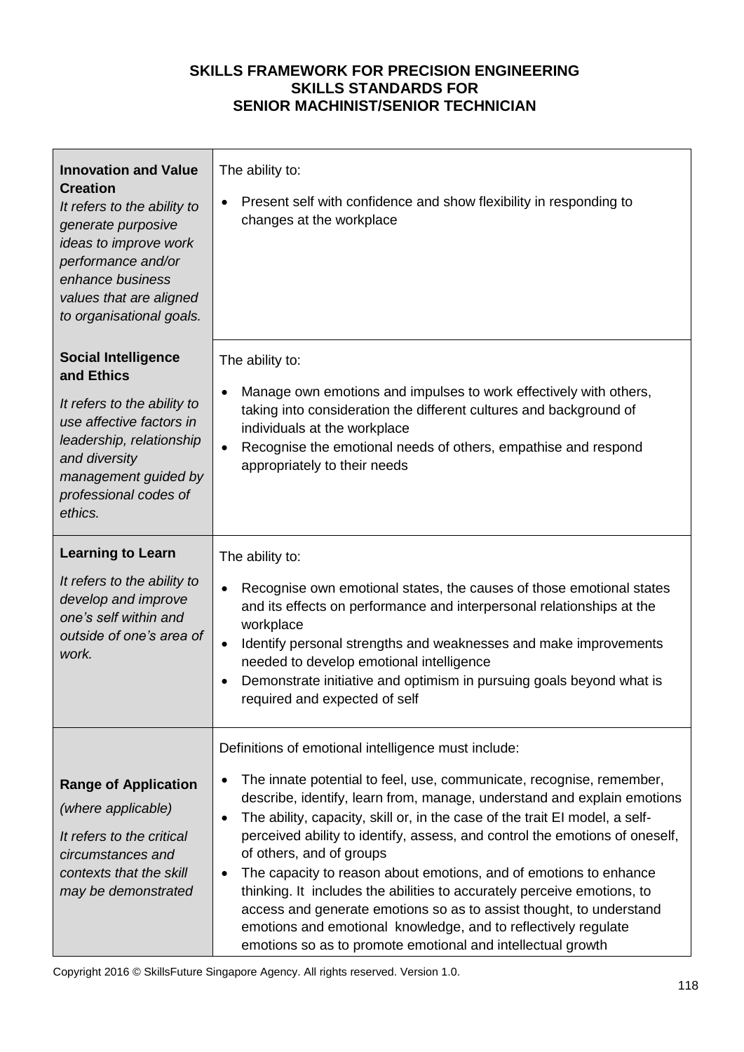| <b>Innovation and Value</b><br><b>Creation</b><br>It refers to the ability to<br>generate purposive<br>ideas to improve work<br>performance and/or<br>enhance business<br>values that are aligned<br>to organisational goals. | The ability to:<br>Present self with confidence and show flexibility in responding to<br>changes at the workplace                                                                                                                                                                                                                                                                                                                                                                                                                                                                                                                                                                                                                                                     |
|-------------------------------------------------------------------------------------------------------------------------------------------------------------------------------------------------------------------------------|-----------------------------------------------------------------------------------------------------------------------------------------------------------------------------------------------------------------------------------------------------------------------------------------------------------------------------------------------------------------------------------------------------------------------------------------------------------------------------------------------------------------------------------------------------------------------------------------------------------------------------------------------------------------------------------------------------------------------------------------------------------------------|
| <b>Social Intelligence</b><br>and Ethics<br>It refers to the ability to<br>use affective factors in<br>leadership, relationship<br>and diversity<br>management guided by<br>professional codes of<br>ethics.                  | The ability to:<br>Manage own emotions and impulses to work effectively with others,<br>$\bullet$<br>taking into consideration the different cultures and background of<br>individuals at the workplace<br>Recognise the emotional needs of others, empathise and respond<br>appropriately to their needs                                                                                                                                                                                                                                                                                                                                                                                                                                                             |
| <b>Learning to Learn</b><br>It refers to the ability to<br>develop and improve<br>one's self within and<br>outside of one's area of<br>work.                                                                                  | The ability to:<br>Recognise own emotional states, the causes of those emotional states<br>$\bullet$<br>and its effects on performance and interpersonal relationships at the<br>workplace<br>Identify personal strengths and weaknesses and make improvements<br>$\bullet$<br>needed to develop emotional intelligence<br>Demonstrate initiative and optimism in pursuing goals beyond what is<br>required and expected of self                                                                                                                                                                                                                                                                                                                                      |
| <b>Range of Application</b><br>(where applicable)<br>It refers to the critical<br>circumstances and<br>contexts that the skill<br>may be demonstrated                                                                         | Definitions of emotional intelligence must include:<br>The innate potential to feel, use, communicate, recognise, remember,<br>describe, identify, learn from, manage, understand and explain emotions<br>The ability, capacity, skill or, in the case of the trait EI model, a self-<br>perceived ability to identify, assess, and control the emotions of oneself,<br>of others, and of groups<br>The capacity to reason about emotions, and of emotions to enhance<br>$\bullet$<br>thinking. It includes the abilities to accurately perceive emotions, to<br>access and generate emotions so as to assist thought, to understand<br>emotions and emotional knowledge, and to reflectively regulate<br>emotions so as to promote emotional and intellectual growth |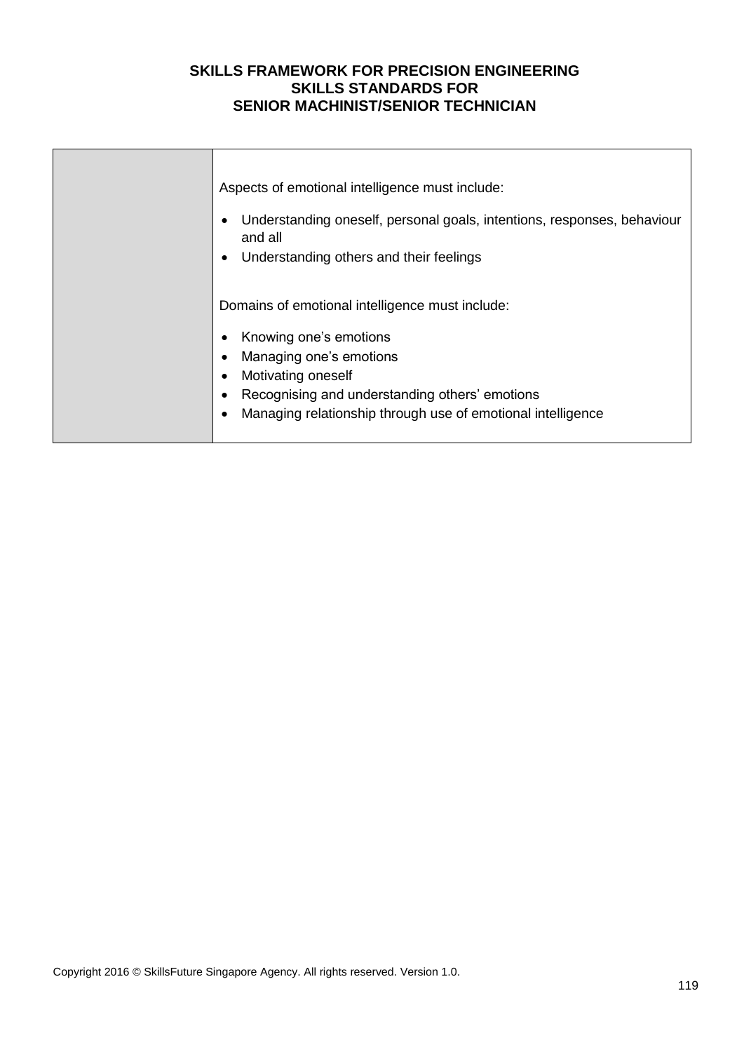| Aspects of emotional intelligence must include:<br>Understanding oneself, personal goals, intentions, responses, behaviour<br>and all<br>Understanding others and their feelings<br>$\bullet$                                               |
|---------------------------------------------------------------------------------------------------------------------------------------------------------------------------------------------------------------------------------------------|
| Domains of emotional intelligence must include:<br>Knowing one's emotions<br>Managing one's emotions<br>Motivating oneself<br>Recognising and understanding others' emotions<br>Managing relationship through use of emotional intelligence |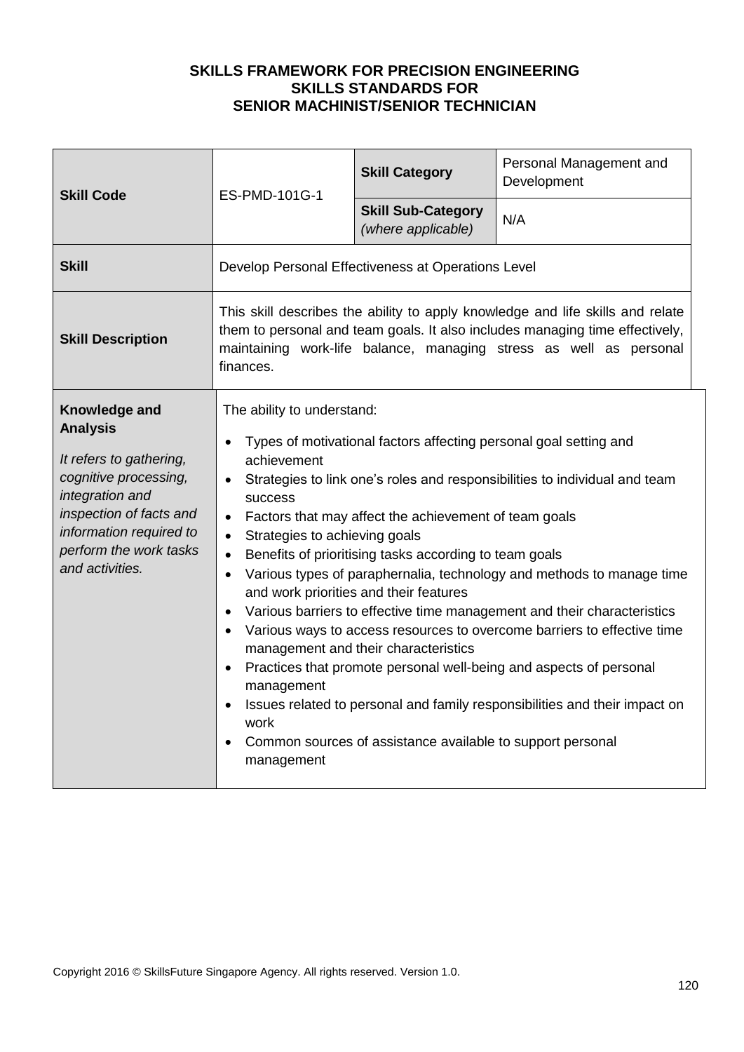| <b>Skill Code</b>                                                                                                                                                                                          | ES-PMD-101G-1                                                                                                                                                                                                                                                                                                                                                                                                                                                                                                                                                                                                                                                                                                                                                                                                                                                                                                                                                                                                                | <b>Skill Category</b>                           | Personal Management and<br>Development |
|------------------------------------------------------------------------------------------------------------------------------------------------------------------------------------------------------------|------------------------------------------------------------------------------------------------------------------------------------------------------------------------------------------------------------------------------------------------------------------------------------------------------------------------------------------------------------------------------------------------------------------------------------------------------------------------------------------------------------------------------------------------------------------------------------------------------------------------------------------------------------------------------------------------------------------------------------------------------------------------------------------------------------------------------------------------------------------------------------------------------------------------------------------------------------------------------------------------------------------------------|-------------------------------------------------|----------------------------------------|
|                                                                                                                                                                                                            |                                                                                                                                                                                                                                                                                                                                                                                                                                                                                                                                                                                                                                                                                                                                                                                                                                                                                                                                                                                                                              | <b>Skill Sub-Category</b><br>(where applicable) | N/A                                    |
| <b>Skill</b>                                                                                                                                                                                               | Develop Personal Effectiveness at Operations Level                                                                                                                                                                                                                                                                                                                                                                                                                                                                                                                                                                                                                                                                                                                                                                                                                                                                                                                                                                           |                                                 |                                        |
| <b>Skill Description</b>                                                                                                                                                                                   | This skill describes the ability to apply knowledge and life skills and relate<br>them to personal and team goals. It also includes managing time effectively,<br>maintaining work-life balance, managing stress as well as personal<br>finances.                                                                                                                                                                                                                                                                                                                                                                                                                                                                                                                                                                                                                                                                                                                                                                            |                                                 |                                        |
| Knowledge and<br><b>Analysis</b><br>It refers to gathering,<br>cognitive processing,<br>integration and<br>inspection of facts and<br>information required to<br>perform the work tasks<br>and activities. | The ability to understand:<br>Types of motivational factors affecting personal goal setting and<br>achievement<br>Strategies to link one's roles and responsibilities to individual and team<br>$\bullet$<br>success<br>Factors that may affect the achievement of team goals<br>$\bullet$<br>Strategies to achieving goals<br>$\bullet$<br>Benefits of prioritising tasks according to team goals<br>$\bullet$<br>Various types of paraphernalia, technology and methods to manage time<br>$\bullet$<br>and work priorities and their features<br>Various barriers to effective time management and their characteristics<br>$\bullet$<br>Various ways to access resources to overcome barriers to effective time<br>$\bullet$<br>management and their characteristics<br>Practices that promote personal well-being and aspects of personal<br>$\bullet$<br>management<br>Issues related to personal and family responsibilities and their impact on<br>work<br>Common sources of assistance available to support personal |                                                 |                                        |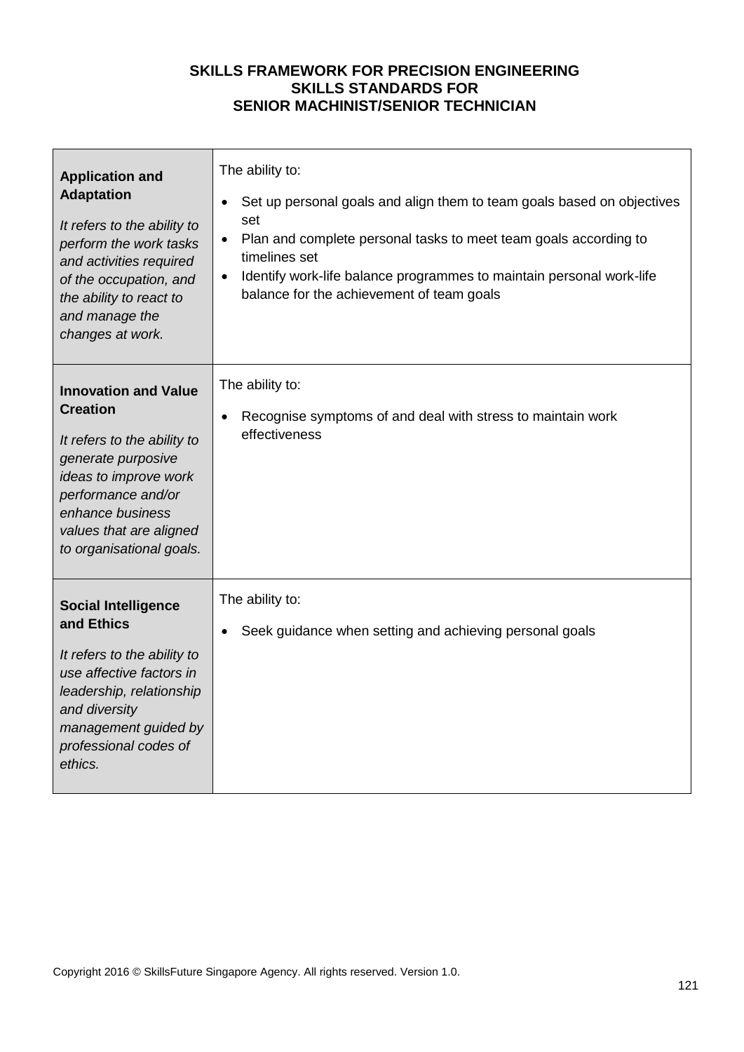| <b>Application and</b><br><b>Adaptation</b><br>It refers to the ability to<br>perform the work tasks<br>and activities required<br>of the occupation, and<br>the ability to react to<br>and manage the<br>changes at work.    | The ability to:<br>Set up personal goals and align them to team goals based on objectives<br>$\bullet$<br>set<br>Plan and complete personal tasks to meet team goals according to<br>timelines set<br>Identify work-life balance programmes to maintain personal work-life<br>$\bullet$<br>balance for the achievement of team goals |
|-------------------------------------------------------------------------------------------------------------------------------------------------------------------------------------------------------------------------------|--------------------------------------------------------------------------------------------------------------------------------------------------------------------------------------------------------------------------------------------------------------------------------------------------------------------------------------|
| <b>Innovation and Value</b><br><b>Creation</b><br>It refers to the ability to<br>generate purposive<br>ideas to improve work<br>performance and/or<br>enhance business<br>values that are aligned<br>to organisational goals. | The ability to:<br>Recognise symptoms of and deal with stress to maintain work<br>effectiveness                                                                                                                                                                                                                                      |
| <b>Social Intelligence</b><br>and Ethics<br>It refers to the ability to<br>use affective factors in<br>leadership, relationship<br>and diversity<br>management guided by<br>professional codes of<br>ethics.                  | The ability to:<br>Seek guidance when setting and achieving personal goals                                                                                                                                                                                                                                                           |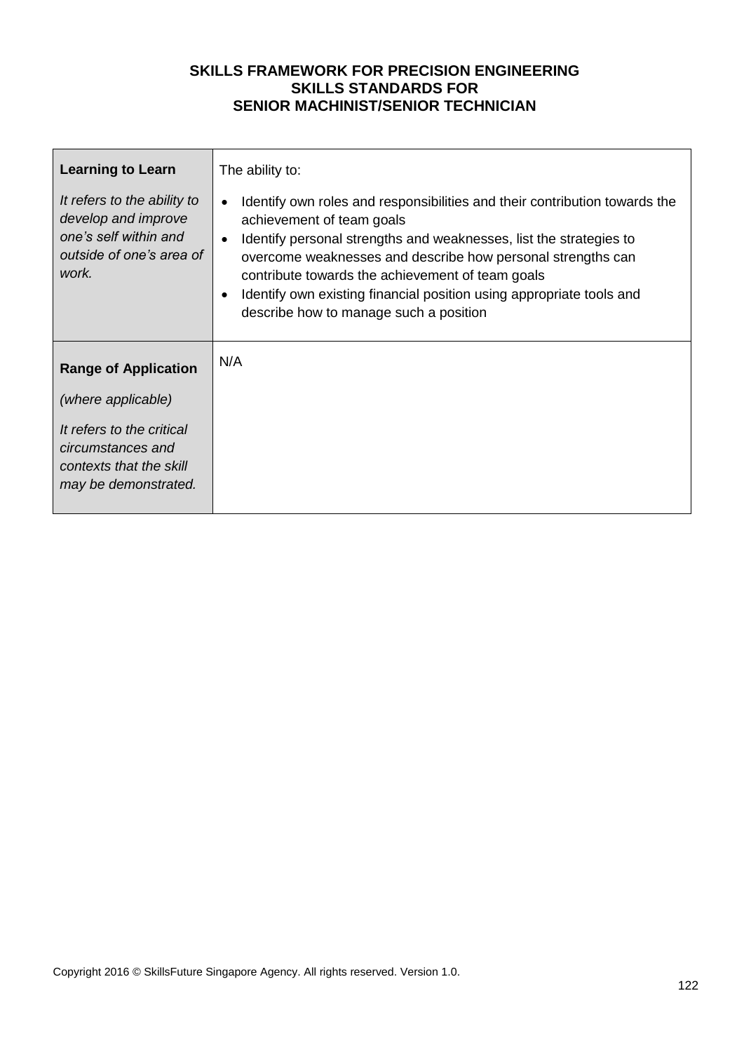| <b>Learning to Learn</b>                                                                                         | The ability to:                                                                                                                                                                                                                                                                                                                                                                                                                      |
|------------------------------------------------------------------------------------------------------------------|--------------------------------------------------------------------------------------------------------------------------------------------------------------------------------------------------------------------------------------------------------------------------------------------------------------------------------------------------------------------------------------------------------------------------------------|
| It refers to the ability to<br>develop and improve<br>one's self within and<br>outside of one's area of<br>work. | Identify own roles and responsibilities and their contribution towards the<br>$\bullet$<br>achievement of team goals<br>Identify personal strengths and weaknesses, list the strategies to<br>overcome weaknesses and describe how personal strengths can<br>contribute towards the achievement of team goals<br>Identify own existing financial position using appropriate tools and<br>٠<br>describe how to manage such a position |
| <b>Range of Application</b>                                                                                      | N/A                                                                                                                                                                                                                                                                                                                                                                                                                                  |
| (where applicable)                                                                                               |                                                                                                                                                                                                                                                                                                                                                                                                                                      |
| It refers to the critical<br>circumstances and<br>contexts that the skill<br>may be demonstrated.                |                                                                                                                                                                                                                                                                                                                                                                                                                                      |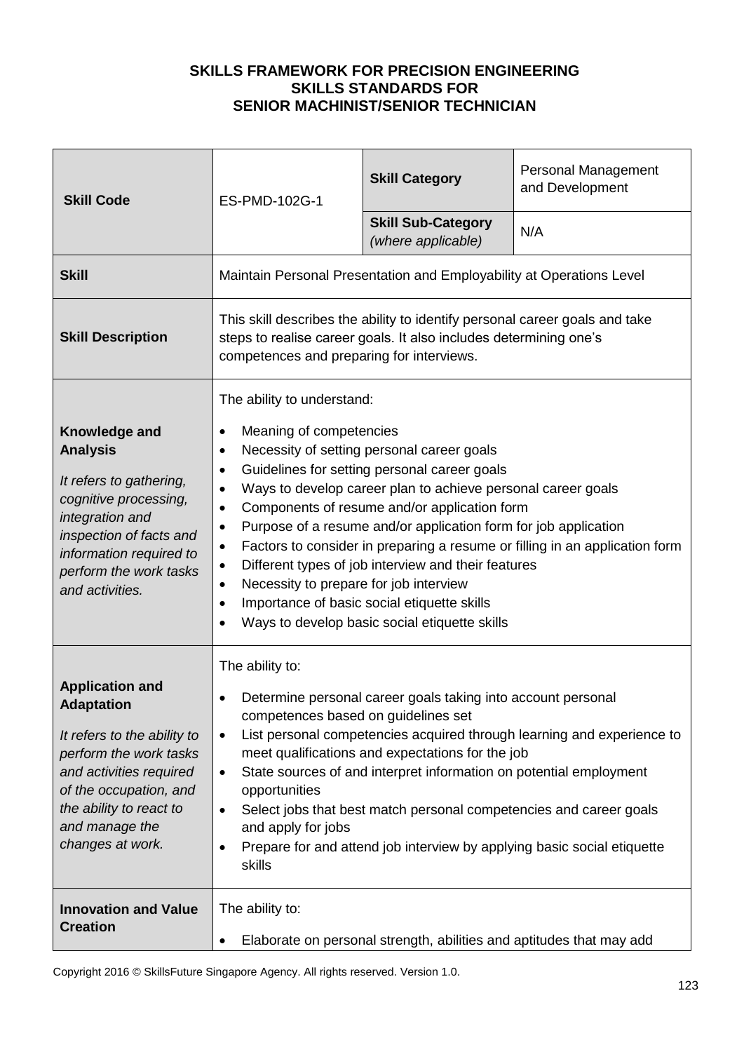| <b>Skill Code</b>                                                                                                                                                                                                          | ES-PMD-102G-1                                                                                                                                                                                                                                                                                                                                                                                                                                                                                                                                                                                                                                                                                                                  | <b>Skill Category</b>                                                | <b>Personal Management</b><br>and Development |
|----------------------------------------------------------------------------------------------------------------------------------------------------------------------------------------------------------------------------|--------------------------------------------------------------------------------------------------------------------------------------------------------------------------------------------------------------------------------------------------------------------------------------------------------------------------------------------------------------------------------------------------------------------------------------------------------------------------------------------------------------------------------------------------------------------------------------------------------------------------------------------------------------------------------------------------------------------------------|----------------------------------------------------------------------|-----------------------------------------------|
|                                                                                                                                                                                                                            |                                                                                                                                                                                                                                                                                                                                                                                                                                                                                                                                                                                                                                                                                                                                | <b>Skill Sub-Category</b><br>(where applicable)                      | N/A                                           |
| <b>Skill</b>                                                                                                                                                                                                               | Maintain Personal Presentation and Employability at Operations Level                                                                                                                                                                                                                                                                                                                                                                                                                                                                                                                                                                                                                                                           |                                                                      |                                               |
| <b>Skill Description</b>                                                                                                                                                                                                   | This skill describes the ability to identify personal career goals and take<br>steps to realise career goals. It also includes determining one's<br>competences and preparing for interviews.                                                                                                                                                                                                                                                                                                                                                                                                                                                                                                                                  |                                                                      |                                               |
| Knowledge and<br><b>Analysis</b><br>It refers to gathering,<br>cognitive processing,<br>integration and<br>inspection of facts and<br>information required to<br>perform the work tasks<br>and activities.                 | The ability to understand:<br>Meaning of competencies<br>$\bullet$<br>Necessity of setting personal career goals<br>$\bullet$<br>Guidelines for setting personal career goals<br>$\bullet$<br>Ways to develop career plan to achieve personal career goals<br>Components of resume and/or application form<br>$\bullet$<br>Purpose of a resume and/or application form for job application<br>$\bullet$<br>Factors to consider in preparing a resume or filling in an application form<br>$\bullet$<br>Different types of job interview and their features<br>Necessity to prepare for job interview<br>$\bullet$<br>Importance of basic social etiquette skills<br>$\bullet$<br>Ways to develop basic social etiquette skills |                                                                      |                                               |
| <b>Application and</b><br><b>Adaptation</b><br>It refers to the ability to<br>perform the work tasks<br>and activities required<br>of the occupation, and<br>the ability to react to<br>and manage the<br>changes at work. | The ability to:<br>Determine personal career goals taking into account personal<br>competences based on guidelines set<br>List personal competencies acquired through learning and experience to<br>$\bullet$<br>meet qualifications and expectations for the job<br>State sources of and interpret information on potential employment<br>$\bullet$<br>opportunities<br>Select jobs that best match personal competencies and career goals<br>$\bullet$<br>and apply for jobs<br>Prepare for and attend job interview by applying basic social etiquette<br>skills                                                                                                                                                            |                                                                      |                                               |
| <b>Innovation and Value</b><br><b>Creation</b>                                                                                                                                                                             | The ability to:<br>$\bullet$                                                                                                                                                                                                                                                                                                                                                                                                                                                                                                                                                                                                                                                                                                   | Elaborate on personal strength, abilities and aptitudes that may add |                                               |

Copyright 2016 © SkillsFuture Singapore Agency. All rights reserved. Version 1.0.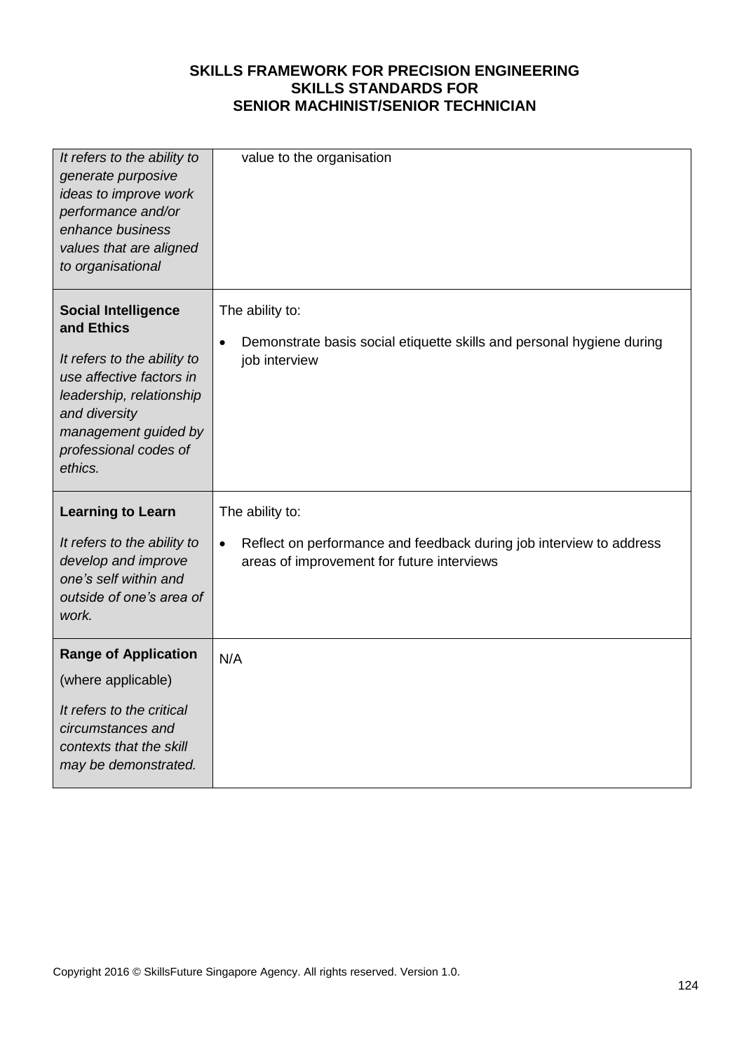| It refers to the ability to<br>generate purposive<br>ideas to improve work<br>performance and/or<br>enhance business<br>values that are aligned<br>to organisational                                         | value to the organisation                                                                                                                         |
|--------------------------------------------------------------------------------------------------------------------------------------------------------------------------------------------------------------|---------------------------------------------------------------------------------------------------------------------------------------------------|
| <b>Social Intelligence</b><br>and Ethics<br>It refers to the ability to<br>use affective factors in<br>leadership, relationship<br>and diversity<br>management guided by<br>professional codes of<br>ethics. | The ability to:<br>Demonstrate basis social etiquette skills and personal hygiene during<br>$\bullet$<br>job interview                            |
| <b>Learning to Learn</b><br>It refers to the ability to<br>develop and improve<br>one's self within and                                                                                                      | The ability to:<br>Reflect on performance and feedback during job interview to address<br>$\bullet$<br>areas of improvement for future interviews |
| outside of one's area of<br>work.                                                                                                                                                                            |                                                                                                                                                   |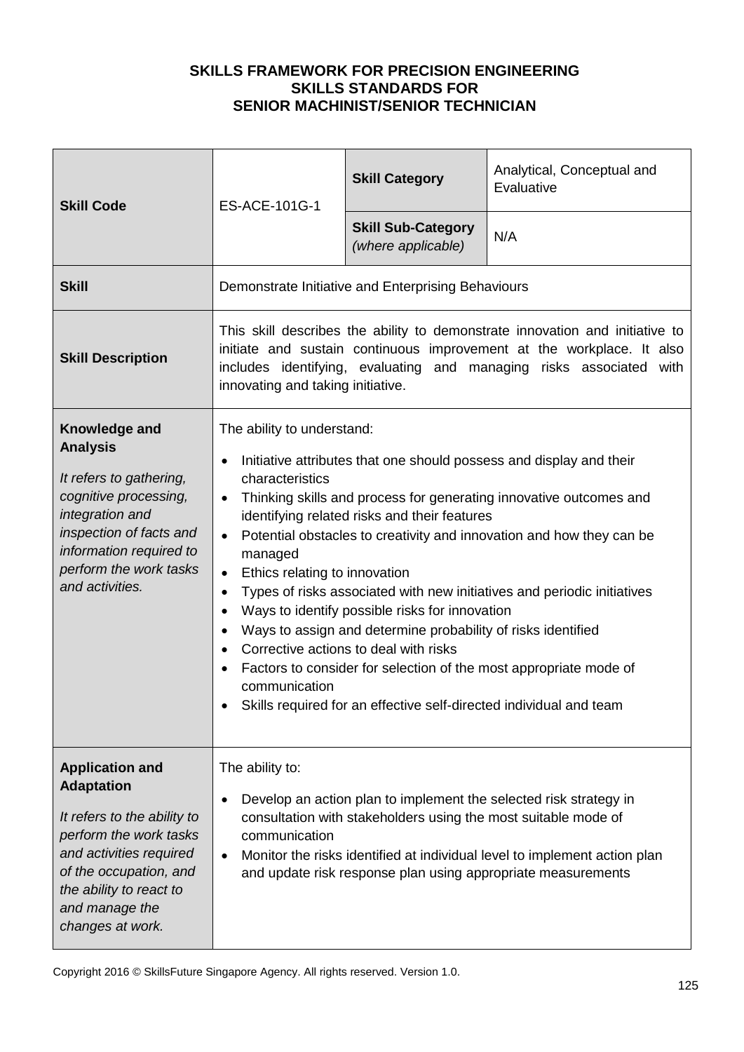| <b>Skill Code</b>                                                                                                                                                                                                          | ES-ACE-101G-1                                                                                                                                                                                                                                                                                                                                                                                                                                                                                                                                                                                                                                                                                                                                                                                                                       | <b>Skill Category</b>                                          | Analytical, Conceptual and<br>Evaluative                                                                                                                                                                       |
|----------------------------------------------------------------------------------------------------------------------------------------------------------------------------------------------------------------------------|-------------------------------------------------------------------------------------------------------------------------------------------------------------------------------------------------------------------------------------------------------------------------------------------------------------------------------------------------------------------------------------------------------------------------------------------------------------------------------------------------------------------------------------------------------------------------------------------------------------------------------------------------------------------------------------------------------------------------------------------------------------------------------------------------------------------------------------|----------------------------------------------------------------|----------------------------------------------------------------------------------------------------------------------------------------------------------------------------------------------------------------|
|                                                                                                                                                                                                                            |                                                                                                                                                                                                                                                                                                                                                                                                                                                                                                                                                                                                                                                                                                                                                                                                                                     | <b>Skill Sub-Category</b><br>(where applicable)                | N/A                                                                                                                                                                                                            |
| <b>Skill</b>                                                                                                                                                                                                               | Demonstrate Initiative and Enterprising Behaviours                                                                                                                                                                                                                                                                                                                                                                                                                                                                                                                                                                                                                                                                                                                                                                                  |                                                                |                                                                                                                                                                                                                |
| <b>Skill Description</b>                                                                                                                                                                                                   | This skill describes the ability to demonstrate innovation and initiative to<br>initiate and sustain continuous improvement at the workplace. It also<br>includes identifying, evaluating and managing risks associated with<br>innovating and taking initiative.                                                                                                                                                                                                                                                                                                                                                                                                                                                                                                                                                                   |                                                                |                                                                                                                                                                                                                |
| Knowledge and<br><b>Analysis</b><br>It refers to gathering,<br>cognitive processing,<br>integration and<br>inspection of facts and<br>information required to<br>perform the work tasks<br>and activities.                 | The ability to understand:<br>Initiative attributes that one should possess and display and their<br>characteristics<br>Thinking skills and process for generating innovative outcomes and<br>$\bullet$<br>identifying related risks and their features<br>Potential obstacles to creativity and innovation and how they can be<br>$\bullet$<br>managed<br>Ethics relating to innovation<br>$\bullet$<br>Types of risks associated with new initiatives and periodic initiatives<br>$\bullet$<br>Ways to identify possible risks for innovation<br>$\bullet$<br>Ways to assign and determine probability of risks identified<br>Corrective actions to deal with risks<br>Factors to consider for selection of the most appropriate mode of<br>communication<br>• Skills required for an effective self-directed individual and team |                                                                |                                                                                                                                                                                                                |
| <b>Application and</b><br><b>Adaptation</b><br>It refers to the ability to<br>perform the work tasks<br>and activities required<br>of the occupation, and<br>the ability to react to<br>and manage the<br>changes at work. | The ability to:<br>communication<br>$\bullet$                                                                                                                                                                                                                                                                                                                                                                                                                                                                                                                                                                                                                                                                                                                                                                                       | consultation with stakeholders using the most suitable mode of | Develop an action plan to implement the selected risk strategy in<br>Monitor the risks identified at individual level to implement action plan<br>and update risk response plan using appropriate measurements |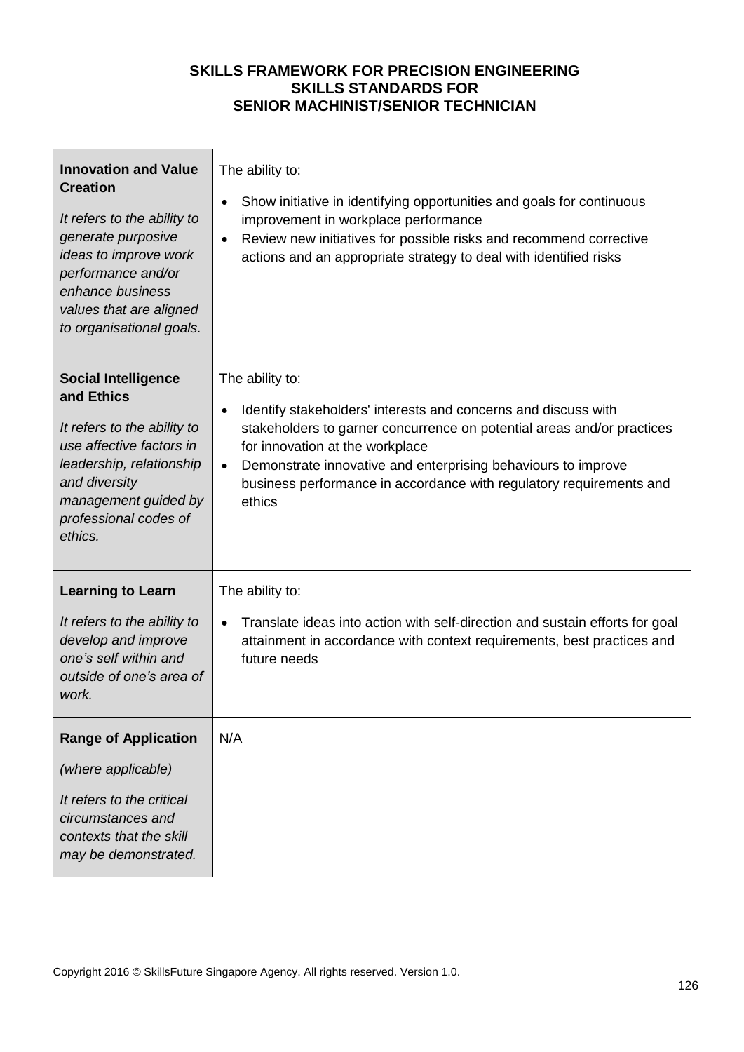| <b>Innovation and Value</b><br><b>Creation</b><br>It refers to the ability to<br>generate purposive<br>ideas to improve work<br>performance and/or<br>enhance business<br>values that are aligned<br>to organisational goals. | The ability to:<br>Show initiative in identifying opportunities and goals for continuous<br>$\bullet$<br>improvement in workplace performance<br>Review new initiatives for possible risks and recommend corrective<br>$\bullet$<br>actions and an appropriate strategy to deal with identified risks                                                                      |
|-------------------------------------------------------------------------------------------------------------------------------------------------------------------------------------------------------------------------------|----------------------------------------------------------------------------------------------------------------------------------------------------------------------------------------------------------------------------------------------------------------------------------------------------------------------------------------------------------------------------|
| <b>Social Intelligence</b><br>and Ethics<br>It refers to the ability to<br>use affective factors in<br>leadership, relationship<br>and diversity<br>management guided by<br>professional codes of<br>ethics.                  | The ability to:<br>Identify stakeholders' interests and concerns and discuss with<br>$\bullet$<br>stakeholders to garner concurrence on potential areas and/or practices<br>for innovation at the workplace<br>Demonstrate innovative and enterprising behaviours to improve<br>$\bullet$<br>business performance in accordance with regulatory requirements and<br>ethics |
| <b>Learning to Learn</b><br>It refers to the ability to<br>develop and improve<br>one's self within and<br>outside of one's area of<br>work.                                                                                  | The ability to:<br>Translate ideas into action with self-direction and sustain efforts for goal<br>$\bullet$<br>attainment in accordance with context requirements, best practices and<br>future needs                                                                                                                                                                     |
| <b>Range of Application</b><br>(where applicable)<br>It refers to the critical<br>circumstances and<br>contexts that the skill<br>may be demonstrated.                                                                        | N/A                                                                                                                                                                                                                                                                                                                                                                        |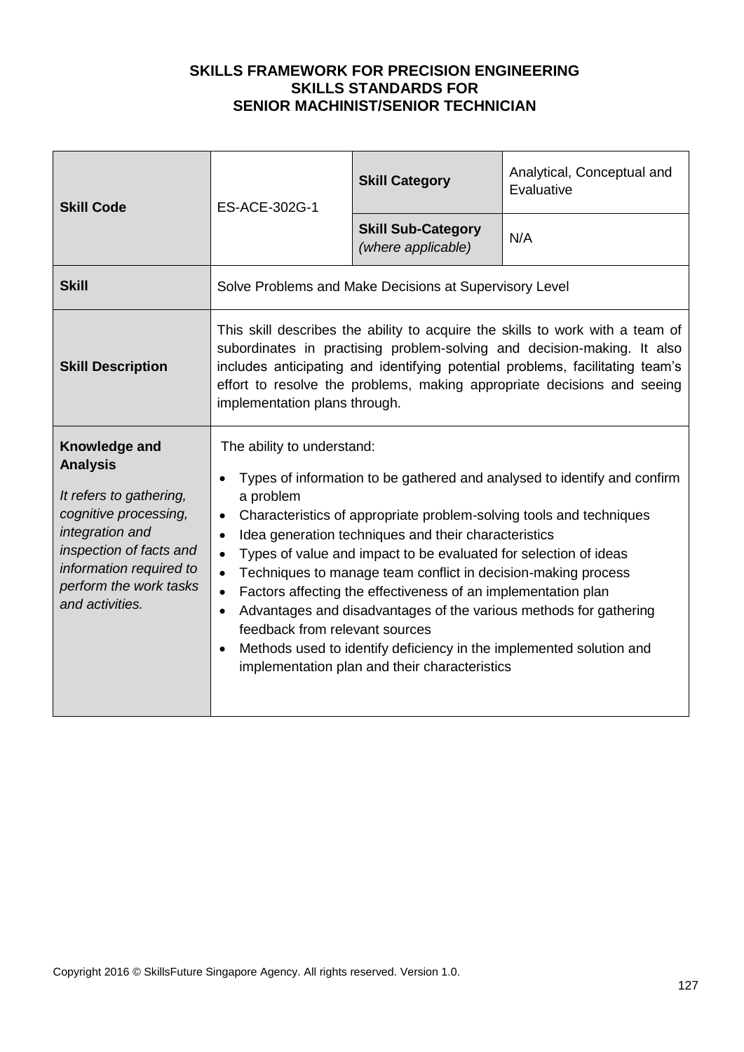| <b>Skill Code</b>                                                                                                                                                                                          | ES-ACE-302G-1                                                                                                                                                                                                                                                                                                                                                                                                                                                                                                                                                                                                                                                                                                                                            | <b>Skill Category</b>                                  | Analytical, Conceptual and<br>Evaluative |
|------------------------------------------------------------------------------------------------------------------------------------------------------------------------------------------------------------|----------------------------------------------------------------------------------------------------------------------------------------------------------------------------------------------------------------------------------------------------------------------------------------------------------------------------------------------------------------------------------------------------------------------------------------------------------------------------------------------------------------------------------------------------------------------------------------------------------------------------------------------------------------------------------------------------------------------------------------------------------|--------------------------------------------------------|------------------------------------------|
|                                                                                                                                                                                                            |                                                                                                                                                                                                                                                                                                                                                                                                                                                                                                                                                                                                                                                                                                                                                          | <b>Skill Sub-Category</b><br>(where applicable)        | N/A                                      |
| <b>Skill</b>                                                                                                                                                                                               |                                                                                                                                                                                                                                                                                                                                                                                                                                                                                                                                                                                                                                                                                                                                                          | Solve Problems and Make Decisions at Supervisory Level |                                          |
| <b>Skill Description</b>                                                                                                                                                                                   | This skill describes the ability to acquire the skills to work with a team of<br>subordinates in practising problem-solving and decision-making. It also<br>includes anticipating and identifying potential problems, facilitating team's<br>effort to resolve the problems, making appropriate decisions and seeing<br>implementation plans through.                                                                                                                                                                                                                                                                                                                                                                                                    |                                                        |                                          |
| Knowledge and<br><b>Analysis</b><br>It refers to gathering,<br>cognitive processing,<br>integration and<br>inspection of facts and<br>information required to<br>perform the work tasks<br>and activities. | The ability to understand:<br>Types of information to be gathered and analysed to identify and confirm<br>a problem<br>Characteristics of appropriate problem-solving tools and techniques<br>$\bullet$<br>Idea generation techniques and their characteristics<br>$\bullet$<br>Types of value and impact to be evaluated for selection of ideas<br>$\bullet$<br>Techniques to manage team conflict in decision-making process<br>$\bullet$<br>Factors affecting the effectiveness of an implementation plan<br>$\bullet$<br>Advantages and disadvantages of the various methods for gathering<br>feedback from relevant sources<br>Methods used to identify deficiency in the implemented solution and<br>implementation plan and their characteristics |                                                        |                                          |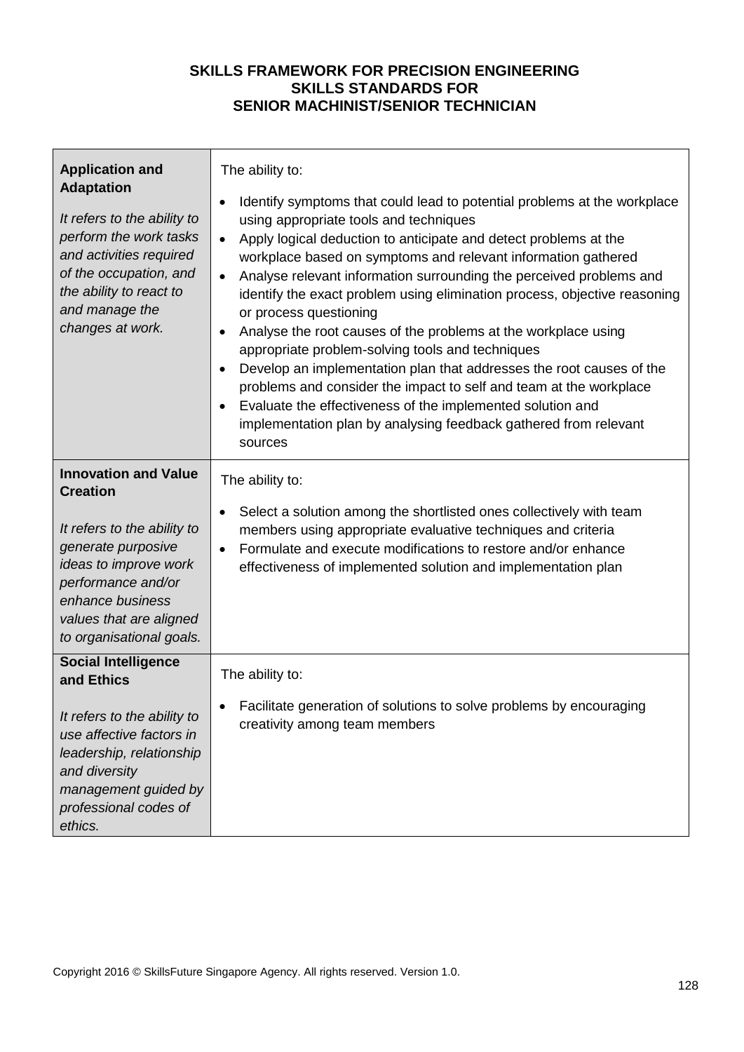| <b>Application and</b><br><b>Adaptation</b><br>It refers to the ability to<br>perform the work tasks<br>and activities required<br>of the occupation, and<br>the ability to react to<br>and manage the<br>changes at work.    | The ability to:<br>Identify symptoms that could lead to potential problems at the workplace<br>using appropriate tools and techniques<br>Apply logical deduction to anticipate and detect problems at the<br>workplace based on symptoms and relevant information gathered<br>Analyse relevant information surrounding the perceived problems and<br>identify the exact problem using elimination process, objective reasoning<br>or process questioning<br>Analyse the root causes of the problems at the workplace using<br>appropriate problem-solving tools and techniques<br>Develop an implementation plan that addresses the root causes of the<br>problems and consider the impact to self and team at the workplace<br>Evaluate the effectiveness of the implemented solution and<br>implementation plan by analysing feedback gathered from relevant<br>sources |
|-------------------------------------------------------------------------------------------------------------------------------------------------------------------------------------------------------------------------------|---------------------------------------------------------------------------------------------------------------------------------------------------------------------------------------------------------------------------------------------------------------------------------------------------------------------------------------------------------------------------------------------------------------------------------------------------------------------------------------------------------------------------------------------------------------------------------------------------------------------------------------------------------------------------------------------------------------------------------------------------------------------------------------------------------------------------------------------------------------------------|
| <b>Innovation and Value</b><br><b>Creation</b><br>It refers to the ability to<br>generate purposive<br>ideas to improve work<br>performance and/or<br>enhance business<br>values that are aligned<br>to organisational goals. | The ability to:<br>Select a solution among the shortlisted ones collectively with team<br>members using appropriate evaluative techniques and criteria<br>Formulate and execute modifications to restore and/or enhance<br>$\bullet$<br>effectiveness of implemented solution and implementation plan                                                                                                                                                                                                                                                                                                                                                                                                                                                                                                                                                                     |
| <b>Social Intelligence</b><br>and Ethics<br>It refers to the ability to<br>use affective factors in<br>leadership, relationship<br>and diversity<br>management guided by<br>professional codes of<br>ethics.                  | The ability to:<br>Facilitate generation of solutions to solve problems by encouraging<br>creativity among team members                                                                                                                                                                                                                                                                                                                                                                                                                                                                                                                                                                                                                                                                                                                                                   |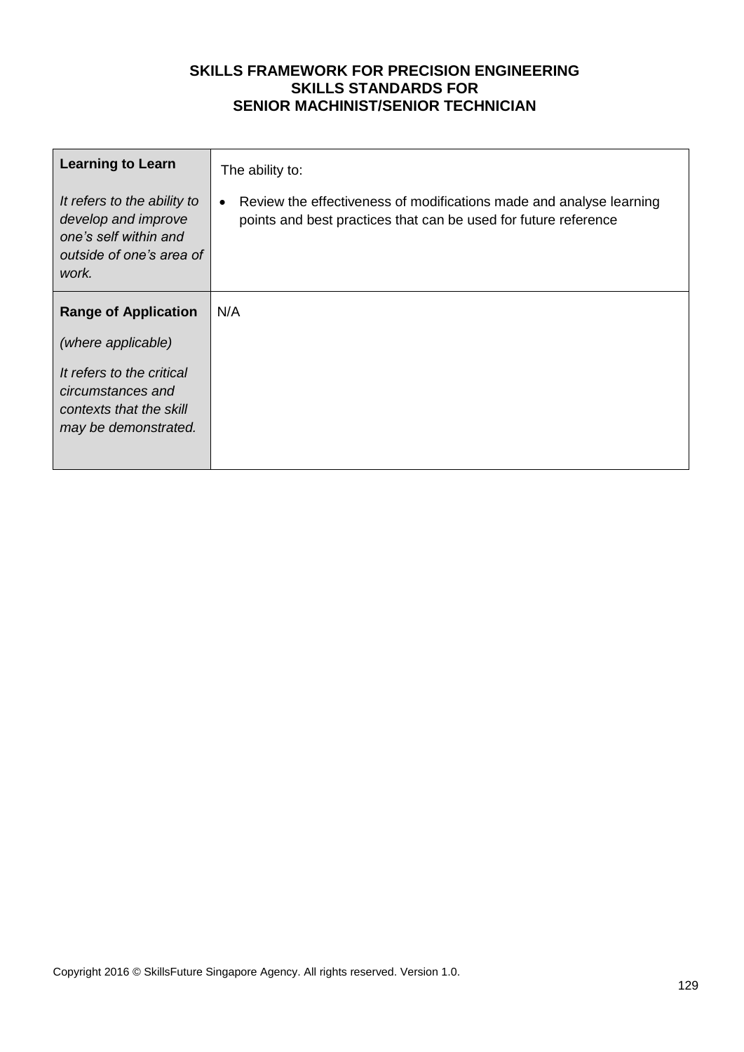| <b>Learning to Learn</b><br>It refers to the ability to<br>develop and improve<br>one's self within and<br>outside of one's area of<br>work. | The ability to:<br>Review the effectiveness of modifications made and analyse learning<br>points and best practices that can be used for future reference |
|----------------------------------------------------------------------------------------------------------------------------------------------|-----------------------------------------------------------------------------------------------------------------------------------------------------------|
| <b>Range of Application</b>                                                                                                                  | N/A                                                                                                                                                       |
| (where applicable)<br>It refers to the critical<br>circumstances and<br>contexts that the skill<br>may be demonstrated.                      |                                                                                                                                                           |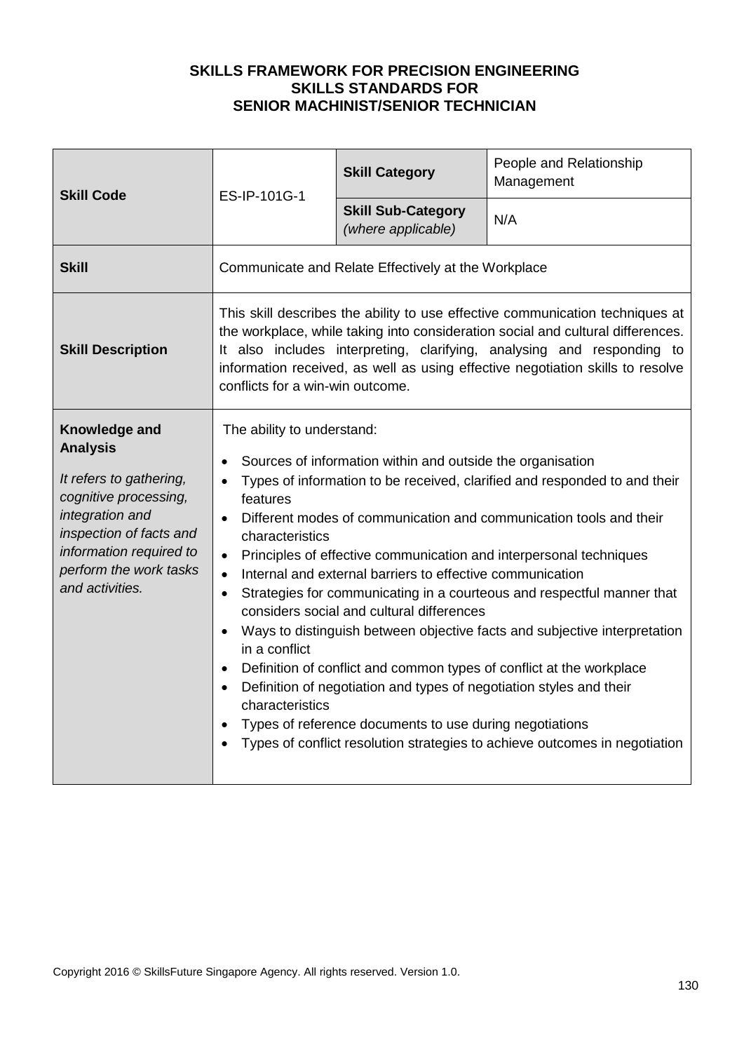| <b>Skill Code</b>                                                                                                                                                                                          | ES-IP-101G-1                                                                                                                                                                                                                                                                                                                                                                                                                                                                                                                                                                                                                                                                                                                                                                                                                                                                                                                                                                                                   | <b>Skill Category</b>                           | People and Relationship<br>Management |
|------------------------------------------------------------------------------------------------------------------------------------------------------------------------------------------------------------|----------------------------------------------------------------------------------------------------------------------------------------------------------------------------------------------------------------------------------------------------------------------------------------------------------------------------------------------------------------------------------------------------------------------------------------------------------------------------------------------------------------------------------------------------------------------------------------------------------------------------------------------------------------------------------------------------------------------------------------------------------------------------------------------------------------------------------------------------------------------------------------------------------------------------------------------------------------------------------------------------------------|-------------------------------------------------|---------------------------------------|
|                                                                                                                                                                                                            |                                                                                                                                                                                                                                                                                                                                                                                                                                                                                                                                                                                                                                                                                                                                                                                                                                                                                                                                                                                                                | <b>Skill Sub-Category</b><br>(where applicable) | N/A                                   |
| <b>Skill</b>                                                                                                                                                                                               | Communicate and Relate Effectively at the Workplace                                                                                                                                                                                                                                                                                                                                                                                                                                                                                                                                                                                                                                                                                                                                                                                                                                                                                                                                                            |                                                 |                                       |
| <b>Skill Description</b>                                                                                                                                                                                   | This skill describes the ability to use effective communication techniques at<br>the workplace, while taking into consideration social and cultural differences.<br>It also includes interpreting, clarifying, analysing and responding to<br>information received, as well as using effective negotiation skills to resolve<br>conflicts for a win-win outcome.                                                                                                                                                                                                                                                                                                                                                                                                                                                                                                                                                                                                                                               |                                                 |                                       |
| Knowledge and<br><b>Analysis</b><br>It refers to gathering,<br>cognitive processing,<br>integration and<br>inspection of facts and<br>information required to<br>perform the work tasks<br>and activities. | The ability to understand:<br>Sources of information within and outside the organisation<br>Types of information to be received, clarified and responded to and their<br>features<br>Different modes of communication and communication tools and their<br>$\bullet$<br>characteristics<br>Principles of effective communication and interpersonal techniques<br>$\bullet$<br>Internal and external barriers to effective communication<br>$\bullet$<br>Strategies for communicating in a courteous and respectful manner that<br>$\bullet$<br>considers social and cultural differences<br>Ways to distinguish between objective facts and subjective interpretation<br>in a conflict<br>Definition of conflict and common types of conflict at the workplace<br>$\bullet$<br>Definition of negotiation and types of negotiation styles and their<br>characteristics<br>Types of reference documents to use during negotiations<br>Types of conflict resolution strategies to achieve outcomes in negotiation |                                                 |                                       |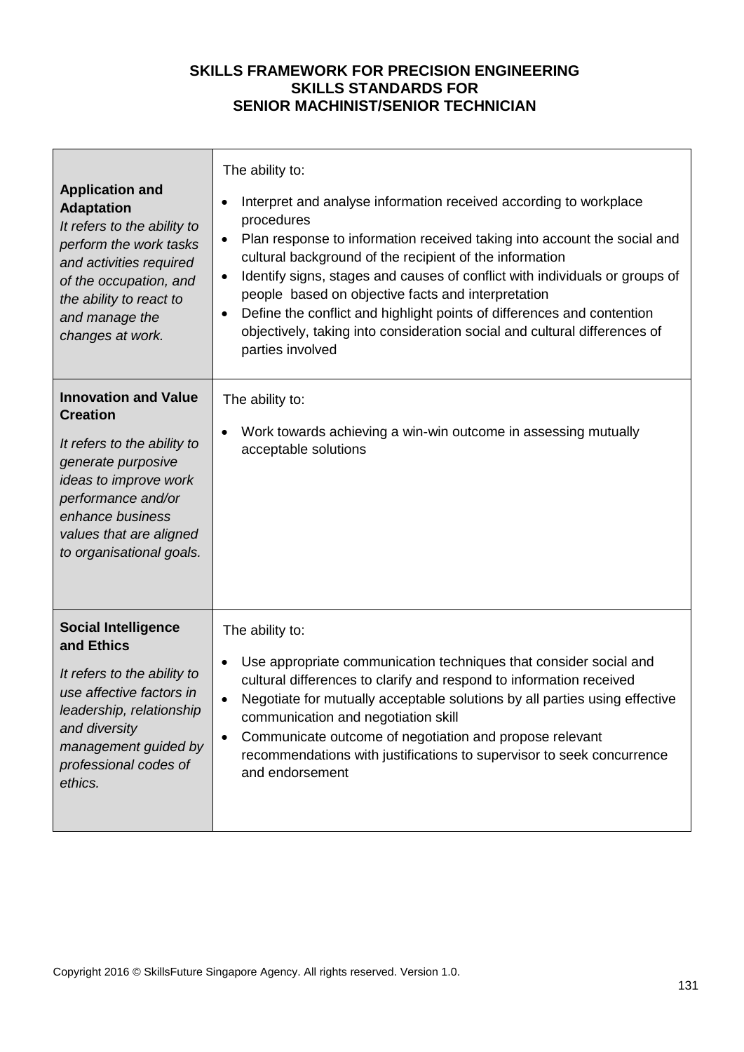г

┓

|                                                                                                                                                                                                                            | The ability to:                                                                                                                                                                                                                                                                                                                                                                                                                                                                                                                                                  |  |  |
|----------------------------------------------------------------------------------------------------------------------------------------------------------------------------------------------------------------------------|------------------------------------------------------------------------------------------------------------------------------------------------------------------------------------------------------------------------------------------------------------------------------------------------------------------------------------------------------------------------------------------------------------------------------------------------------------------------------------------------------------------------------------------------------------------|--|--|
| <b>Application and</b><br><b>Adaptation</b><br>It refers to the ability to<br>perform the work tasks<br>and activities required<br>of the occupation, and<br>the ability to react to<br>and manage the<br>changes at work. | Interpret and analyse information received according to workplace<br>procedures<br>Plan response to information received taking into account the social and<br>cultural background of the recipient of the information<br>Identify signs, stages and causes of conflict with individuals or groups of<br>$\bullet$<br>people based on objective facts and interpretation<br>Define the conflict and highlight points of differences and contention<br>$\bullet$<br>objectively, taking into consideration social and cultural differences of<br>parties involved |  |  |
| <b>Innovation and Value</b><br><b>Creation</b>                                                                                                                                                                             | The ability to:<br>Work towards achieving a win-win outcome in assessing mutually                                                                                                                                                                                                                                                                                                                                                                                                                                                                                |  |  |
| It refers to the ability to<br>generate purposive<br>ideas to improve work<br>performance and/or<br>enhance business<br>values that are aligned<br>to organisational goals.                                                | acceptable solutions                                                                                                                                                                                                                                                                                                                                                                                                                                                                                                                                             |  |  |
| <b>Social Intelligence</b><br>and Ethics                                                                                                                                                                                   | The ability to:                                                                                                                                                                                                                                                                                                                                                                                                                                                                                                                                                  |  |  |
| It refers to the ability to<br>use affective factors in<br>leadership, relationship<br>and diversity<br>management guided by<br>professional codes of<br>ethics.                                                           | Use appropriate communication techniques that consider social and<br>cultural differences to clarify and respond to information received<br>Negotiate for mutually acceptable solutions by all parties using effective<br>$\bullet$<br>communication and negotiation skill<br>Communicate outcome of negotiation and propose relevant<br>$\bullet$<br>recommendations with justifications to supervisor to seek concurrence<br>and endorsement                                                                                                                   |  |  |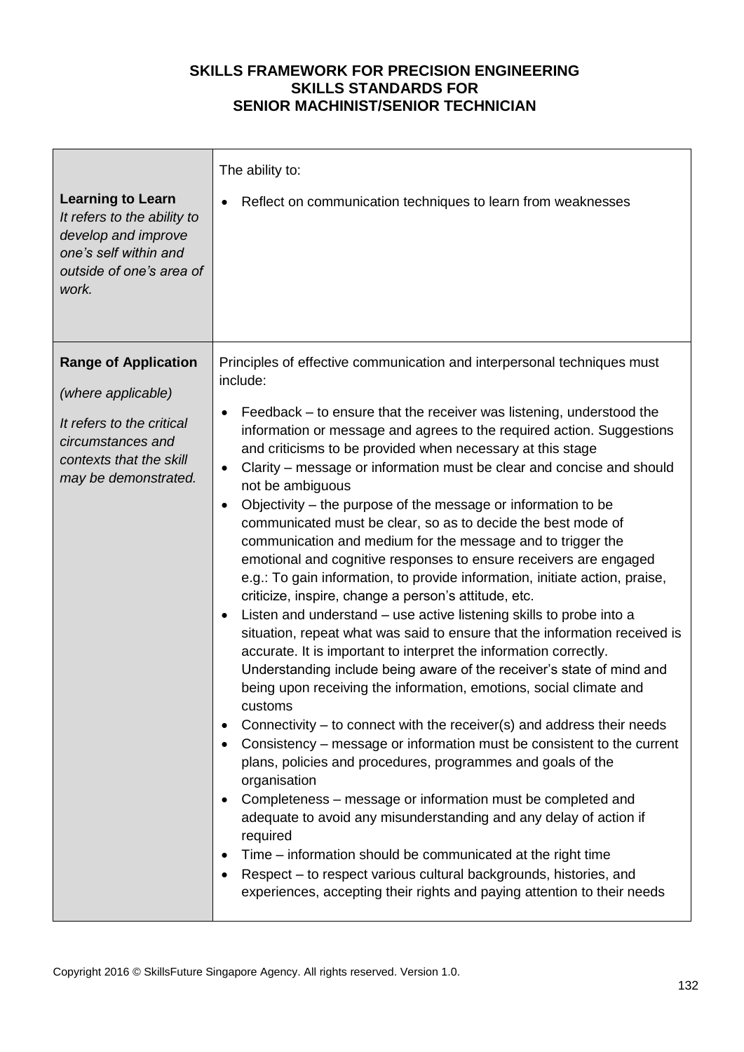| <b>Learning to Learn</b><br>It refers to the ability to<br>develop and improve<br>one's self within and<br>outside of one's area of<br>work.           | The ability to:<br>Reflect on communication techniques to learn from weaknesses                                                                                                                                                                                                                                                                                                                                                                                                                                                                                                                                                                                                                                                                                                                                                                                                                                                                                                                                                                                                                                                                                                                                                                                                                                                                                                                                                                                                                                                                                                                                                                                                                                                                                                                                             |
|--------------------------------------------------------------------------------------------------------------------------------------------------------|-----------------------------------------------------------------------------------------------------------------------------------------------------------------------------------------------------------------------------------------------------------------------------------------------------------------------------------------------------------------------------------------------------------------------------------------------------------------------------------------------------------------------------------------------------------------------------------------------------------------------------------------------------------------------------------------------------------------------------------------------------------------------------------------------------------------------------------------------------------------------------------------------------------------------------------------------------------------------------------------------------------------------------------------------------------------------------------------------------------------------------------------------------------------------------------------------------------------------------------------------------------------------------------------------------------------------------------------------------------------------------------------------------------------------------------------------------------------------------------------------------------------------------------------------------------------------------------------------------------------------------------------------------------------------------------------------------------------------------------------------------------------------------------------------------------------------------|
| <b>Range of Application</b><br>(where applicable)<br>It refers to the critical<br>circumstances and<br>contexts that the skill<br>may be demonstrated. | Principles of effective communication and interpersonal techniques must<br>include:<br>Feedback – to ensure that the receiver was listening, understood the<br>information or message and agrees to the required action. Suggestions<br>and criticisms to be provided when necessary at this stage<br>Clarity - message or information must be clear and concise and should<br>$\bullet$<br>not be ambiguous<br>Objectivity – the purpose of the message or information to be<br>$\bullet$<br>communicated must be clear, so as to decide the best mode of<br>communication and medium for the message and to trigger the<br>emotional and cognitive responses to ensure receivers are engaged<br>e.g.: To gain information, to provide information, initiate action, praise,<br>criticize, inspire, change a person's attitude, etc.<br>Listen and understand - use active listening skills to probe into a<br>situation, repeat what was said to ensure that the information received is<br>accurate. It is important to interpret the information correctly.<br>Understanding include being aware of the receiver's state of mind and<br>being upon receiving the information, emotions, social climate and<br>customs<br>Connectivity - to connect with the receiver(s) and address their needs<br>Consistency – message or information must be consistent to the current<br>plans, policies and procedures, programmes and goals of the<br>organisation<br>Completeness – message or information must be completed and<br>adequate to avoid any misunderstanding and any delay of action if<br>required<br>Time – information should be communicated at the right time<br>Respect - to respect various cultural backgrounds, histories, and<br>experiences, accepting their rights and paying attention to their needs |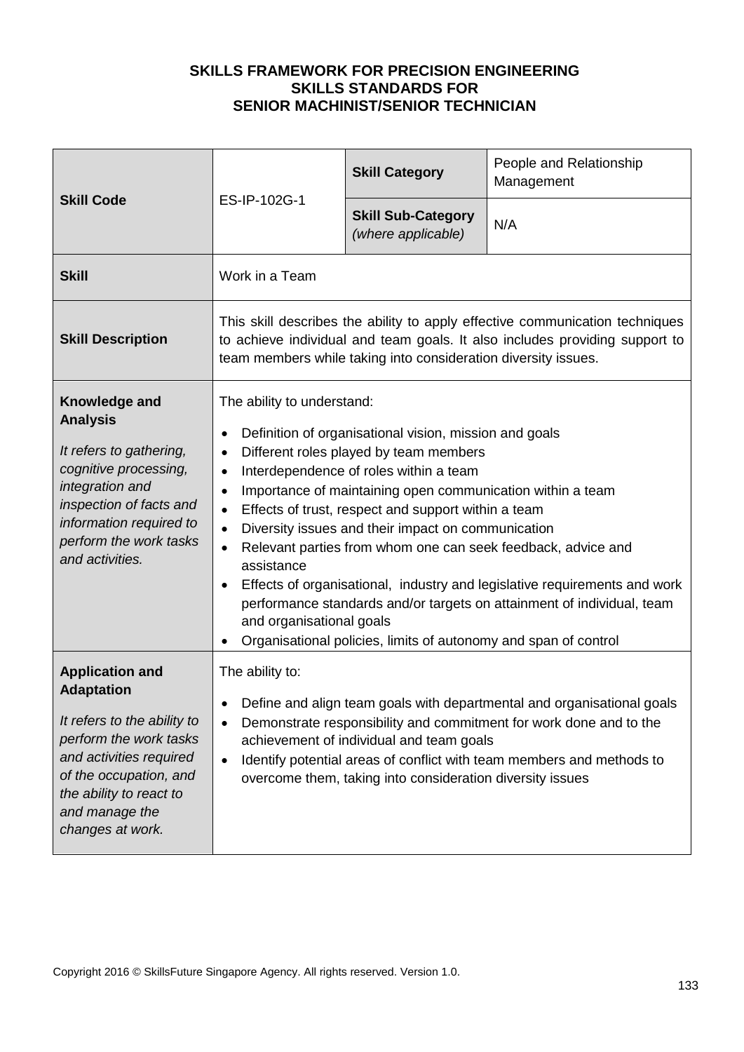| <b>Skill Code</b>                                                                                                                                                                                                          | ES-IP-102G-1                                                                                                                                                                                                                                                                                                                                                                                                                                                                                                                                                                                                                                                                                                                                                          | <b>Skill Category</b>                           | People and Relationship<br>Management |  |
|----------------------------------------------------------------------------------------------------------------------------------------------------------------------------------------------------------------------------|-----------------------------------------------------------------------------------------------------------------------------------------------------------------------------------------------------------------------------------------------------------------------------------------------------------------------------------------------------------------------------------------------------------------------------------------------------------------------------------------------------------------------------------------------------------------------------------------------------------------------------------------------------------------------------------------------------------------------------------------------------------------------|-------------------------------------------------|---------------------------------------|--|
|                                                                                                                                                                                                                            |                                                                                                                                                                                                                                                                                                                                                                                                                                                                                                                                                                                                                                                                                                                                                                       | <b>Skill Sub-Category</b><br>(where applicable) | N/A                                   |  |
| <b>Skill</b>                                                                                                                                                                                                               | Work in a Team                                                                                                                                                                                                                                                                                                                                                                                                                                                                                                                                                                                                                                                                                                                                                        |                                                 |                                       |  |
| <b>Skill Description</b>                                                                                                                                                                                                   | This skill describes the ability to apply effective communication techniques<br>to achieve individual and team goals. It also includes providing support to<br>team members while taking into consideration diversity issues.                                                                                                                                                                                                                                                                                                                                                                                                                                                                                                                                         |                                                 |                                       |  |
| Knowledge and<br><b>Analysis</b><br>It refers to gathering,<br>cognitive processing,<br>integration and<br>inspection of facts and<br>information required to<br>perform the work tasks<br>and activities.                 | The ability to understand:<br>Definition of organisational vision, mission and goals<br>Different roles played by team members<br>$\bullet$<br>Interdependence of roles within a team<br>$\bullet$<br>Importance of maintaining open communication within a team<br>$\bullet$<br>Effects of trust, respect and support within a team<br>$\bullet$<br>Diversity issues and their impact on communication<br>$\bullet$<br>Relevant parties from whom one can seek feedback, advice and<br>$\bullet$<br>assistance<br>Effects of organisational, industry and legislative requirements and work<br>performance standards and/or targets on attainment of individual, team<br>and organisational goals<br>Organisational policies, limits of autonomy and span of control |                                                 |                                       |  |
| <b>Application and</b><br><b>Adaptation</b><br>It refers to the ability to<br>perform the work tasks<br>and activities required<br>of the occupation, and<br>the ability to react to<br>and manage the<br>changes at work. | The ability to:<br>Define and align team goals with departmental and organisational goals<br>Demonstrate responsibility and commitment for work done and to the<br>$\bullet$<br>achievement of individual and team goals<br>Identify potential areas of conflict with team members and methods to<br>$\bullet$<br>overcome them, taking into consideration diversity issues                                                                                                                                                                                                                                                                                                                                                                                           |                                                 |                                       |  |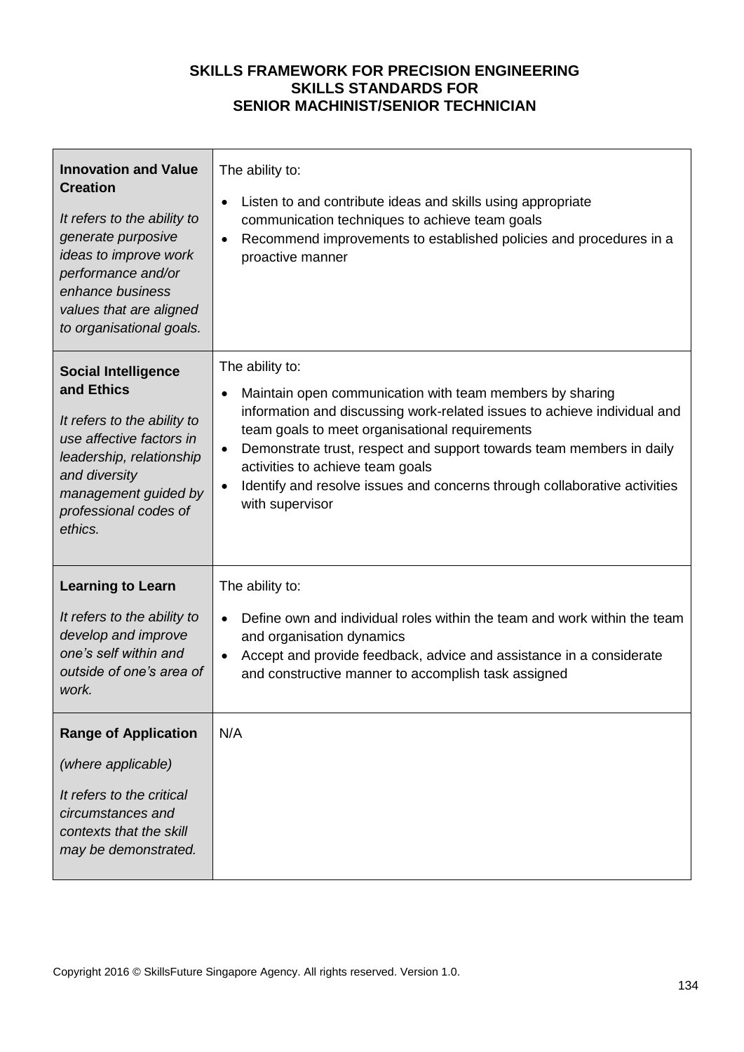| <b>Innovation and Value</b><br><b>Creation</b><br>It refers to the ability to<br>generate purposive<br>ideas to improve work<br>performance and/or<br>enhance business<br>values that are aligned<br>to organisational goals. | The ability to:<br>Listen to and contribute ideas and skills using appropriate<br>$\bullet$<br>communication techniques to achieve team goals<br>Recommend improvements to established policies and procedures in a<br>$\bullet$<br>proactive manner                                                                                                                                                                                                         |
|-------------------------------------------------------------------------------------------------------------------------------------------------------------------------------------------------------------------------------|--------------------------------------------------------------------------------------------------------------------------------------------------------------------------------------------------------------------------------------------------------------------------------------------------------------------------------------------------------------------------------------------------------------------------------------------------------------|
| <b>Social Intelligence</b><br>and Ethics<br>It refers to the ability to<br>use affective factors in<br>leadership, relationship<br>and diversity<br>management guided by<br>professional codes of<br>ethics.                  | The ability to:<br>Maintain open communication with team members by sharing<br>$\bullet$<br>information and discussing work-related issues to achieve individual and<br>team goals to meet organisational requirements<br>Demonstrate trust, respect and support towards team members in daily<br>$\bullet$<br>activities to achieve team goals<br>Identify and resolve issues and concerns through collaborative activities<br>$\bullet$<br>with supervisor |
| <b>Learning to Learn</b><br>It refers to the ability to<br>develop and improve<br>one's self within and<br>outside of one's area of<br>work.                                                                                  | The ability to:<br>Define own and individual roles within the team and work within the team<br>$\bullet$<br>and organisation dynamics<br>Accept and provide feedback, advice and assistance in a considerate<br>$\bullet$<br>and constructive manner to accomplish task assigned                                                                                                                                                                             |
| <b>Range of Application</b><br>(where applicable)<br>It refers to the critical<br>circumstances and<br>contexts that the skill<br>may be demonstrated.                                                                        | N/A                                                                                                                                                                                                                                                                                                                                                                                                                                                          |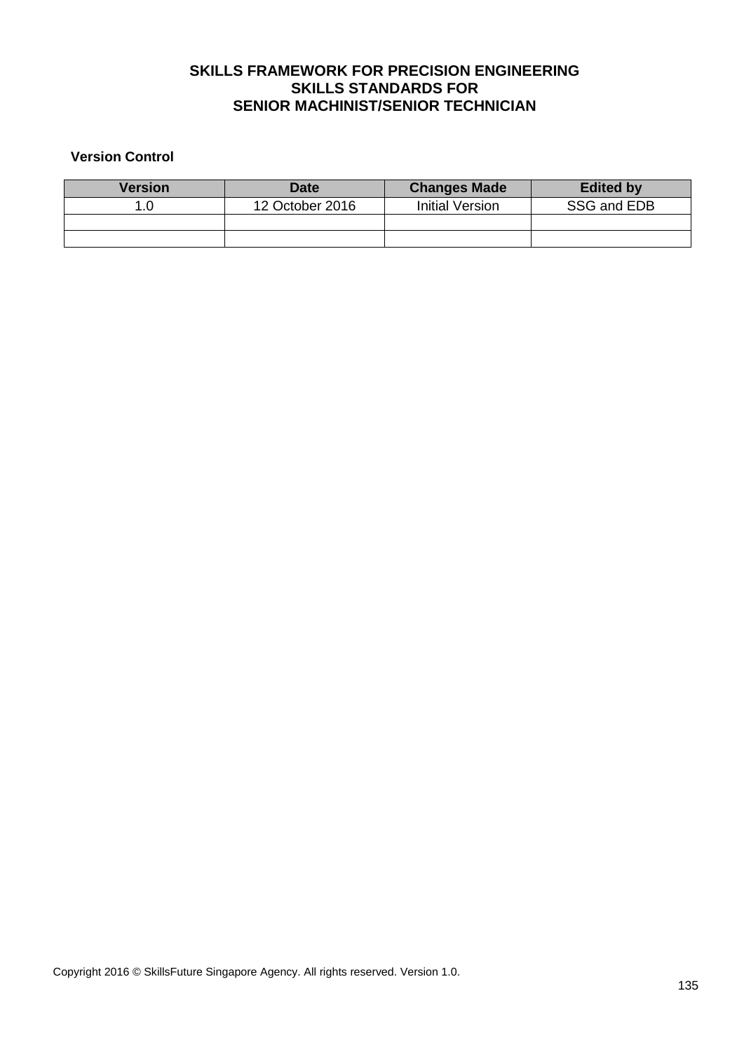### **Version Control**

| <b>Version</b> | <b>Date</b>     | <b>Changes Made</b> | <b>Edited by</b> |
|----------------|-----------------|---------------------|------------------|
|                | 12 October 2016 | Initial Version     | SSG and EDB      |
|                |                 |                     |                  |
|                |                 |                     |                  |